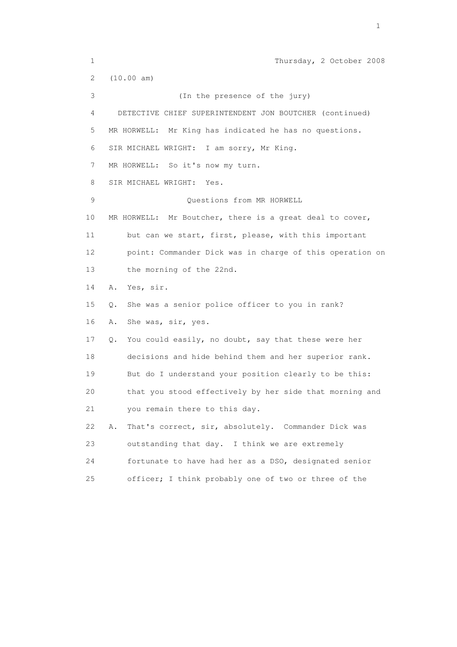1 Thursday, 2 October 2008 2 (10.00 am) 3 (In the presence of the jury) 4 DETECTIVE CHIEF SUPERINTENDENT JON BOUTCHER (continued) 5 MR HORWELL: Mr King has indicated he has no questions. 6 SIR MICHAEL WRIGHT: I am sorry, Mr King. 7 MR HORWELL: So it's now my turn. 8 SIR MICHAEL WRIGHT: Yes. 9 Questions from MR HORWELL 10 MR HORWELL: Mr Boutcher, there is a great deal to cover, 11 but can we start, first, please, with this important 12 point: Commander Dick was in charge of this operation on 13 the morning of the 22nd. 14 A. Yes, sir. 15 Q. She was a senior police officer to you in rank? 16 A. She was, sir, yes. 17 Q. You could easily, no doubt, say that these were her 18 decisions and hide behind them and her superior rank. 19 But do I understand your position clearly to be this: 20 that you stood effectively by her side that morning and 21 you remain there to this day. 22 A. That's correct, sir, absolutely. Commander Dick was 23 outstanding that day. I think we are extremely 24 fortunate to have had her as a DSO, designated senior 25 officer; I think probably one of two or three of the

the contract of the contract of the contract of the contract of the contract of the contract of the contract of the contract of the contract of the contract of the contract of the contract of the contract of the contract o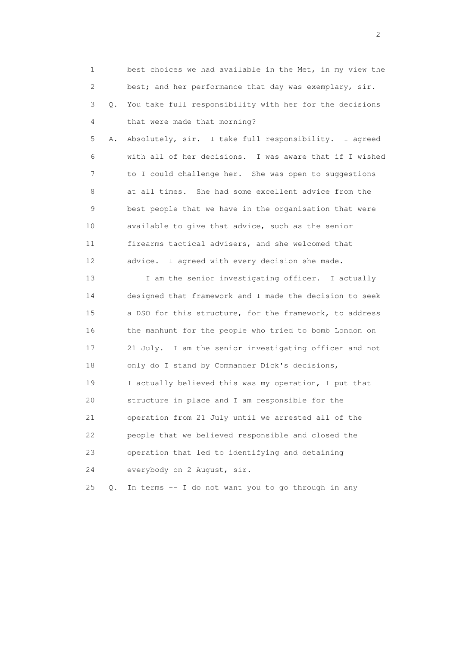| 1  |       | best choices we had available in the Met, in my view the |
|----|-------|----------------------------------------------------------|
| 2  |       | best; and her performance that day was exemplary, sir.   |
| 3  | Q.    | You take full responsibility with her for the decisions  |
| 4  |       | that were made that morning?                             |
| 5  | Α.    | Absolutely, sir. I take full responsibility. I agreed    |
| 6  |       | with all of her decisions. I was aware that if I wished  |
| 7  |       | to I could challenge her. She was open to suggestions    |
| 8  |       | at all times. She had some excellent advice from the     |
| 9  |       | best people that we have in the organisation that were   |
| 10 |       | available to give that advice, such as the senior        |
| 11 |       | firearms tactical advisers, and she welcomed that        |
| 12 |       | advice. I agreed with every decision she made.           |
| 13 |       | I am the senior investigating officer. I actually        |
| 14 |       | designed that framework and I made the decision to seek  |
| 15 |       | a DSO for this structure, for the framework, to address  |
| 16 |       | the manhunt for the people who tried to bomb London on   |
| 17 |       | 21 July. I am the senior investigating officer and not   |
| 18 |       | only do I stand by Commander Dick's decisions,           |
| 19 |       | I actually believed this was my operation, I put that    |
| 20 |       | structure in place and I am responsible for the          |
| 21 |       | operation from 21 July until we arrested all of the      |
| 22 |       | people that we believed responsible and closed the       |
| 23 |       | operation that led to identifying and detaining          |
| 24 |       | everybody on 2 August, sir.                              |
| 25 | $Q$ . | In terms -- I do not want you to go through in any       |

 $\overline{2}$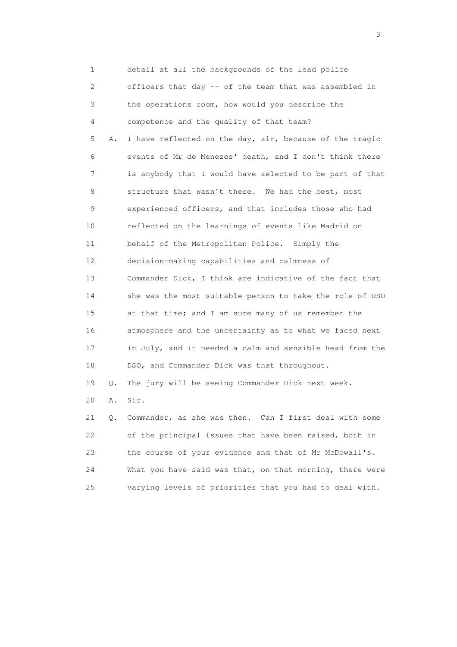1 detail at all the backgrounds of the lead police 2 officers that day -- of the team that was assembled in 3 the operations room, how would you describe the 4 competence and the quality of that team? 5 A. I have reflected on the day, sir, because of the tragic 6 events of Mr de Menezes' death, and I don't think there 7 is anybody that I would have selected to be part of that 8 structure that wasn't there. We had the best, most 9 experienced officers, and that includes those who had 10 reflected on the learnings of events like Madrid on 11 behalf of the Metropolitan Police. Simply the 12 decision-making capabilities and calmness of 13 Commander Dick, I think are indicative of the fact that 14 she was the most suitable person to take the role of DSO 15 at that time; and I am sure many of us remember the 16 atmosphere and the uncertainty as to what we faced next 17 in July, and it needed a calm and sensible head from the 18 DSO, and Commander Dick was that throughout. 19 Q. The jury will be seeing Commander Dick next week. 20 A. Sir. 21 Q. Commander, as she was then. Can I first deal with some 22 of the principal issues that have been raised, both in 23 the course of your evidence and that of Mr McDowall's.

| What you have said was that, on that morning, there were |
|----------------------------------------------------------|
| varying levels of priorities that you had to deal with.  |

 $\sim$  3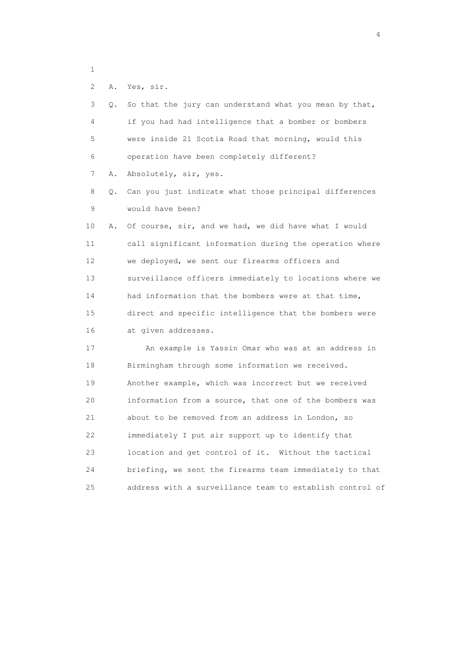```
 1
```
2 A. Yes, sir.

| 3  | О. | So that the jury can understand what you mean by that,   |
|----|----|----------------------------------------------------------|
| 4  |    | if you had had intelligence that a bomber or bombers     |
| 5  |    | were inside 21 Scotia Road that morning, would this      |
| 6  |    | operation have been completely different?                |
| 7  | Α. | Absolutely, sir, yes.                                    |
| 8  | Q. | Can you just indicate what those principal differences   |
| 9  |    | would have been?                                         |
| 10 | Α. | Of course, sir, and we had, we did have what I would     |
| 11 |    | call significant information during the operation where  |
| 12 |    | we deployed, we sent our firearms officers and           |
| 13 |    | surveillance officers immediately to locations where we  |
| 14 |    | had information that the bombers were at that time,      |
| 15 |    | direct and specific intelligence that the bombers were   |
| 16 |    | at given addresses.                                      |
| 17 |    | An example is Yassin Omar who was at an address in       |
| 18 |    | Birmingham through some information we received.         |
| 19 |    | Another example, which was incorrect but we received     |
| 20 |    | information from a source, that one of the bombers was   |
| 21 |    | about to be removed from an address in London, so        |
| 22 |    | immediately I put air support up to identify that        |
| 23 |    | location and get control of it. Without the tactical     |
| 24 |    | briefing, we sent the firearms team immediately to that  |
| 25 |    | address with a surveillance team to establish control of |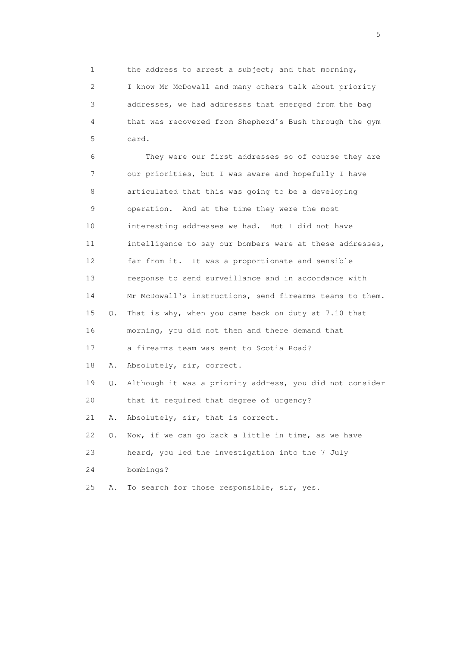1 the address to arrest a subject; and that morning, 2 I know Mr McDowall and many others talk about priority 3 addresses, we had addresses that emerged from the bag 4 that was recovered from Shepherd's Bush through the gym 5 card.

 6 They were our first addresses so of course they are 7 our priorities, but I was aware and hopefully I have 8 articulated that this was going to be a developing 9 operation. And at the time they were the most 10 interesting addresses we had. But I did not have 11 intelligence to say our bombers were at these addresses, 12 far from it. It was a proportionate and sensible 13 response to send surveillance and in accordance with 14 Mr McDowall's instructions, send firearms teams to them. 15 Q. That is why, when you came back on duty at 7.10 that 16 morning, you did not then and there demand that 17 a firearms team was sent to Scotia Road? 18 A. Absolutely, sir, correct. 19 Q. Although it was a priority address, you did not consider 20 that it required that degree of urgency? 21 A. Absolutely, sir, that is correct. 22 Q. Now, if we can go back a little in time, as we have 23 heard, you led the investigation into the 7 July 24 bombings? 25 A. To search for those responsible, sir, yes.

 $\sim$  5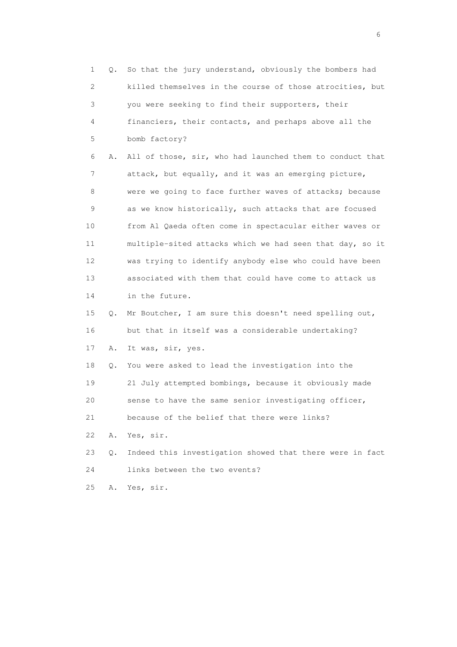1 Q. So that the jury understand, obviously the bombers had 2 killed themselves in the course of those atrocities, but 3 you were seeking to find their supporters, their 4 financiers, their contacts, and perhaps above all the 5 bomb factory? 6 A. All of those, sir, who had launched them to conduct that 7 attack, but equally, and it was an emerging picture, 8 were we going to face further waves of attacks; because 9 as we know historically, such attacks that are focused 10 from Al Qaeda often come in spectacular either waves or 11 multiple-sited attacks which we had seen that day, so it 12 was trying to identify anybody else who could have been 13 associated with them that could have come to attack us 14 in the future. 15 Q. Mr Boutcher, I am sure this doesn't need spelling out, 16 but that in itself was a considerable undertaking? 17 A. It was, sir, yes. 18 Q. You were asked to lead the investigation into the 19 21 July attempted bombings, because it obviously made 20 sense to have the same senior investigating officer, 21 because of the belief that there were links? 22 A. Yes, sir. 23 Q. Indeed this investigation showed that there were in fact 24 links between the two events? 25 A. Yes, sir.

 $\sim$  6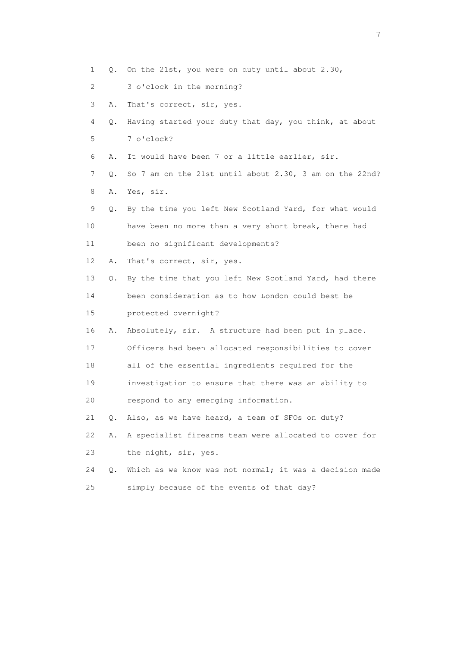- 1 Q. On the 21st, you were on duty until about 2.30,
- 2 3 o'clock in the morning?
- 3 A. That's correct, sir, yes.
- 4 Q. Having started your duty that day, you think, at about 5 7 o'clock?
- 6 A. It would have been 7 or a little earlier, sir.
- 7 Q. So 7 am on the 21st until about 2.30, 3 am on the 22nd? 8 A. Yes, sir.
- 9 Q. By the time you left New Scotland Yard, for what would 10 have been no more than a very short break, there had 11 been no significant developments?
- 12 A. That's correct, sir, yes.
- 13 Q. By the time that you left New Scotland Yard, had there
- 14 been consideration as to how London could best be
- 15 protected overnight?
- 16 A. Absolutely, sir. A structure had been put in place.
- 17 Officers had been allocated responsibilities to cover
- 18 all of the essential ingredients required for the
- 19 investigation to ensure that there was an ability to
- 20 respond to any emerging information.
- 21 Q. Also, as we have heard, a team of SFOs on duty?
- 22 A. A specialist firearms team were allocated to cover for 23 the night, sir, yes.
- 24 Q. Which as we know was not normal; it was a decision made 25 simply because of the events of that day?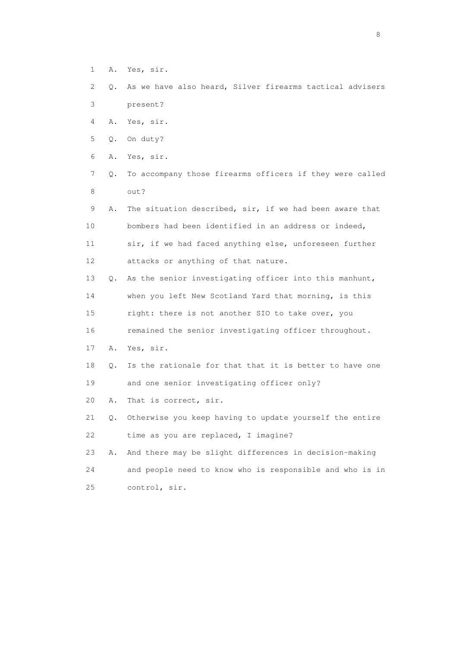- 1 A. Yes, sir.
- 2 Q. As we have also heard, Silver firearms tactical advisers 3 present?
- 4 A. Yes, sir.
- 5 Q. On duty?
- 6 A. Yes, sir.
- 7 Q. To accompany those firearms officers if they were called 8 out?
- 9 A. The situation described, sir, if we had been aware that 10 bombers had been identified in an address or indeed, 11 sir, if we had faced anything else, unforeseen further 12 attacks or anything of that nature. 13 Q. As the senior investigating officer into this manhunt, 14 when you left New Scotland Yard that morning, is this 15 right: there is not another SIO to take over, you 16 remained the senior investigating officer throughout. 17 A. Yes, sir. 18 Q. Is the rationale for that that it is better to have one 19 and one senior investigating officer only? 20 A. That is correct, sir. 21 Q. Otherwise you keep having to update yourself the entire 22 time as you are replaced, I imagine? 23 A. And there may be slight differences in decision-making
- 24 and people need to know who is responsible and who is in 25 control, sir.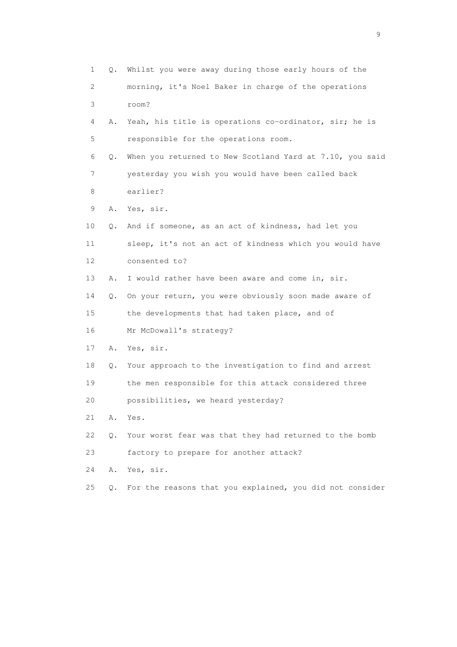| 1                         | Q.    | Whilst you were away during those early hours of the     |
|---------------------------|-------|----------------------------------------------------------|
| $\mathbf{2}^{\mathsf{I}}$ |       | morning, it's Noel Baker in charge of the operations     |
| 3                         |       | room?                                                    |
| 4                         | Α.    | Yeah, his title is operations co-ordinator, sir; he is   |
| 5                         |       | responsible for the operations room.                     |
| 6                         | Q.    | When you returned to New Scotland Yard at 7.10, you said |
| 7                         |       | yesterday you wish you would have been called back       |
| 8                         |       | earlier?                                                 |
| 9                         | Α.    | Yes, sir.                                                |
| 10                        | Q.    | And if someone, as an act of kindness, had let you       |
| 11                        |       | sleep, it's not an act of kindness which you would have  |
| 12                        |       | consented to?                                            |
| 13                        | Α.    | I would rather have been aware and come in, sir.         |
| 14                        | Q.    | On your return, you were obviously soon made aware of    |
| 15                        |       | the developments that had taken place, and of            |
| 16                        |       | Mr McDowall's strategy?                                  |
| 17                        | Α.    | Yes, sir.                                                |
| 18                        | Q.    | Your approach to the investigation to find and arrest    |
| 19                        |       | the men responsible for this attack considered three     |
| 20                        |       | possibilities, we heard yesterday?                       |
| 21                        | Α.    | Yes.                                                     |
| 22                        | $Q$ . | Your worst fear was that they had returned to the bomb   |
| 23                        |       | factory to prepare for another attack?                   |
| 24                        | Α.    | Yes, sir.                                                |
| 25                        | Q.    | For the reasons that you explained, you did not consider |

en de la construction de la construction de la construction de la construction de la construction de la constr<br>1911 : la construction de la construction de la construction de la construction de la construction de la const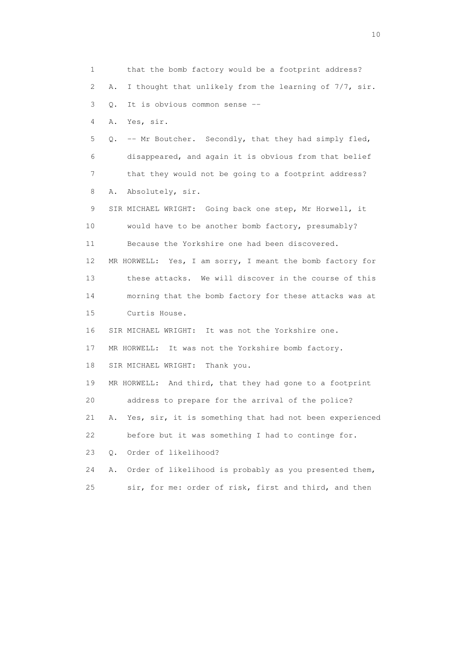1 that the bomb factory would be a footprint address? 2 A. I thought that unlikely from the learning of 7/7, sir. 3 Q. It is obvious common sense -- 4 A. Yes, sir. 5 Q. -- Mr Boutcher. Secondly, that they had simply fled, 6 disappeared, and again it is obvious from that belief 7 that they would not be going to a footprint address? 8 A. Absolutely, sir. 9 SIR MICHAEL WRIGHT: Going back one step, Mr Horwell, it 10 would have to be another bomb factory, presumably? 11 Because the Yorkshire one had been discovered. 12 MR HORWELL: Yes, I am sorry, I meant the bomb factory for 13 these attacks. We will discover in the course of this 14 morning that the bomb factory for these attacks was at 15 Curtis House. 16 SIR MICHAEL WRIGHT: It was not the Yorkshire one. 17 MR HORWELL: It was not the Yorkshire bomb factory. 18 SIR MICHAEL WRIGHT: Thank you. 19 MR HORWELL: And third, that they had gone to a footprint 20 address to prepare for the arrival of the police? 21 A. Yes, sir, it is something that had not been experienced 22 before but it was something I had to continge for. 23 Q. Order of likelihood? 24 A. Order of likelihood is probably as you presented them, 25 sir, for me: order of risk, first and third, and then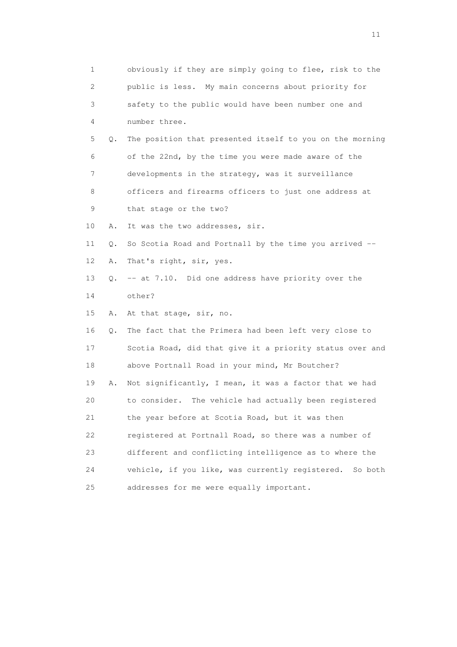| $\mathbf 1$ |    | obviously if they are simply going to flee, risk to the    |
|-------------|----|------------------------------------------------------------|
| 2           |    | public is less. My main concerns about priority for        |
| 3           |    | safety to the public would have been number one and        |
| 4           |    | number three.                                              |
| 5           | Q. | The position that presented itself to you on the morning   |
| 6           |    | of the 22nd, by the time you were made aware of the        |
| 7           |    | developments in the strategy, was it surveillance          |
| 8           |    | officers and firearms officers to just one address at      |
| 9           |    | that stage or the two?                                     |
| 10          | Α. | It was the two addresses, sir.                             |
| 11          | Q. | So Scotia Road and Portnall by the time you arrived --     |
| 12          | Α. | That's right, sir, yes.                                    |
| 13          | Q. | -- at 7.10. Did one address have priority over the         |
| 14          |    | other?                                                     |
| 15          | Α. | At that stage, sir, no.                                    |
| 16          | Q. | The fact that the Primera had been left very close to      |
| 17          |    | Scotia Road, did that give it a priority status over and   |
| 18          |    | above Portnall Road in your mind, Mr Boutcher?             |
| 19          | Α. | Not significantly, I mean, it was a factor that we had     |
| 20          |    | to consider.<br>The vehicle had actually been registered   |
| 21          |    | the year before at Scotia Road, but it was then            |
| 22          |    | registered at Portnall Road, so there was a number of      |
| 23          |    | different and conflicting intelligence as to where the     |
| 24          |    | vehicle, if you like, was currently registered.<br>So both |
| 25          |    | addresses for me were equally important.                   |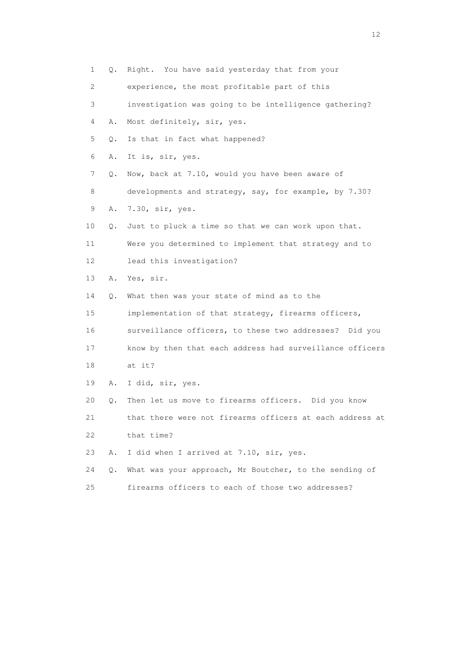| 1                         | Q. | Right. You have said yesterday that from your            |
|---------------------------|----|----------------------------------------------------------|
| $\mathbf{2}^{\mathsf{I}}$ |    | experience, the most profitable part of this             |
| 3                         |    | investigation was going to be intelligence gathering?    |
| 4                         | Α. | Most definitely, sir, yes.                               |
| 5                         | Q. | Is that in fact what happened?                           |
| 6                         | Α. | It is, sir, yes.                                         |
| 7                         | Q. | Now, back at 7.10, would you have been aware of          |
| 8                         |    | developments and strategy, say, for example, by 7.30?    |
| 9                         | Α. | 7.30, sir, yes.                                          |
| 10                        | Q. | Just to pluck a time so that we can work upon that.      |
| 11                        |    | Were you determined to implement that strategy and to    |
| 12                        |    | lead this investigation?                                 |
| 13                        | Α. | Yes, sir.                                                |
| 14                        | Q. | What then was your state of mind as to the               |
| 15                        |    | implementation of that strategy, firearms officers,      |
| 16                        |    | surveillance officers, to these two addresses? Did you   |
| 17                        |    | know by then that each address had surveillance officers |
| 18                        |    | at it?                                                   |
| 19                        | Α. | I did, sir, yes.                                         |
| 20                        | Q. | Then let us move to firearms officers. Did you know      |
| 21                        |    | that there were not firearms officers at each address at |
| 22                        |    | that time?                                               |
| 23                        | Α. | I did when I arrived at 7.10, sir, yes.                  |
| 24                        | Q. | What was your approach, Mr Boutcher, to the sending of   |
| 25                        |    | firearms officers to each of those two addresses?        |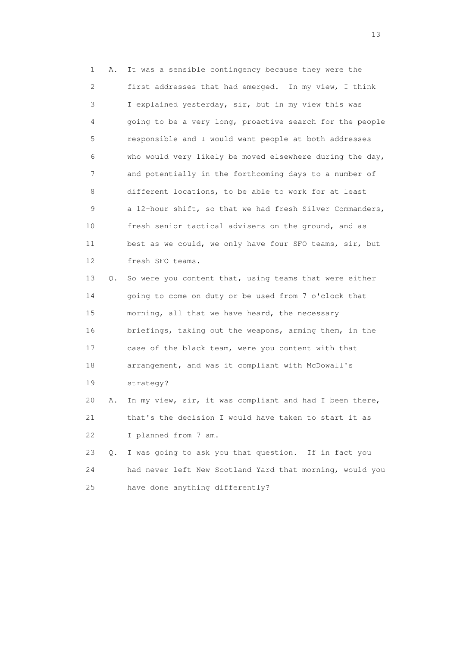1 A. It was a sensible contingency because they were the 2 first addresses that had emerged. In my view, I think 3 I explained yesterday, sir, but in my view this was 4 going to be a very long, proactive search for the people 5 responsible and I would want people at both addresses 6 who would very likely be moved elsewhere during the day, 7 and potentially in the forthcoming days to a number of 8 different locations, to be able to work for at least 9 a 12-hour shift, so that we had fresh Silver Commanders, 10 fresh senior tactical advisers on the ground, and as 11 best as we could, we only have four SFO teams, sir, but 12 fresh SFO teams.

 13 Q. So were you content that, using teams that were either 14 going to come on duty or be used from 7 o'clock that 15 morning, all that we have heard, the necessary 16 briefings, taking out the weapons, arming them, in the 17 case of the black team, were you content with that 18 arrangement, and was it compliant with McDowall's 19 strategy?

 20 A. In my view, sir, it was compliant and had I been there, 21 that's the decision I would have taken to start it as 22 I planned from 7 am.

 23 Q. I was going to ask you that question. If in fact you 24 had never left New Scotland Yard that morning, would you 25 have done anything differently?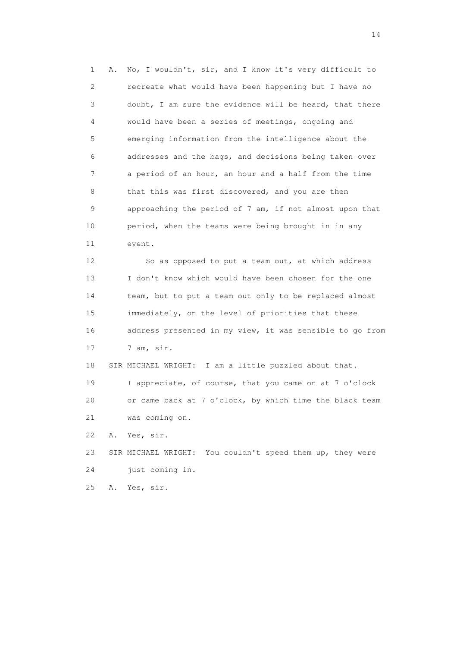1 A. No, I wouldn't, sir, and I know it's very difficult to 2 recreate what would have been happening but I have no 3 doubt, I am sure the evidence will be heard, that there 4 would have been a series of meetings, ongoing and 5 emerging information from the intelligence about the 6 addresses and the bags, and decisions being taken over 7 a period of an hour, an hour and a half from the time 8 that this was first discovered, and you are then 9 approaching the period of 7 am, if not almost upon that 10 period, when the teams were being brought in in any 11 event.

 12 So as opposed to put a team out, at which address 13 I don't know which would have been chosen for the one 14 team, but to put a team out only to be replaced almost 15 immediately, on the level of priorities that these 16 address presented in my view, it was sensible to go from 17 7 am, sir.

18 SIR MICHAEL WRIGHT: I am a little puzzled about that.

 19 I appreciate, of course, that you came on at 7 o'clock 20 or came back at 7 o'clock, by which time the black team 21 was coming on.

22 A. Yes, sir.

 23 SIR MICHAEL WRIGHT: You couldn't speed them up, they were 24 just coming in.

25 A. Yes, sir.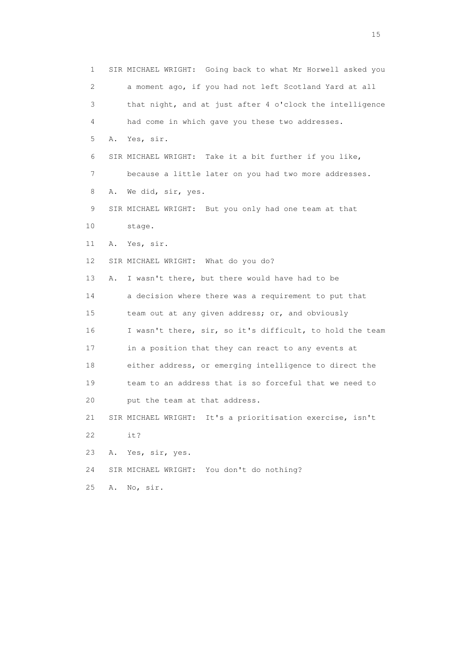1 SIR MICHAEL WRIGHT: Going back to what Mr Horwell asked you 2 a moment ago, if you had not left Scotland Yard at all 3 that night, and at just after 4 o'clock the intelligence 4 had come in which gave you these two addresses. 5 A. Yes, sir. 6 SIR MICHAEL WRIGHT: Take it a bit further if you like, 7 because a little later on you had two more addresses. 8 A. We did, sir, yes. 9 SIR MICHAEL WRIGHT: But you only had one team at that 10 stage. 11 A. Yes, sir. 12 SIR MICHAEL WRIGHT: What do you do? 13 A. I wasn't there, but there would have had to be 14 a decision where there was a requirement to put that 15 team out at any given address; or, and obviously 16 I wasn't there, sir, so it's difficult, to hold the team 17 in a position that they can react to any events at 18 either address, or emerging intelligence to direct the 19 team to an address that is so forceful that we need to 20 put the team at that address. 21 SIR MICHAEL WRIGHT: It's a prioritisation exercise, isn't 22 it? 23 A. Yes, sir, yes. 24 SIR MICHAEL WRIGHT: You don't do nothing? 25 A. No, sir.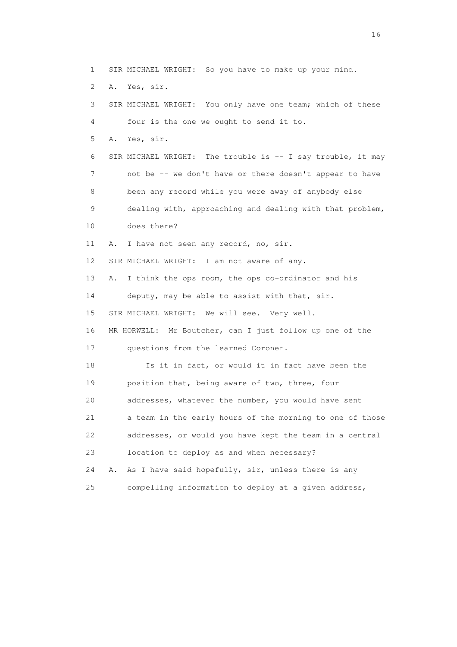1 SIR MICHAEL WRIGHT: So you have to make up your mind. 2 A. Yes, sir. 3 SIR MICHAEL WRIGHT: You only have one team; which of these 4 four is the one we ought to send it to. 5 A. Yes, sir. 6 SIR MICHAEL WRIGHT: The trouble is -- I say trouble, it may 7 not be -- we don't have or there doesn't appear to have 8 been any record while you were away of anybody else 9 dealing with, approaching and dealing with that problem, 10 does there? 11 A. I have not seen any record, no, sir. 12 SIR MICHAEL WRIGHT: I am not aware of any. 13 A. I think the ops room, the ops co-ordinator and his 14 deputy, may be able to assist with that, sir. 15 SIR MICHAEL WRIGHT: We will see. Very well. 16 MR HORWELL: Mr Boutcher, can I just follow up one of the 17 questions from the learned Coroner. 18 Is it in fact, or would it in fact have been the 19 position that, being aware of two, three, four 20 addresses, whatever the number, you would have sent 21 a team in the early hours of the morning to one of those 22 addresses, or would you have kept the team in a central 23 location to deploy as and when necessary? 24 A. As I have said hopefully, sir, unless there is any

25 compelling information to deploy at a given address,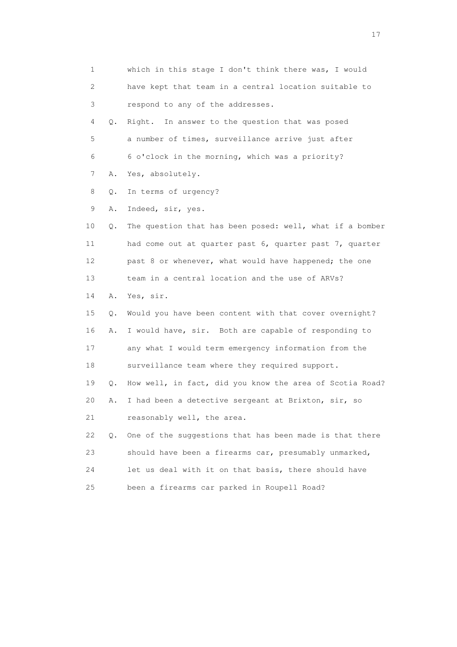1 which in this stage I don't think there was, I would 2 have kept that team in a central location suitable to 3 respond to any of the addresses. 4 Q. Right. In answer to the question that was posed 5 a number of times, surveillance arrive just after 6 6 o'clock in the morning, which was a priority? 7 A. Yes, absolutely. 8 Q. In terms of urgency? 9 A. Indeed, sir, yes. 10 Q. The question that has been posed: well, what if a bomber 11 had come out at quarter past 6, quarter past 7, quarter 12 past 8 or whenever, what would have happened; the one 13 team in a central location and the use of ARVs? 14 A. Yes, sir. 15 Q. Would you have been content with that cover overnight? 16 A. I would have, sir. Both are capable of responding to 17 any what I would term emergency information from the 18 surveillance team where they required support. 19 Q. How well, in fact, did you know the area of Scotia Road? 20 A. I had been a detective sergeant at Brixton, sir, so 21 reasonably well, the area. 22 Q. One of the suggestions that has been made is that there 23 should have been a firearms car, presumably unmarked, 24 let us deal with it on that basis, there should have 25 been a firearms car parked in Roupell Road?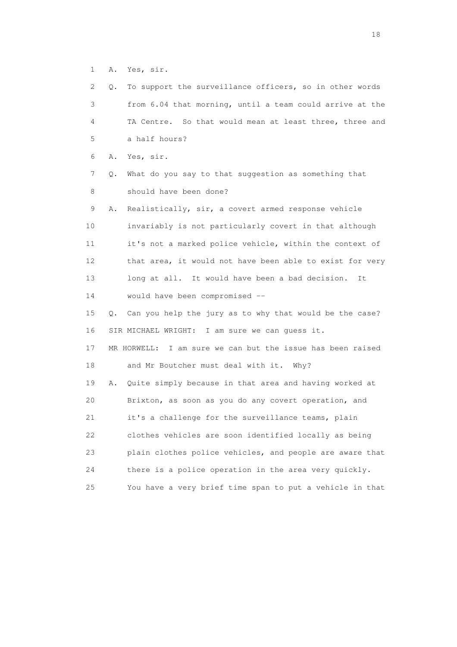1 A. Yes, sir.

| $\mathbf{2}^{\mathsf{I}}$ | Q. | To support the surveillance officers, so in other words    |
|---------------------------|----|------------------------------------------------------------|
| 3                         |    | from 6.04 that morning, until a team could arrive at the   |
| 4                         |    | TA Centre. So that would mean at least three, three and    |
| 5                         |    | a half hours?                                              |
| 6                         | Α. | Yes, sir.                                                  |
| 7                         | Q. | What do you say to that suggestion as something that       |
| 8                         |    | should have been done?                                     |
| 9                         | Α. | Realistically, sir, a covert armed response vehicle        |
| 10                        |    | invariably is not particularly covert in that although     |
| 11                        |    | it's not a marked police vehicle, within the context of    |
| 12                        |    | that area, it would not have been able to exist for very   |
| 13                        |    | long at all. It would have been a bad decision.<br>It      |
| 14                        |    | would have been compromised --                             |
| 15                        |    | Q. Can you help the jury as to why that would be the case? |
| 16                        |    | SIR MICHAEL WRIGHT: I am sure we can guess it.             |
| 17                        |    | MR HORWELL: I am sure we can but the issue has been raised |
| 18                        |    | and Mr Boutcher must deal with it. Why?                    |
| 19                        | Α. | Quite simply because in that area and having worked at     |
| 20                        |    | Brixton, as soon as you do any covert operation, and       |
| 21                        |    | it's a challenge for the surveillance teams, plain         |
| 22                        |    | clothes vehicles are soon identified locally as being      |
| 23                        |    | plain clothes police vehicles, and people are aware that   |
| 24                        |    | there is a police operation in the area very quickly.      |
| 25                        |    | You have a very brief time span to put a vehicle in that   |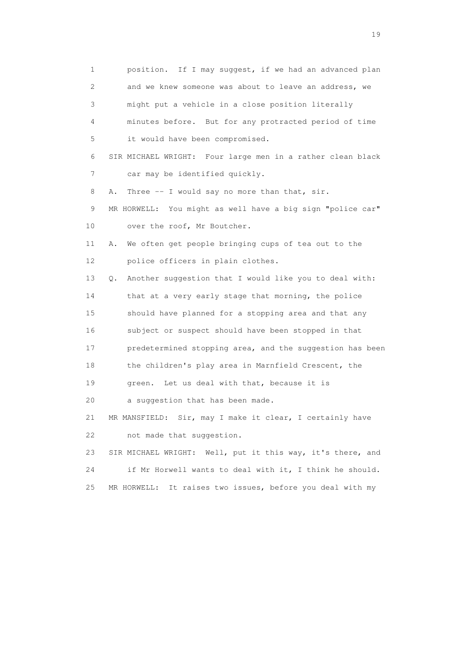1 position. If I may suggest, if we had an advanced plan 2 and we knew someone was about to leave an address, we 3 might put a vehicle in a close position literally 4 minutes before. But for any protracted period of time 5 it would have been compromised. 6 SIR MICHAEL WRIGHT: Four large men in a rather clean black 7 car may be identified quickly. 8 A. Three -- I would say no more than that, sir. 9 MR HORWELL: You might as well have a big sign "police car" 10 over the roof, Mr Boutcher. 11 A. We often get people bringing cups of tea out to the 12 police officers in plain clothes. 13 Q. Another suggestion that I would like you to deal with: 14 that at a very early stage that morning, the police 15 should have planned for a stopping area and that any 16 subject or suspect should have been stopped in that 17 predetermined stopping area, and the suggestion has been 18 the children's play area in Marnfield Crescent, the 19 green. Let us deal with that, because it is 20 a suggestion that has been made. 21 MR MANSFIELD: Sir, may I make it clear, I certainly have 22 not made that suggestion. 23 SIR MICHAEL WRIGHT: Well, put it this way, it's there, and 24 if Mr Horwell wants to deal with it, I think he should. 25 MR HORWELL: It raises two issues, before you deal with my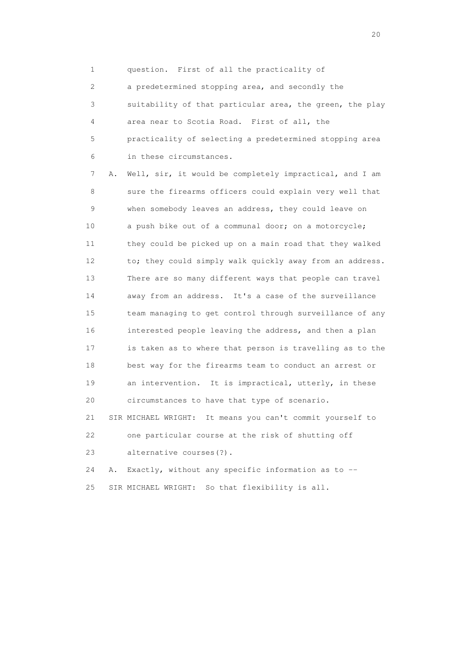1 question. First of all the practicality of

 2 a predetermined stopping area, and secondly the 3 suitability of that particular area, the green, the play 4 area near to Scotia Road. First of all, the 5 practicality of selecting a predetermined stopping area 6 in these circumstances.

 7 A. Well, sir, it would be completely impractical, and I am 8 sure the firearms officers could explain very well that 9 when somebody leaves an address, they could leave on 10 a push bike out of a communal door; on a motorcycle; 11 they could be picked up on a main road that they walked 12 to; they could simply walk quickly away from an address. 13 There are so many different ways that people can travel 14 away from an address. It's a case of the surveillance 15 team managing to get control through surveillance of any 16 interested people leaving the address, and then a plan 17 is taken as to where that person is travelling as to the 18 best way for the firearms team to conduct an arrest or 19 an intervention. It is impractical, utterly, in these 20 circumstances to have that type of scenario. 21 SIR MICHAEL WRIGHT: It means you can't commit yourself to 22 one particular course at the risk of shutting off 23 alternative courses(?).

 24 A. Exactly, without any specific information as to -- 25 SIR MICHAEL WRIGHT: So that flexibility is all.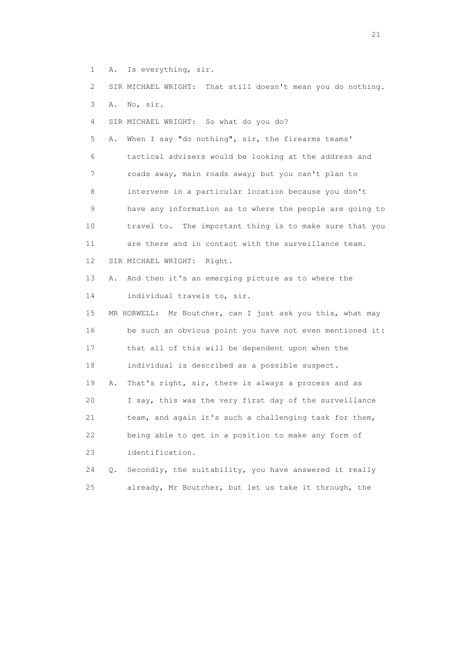1 A. Is everything, sir.

2 SIR MICHAEL WRIGHT: That still doesn't mean you do nothing.

3 A. No, sir.

4 SIR MICHAEL WRIGHT: So what do you do?

 5 A. When I say "do nothing", sir, the firearms teams' 6 tactical advisers would be looking at the address and 7 roads away, main roads away; but you can't plan to 8 intervene in a particular location because you don't 9 have any information as to where the people are going to 10 travel to. The important thing is to make sure that you 11 are there and in contact with the surveillance team. 12 SIR MICHAEL WRIGHT: Right. 13 A. And then it's an emerging picture as to where the 14 individual travels to, sir.

 15 MR HORWELL: Mr Boutcher, can I just ask you this, what may 16 be such an obvious point you have not even mentioned it: 17 that all of this will be dependent upon when the 18 individual is described as a possible suspect. 19 A. That's right, sir, there is always a process and as 20 I say, this was the very first day of the surveillance 21 team, and again it's such a challenging task for them, 22 being able to get in a position to make any form of 23 identification.

 24 Q. Secondly, the suitability, you have answered it really 25 already, Mr Boutcher, but let us take it through, the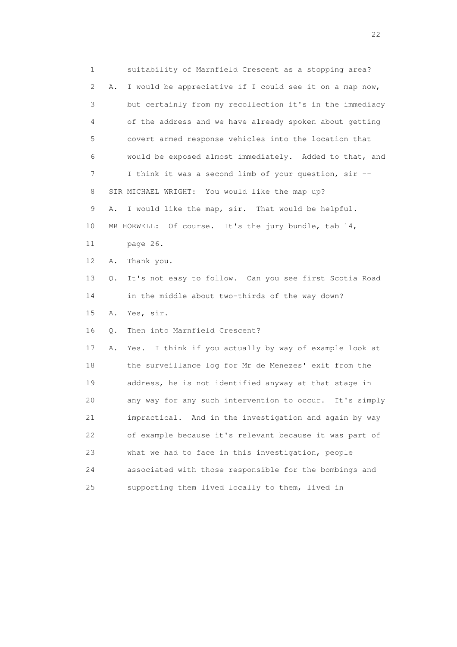1 suitability of Marnfield Crescent as a stopping area? 2 A. I would be appreciative if I could see it on a map now, 3 but certainly from my recollection it's in the immediacy 4 of the address and we have already spoken about getting 5 covert armed response vehicles into the location that 6 would be exposed almost immediately. Added to that, and 7 I think it was a second limb of your question, sir -- 8 SIR MICHAEL WRIGHT: You would like the map up? 9 A. I would like the map, sir. That would be helpful. 10 MR HORWELL: Of course. It's the jury bundle, tab 14, 11 page 26. 12 A. Thank you. 13 Q. It's not easy to follow. Can you see first Scotia Road 14 in the middle about two-thirds of the way down? 15 A. Yes, sir. 16 Q. Then into Marnfield Crescent? 17 A. Yes. I think if you actually by way of example look at 18 the surveillance log for Mr de Menezes' exit from the 19 address, he is not identified anyway at that stage in 20 any way for any such intervention to occur. It's simply 21 impractical. And in the investigation and again by way 22 of example because it's relevant because it was part of 23 what we had to face in this investigation, people 24 associated with those responsible for the bombings and 25 supporting them lived locally to them, lived in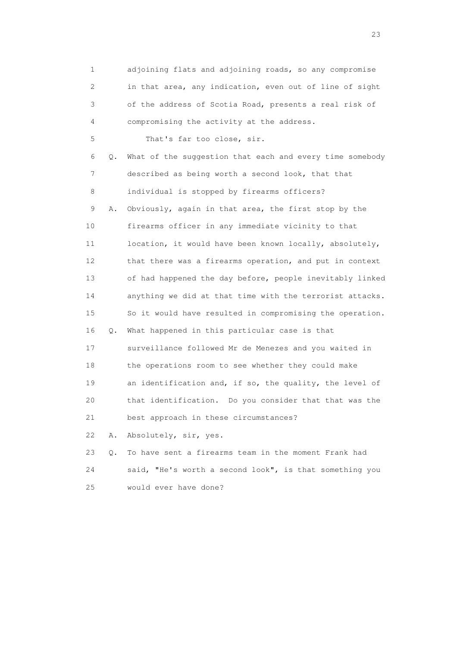1 adjoining flats and adjoining roads, so any compromise 2 in that area, any indication, even out of line of sight 3 of the address of Scotia Road, presents a real risk of 4 compromising the activity at the address. 5 That's far too close, sir. 6 Q. What of the suggestion that each and every time somebody 7 described as being worth a second look, that that 8 individual is stopped by firearms officers? 9 A. Obviously, again in that area, the first stop by the 10 firearms officer in any immediate vicinity to that 11 location, it would have been known locally, absolutely, 12 that there was a firearms operation, and put in context 13 of had happened the day before, people inevitably linked 14 anything we did at that time with the terrorist attacks. 15 So it would have resulted in compromising the operation. 16 Q. What happened in this particular case is that 17 surveillance followed Mr de Menezes and you waited in 18 the operations room to see whether they could make 19 an identification and, if so, the quality, the level of 20 that identification. Do you consider that that was the 21 best approach in these circumstances? 22 A. Absolutely, sir, yes. 23 Q. To have sent a firearms team in the moment Frank had 24 said, "He's worth a second look", is that something you 25 would ever have done?

23 and 23 and 23 and 23 and 23 and 23 and 23 and 23 and 23 and 23 and 23 and 23 and 23 and 23 and 23 and 23 and 24 and 25 and 25 and 26 and 26 and 26 and 26 and 26 and 26 and 26 and 26 and 26 and 26 and 26 and 26 and 26 an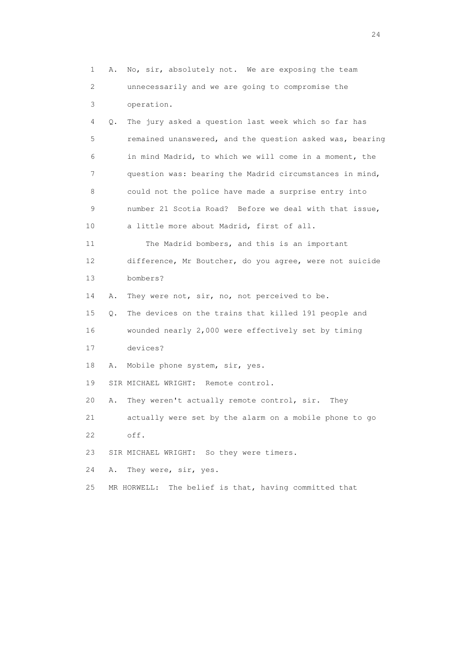1 A. No, sir, absolutely not. We are exposing the team 2 unnecessarily and we are going to compromise the 3 operation. 4 Q. The jury asked a question last week which so far has 5 remained unanswered, and the question asked was, bearing 6 in mind Madrid, to which we will come in a moment, the 7 question was: bearing the Madrid circumstances in mind, 8 could not the police have made a surprise entry into 9 number 21 Scotia Road? Before we deal with that issue, 10 a little more about Madrid, first of all. 11 The Madrid bombers, and this is an important 12 difference, Mr Boutcher, do you agree, were not suicide 13 bombers? 14 A. They were not, sir, no, not perceived to be. 15 Q. The devices on the trains that killed 191 people and 16 wounded nearly 2,000 were effectively set by timing 17 devices? 18 A. Mobile phone system, sir, yes. 19 SIR MICHAEL WRIGHT: Remote control. 20 A. They weren't actually remote control, sir. They 21 actually were set by the alarm on a mobile phone to go 22 off. 23 SIR MICHAEL WRIGHT: So they were timers. 24 A. They were, sir, yes. 25 MR HORWELL: The belief is that, having committed that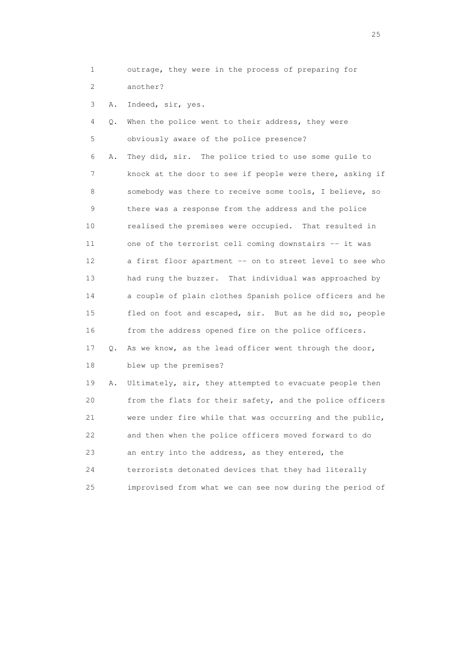1 outrage, they were in the process of preparing for 2 another?

3 A. Indeed, sir, yes.

 4 Q. When the police went to their address, they were 5 obviously aware of the police presence? 6 A. They did, sir. The police tried to use some guile to 7 knock at the door to see if people were there, asking if 8 somebody was there to receive some tools, I believe, so 9 there was a response from the address and the police 10 realised the premises were occupied. That resulted in 11 one of the terrorist cell coming downstairs -- it was 12 a first floor apartment -- on to street level to see who 13 had rung the buzzer. That individual was approached by 14 a couple of plain clothes Spanish police officers and he 15 fled on foot and escaped, sir. But as he did so, people 16 from the address opened fire on the police officers. 17 Q. As we know, as the lead officer went through the door, 18 blew up the premises? 19 A. Ultimately, sir, they attempted to evacuate people then 20 from the flats for their safety, and the police officers 21 were under fire while that was occurring and the public,

22 and then when the police officers moved forward to do

24 terrorists detonated devices that they had literally

25 improvised from what we can see now during the period of

23 an entry into the address, as they entered, the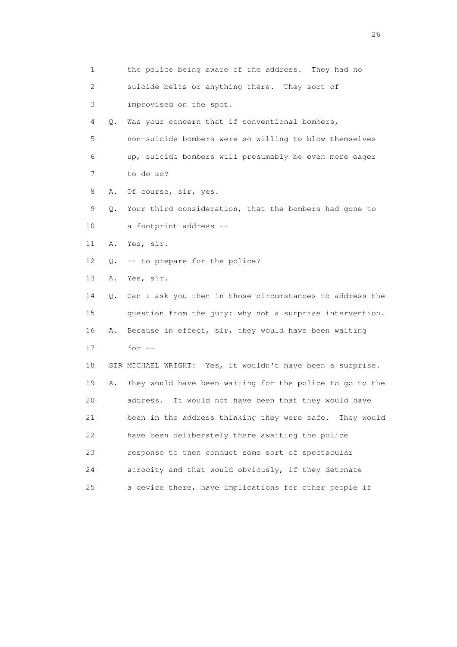1 the police being aware of the address. They had no 2 suicide belts or anything there. They sort of 3 improvised on the spot. 4 Q. Was your concern that if conventional bombers, 5 non-suicide bombers were so willing to blow themselves 6 up, suicide bombers will presumably be even more eager 7 to do so? 8 A. Of course, sir, yes. 9 Q. Your third consideration, that the bombers had gone to 10 a footprint address -- 11 A. Yes, sir. 12 Q. -- to prepare for the police? 13 A. Yes, sir. 14 Q. Can I ask you then in those circumstances to address the 15 question from the jury: why not a surprise intervention. 16 A. Because in effect, sir, they would have been waiting  $17$  for  $-$  18 SIR MICHAEL WRIGHT: Yes, it wouldn't have been a surprise. 19 A. They would have been waiting for the police to go to the 20 address. It would not have been that they would have 21 been in the address thinking they were safe. They would 22 have been deliberately there awaiting the police 23 response to then conduct some sort of spectacular 24 atrocity and that would obviously, if they detonate 25 a device there, have implications for other people if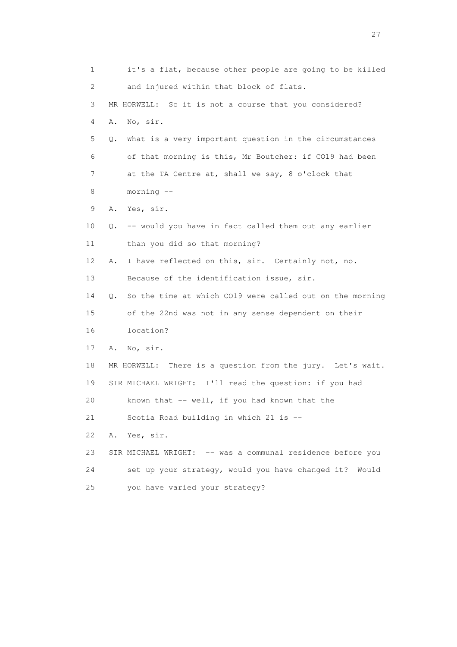1 it's a flat, because other people are going to be killed 2 and injured within that block of flats. 3 MR HORWELL: So it is not a course that you considered? 4 A. No, sir. 5 Q. What is a very important question in the circumstances 6 of that morning is this, Mr Boutcher: if CO19 had been 7 at the TA Centre at, shall we say, 8 o'clock that 8 morning -- 9 A. Yes, sir. 10 Q. -- would you have in fact called them out any earlier 11 than you did so that morning? 12 A. I have reflected on this, sir. Certainly not, no. 13 Because of the identification issue, sir. 14 Q. So the time at which CO19 were called out on the morning 15 of the 22nd was not in any sense dependent on their 16 location? 17 A. No, sir. 18 MR HORWELL: There is a question from the jury. Let's wait. 19 SIR MICHAEL WRIGHT: I'll read the question: if you had 20 known that -- well, if you had known that the 21 Scotia Road building in which 21 is -- 22 A. Yes, sir. 23 SIR MICHAEL WRIGHT: -- was a communal residence before you 24 set up your strategy, would you have changed it? Would 25 you have varied your strategy?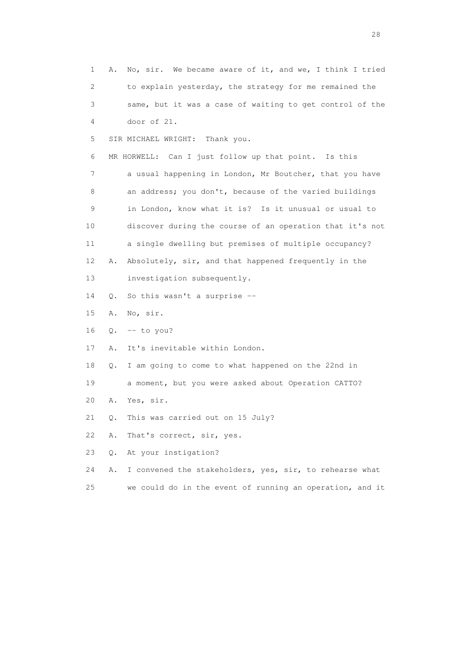1 A. No, sir. We became aware of it, and we, I think I tried 2 to explain yesterday, the strategy for me remained the 3 same, but it was a case of waiting to get control of the 4 door of 21. 5 SIR MICHAEL WRIGHT: Thank you. 6 MR HORWELL: Can I just follow up that point. Is this 7 a usual happening in London, Mr Boutcher, that you have 8 an address; you don't, because of the varied buildings 9 in London, know what it is? Is it unusual or usual to 10 discover during the course of an operation that it's not 11 a single dwelling but premises of multiple occupancy? 12 A. Absolutely, sir, and that happened frequently in the 13 investigation subsequently. 14 Q. So this wasn't a surprise -- 15 A. No, sir. 16 Q. -- to you? 17 A. It's inevitable within London. 18 Q. I am going to come to what happened on the 22nd in 19 a moment, but you were asked about Operation CATTO? 20 A. Yes, sir. 21 Q. This was carried out on 15 July? 22 A. That's correct, sir, yes. 23 Q. At your instigation? 24 A. I convened the stakeholders, yes, sir, to rehearse what 25 we could do in the event of running an operation, and it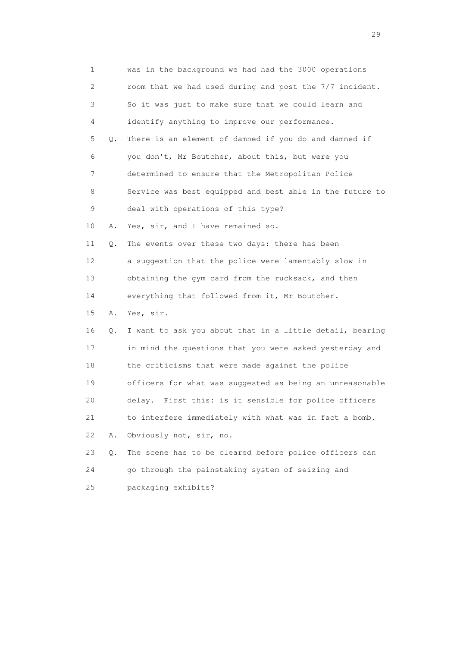| 1               |       | was in the background we had had the 3000 operations     |
|-----------------|-------|----------------------------------------------------------|
| 2               |       | room that we had used during and post the 7/7 incident.  |
| 3               |       | So it was just to make sure that we could learn and      |
| 4               |       | identify anything to improve our performance.            |
| 5               | Q.    | There is an element of damned if you do and damned if    |
| 6               |       | you don't, Mr Boutcher, about this, but were you         |
| 7               |       | determined to ensure that the Metropolitan Police        |
| 8               |       | Service was best equipped and best able in the future to |
| $\mathsf 9$     |       | deal with operations of this type?                       |
| 10              | Α.    | Yes, sir, and I have remained so.                        |
| 11              | Q.    | The events over these two days: there has been           |
| 12 <sup>°</sup> |       | a suggestion that the police were lamentably slow in     |
| 13              |       | obtaining the gym card from the rucksack, and then       |
| 14              |       | everything that followed from it, Mr Boutcher.           |
| 15              | Α.    | Yes, sir.                                                |
| 16              | Q.    | I want to ask you about that in a little detail, bearing |
| 17              |       | in mind the questions that you were asked yesterday and  |
| 18              |       | the criticisms that were made against the police         |
| 19              |       | officers for what was suggested as being an unreasonable |
| 20              |       | delay. First this: is it sensible for police officers    |
| 21              |       | to interfere immediately with what was in fact a bomb.   |
| 22              | Α.    | Obviously not, sir, no.                                  |
| 23              | $Q$ . | The scene has to be cleared before police officers can   |
| 24              |       | go through the painstaking system of seizing and         |
| 25              |       | packaging exhibits?                                      |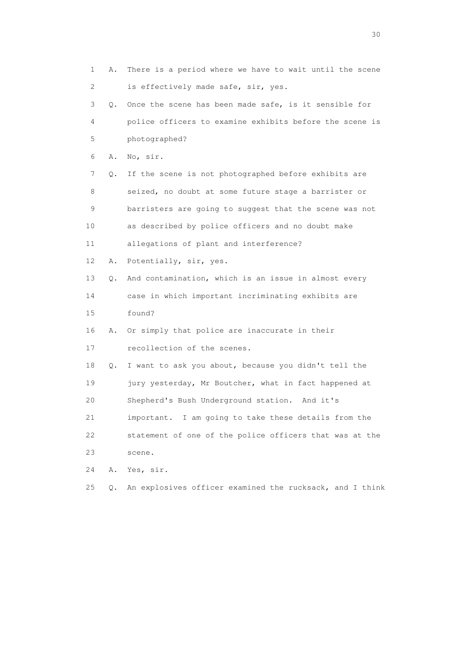1 A. There is a period where we have to wait until the scene 2 is effectively made safe, sir, yes. 3 Q. Once the scene has been made safe, is it sensible for 4 police officers to examine exhibits before the scene is 5 photographed? 6 A. No, sir. 7 Q. If the scene is not photographed before exhibits are 8 seized, no doubt at some future stage a barrister or 9 barristers are going to suggest that the scene was not 10 as described by police officers and no doubt make 11 allegations of plant and interference? 12 A. Potentially, sir, yes. 13 Q. And contamination, which is an issue in almost every 14 case in which important incriminating exhibits are 15 found? 16 A. Or simply that police are inaccurate in their 17 recollection of the scenes. 18 Q. I want to ask you about, because you didn't tell the 19 jury yesterday, Mr Boutcher, what in fact happened at 20 Shepherd's Bush Underground station. And it's 21 important. I am going to take these details from the 22 statement of one of the police officers that was at the 23 scene. 24 A. Yes, sir. 25 Q. An explosives officer examined the rucksack, and I think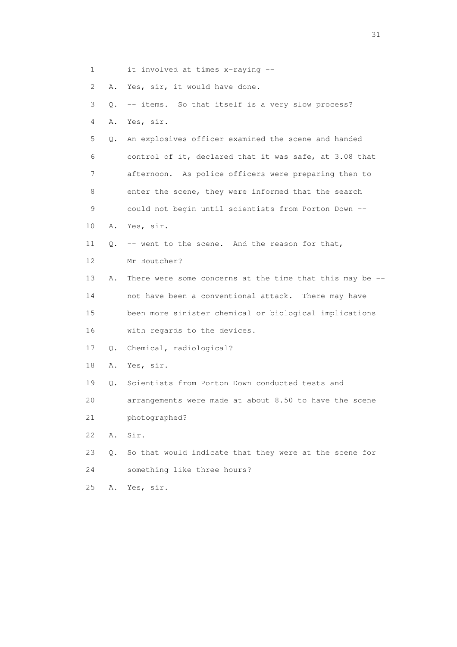1 it involved at times x-raying --

2 A. Yes, sir, it would have done.

| 3  |           | Q. -- items. So that itself is a very slow process?         |
|----|-----------|-------------------------------------------------------------|
| 4  | Α.        | Yes, sir.                                                   |
| 5  | Q.        | An explosives officer examined the scene and handed         |
| 6  |           | control of it, declared that it was safe, at 3.08 that      |
| 7  |           | afternoon. As police officers were preparing then to        |
| 8  |           | enter the scene, they were informed that the search         |
| 9  |           | could not begin until scientists from Porton Down --        |
| 10 | Α.        | Yes, sir.                                                   |
| 11 | 0.        | -- went to the scene. And the reason for that,              |
| 12 |           | Mr Boutcher?                                                |
| 13 | Α.        | There were some concerns at the time that this may be $-$ - |
| 14 |           | not have been a conventional attack. There may have         |
| 15 |           | been more sinister chemical or biological implications      |
| 16 |           | with regards to the devices.                                |
| 17 | Q.        | Chemical, radiological?                                     |
| 18 | Α.        | Yes, sir.                                                   |
| 19 | $\circ$ . | Scientists from Porton Down conducted tests and             |
| 20 |           | arrangements were made at about 8.50 to have the scene      |
| 21 |           | photographed?                                               |
| 22 | Α.        | Sir.                                                        |
| 23 | $\circ$ . | So that would indicate that they were at the scene for      |
| 24 |           | something like three hours?                                 |
| 25 | Α.        | Yes, sir.                                                   |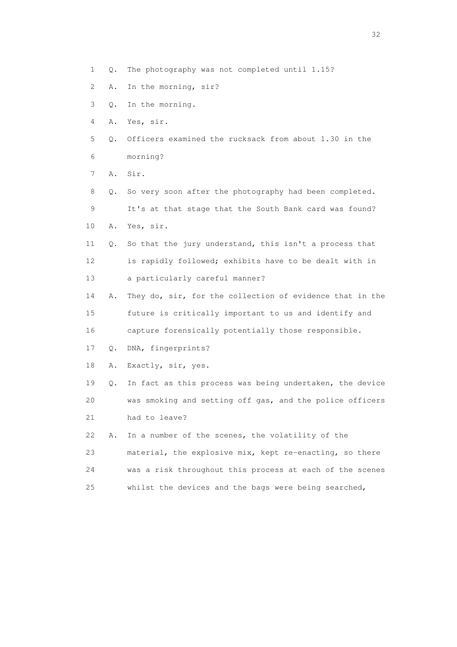- 1 Q. The photography was not completed until 1.15?
- 2 A. In the morning, sir?
- 3 Q. In the morning.
- 4 A. Yes, sir.
- 5 Q. Officers examined the rucksack from about 1.30 in the 6 morning?
- 7 A. Sir.
- 8 Q. So very soon after the photography had been completed. 9 It's at that stage that the South Bank card was found? 10 A. Yes, sir.
- 11 Q. So that the jury understand, this isn't a process that 12 is rapidly followed; exhibits have to be dealt with in 13 a particularly careful manner?
- 14 A. They do, sir, for the collection of evidence that in the 15 future is critically important to us and identify and 16 capture forensically potentially those responsible.
- 17 Q. DNA, fingerprints?
- 18 A. Exactly, sir, yes.
- 19 Q. In fact as this process was being undertaken, the device 20 was smoking and setting off gas, and the police officers 21 had to leave?
- 
- 22 A. In a number of the scenes, the volatility of the 23 material, the explosive mix, kept re-enacting, so there 24 was a risk throughout this process at each of the scenes
- 25 whilst the devices and the bags were being searched,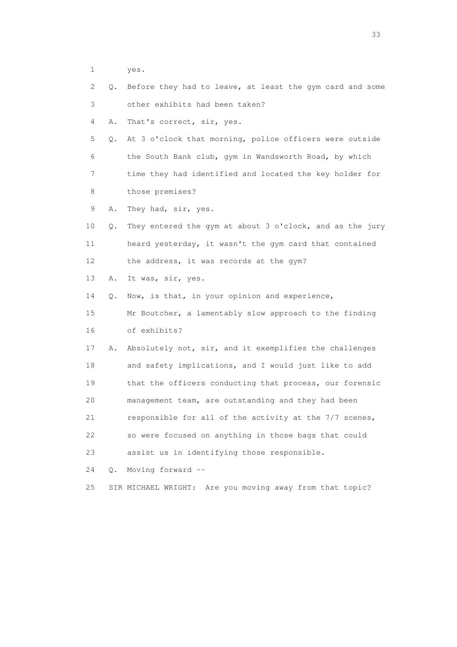- 1 yes.
- 2 Q. Before they had to leave, at least the gym card and some 3 other exhibits had been taken?
- 4 A. That's correct, sir, yes.
- 5 Q. At 3 o'clock that morning, police officers were outside 6 the South Bank club, gym in Wandsworth Road, by which 7 time they had identified and located the key holder for
- 8 those premises?
- 9 A. They had, sir, yes.
- 10 Q. They entered the gym at about 3 o'clock, and as the jury 11 heard yesterday, it wasn't the gym card that contained 12 the address, it was records at the gym?
- 13 A. It was, sir, yes.

14 Q. Now, is that, in your opinion and experience,

 15 Mr Boutcher, a lamentably slow approach to the finding 16 of exhibits?

- 17 A. Absolutely not, sir, and it exemplifies the challenges 18 and safety implications, and I would just like to add 19 that the officers conducting that process, our forensic 20 management team, are outstanding and they had been 21 responsible for all of the activity at the 7/7 scenes, 22 so were focused on anything in those bags that could 23 assist us in identifying those responsible.
- 24 Q. Moving forward --
- 25 SIR MICHAEL WRIGHT: Are you moving away from that topic?

<u>33</u> and the state of the state of the state of the state of the state of the state of the state of the state of the state of the state of the state of the state of the state of the state of the state of the state of the s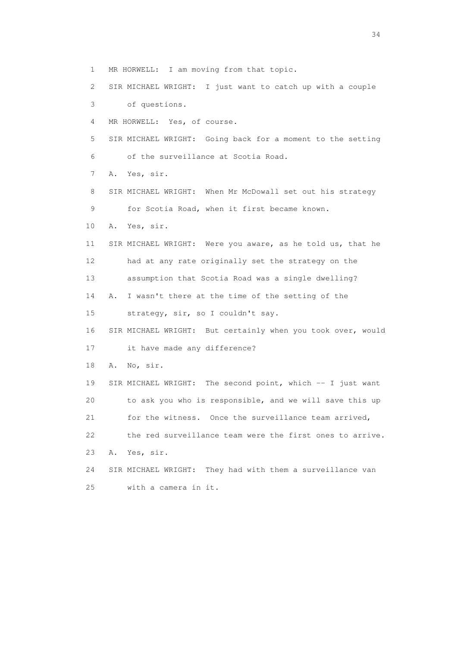1 MR HORWELL: I am moving from that topic.

2 SIR MICHAEL WRIGHT: I just want to catch up with a couple

3 of questions.

4 MR HORWELL: Yes, of course.

 5 SIR MICHAEL WRIGHT: Going back for a moment to the setting 6 of the surveillance at Scotia Road.

7 A. Yes, sir.

 8 SIR MICHAEL WRIGHT: When Mr McDowall set out his strategy 9 for Scotia Road, when it first became known.

10 A. Yes, sir.

 11 SIR MICHAEL WRIGHT: Were you aware, as he told us, that he 12 had at any rate originally set the strategy on the

13 assumption that Scotia Road was a single dwelling?

14 A. I wasn't there at the time of the setting of the

15 strategy, sir, so I couldn't say.

16 SIR MICHAEL WRIGHT: But certainly when you took over, would

17 it have made any difference?

18 A. No, sir.

 19 SIR MICHAEL WRIGHT: The second point, which -- I just want 20 to ask you who is responsible, and we will save this up 21 for the witness. Once the surveillance team arrived, 22 the red surveillance team were the first ones to arrive. 23 A. Yes, sir.

 24 SIR MICHAEL WRIGHT: They had with them a surveillance van 25 with a camera in it.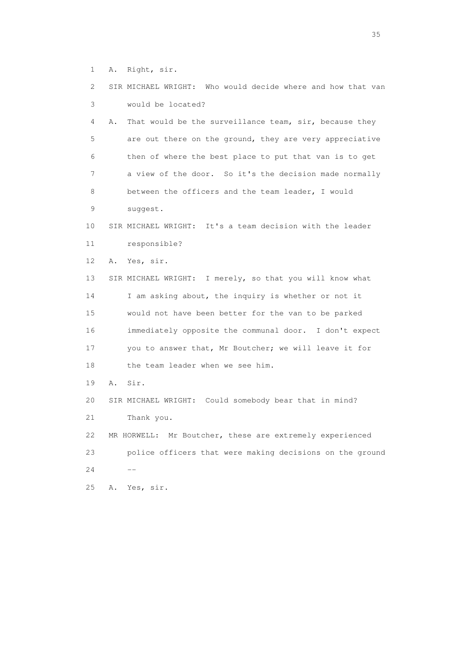1 A. Right, sir.

| 2  | SIR MICHAEL WRIGHT: Who would decide where and how that van  |
|----|--------------------------------------------------------------|
| 3  | would be located?                                            |
| 4  | Α.<br>That would be the surveillance team, sir, because they |
| 5  | are out there on the ground, they are very appreciative      |
| 6  | then of where the best place to put that van is to get       |
| 7  | a view of the door. So it's the decision made normally       |
| 8  | between the officers and the team leader, I would            |
| 9  | suggest.                                                     |
| 10 | SIR MICHAEL WRIGHT: It's a team decision with the leader     |
| 11 | responsible?                                                 |
| 12 | Yes, sir.<br>Α.                                              |
| 13 | SIR MICHAEL WRIGHT: I merely, so that you will know what     |
| 14 | I am asking about, the inquiry is whether or not it          |
| 15 | would not have been better for the van to be parked          |
| 16 | immediately opposite the communal door. I don't expect       |
| 17 | you to answer that, Mr Boutcher; we will leave it for        |
| 18 | the team leader when we see him.                             |
| 19 | Sir.<br>Α.                                                   |
| 20 | SIR MICHAEL WRIGHT: Could somebody bear that in mind?        |
| 21 | Thank you.                                                   |
| 22 | Mr Boutcher, these are extremely experienced<br>MR HORWELL:  |
| 23 | police officers that were making decisions on the ground     |
| 24 |                                                              |
| 25 | Yes, sir.<br>Α.                                              |
|    |                                                              |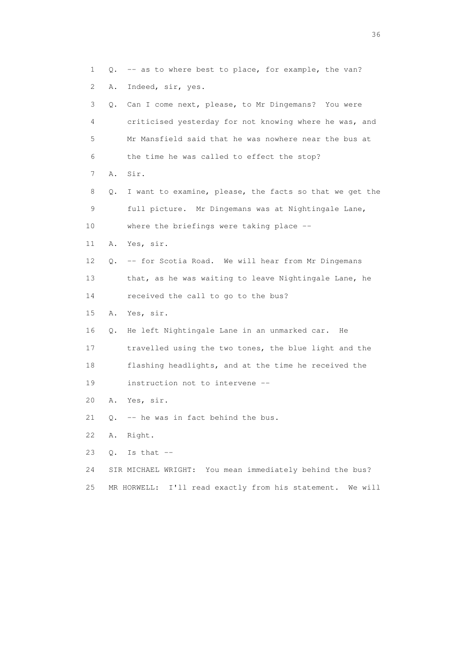1 Q. -- as to where best to place, for example, the van? 2 A. Indeed, sir, yes. 3 Q. Can I come next, please, to Mr Dingemans? You were 4 criticised yesterday for not knowing where he was, and 5 Mr Mansfield said that he was nowhere near the bus at 6 the time he was called to effect the stop? 7 A. Sir. 8 Q. I want to examine, please, the facts so that we get the 9 full picture. Mr Dingemans was at Nightingale Lane, 10 where the briefings were taking place -- 11 A. Yes, sir. 12 Q. -- for Scotia Road. We will hear from Mr Dingemans 13 that, as he was waiting to leave Nightingale Lane, he 14 received the call to go to the bus? 15 A. Yes, sir. 16 Q. He left Nightingale Lane in an unmarked car. He 17 travelled using the two tones, the blue light and the 18 flashing headlights, and at the time he received the 19 instruction not to intervene -- 20 A. Yes, sir. 21 Q. -- he was in fact behind the bus. 22 A. Right. 23  $Q.$  Is that  $-$  24 SIR MICHAEL WRIGHT: You mean immediately behind the bus? 25 MR HORWELL: I'll read exactly from his statement. We will

 $36<sup>2</sup>$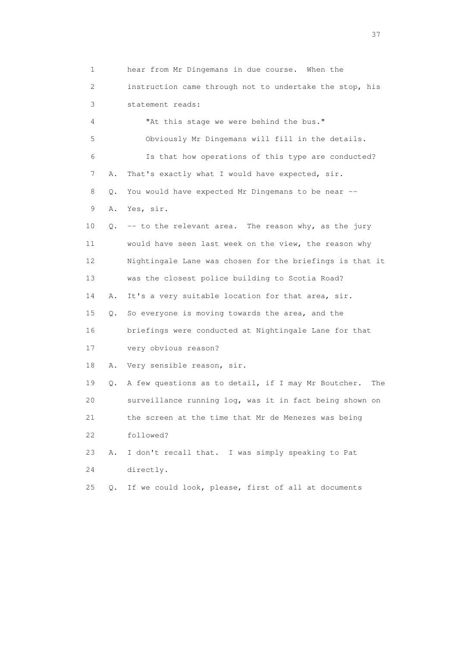1 hear from Mr Dingemans in due course. When the 2 instruction came through not to undertake the stop, his 3 statement reads: 4 "At this stage we were behind the bus." 5 Obviously Mr Dingemans will fill in the details. 6 Is that how operations of this type are conducted? 7 A. That's exactly what I would have expected, sir. 8 Q. You would have expected Mr Dingemans to be near -- 9 A. Yes, sir. 10 Q. -- to the relevant area. The reason why, as the jury 11 would have seen last week on the view, the reason why 12 Nightingale Lane was chosen for the briefings is that it 13 was the closest police building to Scotia Road? 14 A. It's a very suitable location for that area, sir. 15 Q. So everyone is moving towards the area, and the 16 briefings were conducted at Nightingale Lane for that 17 very obvious reason? 18 A. Very sensible reason, sir. 19 Q. A few questions as to detail, if I may Mr Boutcher. The 20 surveillance running log, was it in fact being shown on 21 the screen at the time that Mr de Menezes was being 22 followed? 23 A. I don't recall that. I was simply speaking to Pat 24 directly. 25 Q. If we could look, please, first of all at documents

<u>37</u>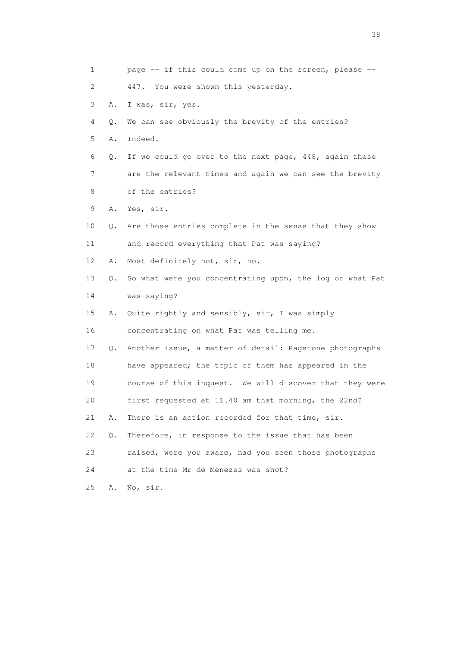| $\mathbf 1$ |    | page -- if this could come up on the screen, please --   |
|-------------|----|----------------------------------------------------------|
| 2           |    | 447. You were shown this yesterday.                      |
| 3           | Α. | I was, sir, yes.                                         |
| 4           | Q. | We can see obviously the brevity of the entries?         |
| 5           | Α. | Indeed.                                                  |
| 6           | Q. | If we could go over to the next page, 448, again these   |
| 7           |    | are the relevant times and again we can see the brevity  |
| 8           |    | of the entries?                                          |
| 9           | A. | Yes, sir.                                                |
| 10          | Q. | Are those entries complete in the sense that they show   |
| 11          |    | and record everything that Pat was saying?               |
| 12          | Α. | Most definitely not, sir, no.                            |
| 13          | Q. | So what were you concentrating upon, the log or what Pat |
| 14          |    | was saying?                                              |
| 15          | Α. | Quite rightly and sensibly, sir, I was simply            |
| 16          |    | concentrating on what Pat was telling me.                |
| 17          | Q. | Another issue, a matter of detail: Ragstone photographs  |
| 18          |    | have appeared; the topic of them has appeared in the     |
| 19          |    | course of this inquest. We will discover that they were  |
| 20          |    | first requested at 11.40 am that morning, the 22nd?      |
| 21          | Α. | There is an action recorded for that time, sir.          |
| 22          | Q. | Therefore, in response to the issue that has been        |
| 23          |    | raised, were you aware, had you seen those photographs   |
| 24          |    | at the time Mr de Menezes was shot?                      |
| 25          | Α. | No, sir.                                                 |

and the state of the state of the state of the state of the state of the state of the state of the state of the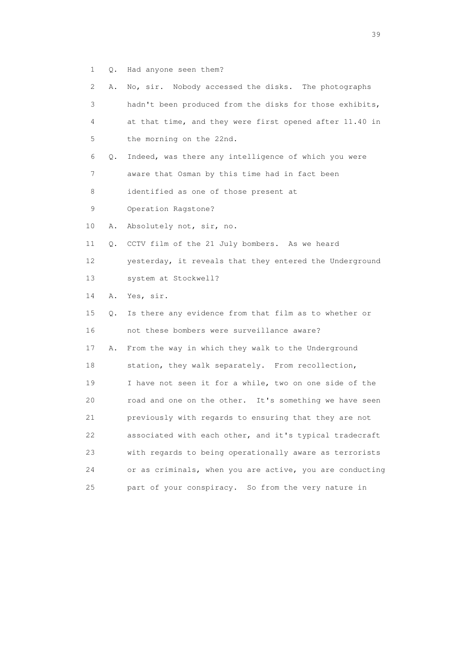1 Q. Had anyone seen them?

| 2.          | Α. | No, sir. Nobody accessed the disks. The photographs      |
|-------------|----|----------------------------------------------------------|
| 3           |    | hadn't been produced from the disks for those exhibits,  |
| 4           |    | at that time, and they were first opened after 11.40 in  |
| 5           |    | the morning on the 22nd.                                 |
| 6           | Q. | Indeed, was there any intelligence of which you were     |
| 7           |    | aware that Osman by this time had in fact been           |
| 8           |    | identified as one of those present at                    |
| $\mathsf 9$ |    | Operation Ragstone?                                      |
| 10          | Α. | Absolutely not, sir, no.                                 |
| 11          | Q. | CCTV film of the 21 July bombers. As we heard            |
| 12          |    | yesterday, it reveals that they entered the Underground  |
| 13          |    | system at Stockwell?                                     |
| 14          | Α. | Yes, sir.                                                |
| 15          | Q. | Is there any evidence from that film as to whether or    |
| 16          |    | not these bombers were surveillance aware?               |
| 17          | Α. | From the way in which they walk to the Underground       |
| 18          |    | station, they walk separately. From recollection,        |
| 19          |    | I have not seen it for a while, two on one side of the   |
| 20          |    | road and one on the other. It's something we have seen   |
| 21          |    | previously with regards to ensuring that they are not    |
| 22          |    | associated with each other, and it's typical tradecraft  |
| 23          |    | with regards to being operationally aware as terrorists  |
| 24          |    | or as criminals, when you are active, you are conducting |
| 25          |    | part of your conspiracy. So from the very nature in      |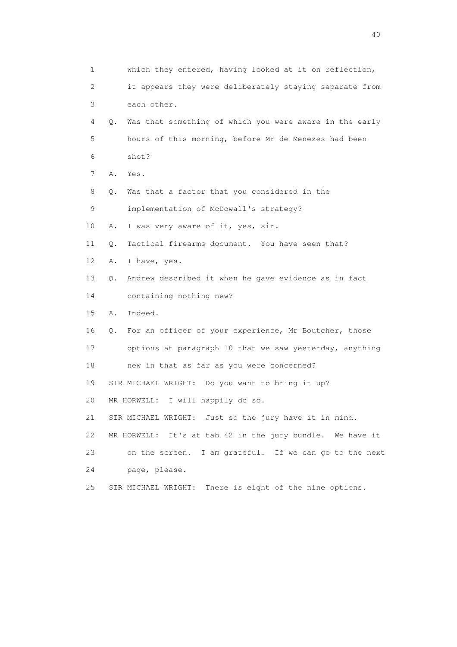1 which they entered, having looked at it on reflection, 2 it appears they were deliberately staying separate from 3 each other. 4 Q. Was that something of which you were aware in the early 5 hours of this morning, before Mr de Menezes had been 6 shot? 7 A. Yes. 8 Q. Was that a factor that you considered in the 9 implementation of McDowall's strategy? 10 A. I was very aware of it, yes, sir. 11 0. Tactical firearms document. You have seen that? 12 A. I have, yes. 13 Q. Andrew described it when he gave evidence as in fact 14 containing nothing new? 15 A. Indeed. 16 Q. For an officer of your experience, Mr Boutcher, those 17 options at paragraph 10 that we saw yesterday, anything 18 new in that as far as you were concerned? 19 SIR MICHAEL WRIGHT: Do you want to bring it up? 20 MR HORWELL: I will happily do so. 21 SIR MICHAEL WRIGHT: Just so the jury have it in mind. 22 MR HORWELL: It's at tab 42 in the jury bundle. We have it 23 on the screen. I am grateful. If we can go to the next 24 page, please. 25 SIR MICHAEL WRIGHT: There is eight of the nine options.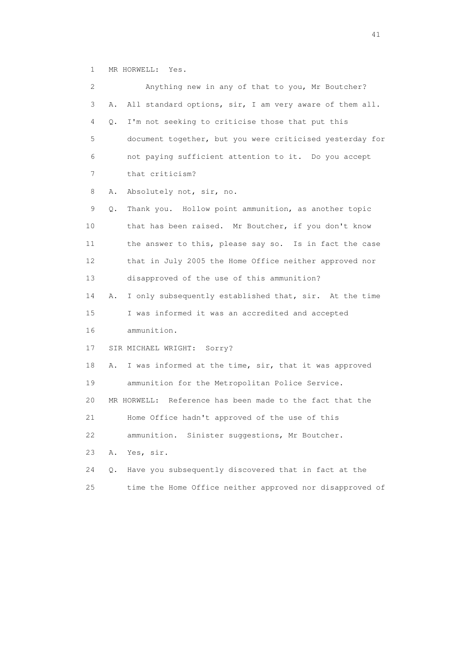1 MR HORWELL: Yes.

 2 Anything new in any of that to you, Mr Boutcher? 3 A. All standard options, sir, I am very aware of them all. 4 Q. I'm not seeking to criticise those that put this 5 document together, but you were criticised yesterday for 6 not paying sufficient attention to it. Do you accept 7 that criticism? 8 A. Absolutely not, sir, no. 9 Q. Thank you. Hollow point ammunition, as another topic 10 that has been raised. Mr Boutcher, if you don't know 11 the answer to this, please say so. Is in fact the case 12 that in July 2005 the Home Office neither approved nor 13 disapproved of the use of this ammunition? 14 A. I only subsequently established that, sir. At the time 15 I was informed it was an accredited and accepted 16 ammunition. 17 SIR MICHAEL WRIGHT: Sorry? 18 A. I was informed at the time, sir, that it was approved 19 ammunition for the Metropolitan Police Service. 20 MR HORWELL: Reference has been made to the fact that the 21 Home Office hadn't approved of the use of this 22 ammunition. Sinister suggestions, Mr Boutcher. 23 A. Yes, sir. 24 Q. Have you subsequently discovered that in fact at the 25 time the Home Office neither approved nor disapproved of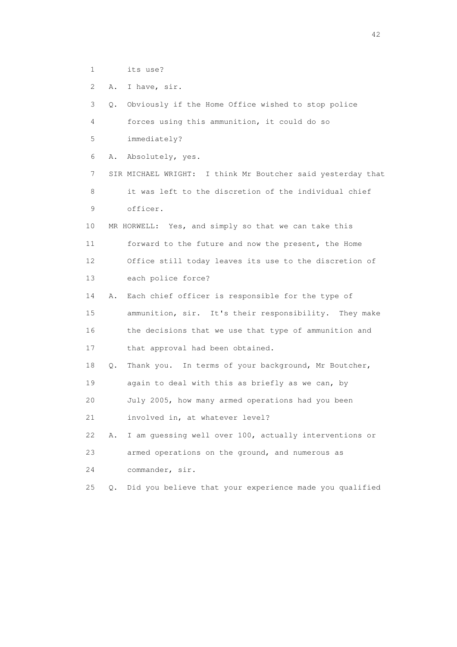1 its use?

2 A. I have, sir.

 3 Q. Obviously if the Home Office wished to stop police 4 forces using this ammunition, it could do so 5 immediately? 6 A. Absolutely, yes. 7 SIR MICHAEL WRIGHT: I think Mr Boutcher said yesterday that 8 it was left to the discretion of the individual chief 9 officer. 10 MR HORWELL: Yes, and simply so that we can take this 11 forward to the future and now the present, the Home 12 Office still today leaves its use to the discretion of 13 each police force? 14 A. Each chief officer is responsible for the type of 15 ammunition, sir. It's their responsibility. They make 16 the decisions that we use that type of ammunition and 17 that approval had been obtained. 18 Q. Thank you. In terms of your background, Mr Boutcher, 19 again to deal with this as briefly as we can, by 20 July 2005, how many armed operations had you been 21 involved in, at whatever level? 22 A. I am guessing well over 100, actually interventions or 23 armed operations on the ground, and numerous as 24 commander, sir. 25 Q. Did you believe that your experience made you qualified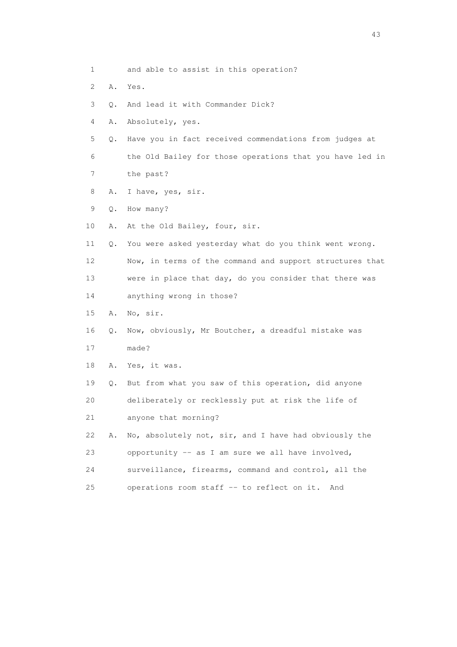| 1  |    | and able to assist in this operation?                    |
|----|----|----------------------------------------------------------|
| 2  | Α. | Yes.                                                     |
| 3  | Q. | And lead it with Commander Dick?                         |
| 4  | Α. | Absolutely, yes.                                         |
| 5  | Q. | Have you in fact received commendations from judges at   |
| 6  |    | the Old Bailey for those operations that you have led in |
| 7  |    | the past?                                                |
| 8  | Α. | I have, yes, sir.                                        |
| 9  | Q. | How many?                                                |
| 10 | Α. | At the Old Bailey, four, sir.                            |
| 11 | Q. | You were asked yesterday what do you think went wrong.   |
| 12 |    | Now, in terms of the command and support structures that |
| 13 |    | were in place that day, do you consider that there was   |
| 14 |    | anything wrong in those?                                 |
| 15 | Α. | No, sir.                                                 |
| 16 | Q. | Now, obviously, Mr Boutcher, a dreadful mistake was      |
| 17 |    | made?                                                    |
| 18 | Α. | Yes, it was.                                             |
| 19 | О. | But from what you saw of this operation, did anyone      |
| 20 |    | deliberately or recklessly put at risk the life of       |
| 21 |    | anyone that morning?                                     |
| 22 | Α. | No, absolutely not, sir, and I have had obviously the    |
| 23 |    | opportunity -- as I am sure we all have involved,        |
| 24 |    | surveillance, firearms, command and control, all the     |
| 25 |    | operations room staff -- to reflect on it. And           |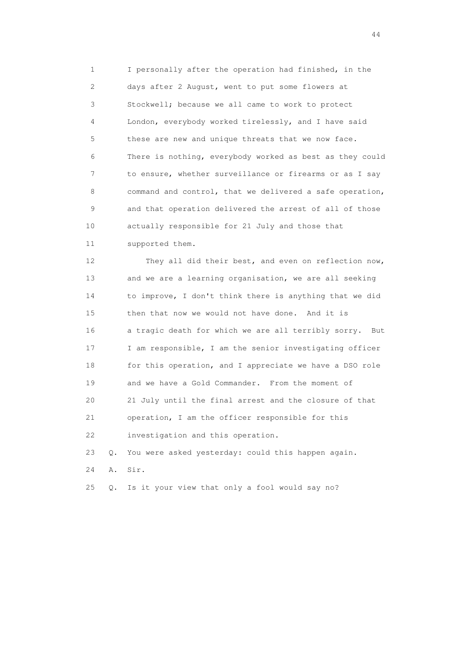1 I personally after the operation had finished, in the 2 days after 2 August, went to put some flowers at 3 Stockwell; because we all came to work to protect 4 London, everybody worked tirelessly, and I have said 5 these are new and unique threats that we now face. 6 There is nothing, everybody worked as best as they could 7 to ensure, whether surveillance or firearms or as I say 8 command and control, that we delivered a safe operation, 9 and that operation delivered the arrest of all of those 10 actually responsible for 21 July and those that 11 supported them.

 12 They all did their best, and even on reflection now, 13 and we are a learning organisation, we are all seeking 14 to improve, I don't think there is anything that we did 15 then that now we would not have done. And it is 16 a tragic death for which we are all terribly sorry. But 17 I am responsible, I am the senior investigating officer 18 for this operation, and I appreciate we have a DSO role 19 and we have a Gold Commander. From the moment of 20 21 July until the final arrest and the closure of that 21 operation, I am the officer responsible for this 22 investigation and this operation.

23 Q. You were asked yesterday: could this happen again.

24 A. Sir.

25 Q. Is it your view that only a fool would say no?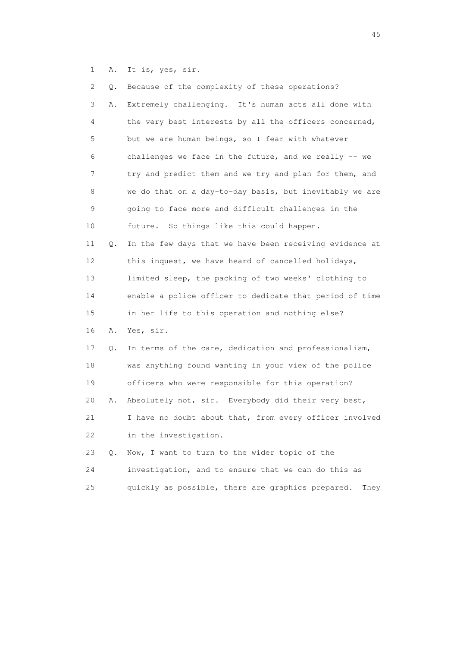1 A. It is, yes, sir.

| 2  | Q.        | Because of the complexity of these operations?            |
|----|-----------|-----------------------------------------------------------|
| 3  | Α.        | Extremely challenging. It's human acts all done with      |
| 4  |           | the very best interests by all the officers concerned,    |
| 5  |           | but we are human beings, so I fear with whatever          |
| 6  |           | challenges we face in the future, and we really -- we     |
| 7  |           | try and predict them and we try and plan for them, and    |
| 8  |           | we do that on a day-to-day basis, but inevitably we are   |
| 9  |           | going to face more and difficult challenges in the        |
| 10 |           | future. So things like this could happen.                 |
| 11 | Q.        | In the few days that we have been receiving evidence at   |
| 12 |           | this inquest, we have heard of cancelled holidays,        |
| 13 |           | limited sleep, the packing of two weeks' clothing to      |
| 14 |           | enable a police officer to dedicate that period of time   |
| 15 |           | in her life to this operation and nothing else?           |
| 16 | Α.        | Yes, sir.                                                 |
| 17 | Q.        | In terms of the care, dedication and professionalism,     |
| 18 |           | was anything found wanting in your view of the police     |
| 19 |           | officers who were responsible for this operation?         |
| 20 | Α.        | Absolutely not, sir. Everybody did their very best,       |
| 21 |           | I have no doubt about that, from every officer involved   |
| 22 |           | in the investigation.                                     |
| 23 | $\circ$ . | Now, I want to turn to the wider topic of the             |
| 24 |           | investigation, and to ensure that we can do this as       |
| 25 |           | quickly as possible, there are graphics prepared.<br>They |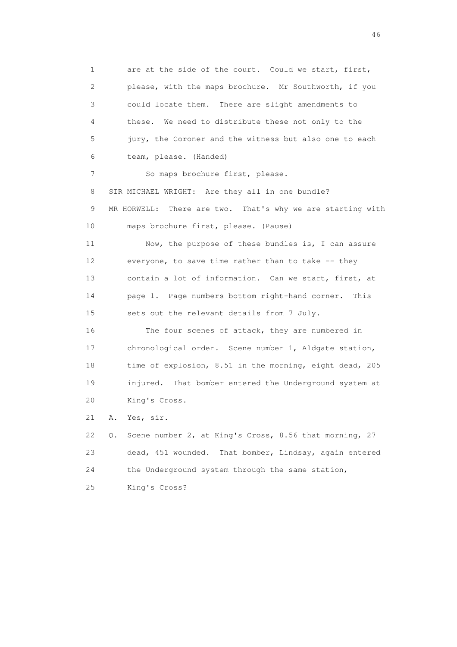1 are at the side of the court. Could we start, first, 2 please, with the maps brochure. Mr Southworth, if you 3 could locate them. There are slight amendments to 4 these. We need to distribute these not only to the 5 jury, the Coroner and the witness but also one to each 6 team, please. (Handed) 7 So maps brochure first, please. 8 SIR MICHAEL WRIGHT: Are they all in one bundle? 9 MR HORWELL: There are two. That's why we are starting with 10 maps brochure first, please. (Pause) 11 Now, the purpose of these bundles is, I can assure 12 everyone, to save time rather than to take -- they 13 contain a lot of information. Can we start, first, at 14 page 1. Page numbers bottom right-hand corner. This 15 sets out the relevant details from 7 July. 16 The four scenes of attack, they are numbered in 17 chronological order. Scene number 1, Aldgate station, 18 time of explosion, 8.51 in the morning, eight dead, 205 19 injured. That bomber entered the Underground system at 20 King's Cross. 21 A. Yes, sir. 22 Q. Scene number 2, at King's Cross, 8.56 that morning, 27 23 dead, 451 wounded. That bomber, Lindsay, again entered 24 the Underground system through the same station,

25 King's Cross?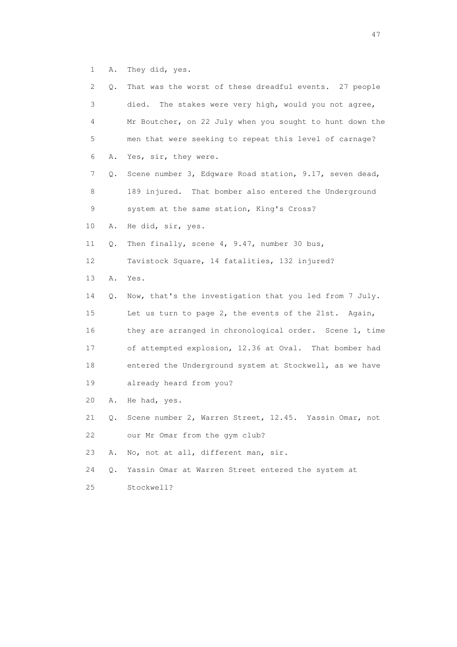1 A. They did, yes.

| 2. | Q. | That was the worst of these dreadful events. 27 people   |
|----|----|----------------------------------------------------------|
| 3  |    | The stakes were very high, would you not agree,<br>died. |
| 4  |    | Mr Boutcher, on 22 July when you sought to hunt down the |
| 5  |    | men that were seeking to repeat this level of carnage?   |
| 6  | Α. | Yes, sir, they were.                                     |
| 7  | Q. | Scene number 3, Edgware Road station, 9.17, seven dead,  |
| 8  |    | 189 injured. That bomber also entered the Underground    |
| 9  |    | system at the same station, King's Cross?                |
| 10 | Α. | He did, sir, yes.                                        |
| 11 | Q. | Then finally, scene 4, 9.47, number 30 bus,              |
| 12 |    | Tavistock Square, 14 fatalities, 132 injured?            |
| 13 | Α. | Yes.                                                     |
| 14 | Q. | Now, that's the investigation that you led from 7 July.  |
| 15 |    | Let us turn to page 2, the events of the 21st.<br>Again, |
| 16 |    | they are arranged in chronological order. Scene 1, time  |
| 17 |    | of attempted explosion, 12.36 at Oval. That bomber had   |
| 18 |    | entered the Underground system at Stockwell, as we have  |
| 19 |    | already heard from you?                                  |
| 20 | Α. | He had, yes.                                             |
| 21 | Q. | Scene number 2, Warren Street, 12.45. Yassin Omar, not   |
| 22 |    | our Mr Omar from the gym club?                           |
| 23 | Α. | No, not at all, different man, sir.                      |
| 24 | Q. | Yassin Omar at Warren Street entered the system at       |
| 25 |    | Stockwell?                                               |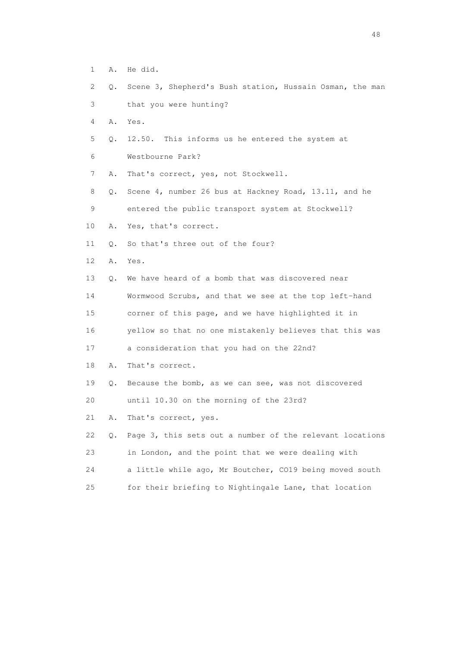- 1 A. He did.
- 2 Q. Scene 3, Shepherd's Bush station, Hussain Osman, the man
- 3 that you were hunting?
- 4 A. Yes.
- 5 Q. 12.50. This informs us he entered the system at
- 6 Westbourne Park?
- 7 A. That's correct, yes, not Stockwell.
- 8 Q. Scene 4, number 26 bus at Hackney Road, 13.11, and he 9 entered the public transport system at Stockwell?
- 10 A. Yes, that's correct.
- 11 Q. So that's three out of the four?
- 12 A. Yes.
- 13 Q. We have heard of a bomb that was discovered near

 14 Wormwood Scrubs, and that we see at the top left-hand 15 corner of this page, and we have highlighted it in

16 yellow so that no one mistakenly believes that this was

- 17 a consideration that you had on the 22nd?
- 18 A. That's correct.
- 19 Q. Because the bomb, as we can see, was not discovered
- 20 until 10.30 on the morning of the 23rd?
- 21 A. That's correct, yes.
- 22 Q. Page 3, this sets out a number of the relevant locations 23 in London, and the point that we were dealing with 24 a little while ago, Mr Boutcher, CO19 being moved south 25 for their briefing to Nightingale Lane, that location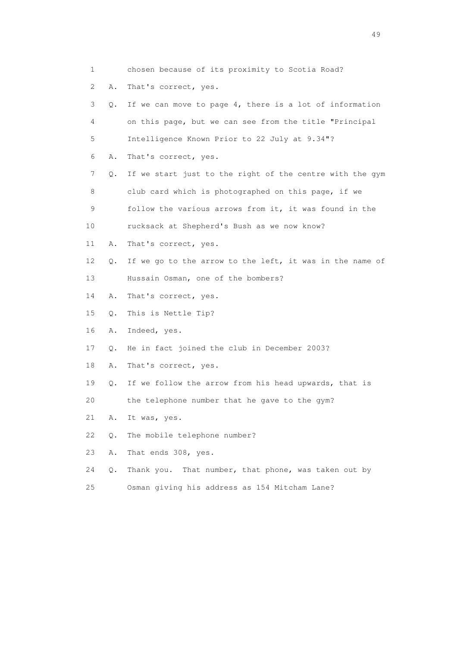1 chosen because of its proximity to Scotia Road? 2 A. That's correct, yes. 3 Q. If we can move to page 4, there is a lot of information 4 on this page, but we can see from the title "Principal 5 Intelligence Known Prior to 22 July at 9.34"? 6 A. That's correct, yes. 7 Q. If we start just to the right of the centre with the gym 8 club card which is photographed on this page, if we 9 follow the various arrows from it, it was found in the 10 rucksack at Shepherd's Bush as we now know? 11 A. That's correct, yes. 12 Q. If we go to the arrow to the left, it was in the name of 13 Hussain Osman, one of the bombers? 14 A. That's correct, yes. 15 Q. This is Nettle Tip? 16 A. Indeed, yes. 17 Q. He in fact joined the club in December 2003? 18 A. That's correct, yes. 19 Q. If we follow the arrow from his head upwards, that is 20 the telephone number that he gave to the gym? 21 A. It was, yes. 22 Q. The mobile telephone number? 23 A. That ends 308, yes. 24 Q. Thank you. That number, that phone, was taken out by 25 Osman giving his address as 154 Mitcham Lane?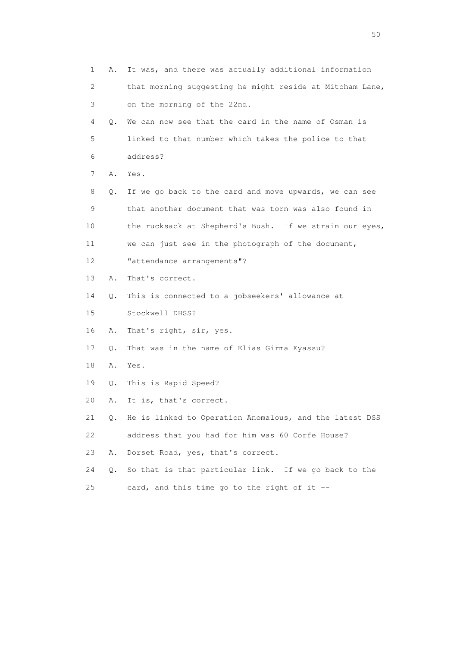| 1  | Α. | It was, and there was actually additional information      |
|----|----|------------------------------------------------------------|
| 2  |    | that morning suggesting he might reside at Mitcham Lane,   |
| 3  |    | on the morning of the 22nd.                                |
| 4  | Q. | We can now see that the card in the name of Osman is       |
| 5  |    | linked to that number which takes the police to that       |
| 6  |    | address?                                                   |
| 7  | Α. | Yes.                                                       |
| 8  | Q. | If we go back to the card and move upwards, we can see     |
| 9  |    | that another document that was torn was also found in      |
| 10 |    | the rucksack at Shepherd's Bush. If we strain our eyes,    |
| 11 |    | we can just see in the photograph of the document,         |
| 12 |    | "attendance arrangements"?                                 |
| 13 | Α. | That's correct.                                            |
| 14 | Q. | This is connected to a jobseekers' allowance at            |
| 15 |    | Stockwell DHSS?                                            |
| 16 | Α. | That's right, sir, yes.                                    |
| 17 | Q. | That was in the name of Elias Girma Eyassu?                |
| 18 | Α. | Yes.                                                       |
| 19 | Q. | This is Rapid Speed?                                       |
| 20 | Α. | It is, that's correct.                                     |
| 21 |    | Q. He is linked to Operation Anomalous, and the latest DSS |
| 22 |    | address that you had for him was 60 Corfe House?           |
| 23 | Α. | Dorset Road, yes, that's correct.                          |
| 24 | Q. | So that is that particular link. If we go back to the      |
| 25 |    | card, and this time go to the right of it --               |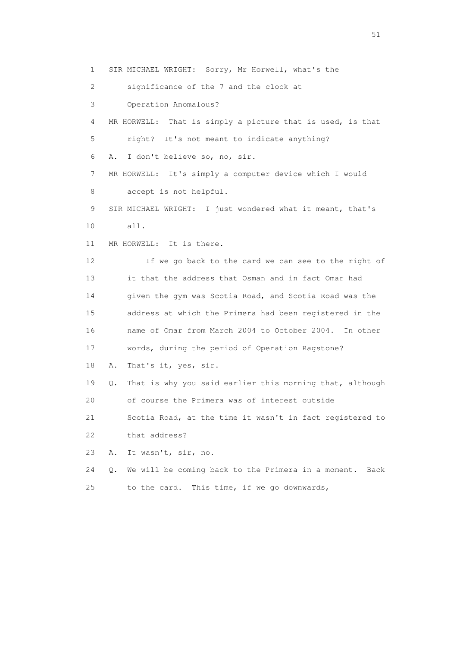1 SIR MICHAEL WRIGHT: Sorry, Mr Horwell, what's the

2 significance of the 7 and the clock at

3 Operation Anomalous?

 4 MR HORWELL: That is simply a picture that is used, is that 5 right? It's not meant to indicate anything?

6 A. I don't believe so, no, sir.

 7 MR HORWELL: It's simply a computer device which I would 8 accept is not helpful.

 9 SIR MICHAEL WRIGHT: I just wondered what it meant, that's 10 all.

11 MR HORWELL: It is there.

 12 If we go back to the card we can see to the right of 13 it that the address that Osman and in fact Omar had 14 given the gym was Scotia Road, and Scotia Road was the 15 address at which the Primera had been registered in the 16 name of Omar from March 2004 to October 2004. In other 17 words, during the period of Operation Ragstone?

18 A. That's it, yes, sir.

 19 Q. That is why you said earlier this morning that, although 20 of course the Primera was of interest outside

 21 Scotia Road, at the time it wasn't in fact registered to 22 that address?

23 A. It wasn't, sir, no.

 24 Q. We will be coming back to the Primera in a moment. Back 25 to the card. This time, if we go downwards,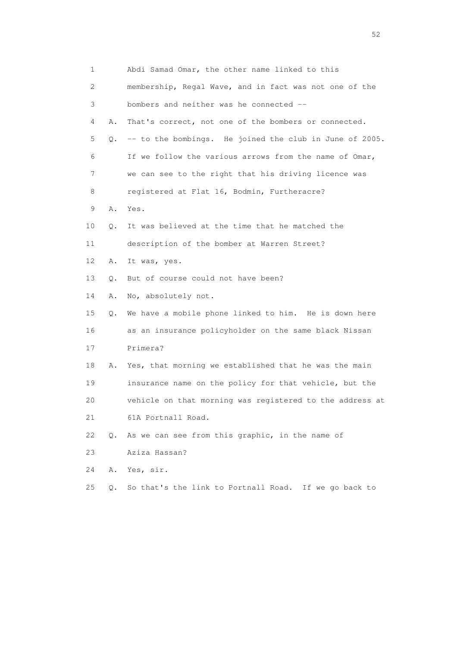| 1  |    | Abdi Samad Omar, the other name linked to this           |
|----|----|----------------------------------------------------------|
| 2  |    | membership, Regal Wave, and in fact was not one of the   |
| 3  |    | bombers and neither was he connected --                  |
| 4  | Α. | That's correct, not one of the bombers or connected.     |
| 5  | Q. | -- to the bombings. He joined the club in June of 2005.  |
| 6  |    | If we follow the various arrows from the name of Omar,   |
| 7  |    | we can see to the right that his driving licence was     |
| 8  |    | registered at Flat 16, Bodmin, Furtheracre?              |
| 9  | Α. | Yes.                                                     |
| 10 | Q. | It was believed at the time that he matched the          |
| 11 |    | description of the bomber at Warren Street?              |
| 12 | Α. | It was, yes.                                             |
| 13 | О. | But of course could not have been?                       |
| 14 | Α. | No, absolutely not.                                      |
| 15 | Q. | We have a mobile phone linked to him. He is down here    |
| 16 |    | as an insurance policyholder on the same black Nissan    |
| 17 |    | Primera?                                                 |
| 18 | A. | Yes, that morning we established that he was the main    |
| 19 |    | insurance name on the policy for that vehicle, but the   |
| 20 |    | vehicle on that morning was registered to the address at |
| 21 |    | 61A Portnall Road.                                       |
| 22 | Q. | As we can see from this graphic, in the name of          |
| 23 |    | Aziza Hassan?                                            |
| 24 | Α. | Yes, sir.                                                |
| 25 | Q. | So that's the link to Portnall Road. If we go back to    |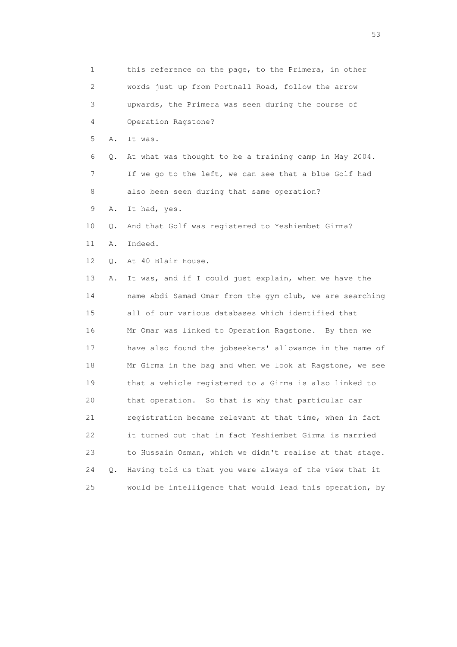1 this reference on the page, to the Primera, in other 2 words just up from Portnall Road, follow the arrow 3 upwards, the Primera was seen during the course of 4 Operation Ragstone? 5 A. It was. 6 Q. At what was thought to be a training camp in May 2004. 7 If we go to the left, we can see that a blue Golf had 8 also been seen during that same operation? 9 A. It had, yes. 10 Q. And that Golf was registered to Yeshiembet Girma? 11 A. Indeed. 12 O. At 40 Blair House. 13 A. It was, and if I could just explain, when we have the 14 name Abdi Samad Omar from the gym club, we are searching 15 all of our various databases which identified that 16 Mr Omar was linked to Operation Ragstone. By then we 17 have also found the jobseekers' allowance in the name of 18 Mr Girma in the bag and when we look at Ragstone, we see 19 that a vehicle registered to a Girma is also linked to 20 that operation. So that is why that particular car 21 registration became relevant at that time, when in fact 22 it turned out that in fact Yeshiembet Girma is married 23 to Hussain Osman, which we didn't realise at that stage. 24 Q. Having told us that you were always of the view that it 25 would be intelligence that would lead this operation, by

 $\sim$  53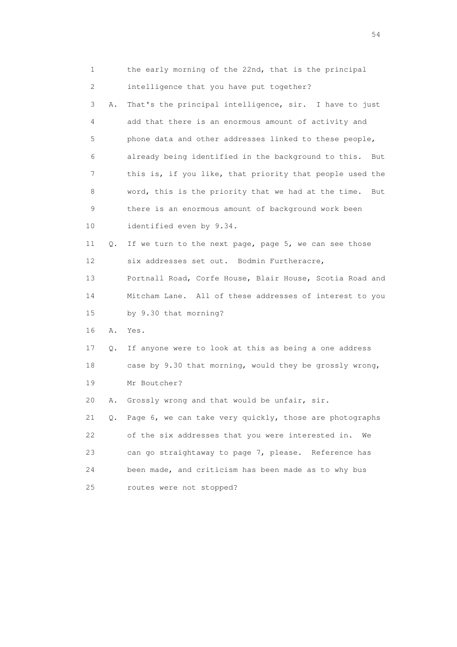| 1  |               | the early morning of the 22nd, that is the principal       |
|----|---------------|------------------------------------------------------------|
| 2  |               | intelligence that you have put together?                   |
| 3  | Α.            | That's the principal intelligence, sir. I have to just     |
| 4  |               | add that there is an enormous amount of activity and       |
| 5  |               | phone data and other addresses linked to these people,     |
| 6  |               | already being identified in the background to this.<br>But |
| 7  |               | this is, if you like, that priority that people used the   |
| 8  |               | word, this is the priority that we had at the time.<br>But |
| 9  |               | there is an enormous amount of background work been        |
| 10 |               | identified even by 9.34.                                   |
| 11 | Q.            | If we turn to the next page, page 5, we can see those      |
| 12 |               | six addresses set out. Bodmin Furtheracre,                 |
| 13 |               | Portnall Road, Corfe House, Blair House, Scotia Road and   |
| 14 |               | Mitcham Lane. All of these addresses of interest to you    |
| 15 |               | by 9.30 that morning?                                      |
| 16 | Α.            | Yes.                                                       |
| 17 | Q.            | If anyone were to look at this as being a one address      |
| 18 |               | case by 9.30 that morning, would they be grossly wrong,    |
| 19 |               | Mr Boutcher?                                               |
| 20 | Α.            | Grossly wrong and that would be unfair, sir.               |
| 21 | $Q_{\bullet}$ | Page 6, we can take very quickly, those are photographs    |
| 22 |               | of the six addresses that you were interested in.<br>We    |
| 23 |               | can go straightaway to page 7, please. Reference has       |
| 24 |               | been made, and criticism has been made as to why bus       |
| 25 |               | routes were not stopped?                                   |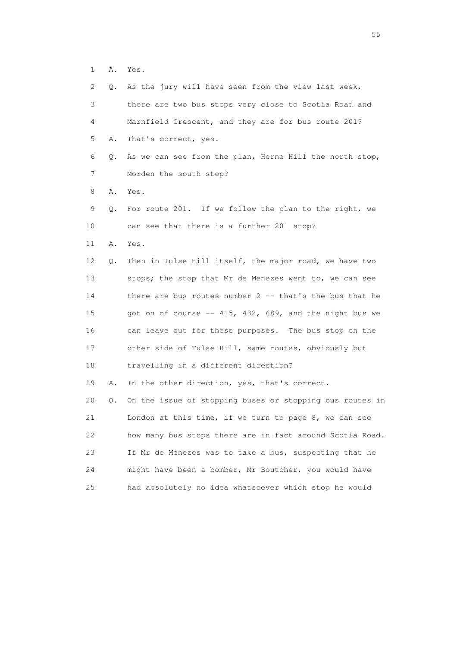1 A. Yes.

| 2  | Q. | As the jury will have seen from the view last week,       |
|----|----|-----------------------------------------------------------|
| 3  |    | there are two bus stops very close to Scotia Road and     |
| 4  |    | Marnfield Crescent, and they are for bus route 201?       |
| 5  | Α. | That's correct, yes.                                      |
| 6  | Q. | As we can see from the plan, Herne Hill the north stop,   |
| 7  |    | Morden the south stop?                                    |
| 8  | Α. | Yes.                                                      |
| 9  | Q. | For route 201. If we follow the plan to the right, we     |
| 10 |    | can see that there is a further 201 stop?                 |
| 11 | Α. | Yes.                                                      |
| 12 | Q. | Then in Tulse Hill itself, the major road, we have two    |
| 13 |    | stops; the stop that Mr de Menezes went to, we can see    |
| 14 |    | there are bus routes number $2$ -- that's the bus that he |
| 15 |    | got on of course -- 415, 432, 689, and the night bus we   |
| 16 |    | can leave out for these purposes. The bus stop on the     |
| 17 |    | other side of Tulse Hill, same routes, obviously but      |
| 18 |    | travelling in a different direction?                      |
| 19 | Α. | In the other direction, yes, that's correct.              |
| 20 | Q. | On the issue of stopping buses or stopping bus routes in  |
| 21 |    | London at this time, if we turn to page $8$ , we can see  |
| 22 |    | how many bus stops there are in fact around Scotia Road.  |
| 23 |    | If Mr de Menezes was to take a bus, suspecting that he    |
| 24 |    | might have been a bomber, Mr Boutcher, you would have     |
| 25 |    | had absolutely no idea whatsoever which stop he would     |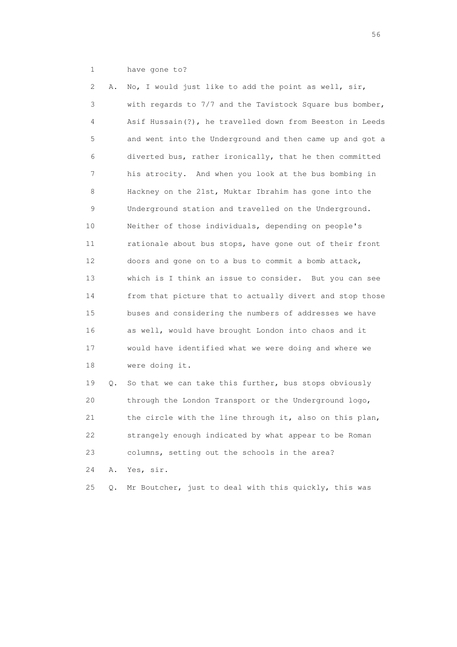1 have gone to?

 2 A. No, I would just like to add the point as well, sir, 3 with regards to 7/7 and the Tavistock Square bus bomber, 4 Asif Hussain(?), he travelled down from Beeston in Leeds 5 and went into the Underground and then came up and got a 6 diverted bus, rather ironically, that he then committed 7 his atrocity. And when you look at the bus bombing in 8 Hackney on the 21st, Muktar Ibrahim has gone into the 9 Underground station and travelled on the Underground. 10 Neither of those individuals, depending on people's 11 rationale about bus stops, have gone out of their front 12 doors and gone on to a bus to commit a bomb attack, 13 which is I think an issue to consider. But you can see 14 from that picture that to actually divert and stop those 15 buses and considering the numbers of addresses we have 16 as well, would have brought London into chaos and it 17 would have identified what we were doing and where we 18 were doing it. 19 Q. So that we can take this further, bus stops obviously

 20 through the London Transport or the Underground logo, 21 the circle with the line through it, also on this plan, 22 strangely enough indicated by what appear to be Roman 23 columns, setting out the schools in the area? 24 A. Yes, sir.

25 Q. Mr Boutcher, just to deal with this quickly, this was

 $56<sup>o</sup>$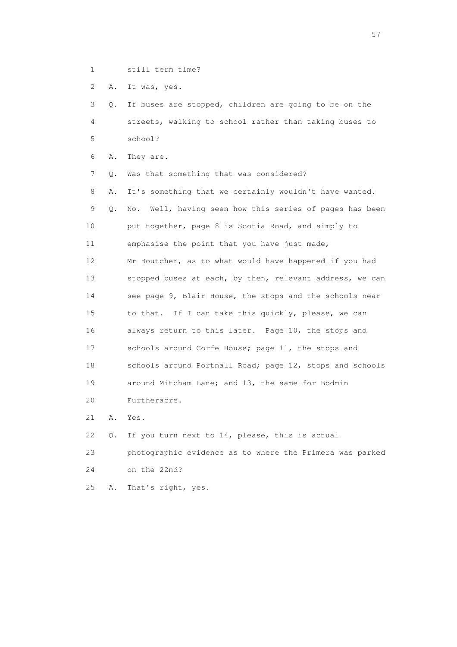- 
- 1 still term time?

2 A. It was, yes.

 3 Q. If buses are stopped, children are going to be on the 4 streets, walking to school rather than taking buses to 5 school?

6 A. They are.

7 Q. Was that something that was considered?

 8 A. It's something that we certainly wouldn't have wanted. 9 Q. No. Well, having seen how this series of pages has been 10 put together, page 8 is Scotia Road, and simply to 11 emphasise the point that you have just made, 12 Mr Boutcher, as to what would have happened if you had 13 stopped buses at each, by then, relevant address, we can 14 see page 9, Blair House, the stops and the schools near 15 to that. If I can take this quickly, please, we can 16 always return to this later. Page 10, the stops and 17 schools around Corfe House; page 11, the stops and 18 schools around Portnall Road; page 12, stops and schools 19 around Mitcham Lane; and 13, the same for Bodmin 20 Furtheracre.

21 A. Yes.

22 Q. If you turn next to 14, please, this is actual

 23 photographic evidence as to where the Primera was parked 24 on the 22nd?

25 A. That's right, yes.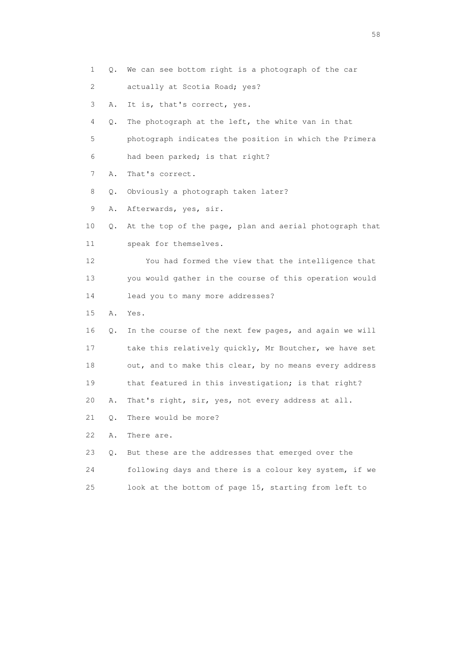1 Q. We can see bottom right is a photograph of the car

2 actually at Scotia Road; yes?

3 A. It is, that's correct, yes.

4 Q. The photograph at the left, the white van in that

5 photograph indicates the position in which the Primera

6 had been parked; is that right?

7 A. That's correct.

8 Q. Obviously a photograph taken later?

9 A. Afterwards, yes, sir.

 10 Q. At the top of the page, plan and aerial photograph that 11 speak for themselves.

 12 You had formed the view that the intelligence that 13 you would gather in the course of this operation would 14 lead you to many more addresses?

- 15 A. Yes.
- 16 Q. In the course of the next few pages, and again we will 17 take this relatively quickly, Mr Boutcher, we have set 18 out, and to make this clear, by no means every address 19 that featured in this investigation; is that right?

20 A. That's right, sir, yes, not every address at all.

21 Q. There would be more?

22 A. There are.

|    | 0. But these are the addresses that emerged over the   |
|----|--------------------------------------------------------|
| 24 | following days and there is a colour key system, if we |
|    | look at the bottom of page 15, starting from left to   |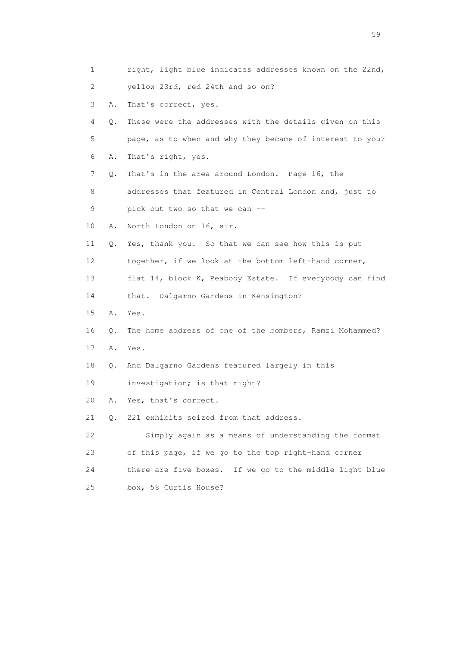|    | 1       | right, light blue indicates addresses known on the 22nd,   |
|----|---------|------------------------------------------------------------|
| 2  |         | yellow 23rd, red 24th and so on?                           |
|    | 3<br>Α. | That's correct, yes.                                       |
|    | 4<br>Q. | These were the addresses with the details given on this    |
| 5  |         | page, as to when and why they became of interest to you?   |
| 6  | Α.      | That's right, yes.                                         |
|    | 7<br>Q. | That's in the area around London. Page 16, the             |
|    | 8       | addresses that featured in Central London and, just to     |
| 9  |         | pick out two so that we can --                             |
| 10 | Α.      | North London on 16, sir.                                   |
| 11 | Q.      | Yes, thank you. So that we can see how this is put         |
| 12 |         | together, if we look at the bottom left-hand corner,       |
| 13 |         | flat 14, block K, Peabody Estate. If everybody can find    |
| 14 |         | that. Dalgarno Gardens in Kensington?                      |
| 15 | Α.      | Yes.                                                       |
| 16 | Q.      | The home address of one of the bombers, Ramzi Mohammed?    |
| 17 | Α.      | Yes.                                                       |
| 18 | Q.      | And Dalgarno Gardens featured largely in this              |
| 19 |         | investigation; is that right?                              |
| 20 | Α.      | Yes, that's correct.                                       |
| 21 | 0.      | 221 exhibits seized from that address.                     |
| 22 |         | Simply again as a means of understanding the format        |
| 23 |         | of this page, if we go to the top right-hand corner        |
| 24 |         | there are five boxes.<br>If we go to the middle light blue |
| 25 |         | box, 58 Curtis House?                                      |

the contract of the contract of the contract of the contract of the contract of the contract of the contract of the contract of the contract of the contract of the contract of the contract of the contract of the contract o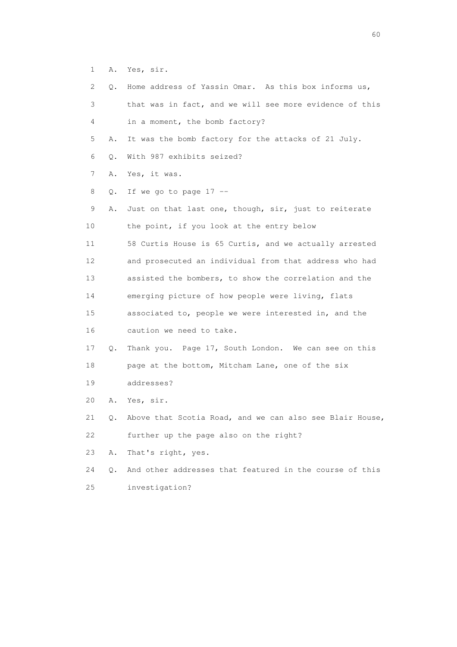1 A. Yes, sir.

25 investigation?

| 2               | О. | Home address of Yassin Omar. As this box informs us,     |
|-----------------|----|----------------------------------------------------------|
| 3               |    | that was in fact, and we will see more evidence of this  |
| 4               |    | in a moment, the bomb factory?                           |
| 5               | Α. | It was the bomb factory for the attacks of 21 July.      |
| 6               | Q. | With 987 exhibits seized?                                |
| 7               | Α. | Yes, it was.                                             |
| 8               | Q. | If we go to page $17$ --                                 |
| 9               | Α. | Just on that last one, though, sir, just to reiterate    |
| 10              |    | the point, if you look at the entry below                |
| 11              |    | 58 Curtis House is 65 Curtis, and we actually arrested   |
| 12 <sup>°</sup> |    | and prosecuted an individual from that address who had   |
| 13              |    | assisted the bombers, to show the correlation and the    |
| 14              |    | emerging picture of how people were living, flats        |
| 15              |    | associated to, people we were interested in, and the     |
| 16              |    | caution we need to take.                                 |
| 17              | Q. | Thank you. Page 17, South London. We can see on this     |
| 18              |    | page at the bottom, Mitcham Lane, one of the six         |
| 19              |    | addresses?                                               |
| 20              | Α. | Yes, sir.                                                |
| 21              | Q. | Above that Scotia Road, and we can also see Blair House, |
| 22              |    | further up the page also on the right?                   |
| 23              | Α. | That's right, yes.                                       |
| 24              | Q. | And other addresses that featured in the course of this  |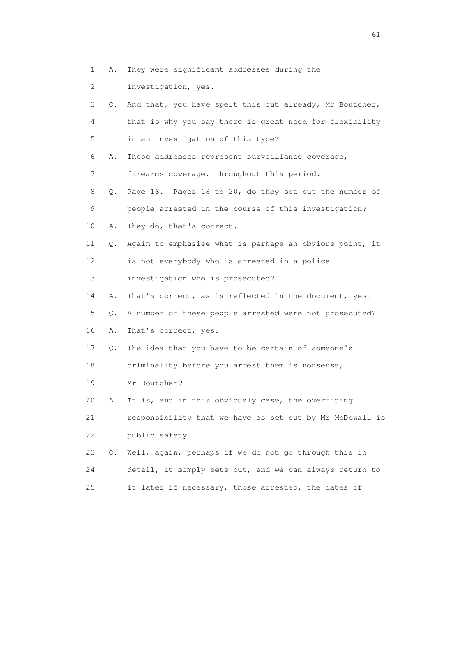- 1 A. They were significant addresses during the
- 2 investigation, yes.

| 3  | Q. | And that, you have spelt this out already, Mr Boutcher,  |
|----|----|----------------------------------------------------------|
| 4  |    | that is why you say there is great need for flexibility  |
| 5  |    | in an investigation of this type?                        |
| 6  | Α. | These addresses represent surveillance coverage,         |
| 7  |    | firearms coverage, throughout this period.               |
| 8  | Q. | Page 18. Pages 18 to 20, do they set out the number of   |
| 9  |    | people arrested in the course of this investigation?     |
| 10 | Α. | They do, that's correct.                                 |
| 11 | Q. | Again to emphasise what is perhaps an obvious point, it  |
| 12 |    | is not everybody who is arrested in a police             |
| 13 |    | investigation who is prosecuted?                         |
| 14 | Α. | That's correct, as is reflected in the document, yes.    |
| 15 | Q. | A number of these people arrested were not prosecuted?   |
| 16 | Α. | That's correct, yes.                                     |
| 17 | Q. | The idea that you have to be certain of someone's        |
| 18 |    | criminality before you arrest them is nonsense,          |
| 19 |    | Mr Boutcher?                                             |
| 20 | Α. | It is, and in this obviously case, the overriding        |
| 21 |    | responsibility that we have as set out by Mr McDowall is |
| 22 |    | public safety.                                           |
| 23 | Q. | Well, again, perhaps if we do not go through this in     |
| 24 |    | detail, it simply sets out, and we can always return to  |
| 25 |    | it later if necessary, those arrested, the dates of      |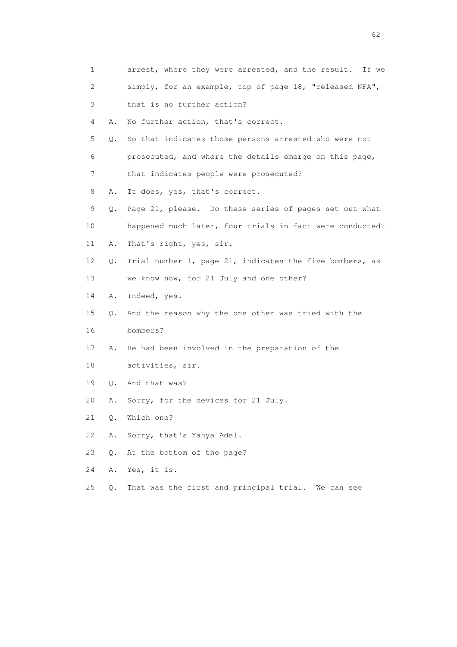| 1  |       | arrest, where they were arrested, and the result. If we  |
|----|-------|----------------------------------------------------------|
| 2  |       | simply, for an example, top of page 18, "released NFA",  |
| 3  |       | that is no further action?                               |
| 4  | Α.    | No further action, that's correct.                       |
| 5  | Q.    | So that indicates those persons arrested who were not    |
| 6  |       | prosecuted, and where the details emerge on this page,   |
| 7  |       | that indicates people were prosecuted?                   |
| 8  | Α.    | It does, yes, that's correct.                            |
| 9  | Q.    | Page 21, please. Do these series of pages set out what   |
| 10 |       | happened much later, four trials in fact were conducted? |
| 11 | Α.    | That's right, yes, sir.                                  |
| 12 | Q.    | Trial number 1, page 21, indicates the five bombers, as  |
| 13 |       | we know now, for 21 July and one other?                  |
| 14 | Α.    | Indeed, yes.                                             |
| 15 | Q.    | And the reason why the one other was tried with the      |
| 16 |       | bombers?                                                 |
| 17 | Α.    | He had been involved in the preparation of the           |
| 18 |       | activities, sir.                                         |
| 19 |       | Q. And that was?                                         |
| 20 | Α.    | Sorry, for the devices for 21 July.                      |
| 21 | Q.    | Which one?                                               |
| 22 | Α.    | Sorry, that's Yahya Adel.                                |
| 23 | Q.    | At the bottom of the page?                               |
| 24 | Α.    | Yes, it is.                                              |
| 25 | $Q$ . | That was the first and principal trial. We can see       |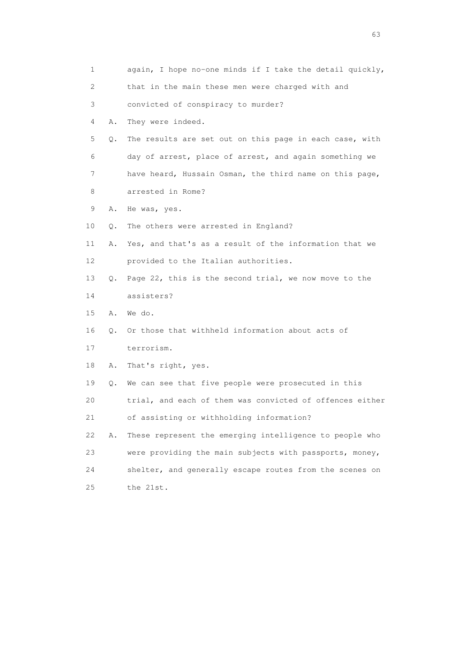| 1  |    | again, I hope no-one minds if I take the detail quickly, |
|----|----|----------------------------------------------------------|
| 2  |    | that in the main these men were charged with and         |
| 3  |    | convicted of conspiracy to murder?                       |
| 4  | Α. | They were indeed.                                        |
| 5  | Q. | The results are set out on this page in each case, with  |
| 6  |    | day of arrest, place of arrest, and again something we   |
| 7  |    | have heard, Hussain Osman, the third name on this page,  |
| 8  |    | arrested in Rome?                                        |
| 9  | Α. | He was, yes.                                             |
| 10 | Q. | The others were arrested in England?                     |
| 11 | Α. | Yes, and that's as a result of the information that we   |
| 12 |    | provided to the Italian authorities.                     |
| 13 | Q. | Page 22, this is the second trial, we now move to the    |
| 14 |    | assisters?                                               |
| 15 | Α. | We do.                                                   |
| 16 | 0. | Or those that withheld information about acts of         |
| 17 |    | terrorism.                                               |
| 18 | Α. | That's right, yes.                                       |
| 19 | Q. | We can see that five people were prosecuted in this      |
| 20 |    | trial, and each of them was convicted of offences either |
| 21 |    | of assisting or withholding information?                 |
| 22 | Α. | These represent the emerging intelligence to people who  |
| 23 |    | were providing the main subjects with passports, money,  |
| 24 |    | shelter, and generally escape routes from the scenes on  |
| 25 |    | the 21st.                                                |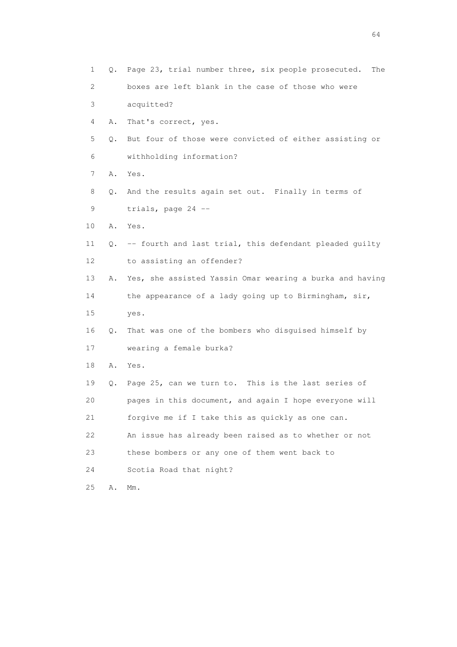| 1               | Q. | Page 23, trial number three, six people prosecuted.<br>The |
|-----------------|----|------------------------------------------------------------|
| 2               |    | boxes are left blank in the case of those who were         |
| 3               |    | acquitted?                                                 |
| 4               | Α. | That's correct, yes.                                       |
| 5               | Q. | But four of those were convicted of either assisting or    |
| 6               |    | withholding information?                                   |
| 7               | Α. | Yes.                                                       |
| 8               | Q. | And the results again set out. Finally in terms of         |
| 9               |    | trials, page 24 --                                         |
| 10              | Α. | Yes.                                                       |
| 11              | Q. | -- fourth and last trial, this defendant pleaded quilty    |
| 12 <sup>°</sup> |    | to assisting an offender?                                  |
| 13              | Α. | Yes, she assisted Yassin Omar wearing a burka and having   |
| 14              |    | the appearance of a lady going up to Birmingham, sir,      |
| 15              |    | yes.                                                       |
| 16              | Q. | That was one of the bombers who disguised himself by       |
| 17              |    | wearing a female burka?                                    |
| 18              | Α. | Yes.                                                       |
| 19              | Q. | Page 25, can we turn to. This is the last series of        |
| 20              |    | pages in this document, and again I hope everyone will     |
| 21              |    | forgive me if I take this as quickly as one can.           |
| 22              |    | An issue has already been raised as to whether or not      |
| 23              |    | these bombers or any one of them went back to              |
| 24              |    | Scotia Road that night?                                    |
| 25              | Α. | $Mm$ .                                                     |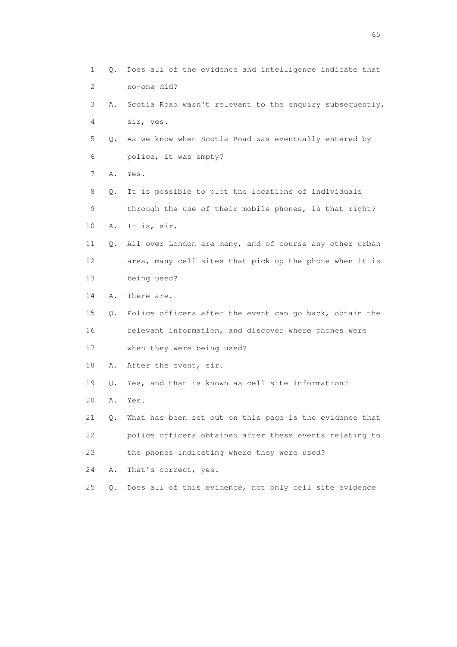| $\mathbf 1$    | Q.    | Does all of the evidence and intelligence indicate that    |
|----------------|-------|------------------------------------------------------------|
| $\overline{2}$ |       | no-one did?                                                |
| 3              | Α.    | Scotia Road wasn't relevant to the enquiry subsequently,   |
| 4              |       | sir, yes.                                                  |
| 5              | Q.    | As we know when Scotia Road was eventually entered by      |
| 6              |       | police, it was empty?                                      |
| 7              | Α.    | Yes.                                                       |
| 8              | Q.    | It is possible to plot the locations of individuals        |
| 9              |       | through the use of their mobile phones, is that right?     |
| 10             | Α.    | It is, sir.                                                |
| 11             | Q.    | All over London are many, and of course any other urban    |
| 12             |       | area, many cell sites that pick up the phone when it is    |
| 13             |       | being used?                                                |
| 14             | Α.    | There are.                                                 |
| 15             |       | Q. Police officers after the event can go back, obtain the |
| 16             |       | relevant information, and discover where phones were       |
| 17             |       | when they were being used?                                 |
| 18             | Α.    | After the event, sir.                                      |
| 19             | О.    | Yes, and that is known as cell site information?           |
| 20             | Α.    | Yes.                                                       |
| 21             | Q.    | What has been set out on this page is the evidence that    |
| 22             |       | police officers obtained after these events relating to    |
| 23             |       | the phones indicating where they were used?                |
| 24             | Α.    | That's correct, yes.                                       |
| 25             | $Q$ . | Does all of this evidence, not only cell site evidence     |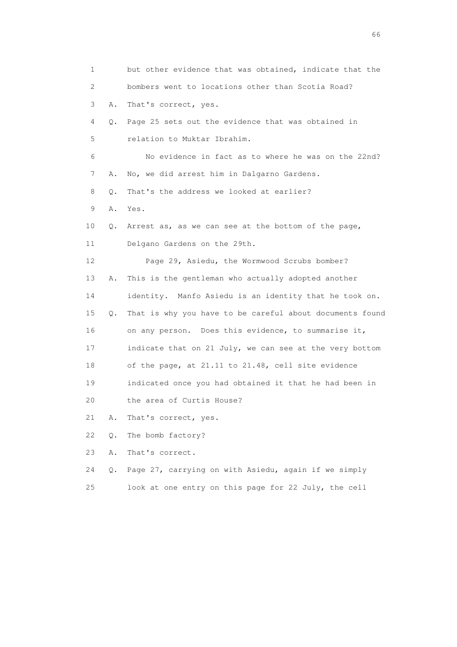| 1  |    | but other evidence that was obtained, indicate that the  |
|----|----|----------------------------------------------------------|
| 2  |    | bombers went to locations other than Scotia Road?        |
| 3  | Α. | That's correct, yes.                                     |
| 4  | Q. | Page 25 sets out the evidence that was obtained in       |
| 5  |    | relation to Muktar Ibrahim.                              |
| 6  |    | No evidence in fact as to where he was on the 22nd?      |
| 7  | Α. | No, we did arrest him in Dalgarno Gardens.               |
| 8  | О. | That's the address we looked at earlier?                 |
| 9  | Α. | Yes.                                                     |
| 10 | Q. | Arrest as, as we can see at the bottom of the page,      |
| 11 |    | Delgano Gardens on the 29th.                             |
| 12 |    | Page 29, Asiedu, the Wormwood Scrubs bomber?             |
| 13 | Α. | This is the gentleman who actually adopted another       |
| 14 |    | identity. Manfo Asiedu is an identity that he took on.   |
| 15 | Q. | That is why you have to be careful about documents found |
| 16 |    | on any person. Does this evidence, to summarise it,      |
| 17 |    | indicate that on 21 July, we can see at the very bottom  |
| 18 |    | of the page, at 21.11 to 21.48, cell site evidence       |
| 19 |    | indicated once you had obtained it that he had been in   |
| 20 |    | the area of Curtis House?                                |
| 21 | Α. | That's correct, yes.                                     |
| 22 | Q. | The bomb factory?                                        |
| 23 | Α. | That's correct.                                          |
| 24 | Q. | Page 27, carrying on with Asiedu, again if we simply     |
|    |    |                                                          |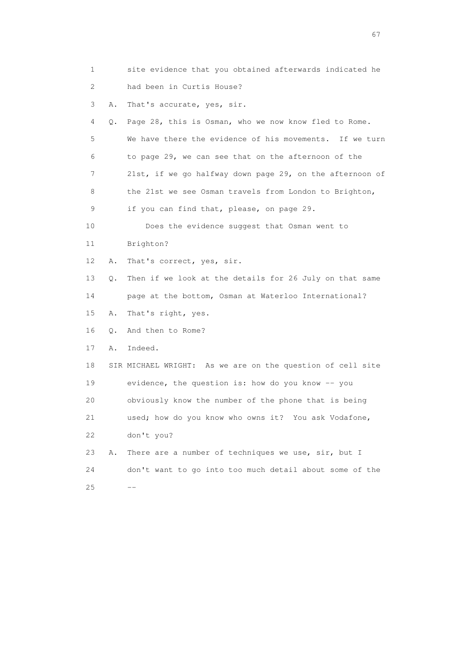- 1 site evidence that you obtained afterwards indicated he 2 had been in Curtis House? 3 A. That's accurate, yes, sir. 4 Q. Page 28, this is Osman, who we now know fled to Rome.
- 5 We have there the evidence of his movements. If we turn 6 to page 29, we can see that on the afternoon of the 7 21st, if we go halfway down page 29, on the afternoon of 8 the 21st we see Osman travels from London to Brighton, 9 if you can find that, please, on page 29.

10 Does the evidence suggest that Osman went to

- 11 Brighton?
- 12 A. That's correct, yes, sir.
- 13 Q. Then if we look at the details for 26 July on that same
- 14 page at the bottom, Osman at Waterloo International?
- 15 A. That's right, yes.
- 16 Q. And then to Rome?
- 17 A. Indeed.
- 18 SIR MICHAEL WRIGHT: As we are on the question of cell site 19 evidence, the question is: how do you know -- you 20 obviously know the number of the phone that is being 21 used; how do you know who owns it? You ask Vodafone,
- 22 don't you?
- 23 A. There are a number of techniques we use, sir, but I 24 don't want to go into too much detail about some of the  $25$   $-$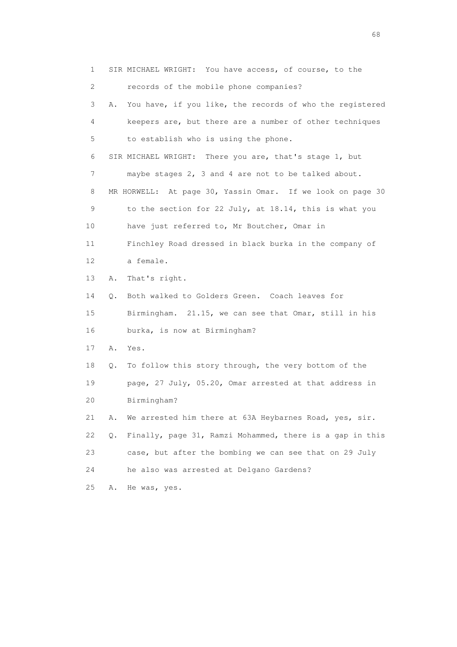1 SIR MICHAEL WRIGHT: You have access, of course, to the 2 records of the mobile phone companies? 3 A. You have, if you like, the records of who the registered 4 keepers are, but there are a number of other techniques 5 to establish who is using the phone. 6 SIR MICHAEL WRIGHT: There you are, that's stage 1, but 7 maybe stages 2, 3 and 4 are not to be talked about. 8 MR HORWELL: At page 30, Yassin Omar. If we look on page 30 9 to the section for 22 July, at 18.14, this is what you 10 have just referred to, Mr Boutcher, Omar in 11 Finchley Road dressed in black burka in the company of 12 a female. 13 A. That's right. 14 Q. Both walked to Golders Green. Coach leaves for 15 Birmingham. 21.15, we can see that Omar, still in his 16 burka, is now at Birmingham? 17 A. Yes. 18 Q. To follow this story through, the very bottom of the 19 page, 27 July, 05.20, Omar arrested at that address in 20 Birmingham? 21 A. We arrested him there at 63A Heybarnes Road, yes, sir. 22 Q. Finally, page 31, Ramzi Mohammed, there is a gap in this 23 case, but after the bombing we can see that on 29 July 24 he also was arrested at Delgano Gardens? 25 A. He was, yes.

en de la construction de la construction de la construction de la construction de la construction de la construction de la construction de la construction de la construction de la construction de la construction de la cons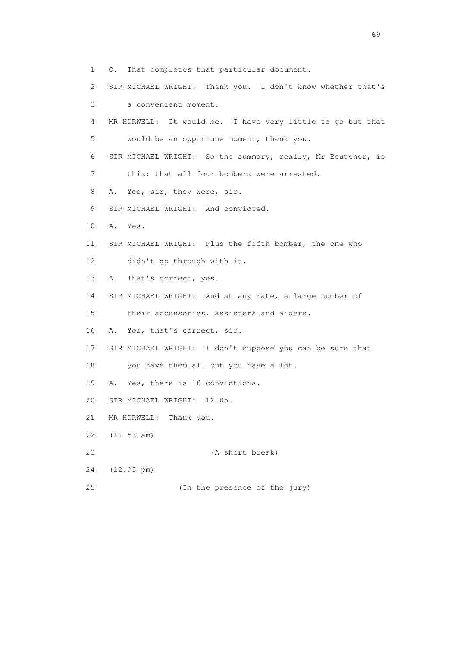1 Q. That completes that particular document. 2 SIR MICHAEL WRIGHT: Thank you. I don't know whether that's 3 a convenient moment. 4 MR HORWELL: It would be. I have very little to go but that 5 would be an opportune moment, thank you. 6 SIR MICHAEL WRIGHT: So the summary, really, Mr Boutcher, is 7 this: that all four bombers were arrested. 8 A. Yes, sir, they were, sir. 9 SIR MICHAEL WRIGHT: And convicted. 10 A. Yes. 11 SIR MICHAEL WRIGHT: Plus the fifth bomber, the one who 12 didn't go through with it. 13 A. That's correct, yes. 14 SIR MICHAEL WRIGHT: And at any rate, a large number of 15 their accessories, assisters and aiders. 16 A. Yes, that's correct, sir. 17 SIR MICHAEL WRIGHT: I don't suppose you can be sure that 18 you have them all but you have a lot. 19 A. Yes, there is 16 convictions. 20 SIR MICHAEL WRIGHT: 12.05. 21 MR HORWELL: Thank you. 22 (11.53 am) 23 (A short break) 24 (12.05 pm) 25 (In the presence of the jury)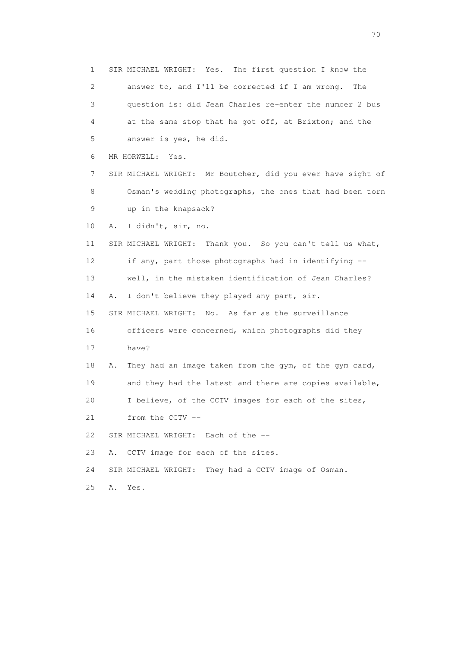1 SIR MICHAEL WRIGHT: Yes. The first question I know the 2 answer to, and I'll be corrected if I am wrong. The 3 question is: did Jean Charles re-enter the number 2 bus 4 at the same stop that he got off, at Brixton; and the 5 answer is yes, he did. 6 MR HORWELL: Yes. 7 SIR MICHAEL WRIGHT: Mr Boutcher, did you ever have sight of 8 Osman's wedding photographs, the ones that had been torn 9 up in the knapsack? 10 A. I didn't, sir, no. 11 SIR MICHAEL WRIGHT: Thank you. So you can't tell us what, 12 if any, part those photographs had in identifying -- 13 well, in the mistaken identification of Jean Charles? 14 A. I don't believe they played any part, sir. 15 SIR MICHAEL WRIGHT: No. As far as the surveillance 16 officers were concerned, which photographs did they 17 have? 18 A. They had an image taken from the gym, of the gym card, 19 and they had the latest and there are copies available, 20 I believe, of the CCTV images for each of the sites, 21 from the CCTV -- 22 SIR MICHAEL WRIGHT: Each of the -- 23 A. CCTV image for each of the sites. 24 SIR MICHAEL WRIGHT: They had a CCTV image of Osman. 25 A. Yes.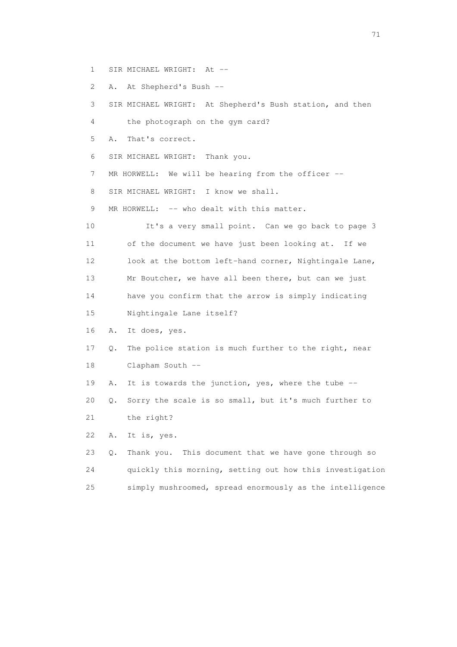- 1 SIR MICHAEL WRIGHT: At --
- 2 A. At Shepherd's Bush --

| 3               | SIR MICHAEL WRIGHT: At Shepherd's Bush station, and then    |
|-----------------|-------------------------------------------------------------|
| 4               | the photograph on the gym card?                             |
| 5               | That's correct.<br>Α.                                       |
| 6               | SIR MICHAEL WRIGHT: Thank you.                              |
| 7               | MR HORWELL: We will be hearing from the officer $--$        |
| 8               | SIR MICHAEL WRIGHT: I know we shall.                        |
| 9               | MR HORWELL: -- who dealt with this matter.                  |
| 10              | It's a very small point. Can we go back to page 3           |
| 11              | of the document we have just been looking at. If we         |
| 12 <sup>°</sup> | look at the bottom left-hand corner, Nightingale Lane,      |
| 13              | Mr Boutcher, we have all been there, but can we just        |
| 14              | have you confirm that the arrow is simply indicating        |
| 15              | Nightingale Lane itself?                                    |
| 16              | It does, yes.<br>Α.                                         |
| 17              | The police station is much further to the right, near<br>Q. |
| 18              | Clapham South --                                            |
| 19              | It is towards the junction, yes, where the tube --<br>Α.    |
| 20              | Sorry the scale is so small, but it's much further to<br>Q. |
| 21              | the right?                                                  |
| 22              | Α.<br>It is, yes.                                           |
| 23              | Thank you. This document that we have gone through so<br>Q. |
| 24              | quickly this morning, setting out how this investigation    |
| 25              | simply mushroomed, spread enormously as the intelligence    |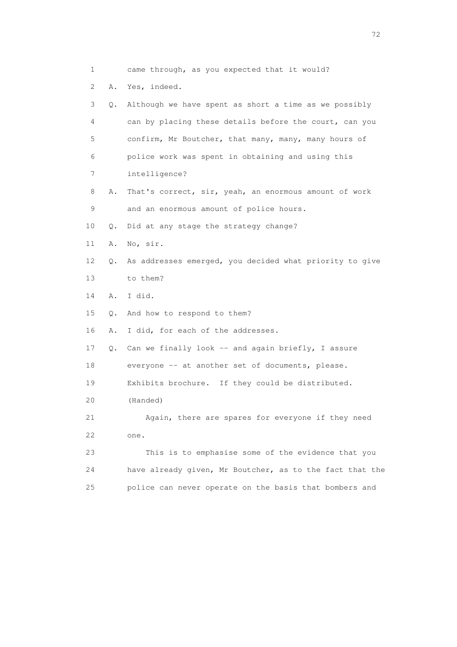| $\mathbf{1}$    |           | came through, as you expected that it would?             |
|-----------------|-----------|----------------------------------------------------------|
| 2               | Α.        | Yes, indeed.                                             |
| 3               | Q.        | Although we have spent as short a time as we possibly    |
| 4               |           | can by placing these details before the court, can you   |
| 5               |           | confirm, Mr Boutcher, that many, many, many hours of     |
| 6               |           | police work was spent in obtaining and using this        |
| 7               |           | intelligence?                                            |
| 8               | Α.        | That's correct, sir, yeah, an enormous amount of work    |
| 9               |           | and an enormous amount of police hours.                  |
| 10              | Q.        | Did at any stage the strategy change?                    |
| 11              | Α.        | No, sir.                                                 |
| 12 <sup>°</sup> | Q.        | As addresses emerged, you decided what priority to give  |
| 13              |           | to them?                                                 |
| 14              | Α.        | I did.                                                   |
| 15              | $\circ$ . | And how to respond to them?                              |
| 16              | Α.        | I did, for each of the addresses.                        |
| 17              | Q.        | Can we finally look -- and again briefly, I assure       |
| 18              |           | everyone -- at another set of documents, please.         |
| 19              |           | Exhibits brochure. If they could be distributed.         |
| 20              |           | (Handed)                                                 |
| 21              |           | Again, there are spares for everyone if they need        |
| 22              |           | one.                                                     |
| 23              |           | This is to emphasise some of the evidence that you       |
| 24              |           | have already given, Mr Boutcher, as to the fact that the |
| 25              |           | police can never operate on the basis that bombers and   |
|                 |           |                                                          |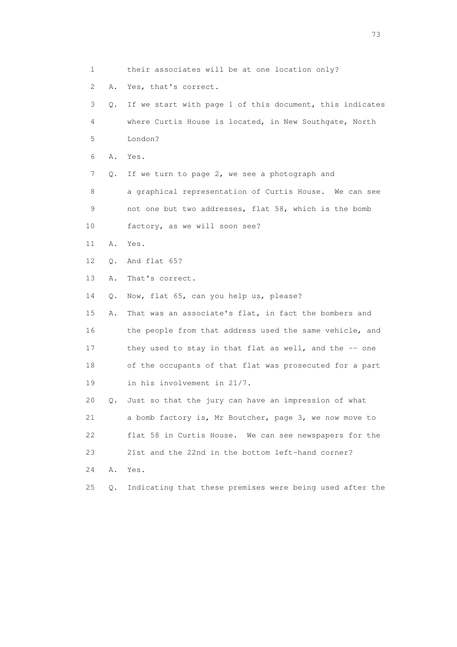1 their associates will be at one location only? 2 A. Yes, that's correct. 3 Q. If we start with page 1 of this document, this indicates 4 where Curtis House is located, in New Southgate, North 5 London? 6 A. Yes. 7 Q. If we turn to page 2, we see a photograph and 8 a graphical representation of Curtis House. We can see 9 not one but two addresses, flat 58, which is the bomb 10 factory, as we will soon see? 11 A. Yes. 12 Q. And flat 65? 13 A. That's correct. 14 Q. Now, flat 65, can you help us, please? 15 A. That was an associate's flat, in fact the bombers and 16 the people from that address used the same vehicle, and 17 they used to stay in that flat as well, and the -- one 18 of the occupants of that flat was prosecuted for a part 19 in his involvement in 21/7. 20 Q. Just so that the jury can have an impression of what 21 a bomb factory is, Mr Boutcher, page 3, we now move to 22 flat 58 in Curtis House. We can see newspapers for the 23 21st and the 22nd in the bottom left-hand corner? 24 A. Yes. 25 Q. Indicating that these premises were being used after the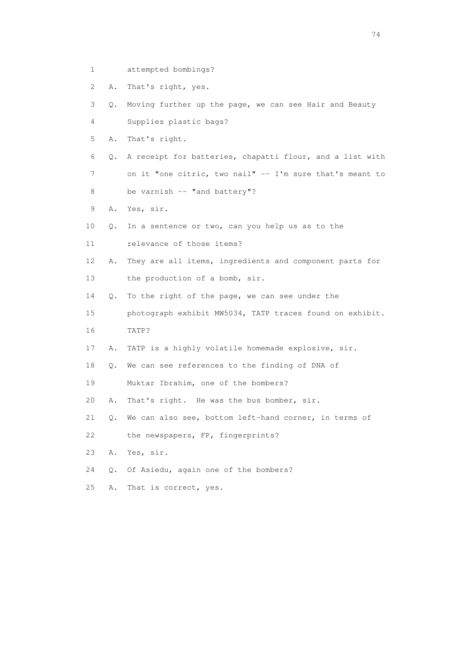1 attempted bombings?

2 A. That's right, yes.

3 Q. Moving further up the page, we can see Hair and Beauty

4 Supplies plastic bags?

5 A. That's right.

 6 Q. A receipt for batteries, chapatti flour, and a list with 7 on it "one citric, two nail" -- I'm sure that's meant to

- 8 be varnish -- "and battery"?
- 9 A. Yes, sir.
- 10 Q. In a sentence or two, can you help us as to the
- 11 relevance of those items?
- 12 A. They are all items, ingredients and component parts for 13 the production of a bomb, sir.
- 14 Q. To the right of the page, we can see under the

 15 photograph exhibit MW5034, TATP traces found on exhibit. 16 TATP?

17 A. TATP is a highly volatile homemade explosive, sir.

18 Q. We can see references to the finding of DNA of

- 19 Muktar Ibrahim, one of the bombers?
- 20 A. That's right. He was the bus bomber, sir.

21 Q. We can also see, bottom left-hand corner, in terms of

22 the newspapers, FP, fingerprints?

- 23 A. Yes, sir.
- 24 Q. Of Asiedu, again one of the bombers?
- 25 A. That is correct, yes.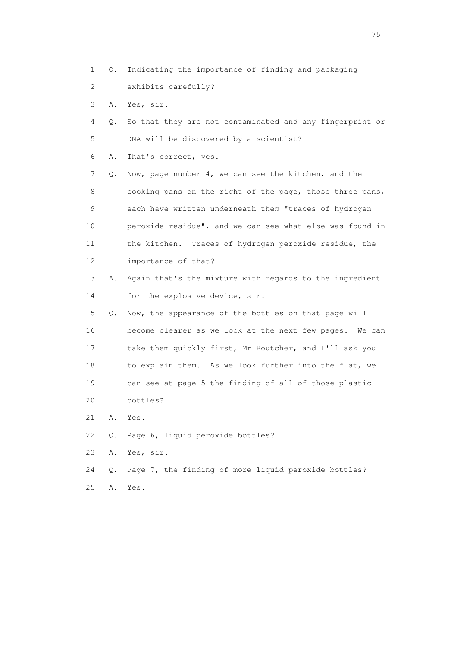- 1 Q. Indicating the importance of finding and packaging
- 2 exhibits carefully?
- 3 A. Yes, sir.
- 4 Q. So that they are not contaminated and any fingerprint or 5 DNA will be discovered by a scientist?
- 6 A. That's correct, yes.

 7 Q. Now, page number 4, we can see the kitchen, and the 8 cooking pans on the right of the page, those three pans, 9 each have written underneath them "traces of hydrogen 10 peroxide residue", and we can see what else was found in 11 the kitchen. Traces of hydrogen peroxide residue, the 12 importance of that?

- 13 A. Again that's the mixture with regards to the ingredient 14 for the explosive device, sir.
- 15 Q. Now, the appearance of the bottles on that page will 16 become clearer as we look at the next few pages. We can 17 take them quickly first, Mr Boutcher, and I'll ask you 18 to explain them. As we look further into the flat, we 19 can see at page 5 the finding of all of those plastic 20 bottles?
- 21 A. Yes.
- 22 Q. Page 6, liquid peroxide bottles?
- 23 A. Yes, sir.
- 24 Q. Page 7, the finding of more liquid peroxide bottles? 25 A. Yes.

na matsay na katalog as na kasang na mga 175 may 2008. Ang isang isang nagsang nagsang nagsang nagsang nagsang<br>Tagapang nagsang nagsang nagsang nagsang nagsang nagsang nagsang nagsang nagsang nagsang nagsang nagsang nagsa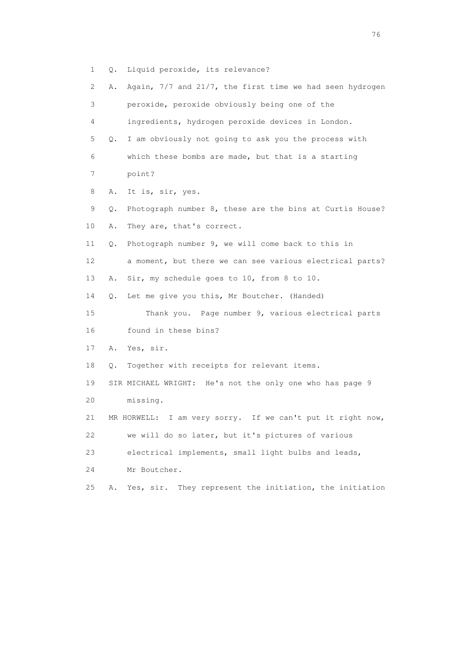3 peroxide, peroxide obviously being one of the 4 ingredients, hydrogen peroxide devices in London. 5 Q. I am obviously not going to ask you the process with 6 which these bombs are made, but that is a starting 7 point? 8 A. It is, sir, yes. 9 Q. Photograph number 8, these are the bins at Curtis House? 10 A. They are, that's correct. 11 Q. Photograph number 9, we will come back to this in 12 a moment, but there we can see various electrical parts? 13 A. Sir, my schedule goes to 10, from 8 to 10. 14 Q. Let me give you this, Mr Boutcher. (Handed) 15 Thank you. Page number 9, various electrical parts 16 found in these bins? 17 A. Yes, sir. 18 Q. Together with receipts for relevant items. 19 SIR MICHAEL WRIGHT: He's not the only one who has page 9 20 missing. 21 MR HORWELL: I am very sorry. If we can't put it right now, 22 we will do so later, but it's pictures of various 23 electrical implements, small light bulbs and leads, 24 Mr Boutcher.

2 A. Again, 7/7 and 21/7, the first time we had seen hydrogen

1 Q. Liquid peroxide, its relevance?

25 A. Yes, sir. They represent the initiation, the initiation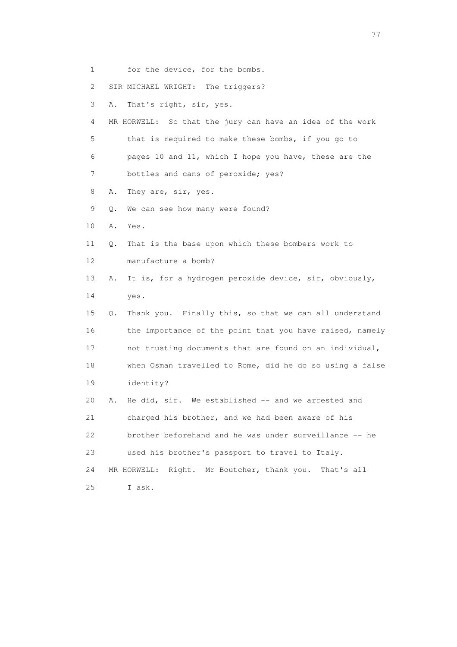- 1 for the device, for the bombs.
- 2 SIR MICHAEL WRIGHT: The triggers?
- 3 A. That's right, sir, yes.
- 4 MR HORWELL: So that the jury can have an idea of the work 5 that is required to make these bombs, if you go to 6 pages 10 and 11, which I hope you have, these are the 7 bottles and cans of peroxide; yes?
- 8 A. They are, sir, yes.
- 9 Q. We can see how many were found?
- 10 A. Yes.
- 11 Q. That is the base upon which these bombers work to 12 manufacture a bomb?
- 13 A. It is, for a hydrogen peroxide device, sir, obviously, 14 yes.
- 15 Q. Thank you. Finally this, so that we can all understand 16 the importance of the point that you have raised, namely 17 not trusting documents that are found on an individual, 18 when Osman travelled to Rome, did he do so using a false 19 identity?
- 20 A. He did, sir. We established -- and we arrested and 21 charged his brother, and we had been aware of his 22 brother beforehand and he was under surveillance -- he 23 used his brother's passport to travel to Italy. 24 MR HORWELL: Right. Mr Boutcher, thank you. That's all
- 25 I ask.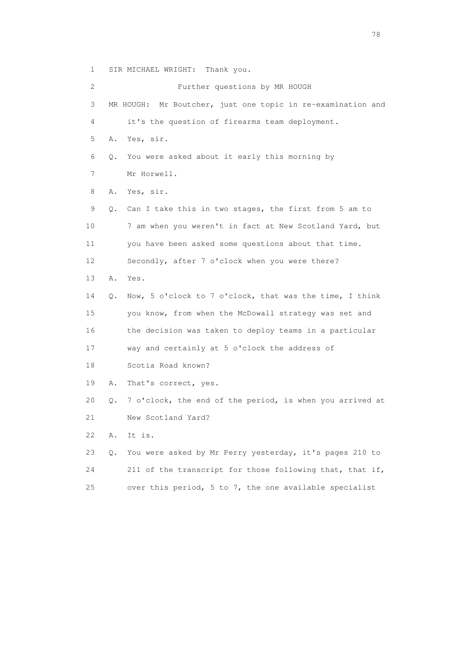1 SIR MICHAEL WRIGHT: Thank you.

 2 Further questions by MR HOUGH 3 MR HOUGH: Mr Boutcher, just one topic in re-examination and 4 it's the question of firearms team deployment. 5 A. Yes, sir. 6 Q. You were asked about it early this morning by 7 Mr Horwell. 8 A. Yes, sir. 9 Q. Can I take this in two stages, the first from 5 am to 10 7 am when you weren't in fact at New Scotland Yard, but 11 you have been asked some questions about that time. 12 Secondly, after 7 o'clock when you were there? 13 A. Yes. 14 Q. Now, 5 o'clock to 7 o'clock, that was the time, I think 15 you know, from when the McDowall strategy was set and 16 the decision was taken to deploy teams in a particular 17 way and certainly at 5 o'clock the address of 18 Scotia Road known? 19 A. That's correct, yes. 20 Q. 7 o'clock, the end of the period, is when you arrived at 21 New Scotland Yard? 22 A. It is. 23 Q. You were asked by Mr Perry yesterday, it's pages 210 to 24 211 of the transcript for those following that, that if, 25 over this period, 5 to 7, the one available specialist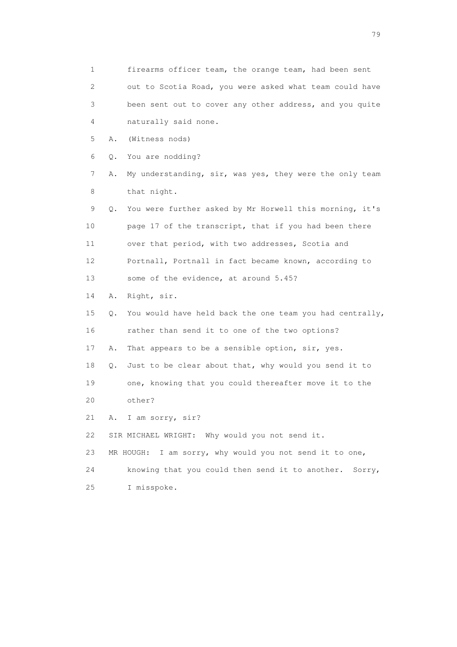1 firearms officer team, the orange team, had been sent 2 out to Scotia Road, you were asked what team could have 3 been sent out to cover any other address, and you quite 4 naturally said none. 5 A. (Witness nods) 6 Q. You are nodding? 7 A. My understanding, sir, was yes, they were the only team 8 that night. 9 Q. You were further asked by Mr Horwell this morning, it's 10 page 17 of the transcript, that if you had been there 11 over that period, with two addresses, Scotia and 12 Portnall, Portnall in fact became known, according to 13 some of the evidence, at around 5.45? 14 A. Right, sir. 15 Q. You would have held back the one team you had centrally, 16 rather than send it to one of the two options? 17 A. That appears to be a sensible option, sir, yes. 18 Q. Just to be clear about that, why would you send it to 19 one, knowing that you could thereafter move it to the 20 other? 21 A. I am sorry, sir? 22 SIR MICHAEL WRIGHT: Why would you not send it. 23 MR HOUGH: I am sorry, why would you not send it to one, 24 knowing that you could then send it to another. Sorry, 25 I misspoke.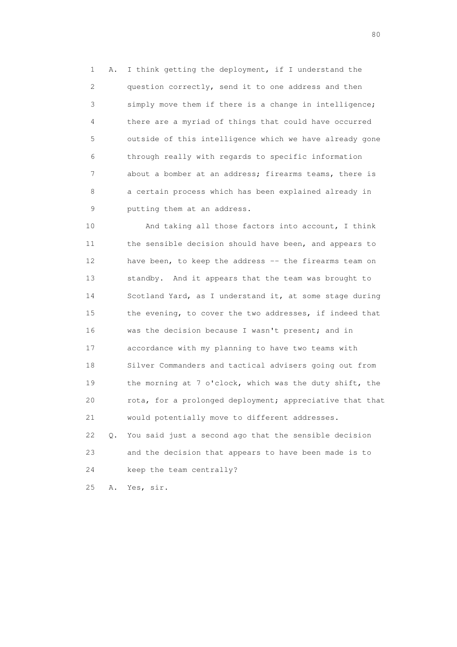1 A. I think getting the deployment, if I understand the 2 question correctly, send it to one address and then 3 simply move them if there is a change in intelligence; 4 there are a myriad of things that could have occurred 5 outside of this intelligence which we have already gone 6 through really with regards to specific information 7 about a bomber at an address; firearms teams, there is 8 a certain process which has been explained already in 9 putting them at an address.

 10 And taking all those factors into account, I think 11 the sensible decision should have been, and appears to 12 have been, to keep the address -- the firearms team on 13 standby. And it appears that the team was brought to 14 Scotland Yard, as I understand it, at some stage during 15 the evening, to cover the two addresses, if indeed that 16 was the decision because I wasn't present; and in 17 accordance with my planning to have two teams with 18 Silver Commanders and tactical advisers going out from 19 the morning at 7 o'clock, which was the duty shift, the 20 rota, for a prolonged deployment; appreciative that that 21 would potentially move to different addresses. 22 Q. You said just a second ago that the sensible decision 23 and the decision that appears to have been made is to 24 keep the team centrally?

25 A. Yes, sir.

entration of the state of the state of the state of the state of the state of the state of the state of the state of the state of the state of the state of the state of the state of the state of the state of the state of t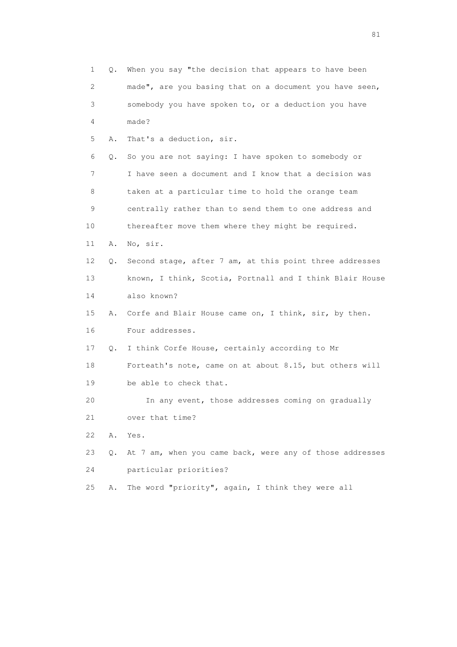1 Q. When you say "the decision that appears to have been 2 made", are you basing that on a document you have seen, 3 somebody you have spoken to, or a deduction you have 4 made? 5 A. That's a deduction, sir. 6 Q. So you are not saying: I have spoken to somebody or 7 I have seen a document and I know that a decision was 8 taken at a particular time to hold the orange team 9 centrally rather than to send them to one address and 10 thereafter move them where they might be required. 11 A. No, sir. 12 Q. Second stage, after 7 am, at this point three addresses 13 known, I think, Scotia, Portnall and I think Blair House 14 also known? 15 A. Corfe and Blair House came on, I think, sir, by then. 16 Four addresses. 17 Q. I think Corfe House, certainly according to Mr 18 Forteath's note, came on at about 8.15, but others will 19 be able to check that. 20 In any event, those addresses coming on gradually 21 over that time? 22 A. Yes. 23 Q. At 7 am, when you came back, were any of those addresses 24 particular priorities? 25 A. The word "priority", again, I think they were all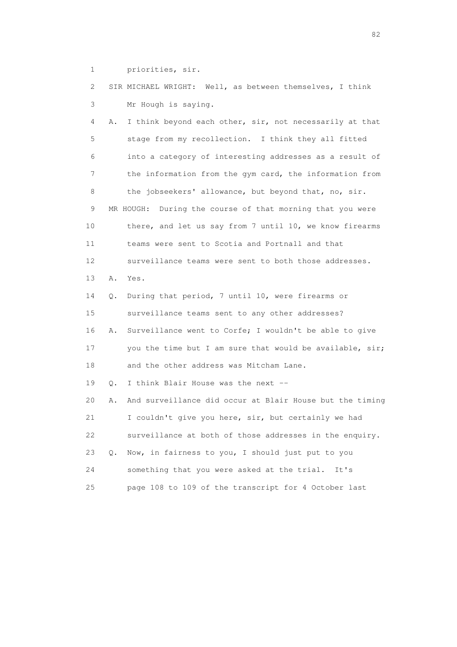1 priorities, sir.

 2 SIR MICHAEL WRIGHT: Well, as between themselves, I think 3 Mr Hough is saying. 4 A. I think beyond each other, sir, not necessarily at that 5 stage from my recollection. I think they all fitted 6 into a category of interesting addresses as a result of 7 the information from the gym card, the information from 8 the jobseekers' allowance, but beyond that, no, sir. 9 MR HOUGH: During the course of that morning that you were 10 there, and let us say from 7 until 10, we know firearms 11 teams were sent to Scotia and Portnall and that 12 surveillance teams were sent to both those addresses. 13 A. Yes. 14 Q. During that period, 7 until 10, were firearms or 15 surveillance teams sent to any other addresses? 16 A. Surveillance went to Corfe; I wouldn't be able to give 17 you the time but I am sure that would be available, sir; 18 and the other address was Mitcham Lane. 19 Q. I think Blair House was the next -- 20 A. And surveillance did occur at Blair House but the timing 21 I couldn't give you here, sir, but certainly we had 22 surveillance at both of those addresses in the enquiry. 23 Q. Now, in fairness to you, I should just put to you 24 something that you were asked at the trial. It's 25 page 108 to 109 of the transcript for 4 October last

experience of the state of the state of the state of the state of the state of the state of the state of the s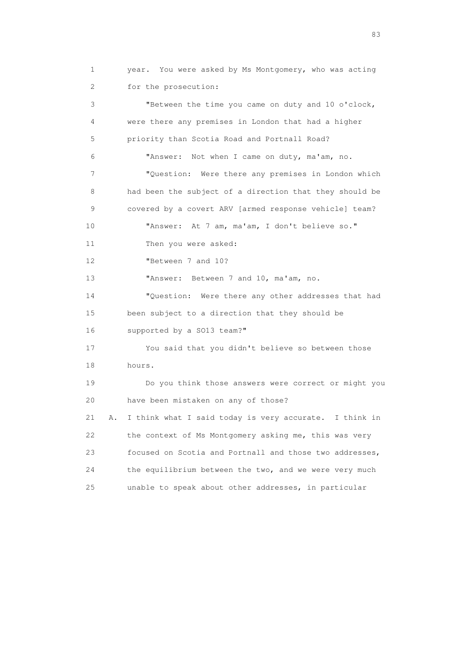1 year. You were asked by Ms Montgomery, who was acting 2 for the prosecution: 3 "Between the time you came on duty and 10 o'clock, 4 were there any premises in London that had a higher 5 priority than Scotia Road and Portnall Road? 6 "Answer: Not when I came on duty, ma'am, no. 7 "Question: Were there any premises in London which 8 had been the subject of a direction that they should be 9 covered by a covert ARV [armed response vehicle] team? 10 "Answer: At 7 am, ma'am, I don't believe so." 11 Then you were asked: 12 "Between 7 and 10? 13 "Answer: Between 7 and 10, ma'am, no. 14 "Question: Were there any other addresses that had 15 been subject to a direction that they should be 16 supported by a SO13 team?" 17 You said that you didn't believe so between those 18 hours. 19 Do you think those answers were correct or might you 20 have been mistaken on any of those? 21 A. I think what I said today is very accurate. I think in 22 the context of Ms Montgomery asking me, this was very 23 focused on Scotia and Portnall and those two addresses, 24 the equilibrium between the two, and we were very much 25 unable to speak about other addresses, in particular

experience and the contract of the contract of the contract of the contract of the contract of the contract of the contract of the contract of the contract of the contract of the contract of the contract of the contract of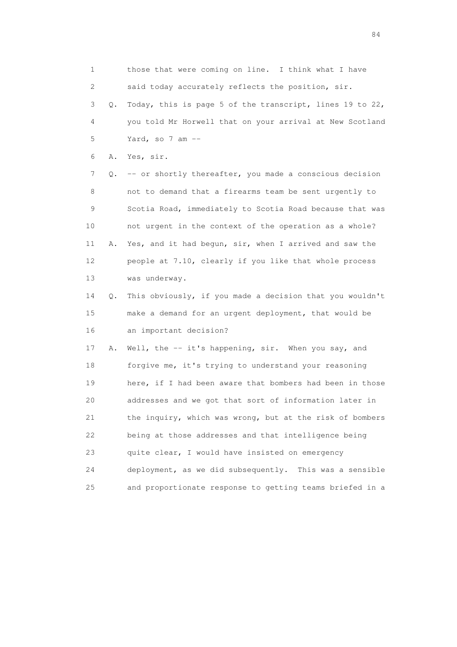1 those that were coming on line. I think what I have 2 said today accurately reflects the position, sir. 3 Q. Today, this is page 5 of the transcript, lines 19 to 22, 4 you told Mr Horwell that on your arrival at New Scotland 5 Yard, so 7 am -- 6 A. Yes, sir. 7 Q. -- or shortly thereafter, you made a conscious decision 8 not to demand that a firearms team be sent urgently to 9 Scotia Road, immediately to Scotia Road because that was 10 not urgent in the context of the operation as a whole? 11 A. Yes, and it had begun, sir, when I arrived and saw the 12 people at 7.10, clearly if you like that whole process 13 was underway. 14 Q. This obviously, if you made a decision that you wouldn't 15 make a demand for an urgent deployment, that would be 16 an important decision? 17 A. Well, the -- it's happening, sir. When you say, and 18 forgive me, it's trying to understand your reasoning 19 here, if I had been aware that bombers had been in those 20 addresses and we got that sort of information later in 21 the inquiry, which was wrong, but at the risk of bombers 22 being at those addresses and that intelligence being 23 quite clear, I would have insisted on emergency 24 deployment, as we did subsequently. This was a sensible 25 and proportionate response to getting teams briefed in a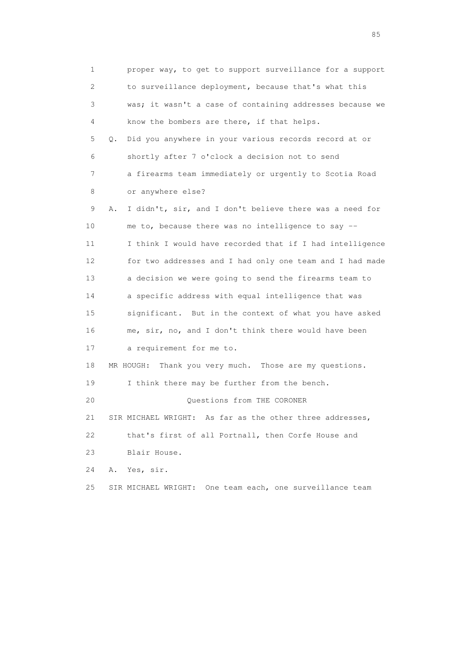1 proper way, to get to support surveillance for a support 2 to surveillance deployment, because that's what this 3 was; it wasn't a case of containing addresses because we 4 know the bombers are there, if that helps. 5 Q. Did you anywhere in your various records record at or 6 shortly after 7 o'clock a decision not to send 7 a firearms team immediately or urgently to Scotia Road 8 or anywhere else? 9 A. I didn't, sir, and I don't believe there was a need for 10 me to, because there was no intelligence to say -- 11 I think I would have recorded that if I had intelligence 12 for two addresses and I had only one team and I had made 13 a decision we were going to send the firearms team to 14 a specific address with equal intelligence that was 15 significant. But in the context of what you have asked 16 me, sir, no, and I don't think there would have been 17 a requirement for me to. 18 MR HOUGH: Thank you very much. Those are my questions. 19 I think there may be further from the bench. 20 Questions from THE CORONER 21 SIR MICHAEL WRIGHT: As far as the other three addresses, 22 that's first of all Portnall, then Corfe House and 23 Blair House. 24 A. Yes, sir. 25 SIR MICHAEL WRIGHT: One team each, one surveillance team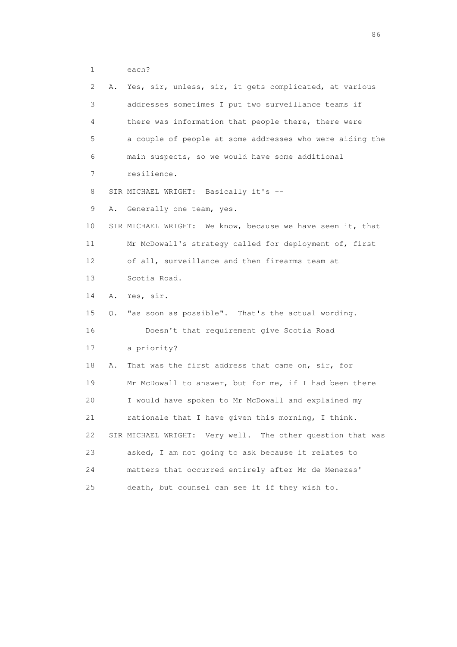| 2  | Α. | Yes, sir, unless, sir, it gets complicated, at various     |
|----|----|------------------------------------------------------------|
| 3  |    | addresses sometimes I put two surveillance teams if        |
| 4  |    | there was information that people there, there were        |
| 5  |    | a couple of people at some addresses who were aiding the   |
| 6  |    | main suspects, so we would have some additional            |
| 7  |    | resilience.                                                |
| 8  |    | SIR MICHAEL WRIGHT: Basically it's --                      |
| 9  | Α. | Generally one team, yes.                                   |
| 10 |    | SIR MICHAEL WRIGHT: We know, because we have seen it, that |
| 11 |    | Mr McDowall's strategy called for deployment of, first     |
| 12 |    | of all, surveillance and then firearms team at             |
| 13 |    | Scotia Road.                                               |
| 14 | Α. | Yes, sir.                                                  |
| 15 | Q. | "as soon as possible". That's the actual wording.          |
| 16 |    | Doesn't that requirement give Scotia Road                  |
| 17 |    | a priority?                                                |
| 18 | Α. | That was the first address that came on, sir, for          |
| 19 |    | Mr McDowall to answer, but for me, if I had been there     |
| 20 |    | I would have spoken to Mr McDowall and explained my        |
| 21 |    | rationale that I have given this morning, I think.         |
| 22 |    | SIR MICHAEL WRIGHT: Very well. The other question that was |
| 23 |    | asked, I am not going to ask because it relates to         |
| 24 |    | matters that occurred entirely after Mr de Menezes'        |
| 25 |    | death, but counsel can see it if they wish to.             |

entration of the contract of the contract of the contract of the contract of the contract of the contract of the contract of the contract of the contract of the contract of the contract of the contract of the contract of t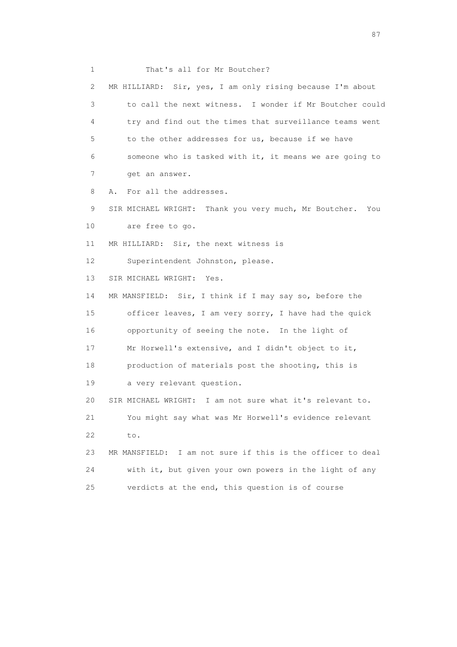1 That's all for Mr Boutcher? 2 MR HILLIARD: Sir, yes, I am only rising because I'm about 3 to call the next witness. I wonder if Mr Boutcher could 4 try and find out the times that surveillance teams went 5 to the other addresses for us, because if we have 6 someone who is tasked with it, it means we are going to 7 get an answer. 8 A. For all the addresses. 9 SIR MICHAEL WRIGHT: Thank you very much, Mr Boutcher. You 10 are free to go. 11 MR HILLIARD: Sir, the next witness is 12 Superintendent Johnston, please. 13 SIR MICHAEL WRIGHT: Yes. 14 MR MANSFIELD: Sir, I think if I may say so, before the 15 officer leaves, I am very sorry, I have had the quick 16 opportunity of seeing the note. In the light of 17 Mr Horwell's extensive, and I didn't object to it, 18 production of materials post the shooting, this is 19 a very relevant question. 20 SIR MICHAEL WRIGHT: I am not sure what it's relevant to. 21 You might say what was Mr Horwell's evidence relevant 22 to. 23 MR MANSFIELD: I am not sure if this is the officer to deal 24 with it, but given your own powers in the light of any 25 verdicts at the end, this question is of course

experience of the state of the state of the state of the state of the state of the state of the state of the state of the state of the state of the state of the state of the state of the state of the state of the state of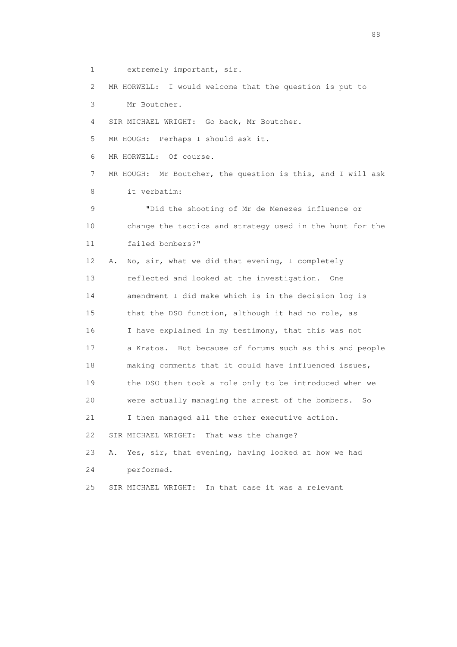1 extremely important, sir.

2 MR HORWELL: I would welcome that the question is put to

3 Mr Boutcher.

4 SIR MICHAEL WRIGHT: Go back, Mr Boutcher.

5 MR HOUGH: Perhaps I should ask it.

6 MR HORWELL: Of course.

 7 MR HOUGH: Mr Boutcher, the question is this, and I will ask 8 it verbatim:

 9 "Did the shooting of Mr de Menezes influence or 10 change the tactics and strategy used in the hunt for the 11 failed bombers?"

 12 A. No, sir, what we did that evening, I completely 13 reflected and looked at the investigation. One 14 amendment I did make which is in the decision log is 15 that the DSO function, although it had no role, as 16 I have explained in my testimony, that this was not 17 a Kratos. But because of forums such as this and people 18 making comments that it could have influenced issues, 19 the DSO then took a role only to be introduced when we 20 were actually managing the arrest of the bombers. So 21 I then managed all the other executive action. 22 SIR MICHAEL WRIGHT: That was the change?

23 A. Yes, sir, that evening, having looked at how we had

24 performed.

25 SIR MICHAEL WRIGHT: In that case it was a relevant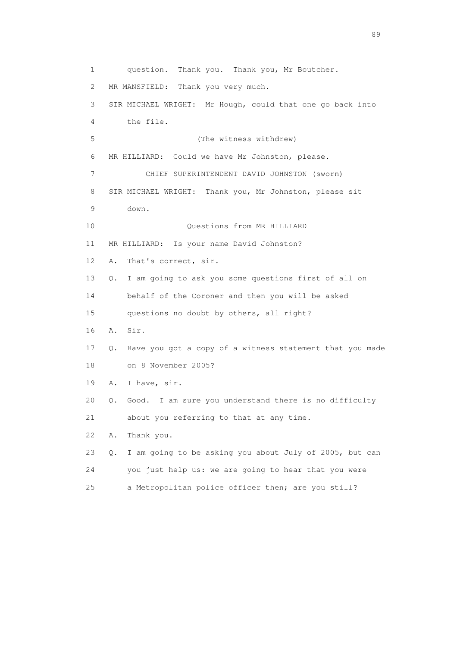1 question. Thank you. Thank you, Mr Boutcher. 2 MR MANSFIELD: Thank you very much. 3 SIR MICHAEL WRIGHT: Mr Hough, could that one go back into 4 the file. 5 (The witness withdrew) 6 MR HILLIARD: Could we have Mr Johnston, please. 7 CHIEF SUPERINTENDENT DAVID JOHNSTON (sworn) 8 SIR MICHAEL WRIGHT: Thank you, Mr Johnston, please sit 9 down. 10 Questions from MR HILLIARD 11 MR HILLIARD: Is your name David Johnston? 12 A. That's correct, sir. 13 Q. I am going to ask you some questions first of all on 14 behalf of the Coroner and then you will be asked 15 questions no doubt by others, all right? 16 A. Sir. 17 Q. Have you got a copy of a witness statement that you made 18 on 8 November 2005? 19 A. I have, sir. 20 Q. Good. I am sure you understand there is no difficulty 21 about you referring to that at any time. 22 A. Thank you. 23 Q. I am going to be asking you about July of 2005, but can 24 you just help us: we are going to hear that you were 25 a Metropolitan police officer then; are you still?

en andere en de la seule de la constantin de la constantin de la constantin de la constantin de la constantin<br>189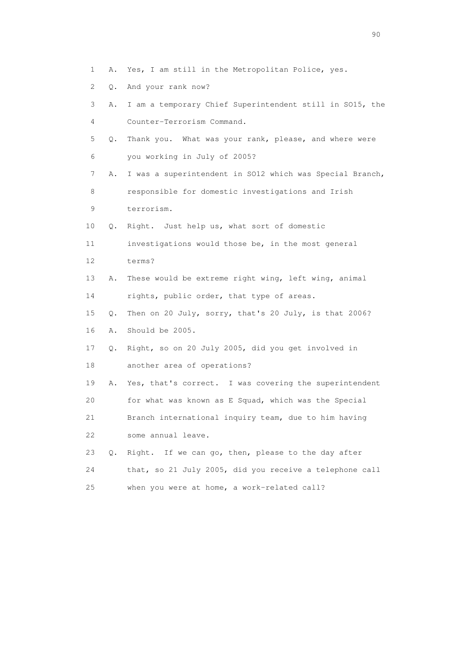- 1 A. Yes, I am still in the Metropolitan Police, yes.
- 2 Q. And your rank now?
- 3 A. I am a temporary Chief Superintendent still in SO15, the 4 Counter-Terrorism Command.
- 5 Q. Thank you. What was your rank, please, and where were 6 you working in July of 2005?
- 7 A. I was a superintendent in SO12 which was Special Branch, 8 responsible for domestic investigations and Irish
- 9 terrorism.
- 10 Q. Right. Just help us, what sort of domestic
- 11 investigations would those be, in the most general 12 terms?
- 13 A. These would be extreme right wing, left wing, animal
- 14 rights, public order, that type of areas.
- 15 Q. Then on 20 July, sorry, that's 20 July, is that 2006?
- 16 A. Should be 2005.
- 17 Q. Right, so on 20 July 2005, did you get involved in 18 another area of operations?
- 19 A. Yes, that's correct. I was covering the superintendent 20 for what was known as E Squad, which was the Special 21 Branch international inquiry team, due to him having 22 some annual leave.
- 23 Q. Right. If we can go, then, please to the day after 24 that, so 21 July 2005, did you receive a telephone call 25 when you were at home, a work-related call?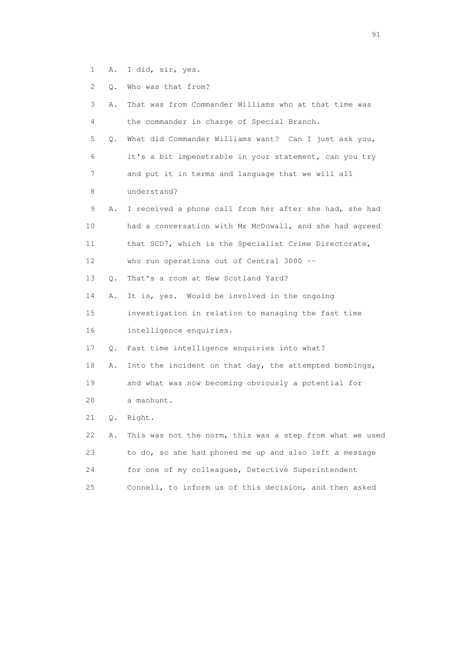- 1 A. I did, sir, yes.
- 2 Q. Who was that from?

| 3  | Α. | That was from Commander Williams who at that time was    |
|----|----|----------------------------------------------------------|
| 4  |    | the commander in charge of Special Branch.               |
| 5  | Q. | What did Commander Williams want? Can I just ask you,    |
| 6  |    | it's a bit impenetrable in your statement, can you try   |
| 7  |    | and put it in terms and language that we will all        |
| 8  |    | understand?                                              |
| 9  | Α. | I received a phone call from her after she had, she had  |
| 10 |    | had a conversation with Mr McDowall, and she had agreed  |
| 11 |    | that SCD7, which is the Specialist Crime Directorate,    |
| 12 |    | who run operations out of Central 3000 --                |
| 13 | Q. | That's a room at New Scotland Yard?                      |
| 14 | Α. | It is, yes. Would be involved in the ongoing             |
| 15 |    | investigation in relation to managing the fast time      |
| 16 |    | intelligence enquiries.                                  |
| 17 | Q. | Fast time intelligence enquiries into what?              |
| 18 | Α. | Into the incident on that day, the attempted bombings,   |
| 19 |    | and what was now becoming obviously a potential for      |
| 20 |    | a manhunt.                                               |
| 21 | Q. | Right.                                                   |
| 22 | Α. | This was not the norm, this was a step from what we used |
| 23 |    | to do, so she had phoned me up and also left a message   |
| 24 |    | for one of my colleagues, Detective Superintendent       |
| 25 |    | Connell, to inform us of this decision, and then asked   |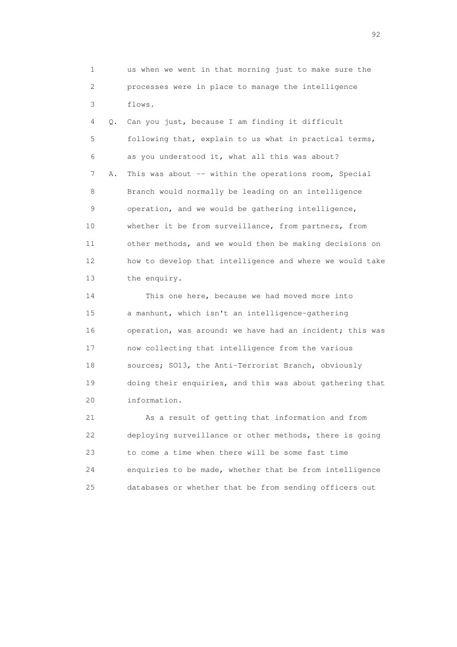1 us when we went in that morning just to make sure the 2 processes were in place to manage the intelligence 3 flows.

 4 Q. Can you just, because I am finding it difficult 5 following that, explain to us what in practical terms, 6 as you understood it, what all this was about? 7 A. This was about -- within the operations room, Special 8 Branch would normally be leading on an intelligence 9 operation, and we would be gathering intelligence, 10 whether it be from surveillance, from partners, from 11 other methods, and we would then be making decisions on 12 how to develop that intelligence and where we would take 13 the enquiry.

 14 This one here, because we had moved more into 15 a manhunt, which isn't an intelligence-gathering 16 operation, was around: we have had an incident; this was 17 now collecting that intelligence from the various 18 sources; SO13, the Anti-Terrorist Branch, obviously 19 doing their enquiries, and this was about gathering that 20 information.

 21 As a result of getting that information and from 22 deploying surveillance or other methods, there is going 23 to come a time when there will be some fast time 24 enquiries to be made, whether that be from intelligence 25 databases or whether that be from sending officers out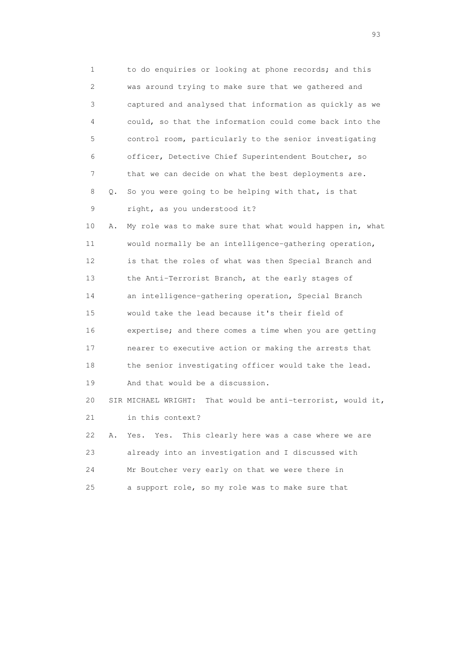1 to do enquiries or looking at phone records; and this 2 was around trying to make sure that we gathered and 3 captured and analysed that information as quickly as we 4 could, so that the information could come back into the 5 control room, particularly to the senior investigating 6 officer, Detective Chief Superintendent Boutcher, so 7 that we can decide on what the best deployments are. 8 Q. So you were going to be helping with that, is that 9 right, as you understood it? 10 A. My role was to make sure that what would happen in, what 11 would normally be an intelligence-gathering operation, 12 is that the roles of what was then Special Branch and 13 the Anti-Terrorist Branch, at the early stages of 14 an intelligence-gathering operation, Special Branch 15 would take the lead because it's their field of 16 expertise; and there comes a time when you are getting 17 nearer to executive action or making the arrests that 18 the senior investigating officer would take the lead. 19 And that would be a discussion. 20 SIR MICHAEL WRIGHT: That would be anti-terrorist, would it, 21 in this context? 22 A. Yes. Yes. This clearly here was a case where we are 23 already into an investigation and I discussed with 24 Mr Boutcher very early on that we were there in 25 a support role, so my role was to make sure that

experience of the contract of the contract of the contract of the contract of the contract of the contract of the contract of the contract of the contract of the contract of the contract of the contract of the contract of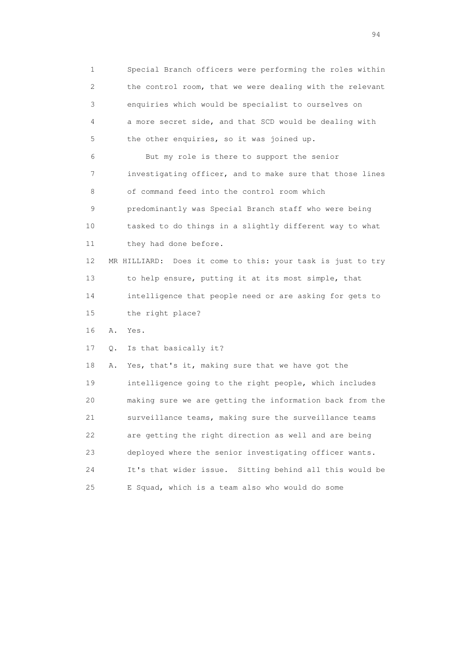1 Special Branch officers were performing the roles within 2 the control room, that we were dealing with the relevant 3 enquiries which would be specialist to ourselves on 4 a more secret side, and that SCD would be dealing with 5 the other enquiries, so it was joined up.

 6 But my role is there to support the senior 7 investigating officer, and to make sure that those lines 8 of command feed into the control room which 9 predominantly was Special Branch staff who were being 10 tasked to do things in a slightly different way to what 11 they had done before.

 12 MR HILLIARD: Does it come to this: your task is just to try 13 to help ensure, putting it at its most simple, that 14 intelligence that people need or are asking for gets to 15 the right place?

16 A. Yes.

17 Q. Is that basically it?

 18 A. Yes, that's it, making sure that we have got the 19 intelligence going to the right people, which includes 20 making sure we are getting the information back from the 21 surveillance teams, making sure the surveillance teams 22 are getting the right direction as well and are being 23 deployed where the senior investigating officer wants. 24 It's that wider issue. Sitting behind all this would be 25 E Squad, which is a team also who would do some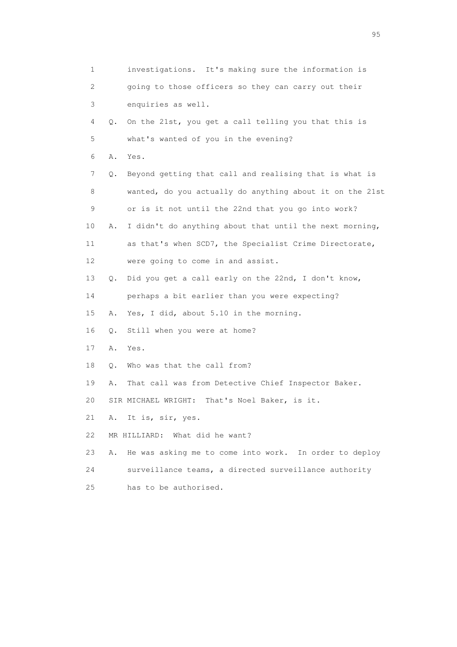| 1  |    | investigations. It's making sure the information is      |
|----|----|----------------------------------------------------------|
| 2  |    | going to those officers so they can carry out their      |
| 3  |    | enquiries as well.                                       |
| 4  | Q. | On the 21st, you get a call telling you that this is     |
| 5  |    | what's wanted of you in the evening?                     |
| 6  | Α. | Yes.                                                     |
| 7  | Q. | Beyond getting that call and realising that is what is   |
| 8  |    | wanted, do you actually do anything about it on the 21st |
| 9  |    | or is it not until the 22nd that you go into work?       |
| 10 | Α. | I didn't do anything about that until the next morning,  |
| 11 |    | as that's when SCD7, the Specialist Crime Directorate,   |
| 12 |    | were going to come in and assist.                        |
| 13 | Q. | Did you get a call early on the 22nd, I don't know,      |
| 14 |    | perhaps a bit earlier than you were expecting?           |
| 15 | Α. | Yes, I did, about 5.10 in the morning.                   |
| 16 | Q. | Still when you were at home?                             |
| 17 | Α. | Yes.                                                     |
| 18 | Q. | Who was that the call from?                              |
| 19 | Α. | That call was from Detective Chief Inspector Baker.      |
| 20 |    | SIR MICHAEL WRIGHT:<br>That's Noel Baker, is it.         |
| 21 | Α. | It is, sir, yes.                                         |
| 22 |    | MR HILLIARD: What did he want?                           |
| 23 | Α. | He was asking me to come into work. In order to deploy   |
| 24 |    | surveillance teams, a directed surveillance authority    |
| 25 |    | has to be authorised.                                    |
|    |    |                                                          |

experience of the contract of the contract of the contract of the contract of the contract of the contract of the contract of the contract of the contract of the contract of the contract of the contract of the contract of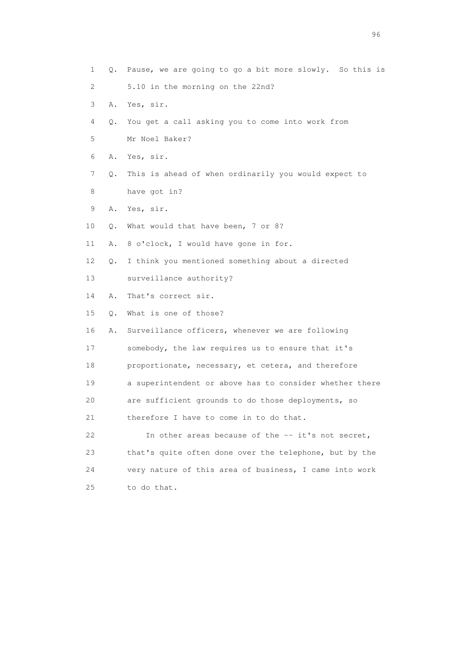1 Q. Pause, we are going to go a bit more slowly. So this is 2 5.10 in the morning on the 22nd? 3 A. Yes, sir. 4 Q. You get a call asking you to come into work from 5 Mr Noel Baker? 6 A. Yes, sir. 7 Q. This is ahead of when ordinarily you would expect to 8 have got in? 9 A. Yes, sir. 10 Q. What would that have been, 7 or 8? 11 A. 8 o'clock, I would have gone in for. 12 Q. I think you mentioned something about a directed 13 surveillance authority? 14 A. That's correct sir. 15 Q. What is one of those? 16 A. Surveillance officers, whenever we are following 17 somebody, the law requires us to ensure that it's 18 proportionate, necessary, et cetera, and therefore 19 a superintendent or above has to consider whether there 20 are sufficient grounds to do those deployments, so 21 therefore I have to come in to do that. 22 In other areas because of the -- it's not secret, 23 that's quite often done over the telephone, but by the 24 very nature of this area of business, I came into work 25 to do that.

<u>96 and the state of the state of the state of the state of the state of the state of the state of the state of the state of the state of the state of the state of the state of the state of the state of the state of the st</u>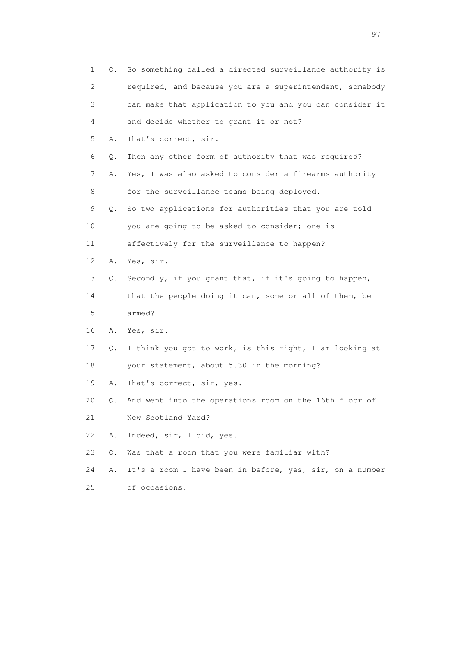| $\mathbf 1$ | Q.    | So something called a directed surveillance authority is |
|-------------|-------|----------------------------------------------------------|
| 2           |       | required, and because you are a superintendent, somebody |
| 3           |       | can make that application to you and you can consider it |
| 4           |       | and decide whether to grant it or not?                   |
| 5           | Α.    | That's correct, sir.                                     |
| 6           | $Q$ . | Then any other form of authority that was required?      |
| 7           | Α.    | Yes, I was also asked to consider a firearms authority   |
| 8           |       | for the surveillance teams being deployed.               |
| 9           | Q.    | So two applications for authorities that you are told    |
| 10          |       | you are going to be asked to consider; one is            |
| 11          |       | effectively for the surveillance to happen?              |
| 12          | Α.    | Yes, sir.                                                |
| 13          | Q.    | Secondly, if you grant that, if it's going to happen,    |
| 14          |       | that the people doing it can, some or all of them, be    |
| 15          |       | armed?                                                   |
| 16          | Α.    | Yes, sir.                                                |
| 17          | Q.    | I think you got to work, is this right, I am looking at  |
| 18          |       | your statement, about 5.30 in the morning?               |
| 19          | Α.    | That's correct, sir, yes.                                |
| 20          | Q.    | And went into the operations room on the 16th floor of   |
| 21          |       | New Scotland Yard?                                       |
| 22          | Α.    | Indeed, sir, I did, yes.                                 |
| 23          | Q.    | Was that a room that you were familiar with?             |
| 24          | Α.    | It's a room I have been in before, yes, sir, on a number |
| 25          |       | of occasions.                                            |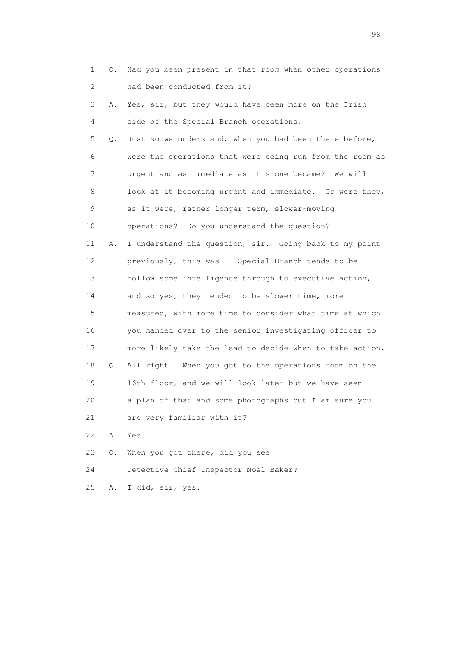| $\mathbf 1$ | Q. | Had you been present in that room when other operations  |
|-------------|----|----------------------------------------------------------|
| 2           |    | had been conducted from it?                              |
| 3           | Α. | Yes, sir, but they would have been more on the Irish     |
| 4           |    | side of the Special Branch operations.                   |
| 5           | Q. | Just so we understand, when you had been there before,   |
| 6           |    | were the operations that were being run from the room as |
| 7           |    | urgent and as immediate as this one became? We will      |
| 8           |    | look at it becoming urgent and immediate. Or were they,  |
| 9           |    | as it were, rather longer term, slower-moving            |
| 10          |    | operations? Do you understand the question?              |
| 11          | Α. | I understand the question, sir. Going back to my point   |
| 12          |    | previously, this was -- Special Branch tends to be       |
| 13          |    | follow some intelligence through to executive action,    |
| 14          |    | and so yes, they tended to be slower time, more          |
| 15          |    | measured, with more time to consider what time at which  |
| 16          |    | you handed over to the senior investigating officer to   |
| 17          |    | more likely take the lead to decide when to take action. |
| 18          | Q. | All right. When you got to the operations room on the    |
| 19          |    | 16th floor, and we will look later but we have seen      |
| 20          |    | a plan of that and some photographs but I am sure you    |
| 21          |    | are very familiar with it?                               |
| 22          | Α. | Yes.                                                     |
| 23          | Q. | When you got there, did you see                          |
| 24          |    | Detective Chief Inspector Noel Baker?                    |
| 25          | Α. | I did, sir, yes.                                         |

en 1988 en 1989 en 1989 en 1989 en 1989 en 1989 en 1989 en 1989 en 1989 en 1989 en 1989 en 1989 en 1989 en 19<br>De grote en 1989 en 1989 en 1989 en 1989 en 1989 en 1989 en 1989 en 1989 en 1989 en 1989 en 1989 en 1989 en 19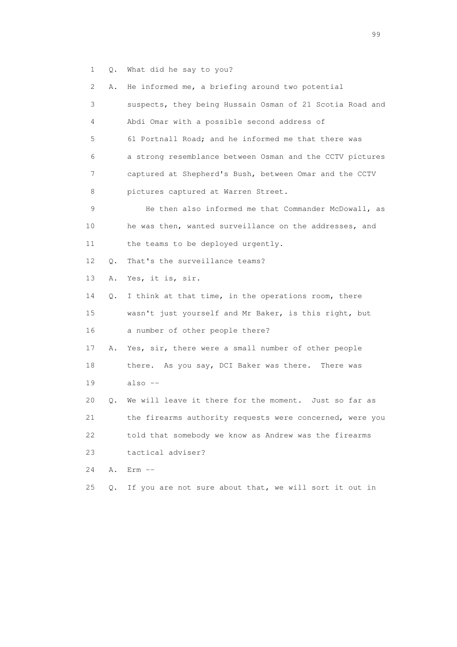1 Q. What did he say to you?

|                 | 2<br>Α.   | He informed me, a briefing around two potential             |
|-----------------|-----------|-------------------------------------------------------------|
|                 | 3         | suspects, they being Hussain Osman of 21 Scotia Road and    |
|                 | 4         | Abdi Omar with a possible second address of                 |
|                 | 5         | 61 Portnall Road; and he informed me that there was         |
|                 | 6         | a strong resemblance between Osman and the CCTV pictures    |
|                 | 7         | captured at Shepherd's Bush, between Omar and the CCTV      |
|                 | 8         | pictures captured at Warren Street.                         |
|                 | 9         | He then also informed me that Commander McDowall, as        |
| 10              |           | he was then, wanted surveillance on the addresses, and      |
| 11              |           | the teams to be deployed urgently.                          |
| 12 <sup>°</sup> | $\circ$ . | That's the surveillance teams?                              |
| 13              | Α.        | Yes, it is, sir.                                            |
| 14              | О.        | I think at that time, in the operations room, there         |
| 15              |           | wasn't just yourself and Mr Baker, is this right, but       |
| 16              |           | a number of other people there?                             |
| 17              | Α.        | Yes, sir, there were a small number of other people         |
| 18              |           | there. As you say, DCI Baker was there. There was           |
| 19              |           | $also --$                                                   |
| 20              |           | We will leave it there for the moment. Just so far as<br>Q. |
| 21              |           | the firearms authority requests were concerned, were you    |
| 22              |           | told that somebody we know as Andrew was the firearms       |
| 23              |           | tactical adviser?                                           |
| 24              | Α.        | $Erm -$                                                     |
| 25              | Q.        | If you are not sure about that, we will sort it out in      |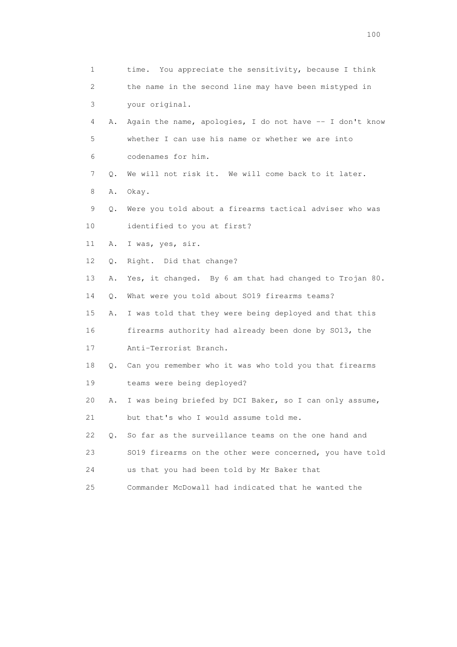| $\mathbf 1$     |    | time. You appreciate the sensitivity, because I think    |
|-----------------|----|----------------------------------------------------------|
| 2               |    | the name in the second line may have been mistyped in    |
| 3               |    | your original.                                           |
| 4               | Α. | Again the name, apologies, I do not have -- I don't know |
| 5               |    | whether I can use his name or whether we are into        |
| 6               |    | codenames for him.                                       |
| 7               | Q. | We will not risk it. We will come back to it later.      |
| 8               | Α. | Okay.                                                    |
| 9               | Q. | Were you told about a firearms tactical adviser who was  |
| 10              |    | identified to you at first?                              |
| 11              | Α. | I was, yes, sir.                                         |
| 12 <sup>°</sup> | Q. | Right. Did that change?                                  |
| 13              | Α. | Yes, it changed. By 6 am that had changed to Trojan 80.  |
| 14              | Q. | What were you told about SO19 firearms teams?            |
| 15              | Α. | I was told that they were being deployed and that this   |
| 16              |    | firearms authority had already been done by SO13, the    |
| 17              |    | Anti-Terrorist Branch.                                   |
| 18              | Q. | Can you remember who it was who told you that firearms   |
| 19              |    | teams were being deployed?                               |
| 20              | Α. | I was being briefed by DCI Baker, so I can only assume,  |
| 21              |    | but that's who I would assume told me.                   |
| 22              | О. | So far as the surveillance teams on the one hand and     |
| 23              |    | SO19 firearms on the other were concerned, you have told |
| 24              |    | us that you had been told by Mr Baker that               |
| 25              |    | Commander McDowall had indicated that he wanted the      |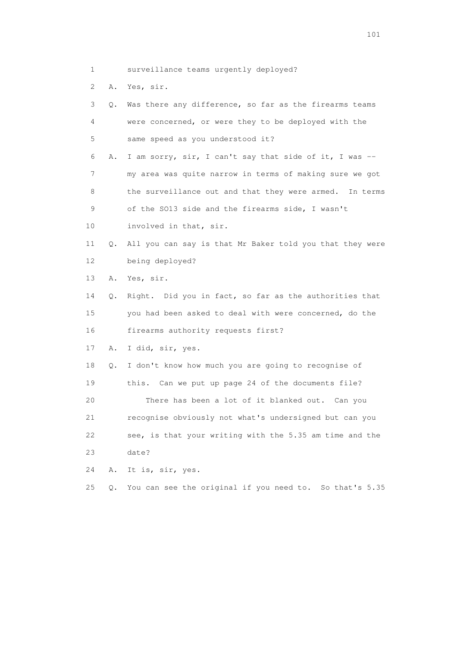- 1 surveillance teams urgently deployed?
- 2 A. Yes, sir.

| 3               | Q. | Was there any difference, so far as the firearms teams       |
|-----------------|----|--------------------------------------------------------------|
| 4               |    | were concerned, or were they to be deployed with the         |
| 5               |    | same speed as you understood it?                             |
| 6               | Α. | I am sorry, sir, I can't say that side of it, I was --       |
| 7               |    | my area was quite narrow in terms of making sure we got      |
| 8               |    | the surveillance out and that they were armed. In terms      |
| 9               |    | of the SO13 side and the firearms side, I wasn't             |
| 10              |    | involved in that, sir.                                       |
| 11              | Q. | All you can say is that Mr Baker told you that they were     |
| 12 <sup>°</sup> |    | being deployed?                                              |
| 13              | Α. | Yes, sir.                                                    |
| 14              | О. | Right. Did you in fact, so far as the authorities that       |
| 15              |    | you had been asked to deal with were concerned, do the       |
| 16              |    | firearms authority requests first?                           |
| 17              | Α. | I did, sir, yes.                                             |
| 18              | Q. | I don't know how much you are going to recognise of          |
| 19              |    | this. Can we put up page 24 of the documents file?           |
| 20              |    | There has been a lot of it blanked out. Can you              |
| 21              |    | recognise obviously not what's undersigned but can you       |
| 22              |    | see, is that your writing with the 5.35 am time and the      |
| 23              |    | date?                                                        |
| 24              | Α. | It is, sir, yes.                                             |
| 25              | О. | You can see the original if you need to.<br>So that's $5.35$ |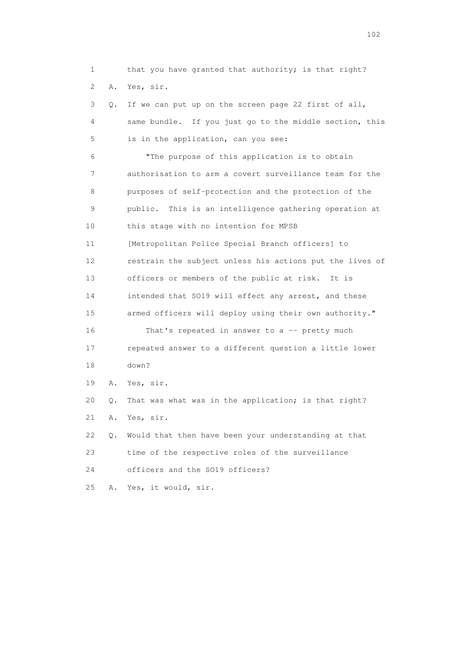1 that you have granted that authority; is that right? 2 A. Yes, sir. 3 Q. If we can put up on the screen page 22 first of all, 4 same bundle. If you just go to the middle section, this 5 is in the application, can you see: 6 "The purpose of this application is to obtain 7 authorisation to arm a covert surveillance team for the 8 purposes of self-protection and the protection of the 9 public. This is an intelligence gathering operation at 10 this stage with no intention for MPSB 11 [Metropolitan Police Special Branch officers] to 12 restrain the subject unless his actions put the lives of 13 officers or members of the public at risk. It is 14 intended that SO19 will effect any arrest, and these 15 armed officers will deploy using their own authority." 16 That's repeated in answer to a -- pretty much 17 repeated answer to a different question a little lower 18 down? 19 A. Yes, sir. 20 Q. That was what was in the application; is that right? 21 A. Yes, sir. 22 Q. Would that then have been your understanding at that 23 time of the respective roles of the surveillance 24 officers and the SO19 officers?

25 A. Yes, it would, sir.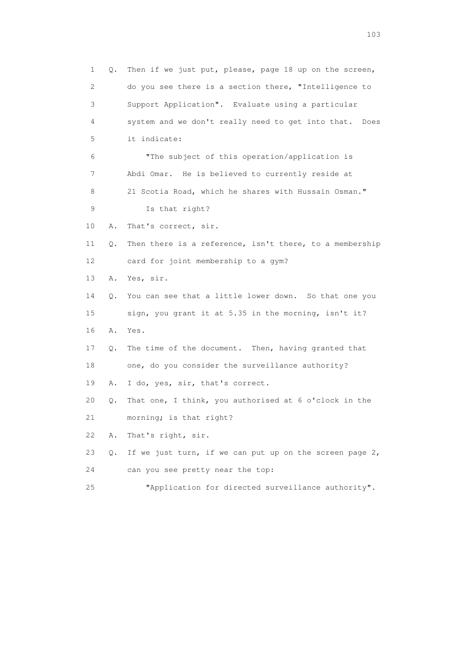1 Q. Then if we just put, please, page 18 up on the screen, 2 do you see there is a section there, "Intelligence to 3 Support Application". Evaluate using a particular 4 system and we don't really need to get into that. Does 5 it indicate: 6 "The subject of this operation/application is 7 Abdi Omar. He is believed to currently reside at 8 21 Scotia Road, which he shares with Hussain Osman." 9 Is that right? 10 A. That's correct, sir. 11 Q. Then there is a reference, isn't there, to a membership 12 card for joint membership to a gym? 13 A. Yes, sir. 14 Q. You can see that a little lower down. So that one you 15 sign, you grant it at 5.35 in the morning, isn't it? 16 A. Yes. 17 Q. The time of the document. Then, having granted that 18 one, do you consider the surveillance authority? 19 A. I do, yes, sir, that's correct. 20 Q. That one, I think, you authorised at 6 o'clock in the 21 morning; is that right? 22 A. That's right, sir. 23 Q. If we just turn, if we can put up on the screen page 2, 24 can you see pretty near the top: 25 "Application for directed surveillance authority".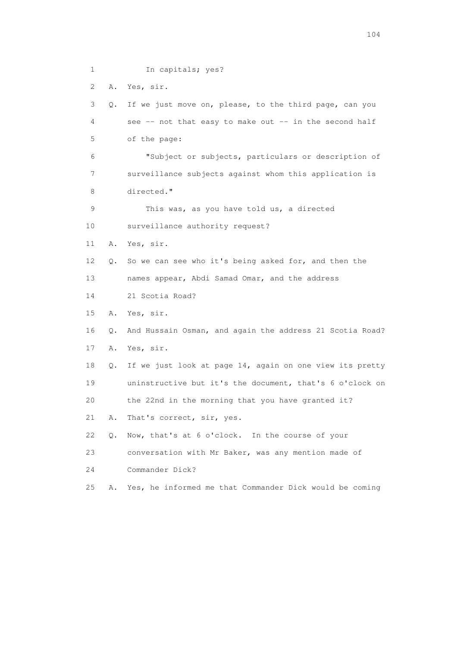1 In capitals; yes? 2 A. Yes, sir. 3 Q. If we just move on, please, to the third page, can you 4 see -- not that easy to make out -- in the second half 5 of the page: 6 "Subject or subjects, particulars or description of 7 surveillance subjects against whom this application is 8 directed." 9 This was, as you have told us, a directed 10 surveillance authority request? 11 A. Yes, sir. 12 Q. So we can see who it's being asked for, and then the 13 names appear, Abdi Samad Omar, and the address 14 21 Scotia Road? 15 A. Yes, sir. 16 Q. And Hussain Osman, and again the address 21 Scotia Road? 17 A. Yes, sir. 18 Q. If we just look at page 14, again on one view its pretty 19 uninstructive but it's the document, that's 6 o'clock on 20 the 22nd in the morning that you have granted it? 21 A. That's correct, sir, yes. 22 Q. Now, that's at 6 o'clock. In the course of your 23 conversation with Mr Baker, was any mention made of 24 Commander Dick? 25 A. Yes, he informed me that Commander Dick would be coming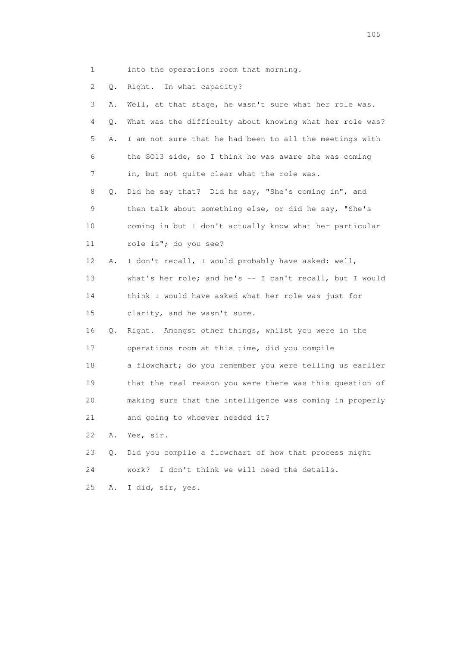- 1 into the operations room that morning.
- 2 Q. Right. In what capacity?

| 3  | Α. | Well, at that stage, he wasn't sure what her role was.    |
|----|----|-----------------------------------------------------------|
| 4  | Q. | What was the difficulty about knowing what her role was?  |
| 5  | Α. | I am not sure that he had been to all the meetings with   |
| 6  |    | the SO13 side, so I think he was aware she was coming     |
| 7  |    | in, but not quite clear what the role was.                |
| 8  | Q. | Did he say that? Did he say, "She's coming in", and       |
| 9  |    | then talk about something else, or did he say, "She's     |
| 10 |    | coming in but I don't actually know what her particular   |
| 11 |    | role is"; do you see?                                     |
| 12 | Α. | I don't recall, I would probably have asked: well,        |
| 13 |    | what's her role; and he's $-$ I can't recall, but I would |
| 14 |    | think I would have asked what her role was just for       |
| 15 |    | clarity, and he wasn't sure.                              |
| 16 | Q. | Right. Amongst other things, whilst you were in the       |
| 17 |    | operations room at this time, did you compile             |
| 18 |    | a flowchart; do you remember you were telling us earlier  |
| 19 |    | that the real reason you were there was this question of  |
| 20 |    | making sure that the intelligence was coming in properly  |
| 21 |    | and going to whoever needed it?                           |
| 22 | Α. | Yes, sir.                                                 |
| 23 | О. | Did you compile a flowchart of how that process might     |
| 24 |    | work?<br>I don't think we will need the details.          |
| 25 | Α. | I did, sir, yes.                                          |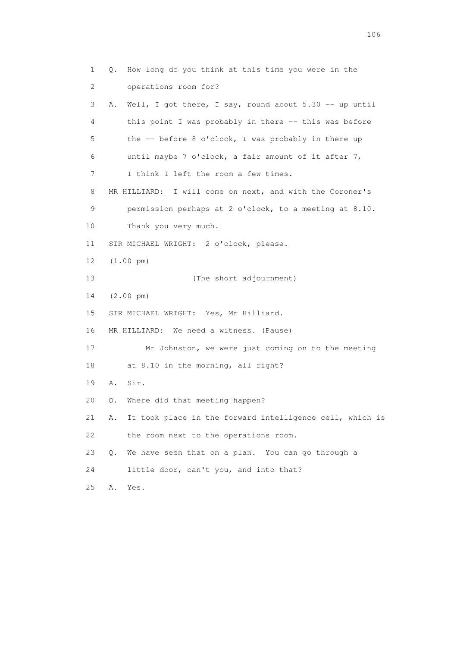1 Q. How long do you think at this time you were in the 2 operations room for? 3 A. Well, I got there, I say, round about 5.30 -- up until 4 this point I was probably in there -- this was before 5 the -- before 8 o'clock, I was probably in there up 6 until maybe 7 o'clock, a fair amount of it after 7, 7 I think I left the room a few times. 8 MR HILLIARD: I will come on next, and with the Coroner's 9 permission perhaps at 2 o'clock, to a meeting at 8.10. 10 Thank you very much. 11 SIR MICHAEL WRIGHT: 2 o'clock, please. 12 (1.00 pm) 13 (The short adjournment) 14 (2.00 pm) 15 SIR MICHAEL WRIGHT: Yes, Mr Hilliard. 16 MR HILLIARD: We need a witness. (Pause) 17 Mr Johnston, we were just coming on to the meeting 18 at 8.10 in the morning, all right? 19 A. Sir. 20 Q. Where did that meeting happen? 21 A. It took place in the forward intelligence cell, which is 22 the room next to the operations room. 23 Q. We have seen that on a plan. You can go through a 24 little door, can't you, and into that? 25 A. Yes.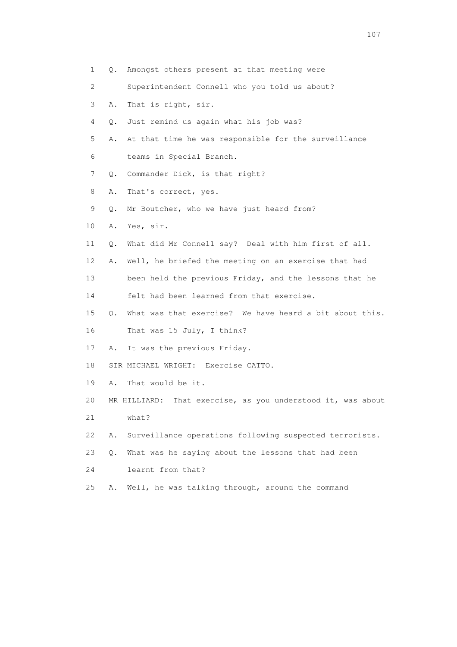1 Q. Amongst others present at that meeting were 2 Superintendent Connell who you told us about? 3 A. That is right, sir. 4 Q. Just remind us again what his job was? 5 A. At that time he was responsible for the surveillance 6 teams in Special Branch. 7 Q. Commander Dick, is that right? 8 A. That's correct, yes. 9 Q. Mr Boutcher, who we have just heard from? 10 A. Yes, sir. 11 Q. What did Mr Connell say? Deal with him first of all. 12 A. Well, he briefed the meeting on an exercise that had 13 been held the previous Friday, and the lessons that he 14 felt had been learned from that exercise. 15 Q. What was that exercise? We have heard a bit about this. 16 That was 15 July, I think? 17 A. It was the previous Friday. 18 SIR MICHAEL WRIGHT: Exercise CATTO. 19 A. That would be it. 20 MR HILLIARD: That exercise, as you understood it, was about 21 what? 22 A. Surveillance operations following suspected terrorists. 23 Q. What was he saying about the lessons that had been 24 learnt from that? 25 A. Well, he was talking through, around the command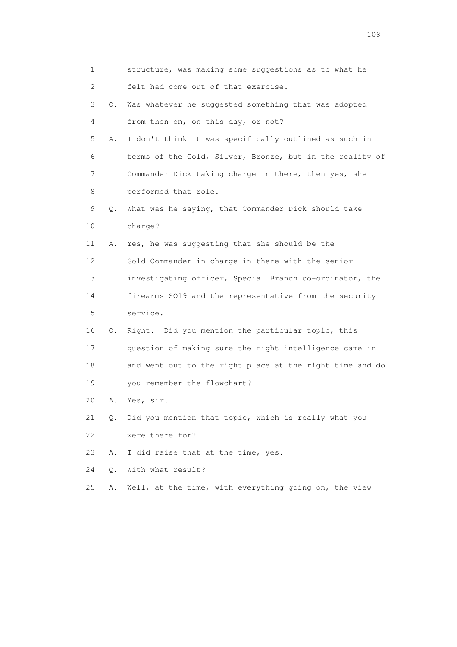| 1           |    | structure, was making some suggestions as to what he     |
|-------------|----|----------------------------------------------------------|
| 2           |    | felt had come out of that exercise.                      |
| 3           | Q. | Was whatever he suggested something that was adopted     |
| 4           |    | from then on, on this day, or not?                       |
| 5           | Α. | I don't think it was specifically outlined as such in    |
| 6           |    | terms of the Gold, Silver, Bronze, but in the reality of |
| 7           |    | Commander Dick taking charge in there, then yes, she     |
| 8           |    | performed that role.                                     |
| $\mathsf 9$ | Q. | What was he saying, that Commander Dick should take      |
| 10          |    | charge?                                                  |
| 11          | Α. | Yes, he was suggesting that she should be the            |
| 12          |    | Gold Commander in charge in there with the senior        |
| 13          |    | investigating officer, Special Branch co-ordinator, the  |
| 14          |    | firearms SO19 and the representative from the security   |
| 15          |    | service.                                                 |
| 16          | Q. | Right. Did you mention the particular topic, this        |
| 17          |    | question of making sure the right intelligence came in   |
| 18          |    | and went out to the right place at the right time and do |
| 19          |    | you remember the flowchart?                              |
| 20          | Α. | Yes, sir.                                                |
| 21          | Q. | Did you mention that topic, which is really what you     |
| 22          |    | were there for?                                          |
| 23          | Α. | I did raise that at the time, yes.                       |
| 24          | Q. | With what result?                                        |
| 25          | Α. | Well, at the time, with everything going on, the view    |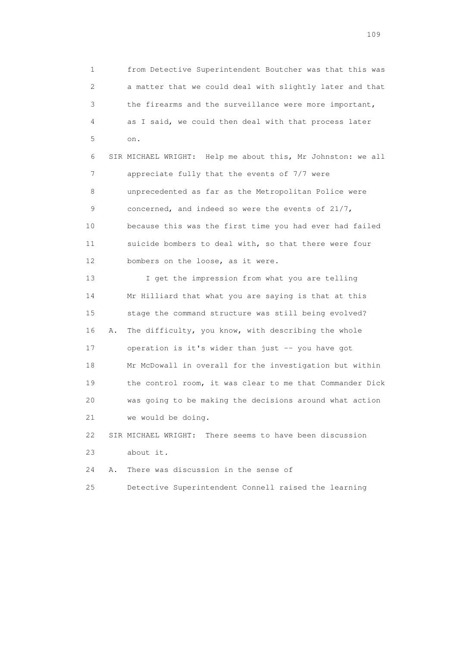1 from Detective Superintendent Boutcher was that this was 2 a matter that we could deal with slightly later and that 3 the firearms and the surveillance were more important, 4 as I said, we could then deal with that process later 5 on.

 6 SIR MICHAEL WRIGHT: Help me about this, Mr Johnston: we all 7 appreciate fully that the events of 7/7 were 8 unprecedented as far as the Metropolitan Police were 9 concerned, and indeed so were the events of 21/7, 10 because this was the first time you had ever had failed 11 suicide bombers to deal with, so that there were four 12 bombers on the loose, as it were.

 13 I get the impression from what you are telling 14 Mr Hilliard that what you are saying is that at this 15 stage the command structure was still being evolved? 16 A. The difficulty, you know, with describing the whole 17 operation is it's wider than just -- you have got 18 Mr McDowall in overall for the investigation but within 19 the control room, it was clear to me that Commander Dick 20 was going to be making the decisions around what action 21 we would be doing.

 22 SIR MICHAEL WRIGHT: There seems to have been discussion 23 about it.

24 A. There was discussion in the sense of

25 Detective Superintendent Connell raised the learning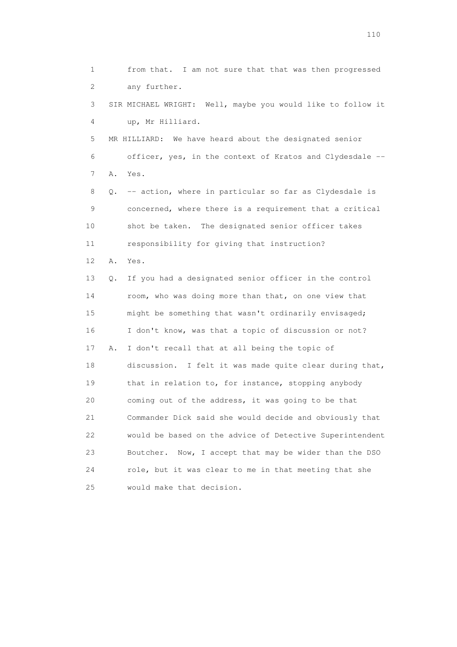1 from that. I am not sure that that was then progressed 2 any further. 3 SIR MICHAEL WRIGHT: Well, maybe you would like to follow it 4 up, Mr Hilliard. 5 MR HILLIARD: We have heard about the designated senior 6 officer, yes, in the context of Kratos and Clydesdale -- 7 A. Yes. 8 Q. -- action, where in particular so far as Clydesdale is 9 concerned, where there is a requirement that a critical 10 shot be taken. The designated senior officer takes 11 responsibility for giving that instruction? 12 A. Yes. 13 Q. If you had a designated senior officer in the control 14 room, who was doing more than that, on one view that 15 might be something that wasn't ordinarily envisaged; 16 I don't know, was that a topic of discussion or not? 17 A. I don't recall that at all being the topic of 18 discussion. I felt it was made quite clear during that, 19 that in relation to, for instance, stopping anybody 20 coming out of the address, it was going to be that 21 Commander Dick said she would decide and obviously that 22 would be based on the advice of Detective Superintendent 23 Boutcher. Now, I accept that may be wider than the DSO 24 role, but it was clear to me in that meeting that she 25 would make that decision.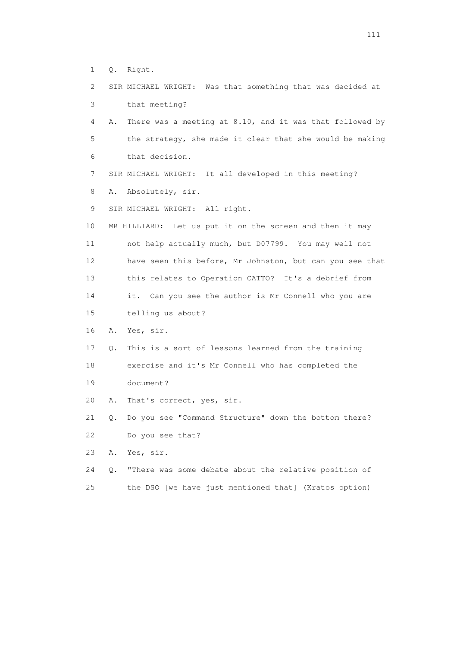1 Q. Right.

- 2 SIR MICHAEL WRIGHT: Was that something that was decided at 3 that meeting?
- 4 A. There was a meeting at 8.10, and it was that followed by 5 the strategy, she made it clear that she would be making 6 that decision.
- 7 SIR MICHAEL WRIGHT: It all developed in this meeting?
- 8 A. Absolutely, sir.
- 9 SIR MICHAEL WRIGHT: All right.
- 10 MR HILLIARD: Let us put it on the screen and then it may 11 not help actually much, but D07799. You may well not 12 have seen this before, Mr Johnston, but can you see that 13 this relates to Operation CATTO? It's a debrief from 14 it. Can you see the author is Mr Connell who you are 15 telling us about?
- 16 A. Yes, sir.
- 17 Q. This is a sort of lessons learned from the training 18 exercise and it's Mr Connell who has completed the 19 document?
- 20 A. That's correct, yes, sir.

 21 Q. Do you see "Command Structure" down the bottom there? 22 Do you see that?

23 A. Yes, sir.

 24 Q. "There was some debate about the relative position of 25 the DSO [we have just mentioned that] (Kratos option)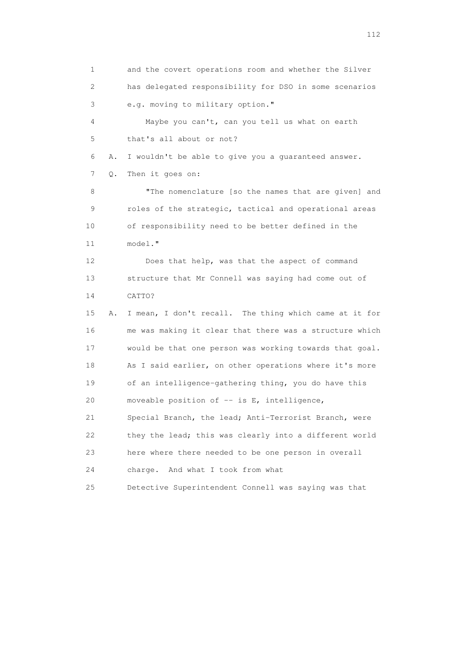1 and the covert operations room and whether the Silver 2 has delegated responsibility for DSO in some scenarios 3 e.g. moving to military option." 4 Maybe you can't, can you tell us what on earth 5 that's all about or not? 6 A. I wouldn't be able to give you a guaranteed answer. 7 Q. Then it goes on: 8 "The nomenclature [so the names that are given] and 9 roles of the strategic, tactical and operational areas 10 of responsibility need to be better defined in the 11 model." 12 Does that help, was that the aspect of command 13 structure that Mr Connell was saying had come out of 14 CATTO? 15 A. I mean, I don't recall. The thing which came at it for 16 me was making it clear that there was a structure which 17 would be that one person was working towards that goal. 18 As I said earlier, on other operations where it's more 19 of an intelligence-gathering thing, you do have this 20 moveable position of -- is E, intelligence, 21 Special Branch, the lead; Anti-Terrorist Branch, were 22 they the lead; this was clearly into a different world 23 here where there needed to be one person in overall 24 charge. And what I took from what 25 Detective Superintendent Connell was saying was that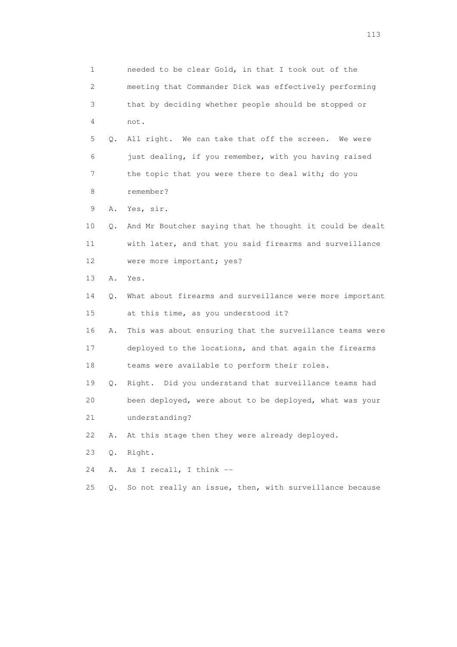1 needed to be clear Gold, in that I took out of the 2 meeting that Commander Dick was effectively performing 3 that by deciding whether people should be stopped or 4 not. 5 Q. All right. We can take that off the screen. We were 6 just dealing, if you remember, with you having raised 7 the topic that you were there to deal with; do you 8 remember? 9 A. Yes, sir. 10 Q. And Mr Boutcher saying that he thought it could be dealt 11 with later, and that you said firearms and surveillance 12 were more important; yes? 13 A. Yes. 14 Q. What about firearms and surveillance were more important 15 at this time, as you understood it? 16 A. This was about ensuring that the surveillance teams were 17 deployed to the locations, and that again the firearms 18 teams were available to perform their roles. 19 Q. Right. Did you understand that surveillance teams had 20 been deployed, were about to be deployed, what was your 21 understanding? 22 A. At this stage then they were already deployed. 23 Q. Right. 24 A. As I recall, I think -- 25 Q. So not really an issue, then, with surveillance because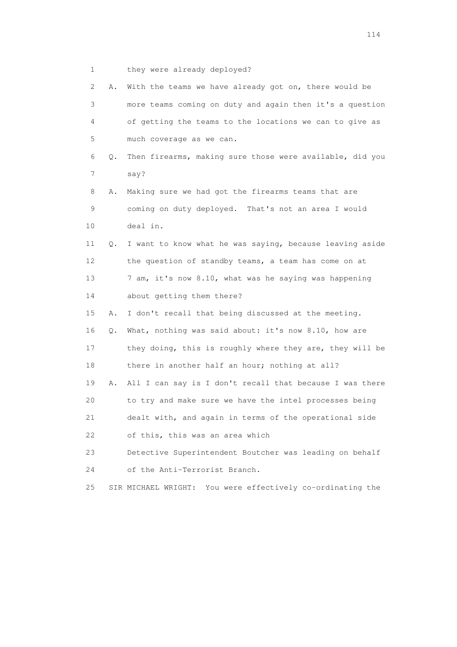1 they were already deployed?

| 2  | Α. | With the teams we have already got on, there would be         |
|----|----|---------------------------------------------------------------|
| 3  |    | more teams coming on duty and again then it's a question      |
| 4  |    | of getting the teams to the locations we can to give as       |
| 5  |    | much coverage as we can.                                      |
| 6  | Q. | Then firearms, making sure those were available, did you      |
| 7  |    | say?                                                          |
| 8  | Α. | Making sure we had got the firearms teams that are            |
| 9  |    | coming on duty deployed. That's not an area I would           |
| 10 |    | deal in.                                                      |
| 11 | Q. | I want to know what he was saying, because leaving aside      |
| 12 |    | the question of standby teams, a team has come on at          |
| 13 |    | 7 am, it's now 8.10, what was he saying was happening         |
| 14 |    | about getting them there?                                     |
| 15 | Α. | I don't recall that being discussed at the meeting.           |
| 16 | Q. | What, nothing was said about: it's now 8.10, how are          |
| 17 |    | they doing, this is roughly where they are, they will be      |
| 18 |    | there in another half an hour; nothing at all?                |
| 19 | Α. | All I can say is I don't recall that because I was there      |
| 20 |    | to try and make sure we have the intel processes being        |
| 21 |    | dealt with, and again in terms of the operational side        |
| 22 |    | of this, this was an area which                               |
| 23 |    | Detective Superintendent Boutcher was leading on behalf       |
| 24 |    | of the Anti-Terrorist Branch.                                 |
| 25 |    | You were effectively co-ordinating the<br>SIR MICHAEL WRIGHT: |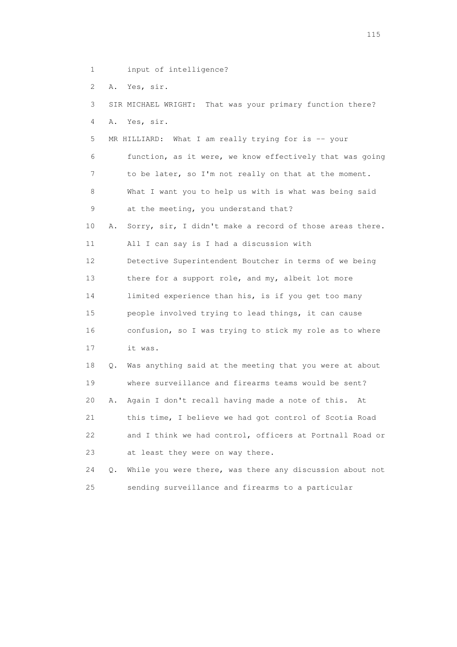- 1 input of intelligence?
- 2 A. Yes, sir.

| 3  |    | SIR MICHAEL WRIGHT: That was your primary function there? |
|----|----|-----------------------------------------------------------|
| 4  | Α. | Yes, sir.                                                 |
| 5  |    | MR HILLIARD: What I am really trying for is -- your       |
| 6  |    | function, as it were, we know effectively that was going  |
| 7  |    | to be later, so I'm not really on that at the moment.     |
| 8  |    | What I want you to help us with is what was being said    |
| 9  |    | at the meeting, you understand that?                      |
| 10 | Α. | Sorry, sir, I didn't make a record of those areas there.  |
| 11 |    | All I can say is I had a discussion with                  |
| 12 |    | Detective Superintendent Boutcher in terms of we being    |
| 13 |    | there for a support role, and my, albeit lot more         |
| 14 |    | limited experience than his, is if you get too many       |
| 15 |    | people involved trying to lead things, it can cause       |
| 16 |    | confusion, so I was trying to stick my role as to where   |
| 17 |    | it was.                                                   |
| 18 | О. | Was anything said at the meeting that you were at about   |
| 19 |    | where surveillance and firearms teams would be sent?      |
| 20 | Α. | Again I don't recall having made a note of this.<br>At    |
| 21 |    | this time, I believe we had got control of Scotia Road    |
| 22 |    | and I think we had control, officers at Portnall Road or  |
| 23 |    | at least they were on way there.                          |
| 24 | О. | While you were there, was there any discussion about not  |
| 25 |    | sending surveillance and firearms to a particular         |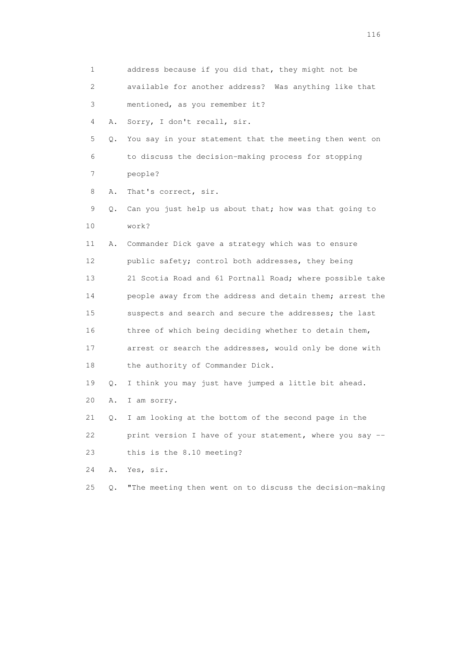1 address because if you did that, they might not be 2 available for another address? Was anything like that 3 mentioned, as you remember it? 4 A. Sorry, I don't recall, sir. 5 Q. You say in your statement that the meeting then went on 6 to discuss the decision-making process for stopping 7 people? 8 A. That's correct, sir. 9 Q. Can you just help us about that; how was that going to 10 work? 11 A. Commander Dick gave a strategy which was to ensure 12 public safety; control both addresses, they being 13 21 Scotia Road and 61 Portnall Road; where possible take 14 people away from the address and detain them; arrest the 15 suspects and search and secure the addresses; the last 16 three of which being deciding whether to detain them, 17 arrest or search the addresses, would only be done with 18 the authority of Commander Dick. 19 Q. I think you may just have jumped a little bit ahead. 20 A. I am sorry. 21 Q. I am looking at the bottom of the second page in the 22 print version I have of your statement, where you say -- 23 this is the 8.10 meeting? 24 A. Yes, sir. 25 Q. "The meeting then went on to discuss the decision-making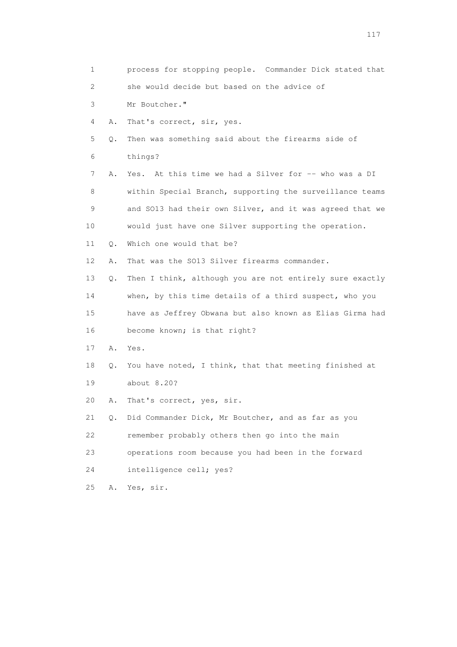| 1  |       | process for stopping people. Commander Dick stated that   |
|----|-------|-----------------------------------------------------------|
| 2  |       | she would decide but based on the advice of               |
| 3  |       | Mr Boutcher."                                             |
| 4  | Α.    | That's correct, sir, yes.                                 |
| 5  | Q.    | Then was something said about the firearms side of        |
| 6  |       | things?                                                   |
| 7  | Α.    | Yes. At this time we had a Silver for -- who was a DI     |
| 8  |       | within Special Branch, supporting the surveillance teams  |
| 9  |       | and SO13 had their own Silver, and it was agreed that we  |
| 10 |       | would just have one Silver supporting the operation.      |
| 11 | Q.    | Which one would that be?                                  |
| 12 | Α.    | That was the SO13 Silver firearms commander.              |
| 13 | О.    | Then I think, although you are not entirely sure exactly  |
| 14 |       | when, by this time details of a third suspect, who you    |
| 15 |       | have as Jeffrey Obwana but also known as Elias Girma had  |
| 16 |       | become known; is that right?                              |
| 17 | Α.    | Yes.                                                      |
| 18 |       | Q. You have noted, I think, that that meeting finished at |
| 19 |       | about 8.20?                                               |
| 20 | Α.    | That's correct, yes, sir.                                 |
| 21 | $Q$ . | Did Commander Dick, Mr Boutcher, and as far as you        |
| 22 |       | remember probably others then go into the main            |
| 23 |       | operations room because you had been in the forward       |
| 24 |       | intelligence cell; yes?                                   |
| 25 | Α.    | Yes, sir.                                                 |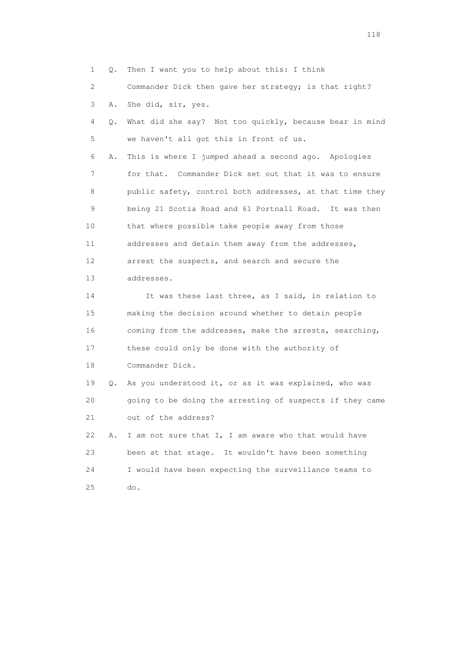1 Q. Then I want you to help about this: I think 2 Commander Dick then gave her strategy; is that right? 3 A. She did, sir, yes. 4 Q. What did she say? Not too quickly, because bear in mind 5 we haven't all got this in front of us. 6 A. This is where I jumped ahead a second ago. Apologies 7 for that. Commander Dick set out that it was to ensure 8 public safety, control both addresses, at that time they 9 being 21 Scotia Road and 61 Portnall Road. It was then 10 that where possible take people away from those 11 addresses and detain them away from the addresses, 12 arrest the suspects, and search and secure the 13 addresses. 14 It was these last three, as I said, in relation to 15 making the decision around whether to detain people 16 coming from the addresses, make the arrests, searching, 17 these could only be done with the authority of 18 Commander Dick. 19 Q. As you understood it, or as it was explained, who was 20 going to be doing the arresting of suspects if they came 21 out of the address? 22 A. I am not sure that I, I am aware who that would have 23 been at that stage. It wouldn't have been something 24 I would have been expecting the surveillance teams to 25 do.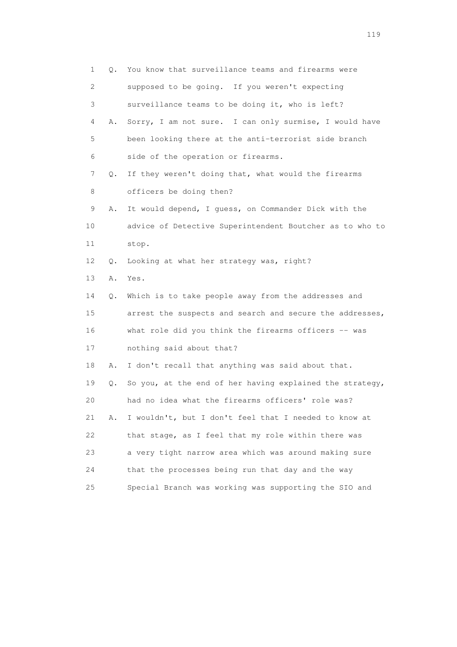| 1                         | Q. | You know that surveillance teams and firearms were       |
|---------------------------|----|----------------------------------------------------------|
| $\mathbf{2}^{\mathsf{I}}$ |    | supposed to be going. If you weren't expecting           |
| 3                         |    | surveillance teams to be doing it, who is left?          |
| 4                         | Α. | Sorry, I am not sure. I can only surmise, I would have   |
| 5                         |    | been looking there at the anti-terrorist side branch     |
| 6                         |    | side of the operation or firearms.                       |
| 7                         | Q. | If they weren't doing that, what would the firearms      |
| 8                         |    | officers be doing then?                                  |
| 9                         | Α. | It would depend, I guess, on Commander Dick with the     |
| 10                        |    | advice of Detective Superintendent Boutcher as to who to |
| 11                        |    | stop.                                                    |
| 12                        | Q. | Looking at what her strategy was, right?                 |
| 13                        | Α. | Yes.                                                     |
| 14                        | Q. | Which is to take people away from the addresses and      |
| 15                        |    | arrest the suspects and search and secure the addresses, |
| 16                        |    | what role did you think the firearms officers -- was     |
| 17                        |    | nothing said about that?                                 |
| 18                        | Α. | I don't recall that anything was said about that.        |
| 19                        | Q. | So you, at the end of her having explained the strategy, |
| 20                        |    | had no idea what the firearms officers' role was?        |
| 21                        | Α. | I wouldn't, but I don't feel that I needed to know at    |
| 22                        |    | that stage, as I feel that my role within there was      |
| 23                        |    | a very tight narrow area which was around making sure    |
| 24                        |    | that the processes being run that day and the way        |
| 25                        |    | Special Branch was working was supporting the SIO and    |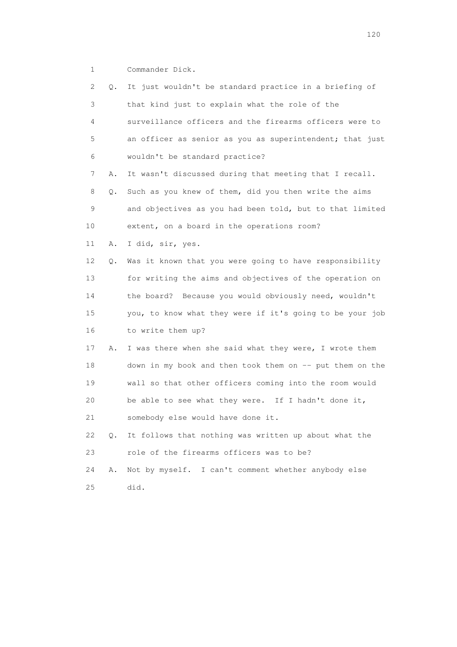1 Commander Dick.

| 2  | Q. | It just wouldn't be standard practice in a briefing of   |
|----|----|----------------------------------------------------------|
| 3  |    | that kind just to explain what the role of the           |
| 4  |    | surveillance officers and the firearms officers were to  |
| 5  |    | an officer as senior as you as superintendent; that just |
| 6  |    | wouldn't be standard practice?                           |
| 7  | Α. | It wasn't discussed during that meeting that I recall.   |
| 8  | Q. | Such as you knew of them, did you then write the aims    |
| 9  |    | and objectives as you had been told, but to that limited |
| 10 |    | extent, on a board in the operations room?               |
| 11 | Α. | I did, sir, yes.                                         |
| 12 | Q. | Was it known that you were going to have responsibility  |
| 13 |    | for writing the aims and objectives of the operation on  |
| 14 |    | the board? Because you would obviously need, wouldn't    |
| 15 |    | you, to know what they were if it's going to be your job |
| 16 |    | to write them up?                                        |
| 17 | Α. | I was there when she said what they were, I wrote them   |
| 18 |    | down in my book and then took them on -- put them on the |
| 19 |    | wall so that other officers coming into the room would   |
| 20 |    | be able to see what they were. If I hadn't done it,      |
| 21 |    | somebody else would have done it.                        |
| 22 | Q. | It follows that nothing was written up about what the    |
| 23 |    | role of the firearms officers was to be?                 |
| 24 | Α. | Not by myself. I can't comment whether anybody else      |
| 25 |    | did.                                                     |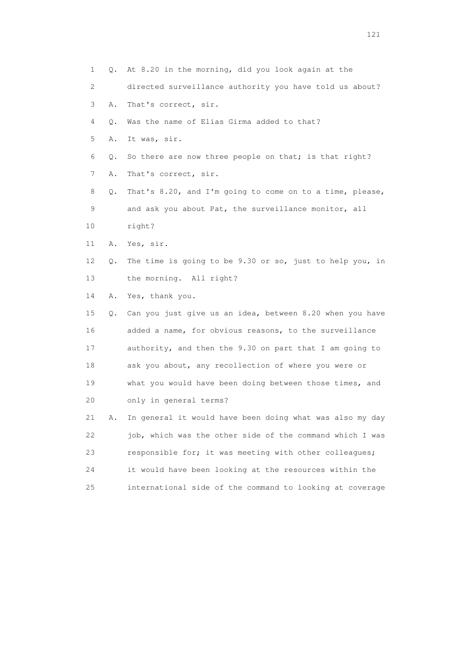| 1  | Q. | At 8.20 in the morning, did you look again at the        |
|----|----|----------------------------------------------------------|
| 2  |    | directed surveillance authority you have told us about?  |
| 3  | Α. | That's correct, sir.                                     |
| 4  | Q. | Was the name of Elias Girma added to that?               |
| 5  | Α. | It was, sir.                                             |
| 6  | Q. | So there are now three people on that; is that right?    |
| 7  | Α. | That's correct, sir.                                     |
| 8  | Q. | That's 8.20, and I'm going to come on to a time, please, |
| 9  |    | and ask you about Pat, the surveillance monitor, all     |
| 10 |    | right?                                                   |
| 11 | Α. | Yes, sir.                                                |
| 12 | Q. | The time is going to be 9.30 or so, just to help you, in |
| 13 |    | the morning. All right?                                  |
| 14 | Α. | Yes, thank you.                                          |
| 15 | Q. | Can you just give us an idea, between 8.20 when you have |
| 16 |    | added a name, for obvious reasons, to the surveillance   |
| 17 |    | authority, and then the 9.30 on part that I am going to  |
| 18 |    | ask you about, any recollection of where you were or     |
| 19 |    | what you would have been doing between those times, and  |
| 20 |    | only in general terms?                                   |
| 21 | Α. | In general it would have been doing what was also my day |
| 22 |    | job, which was the other side of the command which I was |
| 23 |    | responsible for; it was meeting with other colleagues;   |
| 24 |    | it would have been looking at the resources within the   |
| 25 |    | international side of the command to looking at coverage |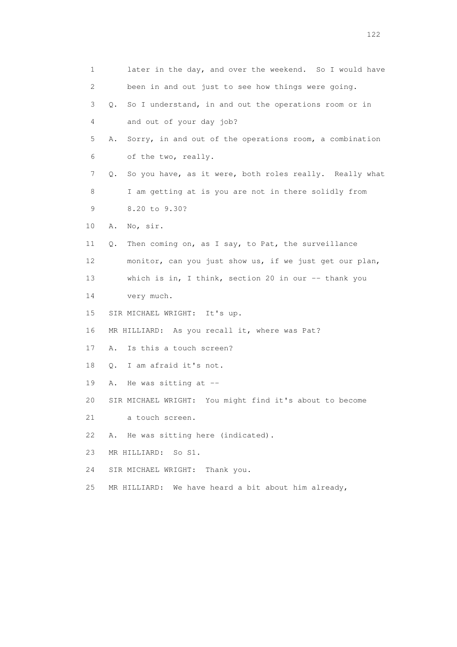1 later in the day, and over the weekend. So I would have 2 been in and out just to see how things were going. 3 Q. So I understand, in and out the operations room or in 4 and out of your day job? 5 A. Sorry, in and out of the operations room, a combination 6 of the two, really. 7 Q. So you have, as it were, both roles really. Really what 8 I am getting at is you are not in there solidly from 9 8.20 to 9.30? 10 A. No, sir. 11 Q. Then coming on, as I say, to Pat, the surveillance 12 monitor, can you just show us, if we just get our plan, 13 which is in, I think, section 20 in our -- thank you 14 very much. 15 SIR MICHAEL WRIGHT: It's up. 16 MR HILLIARD: As you recall it, where was Pat? 17 A. Is this a touch screen? 18 Q. I am afraid it's not. 19 A. He was sitting at -- 20 SIR MICHAEL WRIGHT: You might find it's about to become 21 a touch screen. 22 A. He was sitting here (indicated). 23 MR HILLIARD: So S1. 24 SIR MICHAEL WRIGHT: Thank you. 25 MR HILLIARD: We have heard a bit about him already,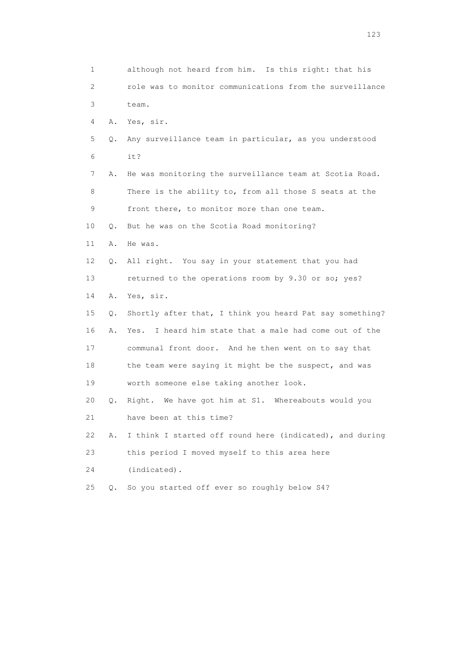1 although not heard from him. Is this right: that his 2 role was to monitor communications from the surveillance 3 team. 4 A. Yes, sir. 5 Q. Any surveillance team in particular, as you understood 6 it? 7 A. He was monitoring the surveillance team at Scotia Road. 8 There is the ability to, from all those S seats at the 9 front there, to monitor more than one team. 10 Q. But he was on the Scotia Road monitoring? 11 A. He was. 12 Q. All right. You say in your statement that you had 13 returned to the operations room by 9.30 or so; yes? 14 A. Yes, sir. 15 Q. Shortly after that, I think you heard Pat say something? 16 A. Yes. I heard him state that a male had come out of the 17 communal front door. And he then went on to say that 18 the team were saying it might be the suspect, and was 19 worth someone else taking another look. 20 Q. Right. We have got him at S1. Whereabouts would you 21 have been at this time? 22 A. I think I started off round here (indicated), and during 23 this period I moved myself to this area here 24 (indicated). 25 Q. So you started off ever so roughly below S4?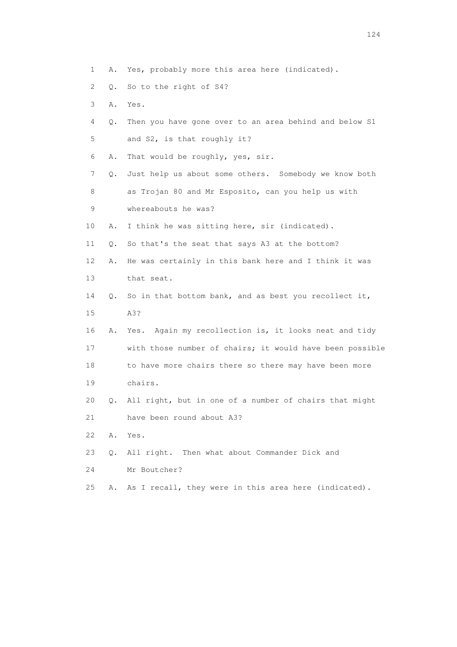- 1 A. Yes, probably more this area here (indicated).
- 2 Q. So to the right of S4?
- 3 A. Yes.
- 4 Q. Then you have gone over to an area behind and below S1 5 and S2, is that roughly it?
- 6 A. That would be roughly, yes, sir.
- 7 Q. Just help us about some others. Somebody we know both 8 as Trojan 80 and Mr Esposito, can you help us with
- 9 whereabouts he was?
- 10 A. I think he was sitting here, sir (indicated).
- 11 Q. So that's the seat that says A3 at the bottom?
- 12 A. He was certainly in this bank here and I think it was 13 that seat.
- 14 Q. So in that bottom bank, and as best you recollect it, 15 A3?
- 16 A. Yes. Again my recollection is, it looks neat and tidy 17 with those number of chairs; it would have been possible 18 to have more chairs there so there may have been more
- 19 chairs.
- 20 Q. All right, but in one of a number of chairs that might
- 21 have been round about A3?
- 22 A. Yes.
- 23 Q. All right. Then what about Commander Dick and
- 24 Mr Boutcher?
- 25 A. As I recall, they were in this area here (indicated).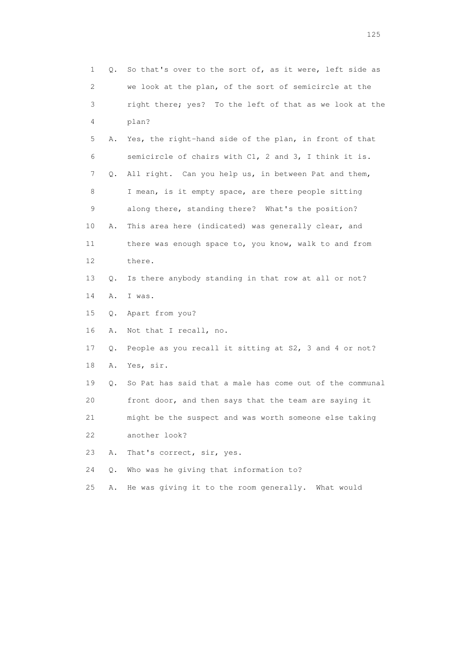| 1           | Q. | So that's over to the sort of, as it were, left side as  |
|-------------|----|----------------------------------------------------------|
| 2           |    | we look at the plan, of the sort of semicircle at the    |
| 3           |    | right there; yes? To the left of that as we look at the  |
| 4           |    | plan?                                                    |
| 5           | Α. | Yes, the right-hand side of the plan, in front of that   |
| 6           |    | semicircle of chairs with C1, 2 and 3, I think it is.    |
| 7           | Q. | All right. Can you help us, in between Pat and them,     |
| 8           |    | I mean, is it empty space, are there people sitting      |
| $\mathsf 9$ |    | along there, standing there? What's the position?        |
| 10          | Α. | This area here (indicated) was generally clear, and      |
| 11          |    | there was enough space to, you know, walk to and from    |
| 12          |    | there.                                                   |
| 13          | Q. | Is there anybody standing in that row at all or not?     |
| 14          | Α. | I was.                                                   |
| 15          | Q. | Apart from you?                                          |
| 16          | Α. | Not that I recall, no.                                   |
| 17          | Q. | People as you recall it sitting at S2, 3 and 4 or not?   |
| 18          | Α. | Yes, sir.                                                |
| 19          | Q. | So Pat has said that a male has come out of the communal |
| 20          |    | front door, and then says that the team are saying it    |
| 21          |    | might be the suspect and was worth someone else taking   |
| 22          |    | another look?                                            |
| 23          | Α. | That's correct, sir, yes.                                |
| 24          | Q. | Who was he giving that information to?                   |
| 25          | Α. | He was giving it to the room generally. What would       |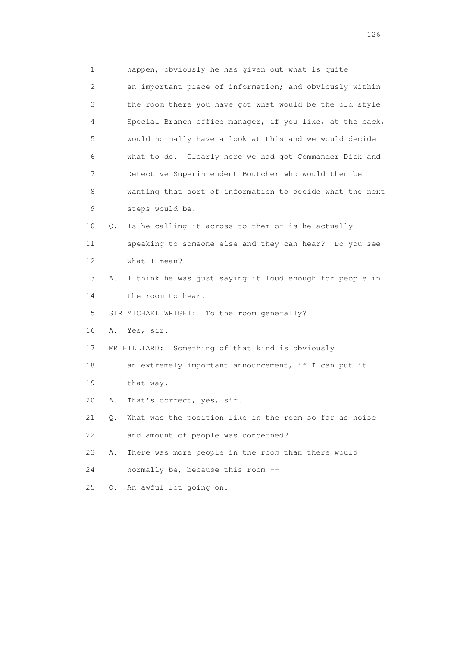1 happen, obviously he has given out what is quite 2 an important piece of information; and obviously within 3 the room there you have got what would be the old style 4 Special Branch office manager, if you like, at the back, 5 would normally have a look at this and we would decide 6 what to do. Clearly here we had got Commander Dick and 7 Detective Superintendent Boutcher who would then be 8 wanting that sort of information to decide what the next 9 steps would be. 10 Q. Is he calling it across to them or is he actually 11 speaking to someone else and they can hear? Do you see 12 what I mean? 13 A. I think he was just saying it loud enough for people in 14 the room to hear. 15 SIR MICHAEL WRIGHT: To the room generally? 16 A. Yes, sir. 17 MR HILLIARD: Something of that kind is obviously 18 an extremely important announcement, if I can put it 19 that way. 20 A. That's correct, yes, sir. 21 Q. What was the position like in the room so far as noise 22 and amount of people was concerned? 23 A. There was more people in the room than there would 24 normally be, because this room -- 25 Q. An awful lot going on.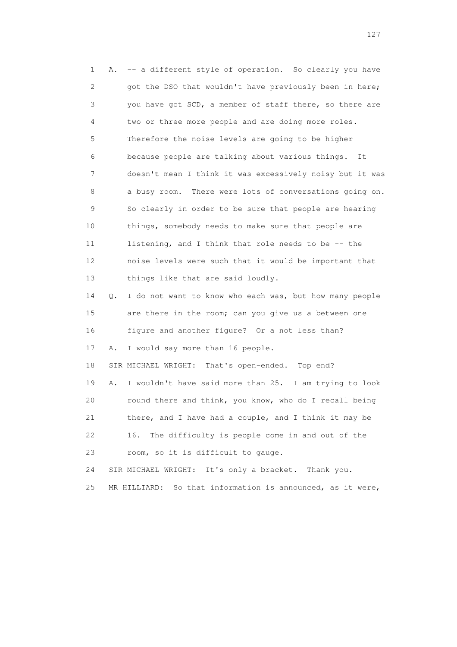1 A. -- a different style of operation. So clearly you have 2 got the DSO that wouldn't have previously been in here; 3 you have got SCD, a member of staff there, so there are 4 two or three more people and are doing more roles. 5 Therefore the noise levels are going to be higher 6 because people are talking about various things. It 7 doesn't mean I think it was excessively noisy but it was 8 a busy room. There were lots of conversations going on. 9 So clearly in order to be sure that people are hearing 10 things, somebody needs to make sure that people are 11 listening, and I think that role needs to be -- the 12 noise levels were such that it would be important that 13 things like that are said loudly. 14 Q. I do not want to know who each was, but how many people 15 are there in the room; can you give us a between one 16 figure and another figure? Or a not less than? 17 A. I would say more than 16 people. 18 SIR MICHAEL WRIGHT: That's open-ended. Top end? 19 A. I wouldn't have said more than 25. I am trying to look 20 round there and think, you know, who do I recall being 21 there, and I have had a couple, and I think it may be 22 16. The difficulty is people come in and out of the 23 room, so it is difficult to gauge. 24 SIR MICHAEL WRIGHT: It's only a bracket. Thank you. 25 MR HILLIARD: So that information is announced, as it were,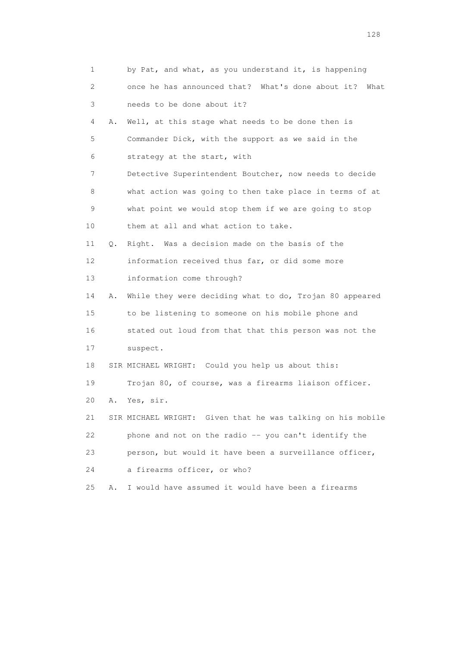| 1                         |    | by Pat, and what, as you understand it, is happening        |
|---------------------------|----|-------------------------------------------------------------|
| $\mathbf{2}^{\mathsf{I}}$ |    | once he has announced that? What's done about it?<br>What   |
| 3                         |    | needs to be done about it?                                  |
| 4                         | Α. | Well, at this stage what needs to be done then is           |
| 5                         |    | Commander Dick, with the support as we said in the          |
| 6                         |    | strategy at the start, with                                 |
| 7                         |    | Detective Superintendent Boutcher, now needs to decide      |
| 8                         |    | what action was going to then take place in terms of at     |
| 9                         |    | what point we would stop them if we are going to stop       |
| 10                        |    | them at all and what action to take.                        |
| 11                        | Q. | Right. Was a decision made on the basis of the              |
| 12                        |    | information received thus far, or did some more             |
| 13                        |    | information come through?                                   |
| 14                        | Α. | While they were deciding what to do, Trojan 80 appeared     |
| 15                        |    | to be listening to someone on his mobile phone and          |
| 16                        |    | stated out loud from that that this person was not the      |
| 17                        |    | suspect.                                                    |
| 18                        |    | SIR MICHAEL WRIGHT: Could you help us about this:           |
| 19                        |    | Trojan 80, of course, was a firearms liaison officer.       |
| 20                        | Α. | Yes, sir.                                                   |
| 21                        |    | SIR MICHAEL WRIGHT: Given that he was talking on his mobile |
| 22                        |    | phone and not on the radio -- you can't identify the        |
| 23                        |    | person, but would it have been a surveillance officer,      |
| 24                        |    | a firearms officer, or who?                                 |
| 25                        | Α. | I would have assumed it would have been a firearms          |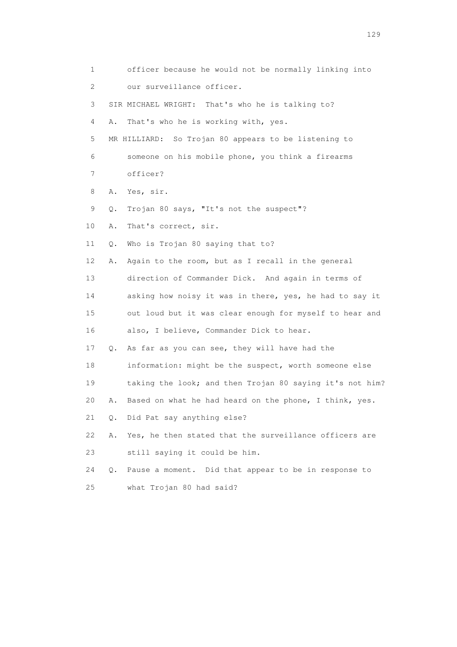| 1  |    | officer because he would not be normally linking into    |
|----|----|----------------------------------------------------------|
| 2  |    | our surveillance officer.                                |
| 3  |    | SIR MICHAEL WRIGHT: That's who he is talking to?         |
| 4  | Α. | That's who he is working with, yes.                      |
| 5  |    | MR HILLIARD: So Trojan 80 appears to be listening to     |
| 6  |    | someone on his mobile phone, you think a firearms        |
| 7  |    | officer?                                                 |
| 8  | Α. | Yes, sir.                                                |
| 9  | Q. | Trojan 80 says, "It's not the suspect"?                  |
| 10 | Α. | That's correct, sir.                                     |
| 11 | Q. | Who is Trojan 80 saying that to?                         |
| 12 | Α. | Again to the room, but as I recall in the general        |
| 13 |    | direction of Commander Dick. And again in terms of       |
| 14 |    | asking how noisy it was in there, yes, he had to say it  |
| 15 |    | out loud but it was clear enough for myself to hear and  |
| 16 |    | also, I believe, Commander Dick to hear.                 |
| 17 | Q. | As far as you can see, they will have had the            |
| 18 |    | information: might be the suspect, worth someone else    |
| 19 |    | taking the look; and then Trojan 80 saying it's not him? |
| 20 | Α. | Based on what he had heard on the phone, I think, yes.   |
| 21 | Q. | Did Pat say anything else?                               |
| 22 | Α. | Yes, he then stated that the surveillance officers are   |
| 23 |    | still saying it could be him.                            |
| 24 | Q. | Pause a moment. Did that appear to be in response to     |
| 25 |    | what Trojan 80 had said?                                 |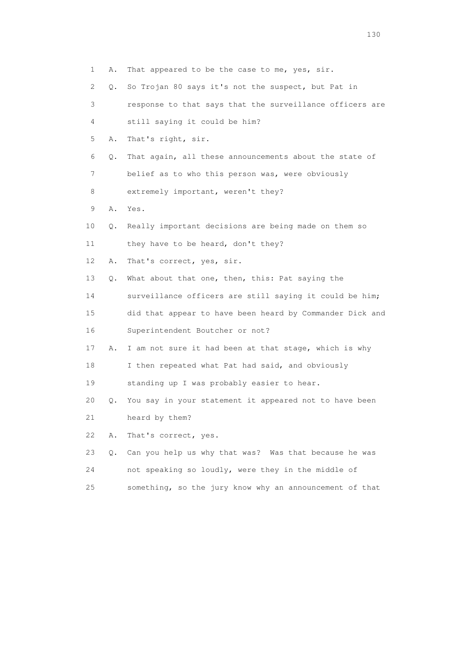| 1  | Α. | That appeared to be the case to me, yes, sir.            |
|----|----|----------------------------------------------------------|
| 2  | Q. | So Trojan 80 says it's not the suspect, but Pat in       |
| 3  |    | response to that says that the surveillance officers are |
| 4  |    | still saying it could be him?                            |
| 5  | Α. | That's right, sir.                                       |
| 6  | Q. | That again, all these announcements about the state of   |
| 7  |    | belief as to who this person was, were obviously         |
| 8  |    | extremely important, weren't they?                       |
| 9  | Α. | Yes.                                                     |
| 10 | Q. | Really important decisions are being made on them so     |
| 11 |    | they have to be heard, don't they?                       |
| 12 | Α. | That's correct, yes, sir.                                |
| 13 | Q. | What about that one, then, this: Pat saying the          |
| 14 |    | surveillance officers are still saying it could be him;  |
| 15 |    | did that appear to have been heard by Commander Dick and |
| 16 |    | Superintendent Boutcher or not?                          |
| 17 | Α. | I am not sure it had been at that stage, which is why    |
| 18 |    | I then repeated what Pat had said, and obviously         |
| 19 |    | standing up I was probably easier to hear.               |
| 20 | Q. | You say in your statement it appeared not to have been   |
| 21 |    | heard by them?                                           |
| 22 | Α. | That's correct, yes.                                     |
| 23 | Q. | Can you help us why that was? Was that because he was    |
| 24 |    | not speaking so loudly, were they in the middle of       |
| 25 |    | something, so the jury know why an announcement of that  |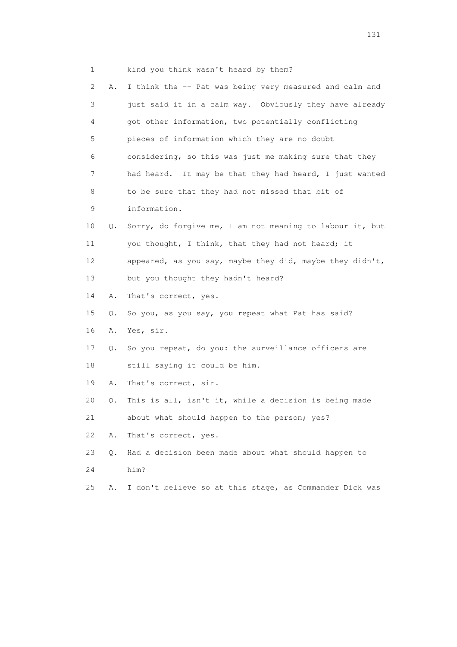1 kind you think wasn't heard by them? 2 A. I think the -- Pat was being very measured and calm and 3 just said it in a calm way. Obviously they have already 4 got other information, two potentially conflicting 5 pieces of information which they are no doubt 6 considering, so this was just me making sure that they 7 had heard. It may be that they had heard, I just wanted 8 to be sure that they had not missed that bit of 9 information. 10 Q. Sorry, do forgive me, I am not meaning to labour it, but 11 you thought, I think, that they had not heard; it 12 appeared, as you say, maybe they did, maybe they didn't, 13 but you thought they hadn't heard? 14 A. That's correct, yes. 15 Q. So you, as you say, you repeat what Pat has said? 16 A. Yes, sir. 17 Q. So you repeat, do you: the surveillance officers are 18 still saying it could be him. 19 A. That's correct, sir. 20 Q. This is all, isn't it, while a decision is being made 21 about what should happen to the person; yes? 22 A. That's correct, yes. 23 Q. Had a decision been made about what should happen to 24 him? 25 A. I don't believe so at this stage, as Commander Dick was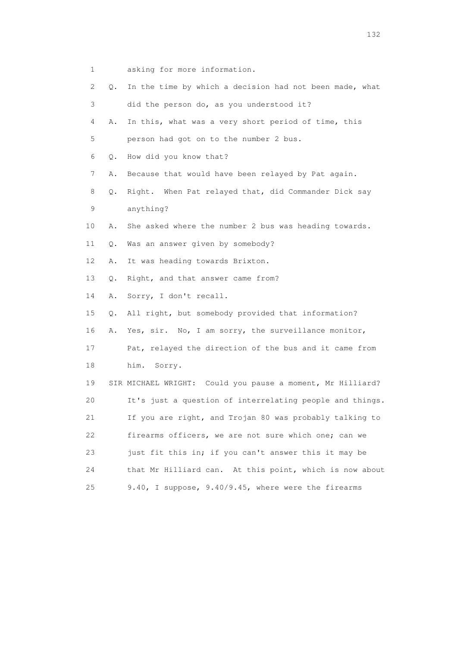- 1 asking for more information.
- 2 Q. In the time by which a decision had not been made, what
- 3 did the person do, as you understood it?
- 4 A. In this, what was a very short period of time, this 5 person had got on to the number 2 bus.
- 6 Q. How did you know that?
- 7 A. Because that would have been relayed by Pat again.
- 8 Q. Right. When Pat relayed that, did Commander Dick say 9 anything?
- 10 A. She asked where the number 2 bus was heading towards.
- 11 Q. Was an answer given by somebody?
- 12 A. It was heading towards Brixton.
- 13 Q. Right, and that answer came from?
- 14 A. Sorry, I don't recall.
- 15 Q. All right, but somebody provided that information?
- 16 A. Yes, sir. No, I am sorry, the surveillance monitor,
- 17 Pat, relayed the direction of the bus and it came from
- 18 him. Sorry.
- 19 SIR MICHAEL WRIGHT: Could you pause a moment, Mr Hilliard? 20 It's just a question of interrelating people and things. 21 If you are right, and Trojan 80 was probably talking to 22 firearms officers, we are not sure which one; can we 23 just fit this in; if you can't answer this it may be 24 that Mr Hilliard can. At this point, which is now about 25 9.40, I suppose, 9.40/9.45, where were the firearms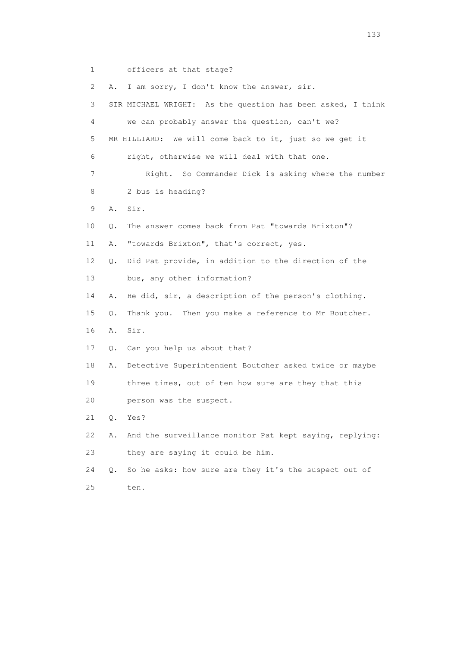1 officers at that stage?

 2 A. I am sorry, I don't know the answer, sir. 3 SIR MICHAEL WRIGHT: As the question has been asked, I think 4 we can probably answer the question, can't we? 5 MR HILLIARD: We will come back to it, just so we get it 6 right, otherwise we will deal with that one. 7 Right. So Commander Dick is asking where the number 8 2 bus is heading? 9 A. Sir. 10 Q. The answer comes back from Pat "towards Brixton"? 11 A. "towards Brixton", that's correct, yes. 12 Q. Did Pat provide, in addition to the direction of the 13 bus, any other information? 14 A. He did, sir, a description of the person's clothing. 15 Q. Thank you. Then you make a reference to Mr Boutcher. 16 A. Sir. 17 Q. Can you help us about that? 18 A. Detective Superintendent Boutcher asked twice or maybe 19 three times, out of ten how sure are they that this 20 person was the suspect. 21 Q. Yes? 22 A. And the surveillance monitor Pat kept saying, replying: 23 they are saying it could be him. 24 Q. So he asks: how sure are they it's the suspect out of 25 ten.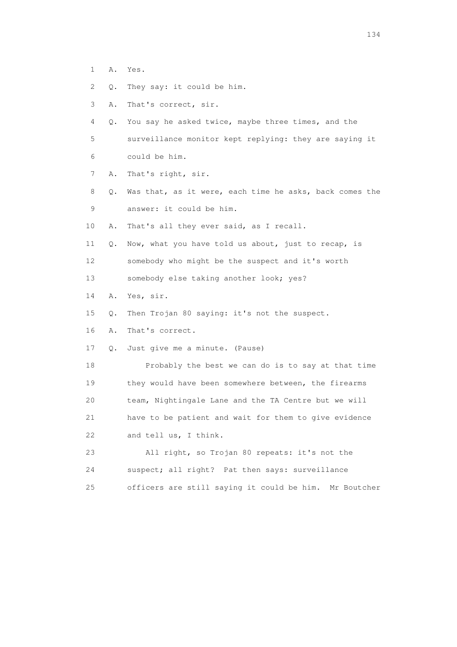- 1 A. Yes.
- 2 Q. They say: it could be him.
- 3 A. That's correct, sir.
- 4 Q. You say he asked twice, maybe three times, and the
- 5 surveillance monitor kept replying: they are saying it 6 could be him.
- 7 A. That's right, sir.
- 8 Q. Was that, as it were, each time he asks, back comes the 9 answer: it could be him.
- 10 A. That's all they ever said, as I recall.
- 11 Q. Now, what you have told us about, just to recap, is 12 somebody who might be the suspect and it's worth
- 13 somebody else taking another look; yes?
- 14 A. Yes, sir.
- 15 Q. Then Trojan 80 saying: it's not the suspect.

16 A. That's correct.

17 Q. Just give me a minute. (Pause)

 18 Probably the best we can do is to say at that time 19 they would have been somewhere between, the firearms 20 team, Nightingale Lane and the TA Centre but we will 21 have to be patient and wait for them to give evidence 22 and tell us, I think.

 23 All right, so Trojan 80 repeats: it's not the 24 suspect; all right? Pat then says: surveillance 25 officers are still saying it could be him. Mr Boutcher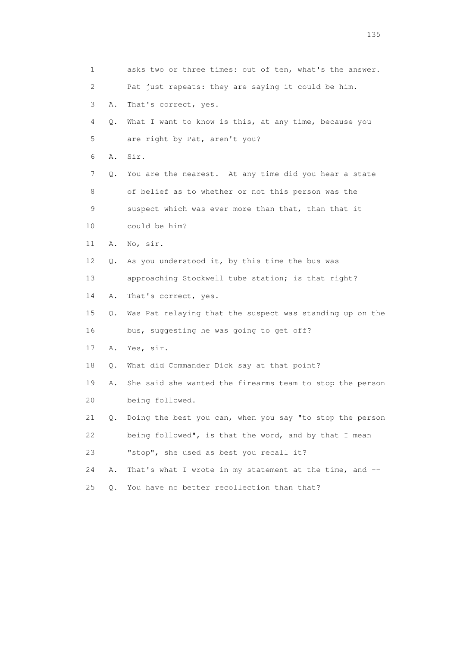| 1  |    | asks two or three times: out of ten, what's the answer.  |
|----|----|----------------------------------------------------------|
| 2  |    | Pat just repeats: they are saying it could be him.       |
| 3  | Α. | That's correct, yes.                                     |
| 4  | Q. | What I want to know is this, at any time, because you    |
| 5  |    | are right by Pat, aren't you?                            |
| 6  | Α. | Sir.                                                     |
| 7  | Q. | You are the nearest. At any time did you hear a state    |
| 8  |    | of belief as to whether or not this person was the       |
| 9  |    | suspect which was ever more than that, than that it      |
| 10 |    | could be him?                                            |
| 11 | Α. | No, sir.                                                 |
| 12 | Q. | As you understood it, by this time the bus was           |
| 13 |    | approaching Stockwell tube station; is that right?       |
| 14 | Α. | That's correct, yes.                                     |
| 15 | Q. | Was Pat relaying that the suspect was standing up on the |
| 16 |    | bus, suggesting he was going to get off?                 |
| 17 | Α. | Yes, sir.                                                |
| 18 | Q. | What did Commander Dick say at that point?               |
| 19 | Α. | She said she wanted the firearms team to stop the person |
| 20 |    | being followed.                                          |
| 21 | Q. | Doing the best you can, when you say "to stop the person |
| 22 |    | being followed", is that the word, and by that I mean    |
| 23 |    | "stop", she used as best you recall it?                  |
| 24 | Α. | That's what I wrote in my statement at the time, and --  |
| 25 | Q. | You have no better recollection than that?               |

n 135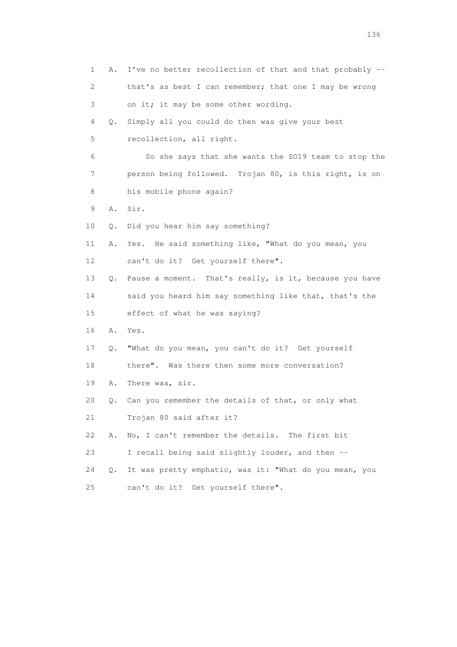| 1  | Α. | I've no better recollection of that and that probably -- |
|----|----|----------------------------------------------------------|
| 2  |    | that's as best I can remember; that one I may be wrong   |
| 3  |    | on it; it may be some other wording.                     |
| 4  | Q. | Simply all you could do then was give your best          |
| 5  |    | recollection, all right.                                 |
| 6  |    | So she says that she wants the SO19 team to stop the     |
| 7  |    | person being followed. Trojan 80, is this right, is on   |
| 8  |    | his mobile phone again?                                  |
| 9  | Α. | Sir.                                                     |
| 10 | Q. | Did you hear him say something?                          |
| 11 | Α. | Yes. He said something like, "What do you mean, you      |
| 12 |    | can't do it? Get yourself there".                        |
| 13 | Q. | Pause a moment. That's really, is it, because you have   |
| 14 |    | said you heard him say something like that, that's the   |
| 15 |    | effect of what he was saying?                            |
| 16 | Α. | Yes.                                                     |
| 17 | Q. | "What do you mean, you can't do it? Get yourself         |
| 18 |    | there". Was there then some more conversation?           |
| 19 | Α. | There was, sir.                                          |
| 20 | Q. | Can you remember the details of that, or only what       |
| 21 |    | Trojan 80 said after it?                                 |
| 22 | Α. | No, I can't remember the details. The first bit          |
| 23 |    | I recall being said slightly louder, and then --         |
| 24 | Q. | It was pretty emphatic, was it: "What do you mean, you   |
| 25 |    | can't do it? Get yourself there".                        |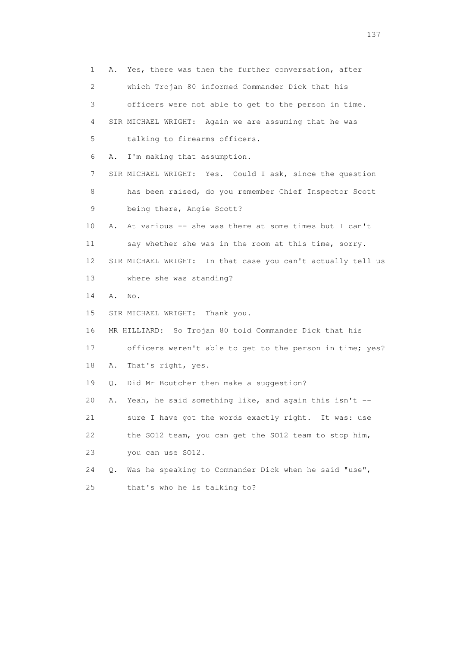1 A. Yes, there was then the further conversation, after 2 which Trojan 80 informed Commander Dick that his 3 officers were not able to get to the person in time. 4 SIR MICHAEL WRIGHT: Again we are assuming that he was 5 talking to firearms officers. 6 A. I'm making that assumption. 7 SIR MICHAEL WRIGHT: Yes. Could I ask, since the question 8 has been raised, do you remember Chief Inspector Scott 9 being there, Angie Scott? 10 A. At various -- she was there at some times but I can't 11 say whether she was in the room at this time, sorry. 12 SIR MICHAEL WRIGHT: In that case you can't actually tell us 13 where she was standing? 14 A. No. 15 SIR MICHAEL WRIGHT: Thank you. 16 MR HILLIARD: So Trojan 80 told Commander Dick that his 17 officers weren't able to get to the person in time; yes? 18 A. That's right, yes. 19 Q. Did Mr Boutcher then make a suggestion? 20 A. Yeah, he said something like, and again this isn't -- 21 sure I have got the words exactly right. It was: use 22 the SO12 team, you can get the SO12 team to stop him, 23 you can use SO12. 24 Q. Was he speaking to Commander Dick when he said "use", 25 that's who he is talking to?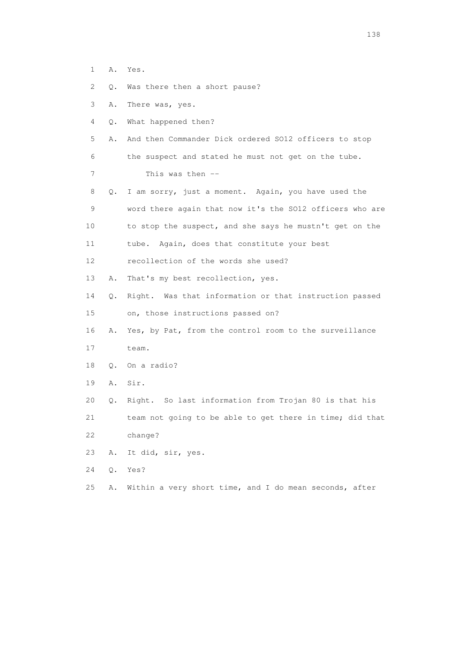1 A. Yes.

2 Q. Was there then a short pause?

- 3 A. There was, yes.
- 4 Q. What happened then?
- 5 A. And then Commander Dick ordered SO12 officers to stop 6 the suspect and stated he must not get on the tube. 7 This was then --
- 8 Q. I am sorry, just a moment. Again, you have used the 9 word there again that now it's the SO12 officers who are 10 to stop the suspect, and she says he mustn't get on the 11 tube. Again, does that constitute your best
- 12 recollection of the words she used?
- 13 A. That's my best recollection, yes.
- 14 Q. Right. Was that information or that instruction passed 15 on, those instructions passed on?
- 16 A. Yes, by Pat, from the control room to the surveillance
- 17 team.
- 18 Q. On a radio?
- 19 A. Sir.
- 20 Q. Right. So last information from Trojan 80 is that his
- 21 team not going to be able to get there in time; did that 22 change?
- 23 A. It did, sir, yes.
- 24 Q. Yes?
- 25 A. Within a very short time, and I do mean seconds, after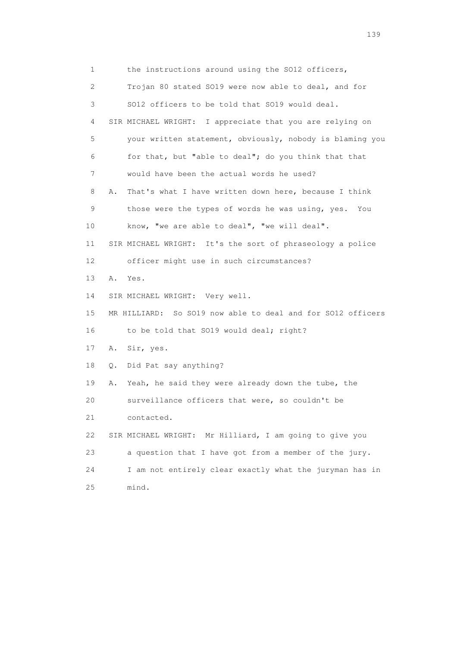1 the instructions around using the SO12 officers, 2 Trojan 80 stated SO19 were now able to deal, and for 3 SO12 officers to be told that SO19 would deal. 4 SIR MICHAEL WRIGHT: I appreciate that you are relying on 5 your written statement, obviously, nobody is blaming you 6 for that, but "able to deal"; do you think that that 7 would have been the actual words he used? 8 A. That's what I have written down here, because I think 9 those were the types of words he was using, yes. You 10 know, "we are able to deal", "we will deal". 11 SIR MICHAEL WRIGHT: It's the sort of phraseology a police 12 officer might use in such circumstances? 13 A. Yes. 14 SIR MICHAEL WRIGHT: Very well. 15 MR HILLIARD: So SO19 now able to deal and for SO12 officers 16 to be told that SO19 would deal; right? 17 A. Sir, yes. 18 Q. Did Pat say anything? 19 A. Yeah, he said they were already down the tube, the 20 surveillance officers that were, so couldn't be 21 contacted. 22 SIR MICHAEL WRIGHT: Mr Hilliard, I am going to give you 23 a question that I have got from a member of the jury. 24 I am not entirely clear exactly what the juryman has in 25 mind.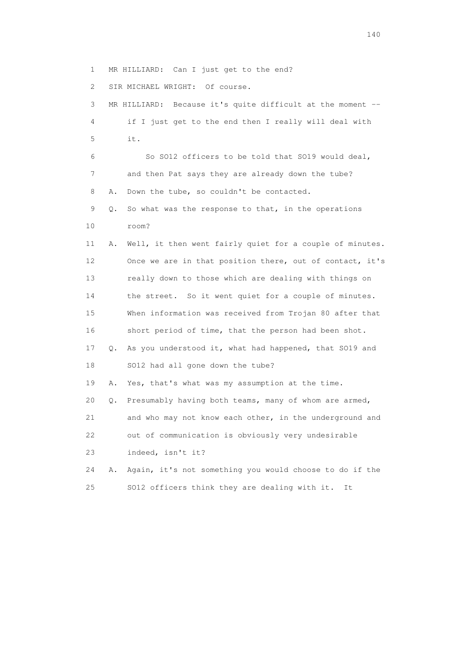1 MR HILLIARD: Can I just get to the end?

2 SIR MICHAEL WRIGHT: Of course.

 3 MR HILLIARD: Because it's quite difficult at the moment -- 4 if I just get to the end then I really will deal with 5 it. 6 So SO12 officers to be told that SO19 would deal, 7 and then Pat says they are already down the tube? 8 A. Down the tube, so couldn't be contacted. 9 Q. So what was the response to that, in the operations 10 room? 11 A. Well, it then went fairly quiet for a couple of minutes. 12 Once we are in that position there, out of contact, it's 13 really down to those which are dealing with things on 14 the street. So it went quiet for a couple of minutes. 15 When information was received from Trojan 80 after that 16 short period of time, that the person had been shot. 17 Q. As you understood it, what had happened, that SO19 and 18 SO12 had all gone down the tube? 19 A. Yes, that's what was my assumption at the time. 20 Q. Presumably having both teams, many of whom are armed, 21 and who may not know each other, in the underground and 22 out of communication is obviously very undesirable 23 indeed, isn't it? 24 A. Again, it's not something you would choose to do if the 25 SO12 officers think they are dealing with it. It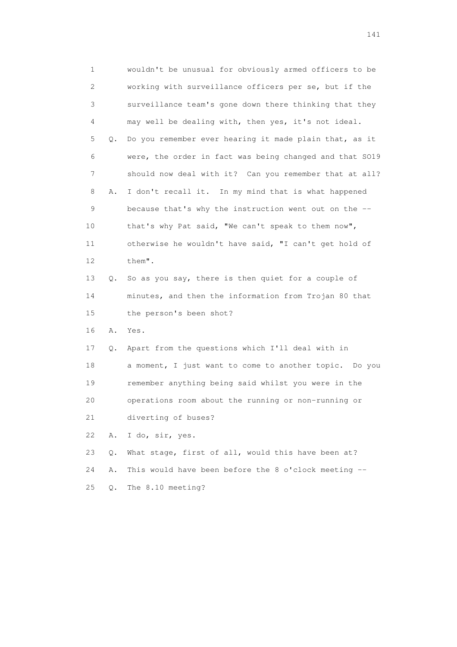1 wouldn't be unusual for obviously armed officers to be 2 working with surveillance officers per se, but if the 3 surveillance team's gone down there thinking that they 4 may well be dealing with, then yes, it's not ideal. 5 Q. Do you remember ever hearing it made plain that, as it 6 were, the order in fact was being changed and that SO19 7 should now deal with it? Can you remember that at all? 8 A. I don't recall it. In my mind that is what happened 9 because that's why the instruction went out on the -- 10 that's why Pat said, "We can't speak to them now", 11 otherwise he wouldn't have said, "I can't get hold of 12 them". 13 Q. So as you say, there is then quiet for a couple of 14 minutes, and then the information from Trojan 80 that 15 the person's been shot? 16 A. Yes. 17 Q. Apart from the questions which I'll deal with in 18 a moment, I just want to come to another topic. Do you 19 remember anything being said whilst you were in the 20 operations room about the running or non-running or 21 diverting of buses? 22 A. I do, sir, yes. 23 Q. What stage, first of all, would this have been at? 24 A. This would have been before the 8 o'clock meeting -- 25 Q. The 8.10 meeting?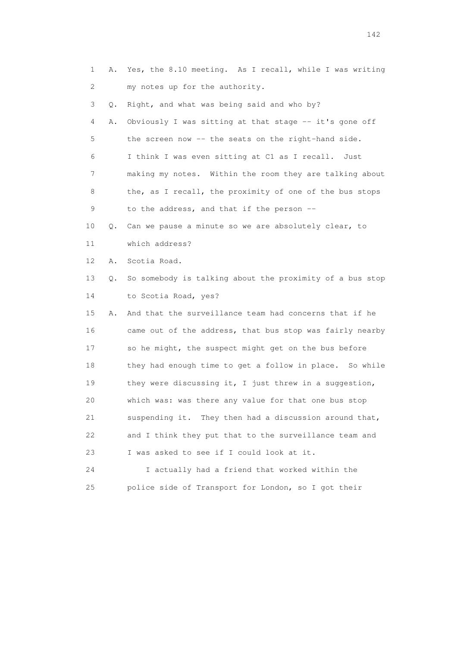1 A. Yes, the 8.10 meeting. As I recall, while I was writing 2 my notes up for the authority. 3 Q. Right, and what was being said and who by? 4 A. Obviously I was sitting at that stage -- it's gone off 5 the screen now -- the seats on the right-hand side. 6 I think I was even sitting at C1 as I recall. Just 7 making my notes. Within the room they are talking about 8 the, as I recall, the proximity of one of the bus stops 9 to the address, and that if the person -- 10 Q. Can we pause a minute so we are absolutely clear, to 11 which address? 12 A. Scotia Road. 13 Q. So somebody is talking about the proximity of a bus stop 14 to Scotia Road, yes? 15 A. And that the surveillance team had concerns that if he 16 came out of the address, that bus stop was fairly nearby 17 so he might, the suspect might get on the bus before 18 they had enough time to get a follow in place. So while 19 they were discussing it, I just threw in a suggestion, 20 which was: was there any value for that one bus stop 21 suspending it. They then had a discussion around that, 22 and I think they put that to the surveillance team and 23 I was asked to see if I could look at it. 24 I actually had a friend that worked within the 25 police side of Transport for London, so I got their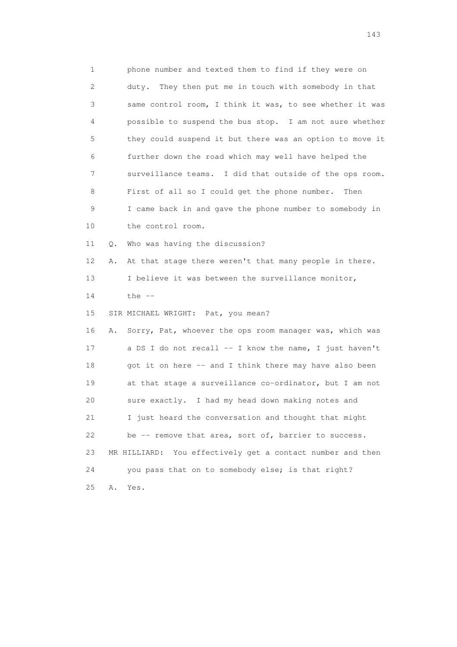1 phone number and texted them to find if they were on 2 duty. They then put me in touch with somebody in that 3 same control room, I think it was, to see whether it was 4 possible to suspend the bus stop. I am not sure whether 5 they could suspend it but there was an option to move it 6 further down the road which may well have helped the 7 surveillance teams. I did that outside of the ops room. 8 First of all so I could get the phone number. Then 9 I came back in and gave the phone number to somebody in 10 the control room. 11 Q. Who was having the discussion? 12 A. At that stage there weren't that many people in there. 13 I believe it was between the surveillance monitor, 14 the -- 15 SIR MICHAEL WRIGHT: Pat, you mean? 16 A. Sorry, Pat, whoever the ops room manager was, which was 17 a DS I do not recall -- I know the name, I just haven't 18 got it on here -- and I think there may have also been 19 at that stage a surveillance co-ordinator, but I am not 20 sure exactly. I had my head down making notes and 21 I just heard the conversation and thought that might 22 be -- remove that area, sort of, barrier to success. 23 MR HILLIARD: You effectively get a contact number and then 24 you pass that on to somebody else; is that right? 25 A. Yes.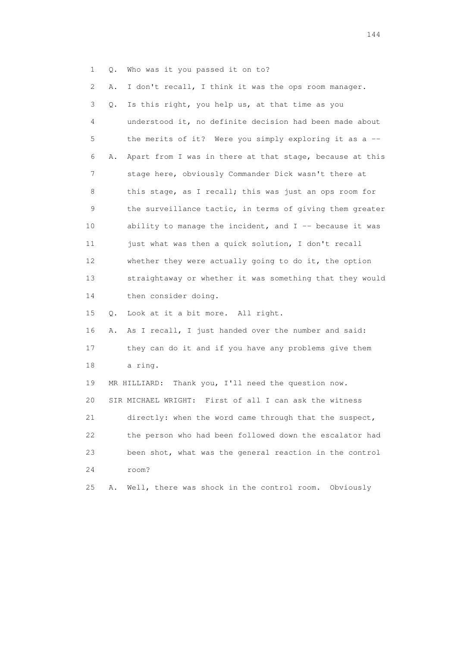1 Q. Who was it you passed it on to?

 2 A. I don't recall, I think it was the ops room manager. 3 Q. Is this right, you help us, at that time as you 4 understood it, no definite decision had been made about 5 the merits of it? Were you simply exploring it as a -- 6 A. Apart from I was in there at that stage, because at this 7 stage here, obviously Commander Dick wasn't there at 8 this stage, as I recall; this was just an ops room for 9 the surveillance tactic, in terms of giving them greater 10 ability to manage the incident, and I -- because it was 11 just what was then a quick solution, I don't recall 12 whether they were actually going to do it, the option 13 straightaway or whether it was something that they would 14 then consider doing. 15 Q. Look at it a bit more. All right. 16 A. As I recall, I just handed over the number and said: 17 they can do it and if you have any problems give them 18 a ring. 19 MR HILLIARD: Thank you, I'll need the question now. 20 SIR MICHAEL WRIGHT: First of all I can ask the witness 21 directly: when the word came through that the suspect, 22 the person who had been followed down the escalator had 23 been shot, what was the general reaction in the control 24 room? 25 A. Well, there was shock in the control room. Obviously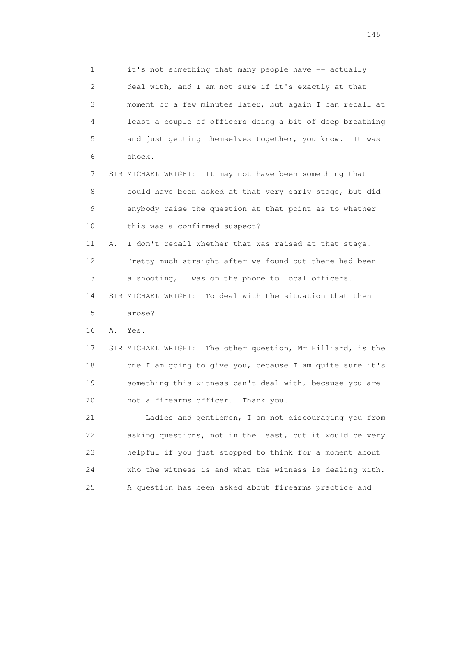1 it's not something that many people have -- actually 2 deal with, and I am not sure if it's exactly at that 3 moment or a few minutes later, but again I can recall at 4 least a couple of officers doing a bit of deep breathing 5 and just getting themselves together, you know. It was 6 shock.

 7 SIR MICHAEL WRIGHT: It may not have been something that 8 could have been asked at that very early stage, but did 9 anybody raise the question at that point as to whether 10 this was a confirmed suspect?

 11 A. I don't recall whether that was raised at that stage. 12 Pretty much straight after we found out there had been 13 a shooting, I was on the phone to local officers.

 14 SIR MICHAEL WRIGHT: To deal with the situation that then 15 arose?

16 A. Yes.

 17 SIR MICHAEL WRIGHT: The other question, Mr Hilliard, is the 18 one I am going to give you, because I am quite sure it's 19 something this witness can't deal with, because you are 20 not a firearms officer. Thank you.

 21 Ladies and gentlemen, I am not discouraging you from 22 asking questions, not in the least, but it would be very 23 helpful if you just stopped to think for a moment about 24 who the witness is and what the witness is dealing with. 25 A question has been asked about firearms practice and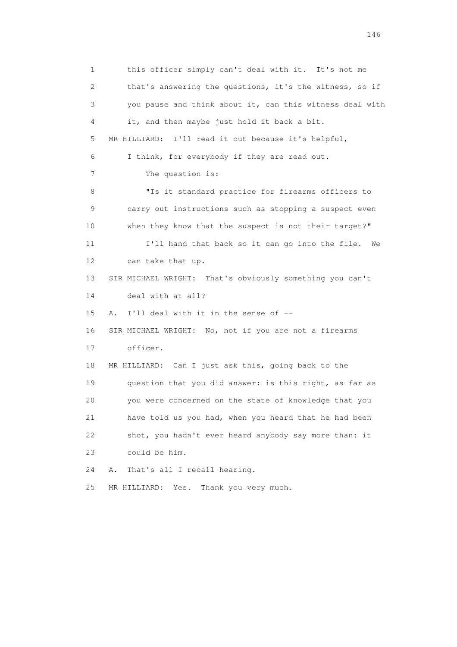1 this officer simply can't deal with it. It's not me 2 that's answering the questions, it's the witness, so if 3 you pause and think about it, can this witness deal with 4 it, and then maybe just hold it back a bit. 5 MR HILLIARD: I'll read it out because it's helpful, 6 I think, for everybody if they are read out. 7 The question is: 8 "Is it standard practice for firearms officers to 9 carry out instructions such as stopping a suspect even 10 when they know that the suspect is not their target?" 11 I'll hand that back so it can go into the file. We 12 can take that up. 13 SIR MICHAEL WRIGHT: That's obviously something you can't 14 deal with at all? 15 A. I'll deal with it in the sense of -- 16 SIR MICHAEL WRIGHT: No, not if you are not a firearms 17 officer. 18 MR HILLIARD: Can I just ask this, going back to the 19 question that you did answer: is this right, as far as 20 you were concerned on the state of knowledge that you 21 have told us you had, when you heard that he had been 22 shot, you hadn't ever heard anybody say more than: it 23 could be him. 24 A. That's all I recall hearing. 25 MR HILLIARD: Yes. Thank you very much.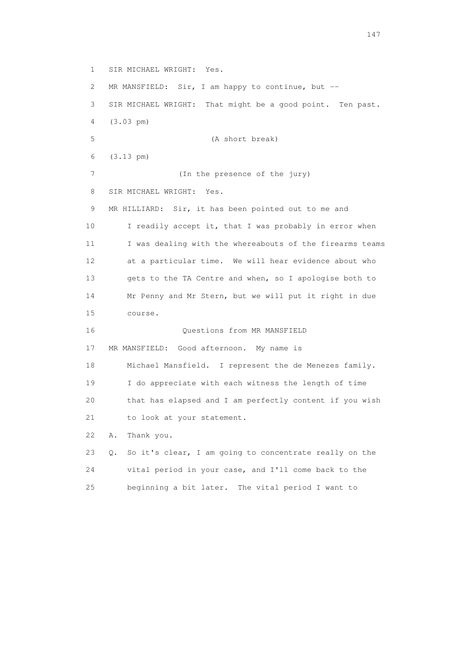1 SIR MICHAEL WRIGHT: Yes. 2 MR MANSFIELD: Sir, I am happy to continue, but -- 3 SIR MICHAEL WRIGHT: That might be a good point. Ten past. 4 (3.03 pm) 5 (A short break) 6 (3.13 pm) 7 (In the presence of the jury) 8 SIR MICHAEL WRIGHT: Yes. 9 MR HILLIARD: Sir, it has been pointed out to me and 10 I readily accept it, that I was probably in error when 11 I was dealing with the whereabouts of the firearms teams 12 at a particular time. We will hear evidence about who 13 gets to the TA Centre and when, so I apologise both to 14 Mr Penny and Mr Stern, but we will put it right in due 15 course. 16 Questions from MR MANSFIELD 17 MR MANSFIELD: Good afternoon. My name is 18 Michael Mansfield. I represent the de Menezes family. 19 I do appreciate with each witness the length of time 20 that has elapsed and I am perfectly content if you wish 21 to look at your statement. 22 A. Thank you. 23 Q. So it's clear, I am going to concentrate really on the 24 vital period in your case, and I'll come back to the

25 beginning a bit later. The vital period I want to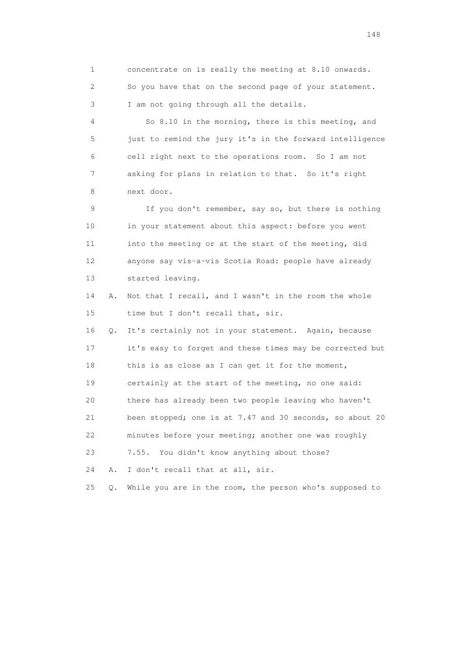1 concentrate on is really the meeting at 8.10 onwards. 2 So you have that on the second page of your statement. 3 I am not going through all the details. 4 So 8.10 in the morning, there is this meeting, and 5 just to remind the jury it's in the forward intelligence 6 cell right next to the operations room. So I am not 7 asking for plans in relation to that. So it's right 8 next door. 9 If you don't remember, say so, but there is nothing 10 in your statement about this aspect: before you went 11 into the meeting or at the start of the meeting, did 12 anyone say vis-a-vis Scotia Road: people have already 13 started leaving. 14 A. Not that I recall, and I wasn't in the room the whole 15 time but I don't recall that, sir. 16 Q. It's certainly not in your statement. Again, because 17 it's easy to forget and these times may be corrected but 18 this is as close as I can get it for the moment, 19 certainly at the start of the meeting, no one said: 20 there has already been two people leaving who haven't 21 been stopped; one is at 7.47 and 30 seconds, so about 20 22 minutes before your meeting; another one was roughly 23 7.55. You didn't know anything about those? 24 A. I don't recall that at all, sir. 25 Q. While you are in the room, the person who's supposed to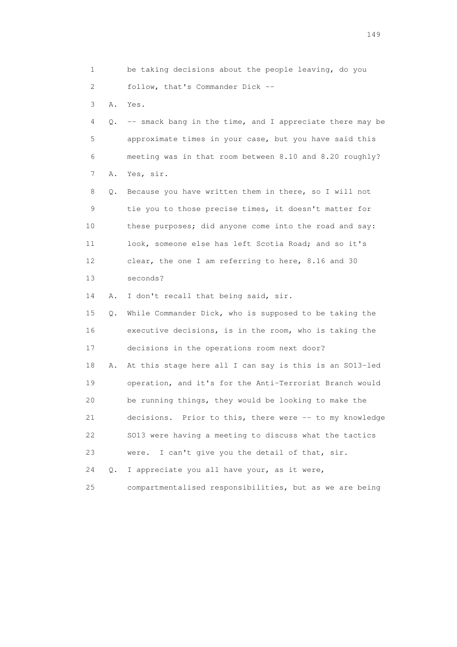1 be taking decisions about the people leaving, do you 2 follow, that's Commander Dick --

3 A. Yes.

 4 Q. -- smack bang in the time, and I appreciate there may be 5 approximate times in your case, but you have said this 6 meeting was in that room between 8.10 and 8.20 roughly? 7 A. Yes, sir.

 8 Q. Because you have written them in there, so I will not 9 tie you to those precise times, it doesn't matter for 10 these purposes; did anyone come into the road and say: 11 look, someone else has left Scotia Road; and so it's 12 clear, the one I am referring to here, 8.16 and 30 13 seconds?

14 A. I don't recall that being said, sir.

 15 Q. While Commander Dick, who is supposed to be taking the 16 executive decisions, is in the room, who is taking the 17 decisions in the operations room next door?

 18 A. At this stage here all I can say is this is an SO13-led 19 operation, and it's for the Anti-Terrorist Branch would 20 be running things, they would be looking to make the 21 decisions. Prior to this, there were -- to my knowledge 22 SO13 were having a meeting to discuss what the tactics 23 were. I can't give you the detail of that, sir.

24 Q. I appreciate you all have your, as it were,

25 compartmentalised responsibilities, but as we are being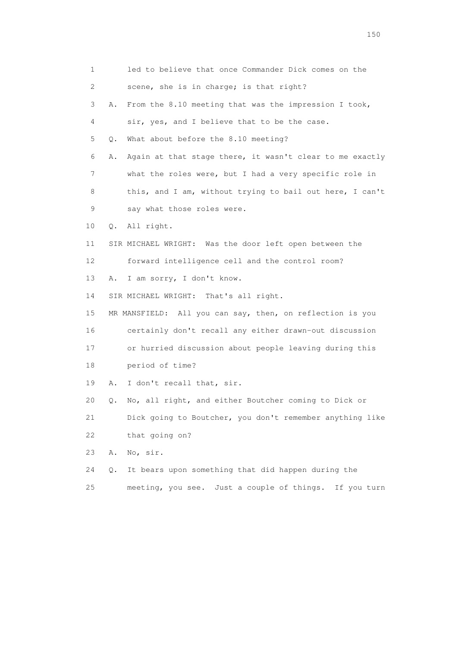| 1  | led to believe that once Commander Dick comes on the           |
|----|----------------------------------------------------------------|
|    |                                                                |
| 2  | scene, she is in charge; is that right?                        |
| 3  | From the 8.10 meeting that was the impression I took,<br>Α.    |
| 4  | sir, yes, and I believe that to be the case.                   |
| 5  | What about before the 8.10 meeting?<br>О.                      |
| 6  | Again at that stage there, it wasn't clear to me exactly<br>Α. |
| 7  | what the roles were, but I had a very specific role in         |
| 8  | this, and I am, without trying to bail out here, I can't       |
| 9  | say what those roles were.                                     |
| 10 | Q. All right.                                                  |
| 11 | SIR MICHAEL WRIGHT: Was the door left open between the         |
| 12 | forward intelligence cell and the control room?                |
| 13 | I am sorry, I don't know.<br>Α.                                |
| 14 | SIR MICHAEL WRIGHT: That's all right.                          |
| 15 | MR MANSFIELD: All you can say, then, on reflection is you      |
| 16 | certainly don't recall any either drawn-out discussion         |
| 17 | or hurried discussion about people leaving during this         |
| 18 | period of time?                                                |
| 19 | I don't recall that, sir.<br>Α.                                |
| 20 | No, all right, and either Boutcher coming to Dick or<br>Q.     |
| 21 | Dick going to Boutcher, you don't remember anything like       |
| 22 | that going on?                                                 |
| 23 | No, sir.<br>Α.                                                 |
| 24 | It bears upon something that did happen during the<br>Q.       |
| 25 | meeting, you see. Just a couple of things.<br>If you turn      |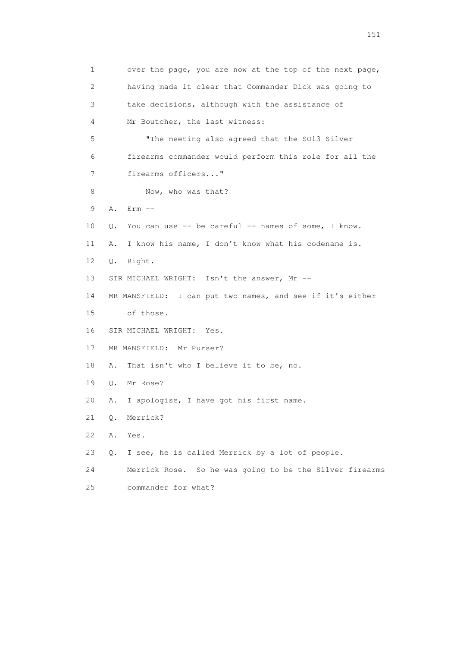| $\mathbf 1$ | over the page, you are now at the top of the next page,    |
|-------------|------------------------------------------------------------|
| 2           | having made it clear that Commander Dick was going to      |
| 3           | take decisions, although with the assistance of            |
| 4           | Mr Boutcher, the last witness:                             |
| 5           | "The meeting also agreed that the SO13 Silver              |
| 6           | firearms commander would perform this role for all the     |
| 7           | firearms officers"                                         |
| 8           | Now, who was that?                                         |
| 9           | $Err$ $--$<br>Α.                                           |
| 10          | You can use -- be careful -- names of some, I know.<br>О.  |
| 11          | I know his name, I don't know what his codename is.<br>Α.  |
| 12          | Q.<br>Right.                                               |
| 13          | SIR MICHAEL WRIGHT: Isn't the answer, Mr --                |
| 14          | MR MANSFIELD: I can put two names, and see if it's either  |
| 15          | of those.                                                  |
| 16          | SIR MICHAEL WRIGHT:<br>Yes.                                |
| 17          | MR MANSFIELD: Mr Purser?                                   |
| 18          | That isn't who I believe it to be, no.<br>Α.               |
| 19          | Mr Rose?<br>Q.                                             |
| 20          | I apologise, I have got his first name.<br>Α.              |
| 21          | Merrick?<br>Q.                                             |
| 22          | Yes.<br>Α.                                                 |
| 23          | I see, he is called Merrick by a lot of people.<br>Q.      |
| 24          | Merrick Rose.<br>So he was going to be the Silver firearms |
| 25          | commander for what?                                        |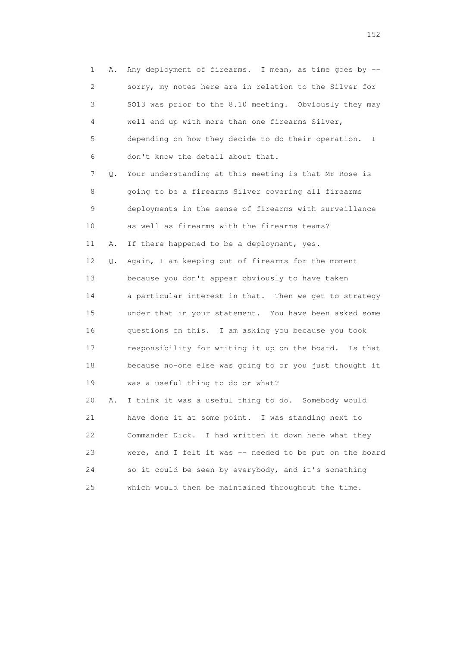1 A. Any deployment of firearms. I mean, as time goes by -- 2 sorry, my notes here are in relation to the Silver for 3 SO13 was prior to the 8.10 meeting. Obviously they may 4 well end up with more than one firearms Silver, 5 depending on how they decide to do their operation. I 6 don't know the detail about that. 7 Q. Your understanding at this meeting is that Mr Rose is 8 going to be a firearms Silver covering all firearms 9 deployments in the sense of firearms with surveillance 10 as well as firearms with the firearms teams? 11 A. If there happened to be a deployment, yes. 12 Q. Again, I am keeping out of firearms for the moment 13 because you don't appear obviously to have taken 14 a particular interest in that. Then we get to strategy 15 under that in your statement. You have been asked some 16 questions on this. I am asking you because you took 17 responsibility for writing it up on the board. Is that 18 because no-one else was going to or you just thought it 19 was a useful thing to do or what? 20 A. I think it was a useful thing to do. Somebody would 21 have done it at some point. I was standing next to 22 Commander Dick. I had written it down here what they 23 were, and I felt it was -- needed to be put on the board 24 so it could be seen by everybody, and it's something 25 which would then be maintained throughout the time.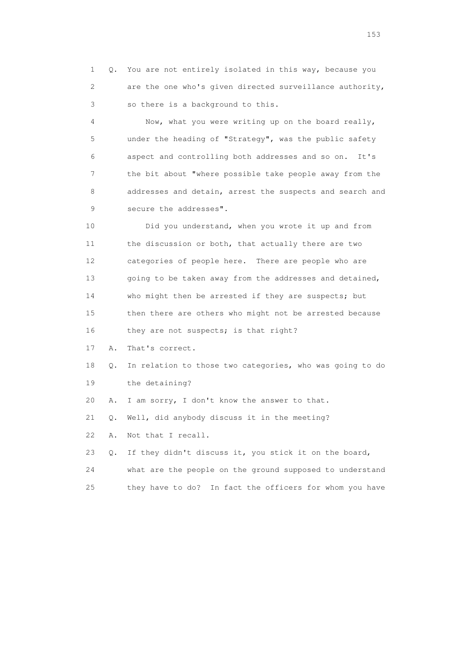1 Q. You are not entirely isolated in this way, because you 2 are the one who's given directed surveillance authority, 3 so there is a background to this.

 4 Now, what you were writing up on the board really, 5 under the heading of "Strategy", was the public safety 6 aspect and controlling both addresses and so on. It's 7 the bit about "where possible take people away from the 8 addresses and detain, arrest the suspects and search and 9 secure the addresses".

 10 Did you understand, when you wrote it up and from 11 the discussion or both, that actually there are two 12 categories of people here. There are people who are 13 going to be taken away from the addresses and detained, 14 who might then be arrested if they are suspects; but 15 then there are others who might not be arrested because 16 they are not suspects; is that right?

17 A. That's correct.

 18 Q. In relation to those two categories, who was going to do 19 the detaining?

20 A. I am sorry, I don't know the answer to that.

21 Q. Well, did anybody discuss it in the meeting?

22 A. Not that I recall.

 23 Q. If they didn't discuss it, you stick it on the board, 24 what are the people on the ground supposed to understand 25 they have to do? In fact the officers for whom you have

<u>153</u>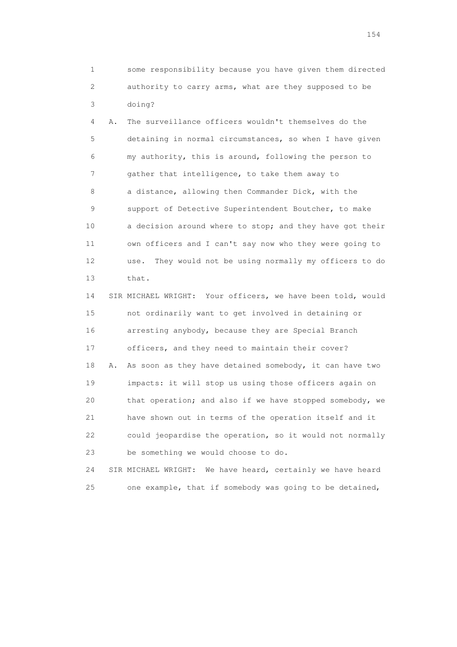1 some responsibility because you have given them directed 2 authority to carry arms, what are they supposed to be 3 doing?

 4 A. The surveillance officers wouldn't themselves do the 5 detaining in normal circumstances, so when I have given 6 my authority, this is around, following the person to 7 gather that intelligence, to take them away to 8 a distance, allowing then Commander Dick, with the 9 support of Detective Superintendent Boutcher, to make 10 a decision around where to stop; and they have got their 11 own officers and I can't say now who they were going to 12 use. They would not be using normally my officers to do 13 that.

 14 SIR MICHAEL WRIGHT: Your officers, we have been told, would 15 not ordinarily want to get involved in detaining or 16 arresting anybody, because they are Special Branch 17 officers, and they need to maintain their cover? 18 A. As soon as they have detained somebody, it can have two 19 impacts: it will stop us using those officers again on 20 that operation; and also if we have stopped somebody, we 21 have shown out in terms of the operation itself and it 22 could jeopardise the operation, so it would not normally 23 be something we would choose to do.

 24 SIR MICHAEL WRIGHT: We have heard, certainly we have heard 25 one example, that if somebody was going to be detained,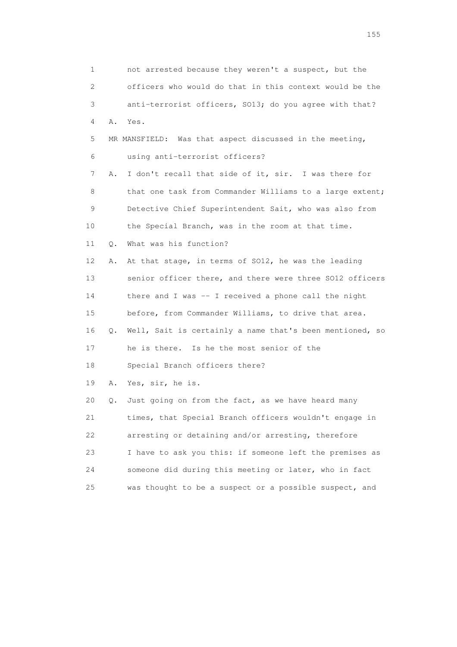| 1              |    | not arrested because they weren't a suspect, but the        |
|----------------|----|-------------------------------------------------------------|
| $\overline{2}$ |    | officers who would do that in this context would be the     |
| 3              |    | anti-terrorist officers, SO13; do you agree with that?      |
| 4              | Α. | Yes.                                                        |
| 5              |    | MR MANSFIELD: Was that aspect discussed in the meeting,     |
| 6              |    | using anti-terrorist officers?                              |
| 7              | Α. | I don't recall that side of it, sir. I was there for        |
| 8              |    | that one task from Commander Williams to a large extent;    |
| 9              |    | Detective Chief Superintendent Sait, who was also from      |
| 10             |    | the Special Branch, was in the room at that time.           |
| 11             | Q. | What was his function?                                      |
| 12             | Α. | At that stage, in terms of SO12, he was the leading         |
| 13             |    | senior officer there, and there were three S012 officers    |
| 14             |    | there and I was -- I received a phone call the night        |
| 15             |    | before, from Commander Williams, to drive that area.        |
| 16             |    | Q. Well, Sait is certainly a name that's been mentioned, so |
| 17             |    | he is there. Is he the most senior of the                   |
| 18             |    | Special Branch officers there?                              |
| 19             | Α. | Yes, sir, he is.                                            |
| 20             | Q. | Just going on from the fact, as we have heard many          |
| 21             |    | times, that Special Branch officers wouldn't engage in      |
| 22             |    | arresting or detaining and/or arresting, therefore          |
| 23             |    | I have to ask you this: if someone left the premises as     |
| 24             |    | someone did during this meeting or later, who in fact       |
| 25             |    | was thought to be a suspect or a possible suspect, and      |

n 155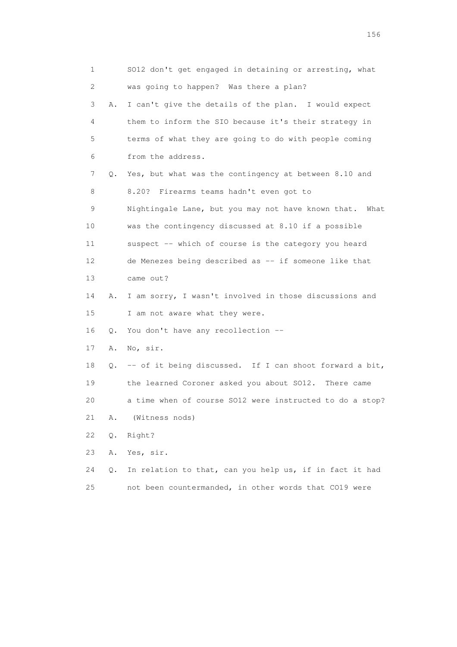| 1               |    | SO12 don't get engaged in detaining or arresting, what   |
|-----------------|----|----------------------------------------------------------|
| 2               |    | was going to happen? Was there a plan?                   |
| 3               | Α. | I can't give the details of the plan. I would expect     |
| 4               |    | them to inform the SIO because it's their strategy in    |
| 5               |    | terms of what they are going to do with people coming    |
| 6               |    | from the address.                                        |
| 7               |    | Q. Yes, but what was the contingency at between 8.10 and |
| 8               |    | 8.20? Firearms teams hadn't even got to                  |
| 9               |    | Nightingale Lane, but you may not have known that. What  |
| 10              |    | was the contingency discussed at 8.10 if a possible      |
| 11              |    | suspect -- which of course is the category you heard     |
| 12 <sup>°</sup> |    | de Menezes being described as -- if someone like that    |
| 13              |    | came out?                                                |
| 14              | Α. | I am sorry, I wasn't involved in those discussions and   |
| 15              |    | I am not aware what they were.                           |
| 16              |    | Q. You don't have any recollection --                    |
| 17              | Α. | No, sir.                                                 |
| 18              | Q. | -- of it being discussed. If I can shoot forward a bit,  |
| 19              |    | the learned Coroner asked you about SO12. There came     |
| 20              |    | a time when of course SO12 were instructed to do a stop? |
| 21              | Α. | (Witness nods)                                           |
| 22              | Q. | Right?                                                   |
| 23              | Α. | Yes, sir.                                                |
| 24              | Q. | In relation to that, can you help us, if in fact it had  |
| 25              |    | not been countermanded, in other words that CO19 were    |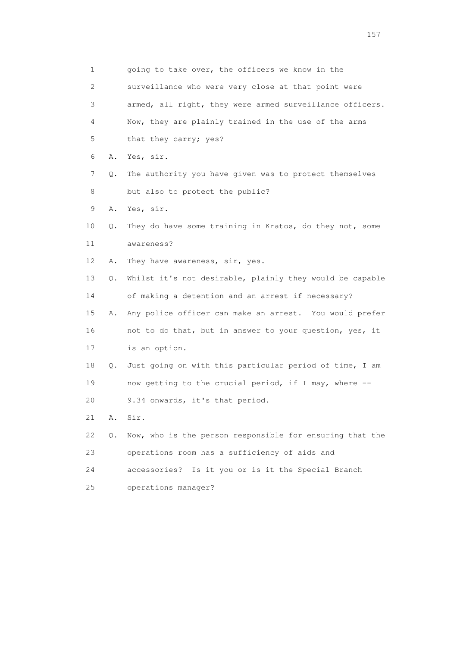| 1  |    | going to take over, the officers we know in the          |
|----|----|----------------------------------------------------------|
| 2  |    | surveillance who were very close at that point were      |
| 3  |    | armed, all right, they were armed surveillance officers. |
| 4  |    | Now, they are plainly trained in the use of the arms     |
| 5  |    | that they carry; yes?                                    |
| 6  | Α. | Yes, sir.                                                |
| 7  | Q. | The authority you have given was to protect themselves   |
| 8  |    | but also to protect the public?                          |
| 9  | Α. | Yes, sir.                                                |
| 10 | Q. | They do have some training in Kratos, do they not, some  |
| 11 |    | awareness?                                               |
| 12 | Α. | They have awareness, sir, yes.                           |
| 13 | Q. | Whilst it's not desirable, plainly they would be capable |
| 14 |    | of making a detention and an arrest if necessary?        |
| 15 | Α. | Any police officer can make an arrest. You would prefer  |
| 16 |    | not to do that, but in answer to your question, yes, it  |
| 17 |    | is an option.                                            |
| 18 | Q. | Just going on with this particular period of time, I am  |
| 19 |    | now getting to the crucial period, if I may, where --    |
| 20 |    | 9.34 onwards, it's that period.                          |
| 21 | Α. | Sir.                                                     |
| 22 | Q. | Now, who is the person responsible for ensuring that the |
| 23 |    | operations room has a sufficiency of aids and            |
| 24 |    | Is it you or is it the Special Branch<br>accessories?    |
| 25 |    | operations manager?                                      |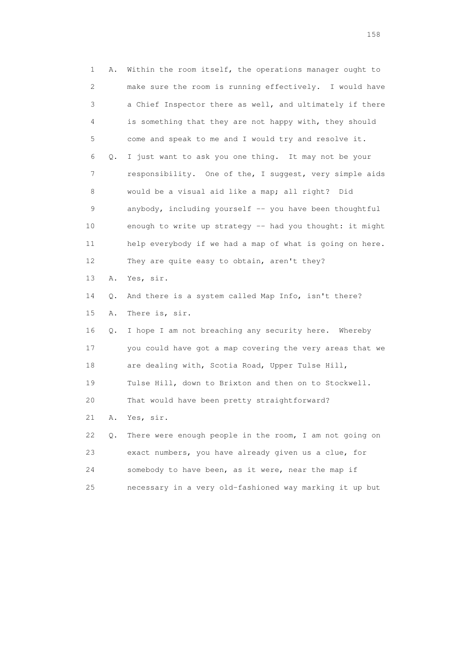1 A. Within the room itself, the operations manager ought to 2 make sure the room is running effectively. I would have 3 a Chief Inspector there as well, and ultimately if there 4 is something that they are not happy with, they should 5 come and speak to me and I would try and resolve it. 6 Q. I just want to ask you one thing. It may not be your 7 responsibility. One of the, I suggest, very simple aids 8 would be a visual aid like a map; all right? Did 9 anybody, including yourself -- you have been thoughtful 10 enough to write up strategy -- had you thought: it might 11 help everybody if we had a map of what is going on here. 12 They are quite easy to obtain, aren't they? 13 A. Yes, sir. 14 Q. And there is a system called Map Info, isn't there? 15 A. There is, sir. 16 Q. I hope I am not breaching any security here. Whereby 17 you could have got a map covering the very areas that we 18 are dealing with, Scotia Road, Upper Tulse Hill, 19 Tulse Hill, down to Brixton and then on to Stockwell. 20 That would have been pretty straightforward? 21 A. Yes, sir. 22 Q. There were enough people in the room, I am not going on 23 exact numbers, you have already given us a clue, for 24 somebody to have been, as it were, near the map if 25 necessary in a very old-fashioned way marking it up but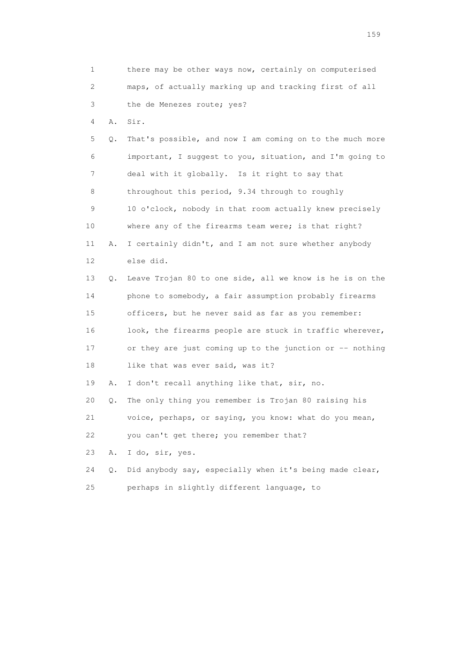1 there may be other ways now, certainly on computerised 2 maps, of actually marking up and tracking first of all 3 the de Menezes route; yes? 4 A. Sir. 5 Q. That's possible, and now I am coming on to the much more 6 important, I suggest to you, situation, and I'm going to 7 deal with it globally. Is it right to say that 8 throughout this period, 9.34 through to roughly 9 10 o'clock, nobody in that room actually knew precisely 10 where any of the firearms team were; is that right? 11 A. I certainly didn't, and I am not sure whether anybody 12 else did. 13 Q. Leave Trojan 80 to one side, all we know is he is on the 14 phone to somebody, a fair assumption probably firearms 15 officers, but he never said as far as you remember: 16 look, the firearms people are stuck in traffic wherever, 17 or they are just coming up to the junction or -- nothing 18 like that was ever said, was it? 19 A. I don't recall anything like that, sir, no. 20 Q. The only thing you remember is Trojan 80 raising his 21 voice, perhaps, or saying, you know: what do you mean, 22 you can't get there; you remember that? 23 A. I do, sir, yes. 24 Q. Did anybody say, especially when it's being made clear, 25 perhaps in slightly different language, to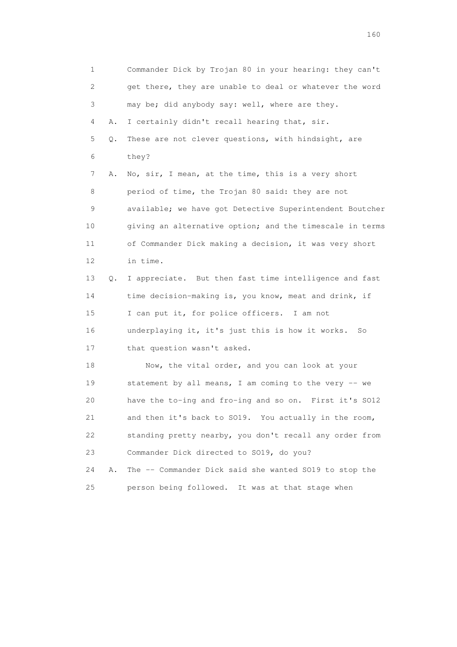1 Commander Dick by Trojan 80 in your hearing: they can't 2 get there, they are unable to deal or whatever the word 3 may be; did anybody say: well, where are they. 4 A. I certainly didn't recall hearing that, sir. 5 Q. These are not clever questions, with hindsight, are 6 they? 7 A. No, sir, I mean, at the time, this is a very short 8 period of time, the Trojan 80 said: they are not 9 available; we have got Detective Superintendent Boutcher 10 giving an alternative option; and the timescale in terms 11 of Commander Dick making a decision, it was very short 12 in time. 13 Q. I appreciate. But then fast time intelligence and fast 14 time decision-making is, you know, meat and drink, if 15 I can put it, for police officers. I am not 16 underplaying it, it's just this is how it works. So 17 that question wasn't asked. 18 Now, the vital order, and you can look at your 19 statement by all means, I am coming to the very -- we 20 have the to-ing and fro-ing and so on. First it's SO12 21 and then it's back to SO19. You actually in the room, 22 standing pretty nearby, you don't recall any order from 23 Commander Dick directed to SO19, do you? 24 A. The -- Commander Dick said she wanted SO19 to stop the 25 person being followed. It was at that stage when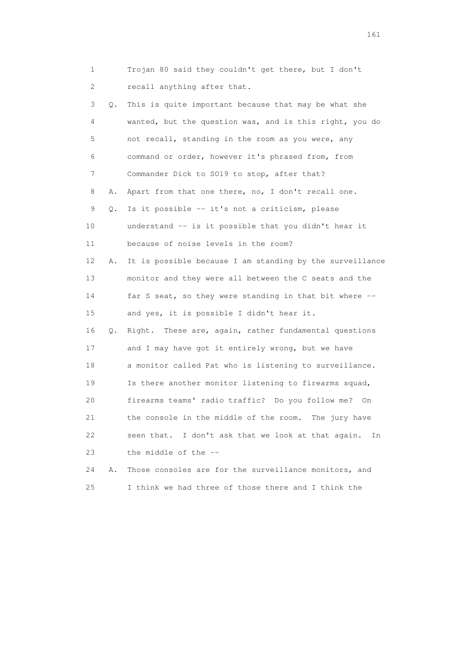1 Trojan 80 said they couldn't get there, but I don't 2 recall anything after that. 3 Q. This is quite important because that may be what she 4 wanted, but the question was, and is this right, you do 5 not recall, standing in the room as you were, any 6 command or order, however it's phrased from, from 7 Commander Dick to SO19 to stop, after that? 8 A. Apart from that one there, no, I don't recall one. 9 Q. Is it possible -- it's not a criticism, please 10 understand -- is it possible that you didn't hear it 11 because of noise levels in the room? 12 A. It is possible because I am standing by the surveillance 13 monitor and they were all between the C seats and the 14 far S seat, so they were standing in that bit where -- 15 and yes, it is possible I didn't hear it. 16 Q. Right. These are, again, rather fundamental questions 17 and I may have got it entirely wrong, but we have 18 a monitor called Pat who is listening to surveillance. 19 Is there another monitor listening to firearms squad, 20 firearms teams' radio traffic? Do you follow me? On 21 the console in the middle of the room. The jury have 22 seen that. I don't ask that we look at that again. In 23 the middle of the -- 24 A. Those consoles are for the surveillance monitors, and

25 I think we had three of those there and I think the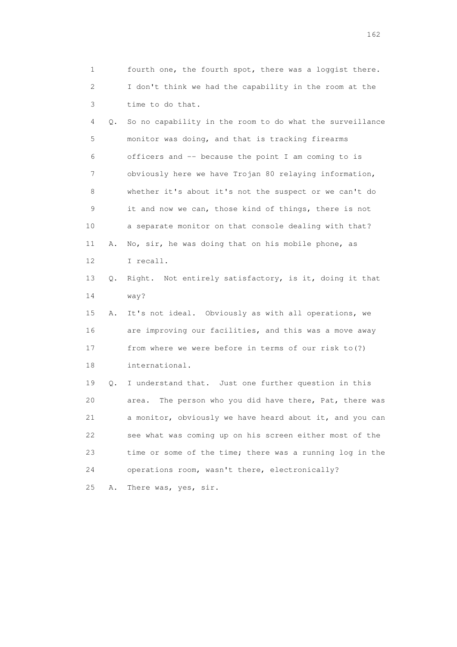1 fourth one, the fourth spot, there was a loggist there. 2 I don't think we had the capability in the room at the 3 time to do that. 4 Q. So no capability in the room to do what the surveillance 5 monitor was doing, and that is tracking firearms 6 officers and -- because the point I am coming to is 7 obviously here we have Trojan 80 relaying information, 8 whether it's about it's not the suspect or we can't do 9 it and now we can, those kind of things, there is not 10 a separate monitor on that console dealing with that? 11 A. No, sir, he was doing that on his mobile phone, as 12 I recall. 13 Q. Right. Not entirely satisfactory, is it, doing it that 14 way? 15 A. It's not ideal. Obviously as with all operations, we 16 are improving our facilities, and this was a move away 17 from where we were before in terms of our risk to(?) 18 international. 19 Q. I understand that. Just one further question in this 20 area. The person who you did have there, Pat, there was 21 a monitor, obviously we have heard about it, and you can 22 see what was coming up on his screen either most of the 23 time or some of the time; there was a running log in the 24 operations room, wasn't there, electronically? 25 A. There was, yes, sir.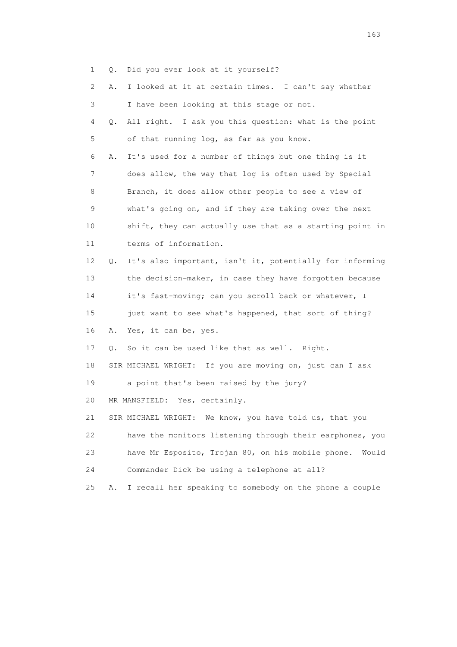1 Q. Did you ever look at it yourself?

|    | 2 | Α.            | I looked at it at certain times. I can't say whether       |
|----|---|---------------|------------------------------------------------------------|
|    | 3 |               | I have been looking at this stage or not.                  |
|    | 4 | Q.            | All right. I ask you this question: what is the point      |
|    | 5 |               | of that running log, as far as you know.                   |
|    | 6 | Α.            | It's used for a number of things but one thing is it       |
|    | 7 |               | does allow, the way that log is often used by Special      |
|    | 8 |               | Branch, it does allow other people to see a view of        |
|    | 9 |               | what's going on, and if they are taking over the next      |
| 10 |   |               | shift, they can actually use that as a starting point in   |
| 11 |   |               | terms of information.                                      |
| 12 |   | $Q_{\bullet}$ | It's also important, isn't it, potentially for informing   |
| 13 |   |               | the decision-maker, in case they have forgotten because    |
| 14 |   |               | it's fast-moving; can you scroll back or whatever, I       |
| 15 |   |               | just want to see what's happened, that sort of thing?      |
| 16 |   | Α.            | Yes, it can be, yes.                                       |
| 17 |   | О.            | So it can be used like that as well. Right.                |
| 18 |   |               | SIR MICHAEL WRIGHT: If you are moving on, just can I ask   |
| 19 |   |               | a point that's been raised by the jury?                    |
| 20 |   |               | Yes, certainly.<br>MR MANSFIELD:                           |
| 21 |   |               | We know, you have told us, that you<br>SIR MICHAEL WRIGHT: |
| 22 |   |               | have the monitors listening through their earphones, you   |
| 23 |   |               | have Mr Esposito, Trojan 80, on his mobile phone.<br>Would |
| 24 |   |               | Commander Dick be using a telephone at all?                |
| 25 |   | Α.            | I recall her speaking to somebody on the phone a couple    |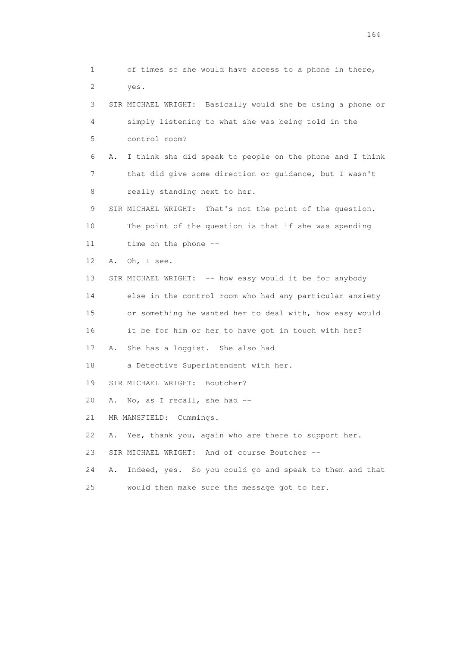1 of times so she would have access to a phone in there, 2 yes. 3 SIR MICHAEL WRIGHT: Basically would she be using a phone or 4 simply listening to what she was being told in the 5 control room? 6 A. I think she did speak to people on the phone and I think 7 that did give some direction or guidance, but I wasn't 8 really standing next to her. 9 SIR MICHAEL WRIGHT: That's not the point of the question. 10 The point of the question is that if she was spending 11 time on the phone -- 12 A. Oh, I see. 13 SIR MICHAEL WRIGHT: -- how easy would it be for anybody 14 else in the control room who had any particular anxiety 15 or something he wanted her to deal with, how easy would 16 it be for him or her to have got in touch with her? 17 A. She has a loggist. She also had 18 a Detective Superintendent with her. 19 SIR MICHAEL WRIGHT: Boutcher? 20 A. No, as I recall, she had -- 21 MR MANSFIELD: Cummings. 22 A. Yes, thank you, again who are there to support her. 23 SIR MICHAEL WRIGHT: And of course Boutcher -- 24 A. Indeed, yes. So you could go and speak to them and that 25 would then make sure the message got to her.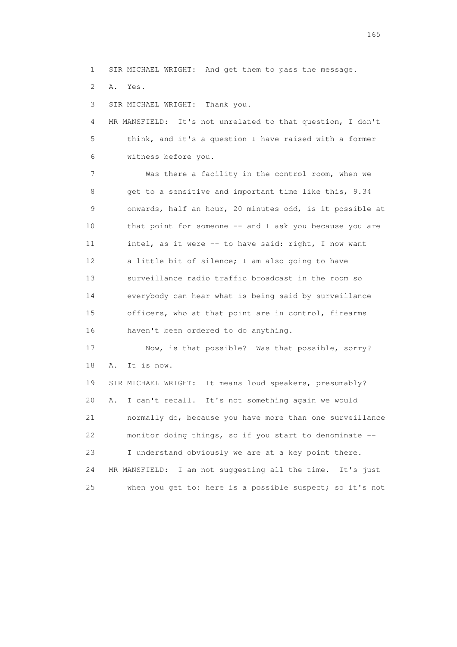1 SIR MICHAEL WRIGHT: And get them to pass the message.

2 A. Yes.

3 SIR MICHAEL WRIGHT: Thank you.

 4 MR MANSFIELD: It's not unrelated to that question, I don't 5 think, and it's a question I have raised with a former 6 witness before you.

 7 Was there a facility in the control room, when we 8 get to a sensitive and important time like this, 9.34 9 onwards, half an hour, 20 minutes odd, is it possible at 10 that point for someone -- and I ask you because you are 11 intel, as it were -- to have said: right, I now want 12 a little bit of silence; I am also going to have 13 surveillance radio traffic broadcast in the room so 14 everybody can hear what is being said by surveillance 15 officers, who at that point are in control, firearms 16 haven't been ordered to do anything.

 17 Now, is that possible? Was that possible, sorry? 18 A. It is now.

 19 SIR MICHAEL WRIGHT: It means loud speakers, presumably? 20 A. I can't recall. It's not something again we would 21 normally do, because you have more than one surveillance 22 monitor doing things, so if you start to denominate -- 23 I understand obviously we are at a key point there. 24 MR MANSFIELD: I am not suggesting all the time. It's just 25 when you get to: here is a possible suspect; so it's not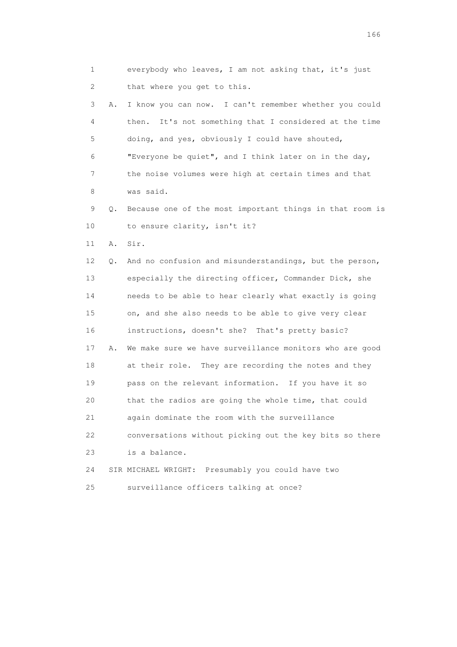1 everybody who leaves, I am not asking that, it's just 2 that where you get to this. 3 A. I know you can now. I can't remember whether you could 4 then. It's not something that I considered at the time 5 doing, and yes, obviously I could have shouted, 6 "Everyone be quiet", and I think later on in the day, 7 the noise volumes were high at certain times and that 8 was said. 9 Q. Because one of the most important things in that room is 10 to ensure clarity, isn't it? 11 A. Sir. 12 Q. And no confusion and misunderstandings, but the person, 13 especially the directing officer, Commander Dick, she 14 needs to be able to hear clearly what exactly is going 15 on, and she also needs to be able to give very clear 16 instructions, doesn't she? That's pretty basic? 17 A. We make sure we have surveillance monitors who are good 18 at their role. They are recording the notes and they 19 pass on the relevant information. If you have it so 20 that the radios are going the whole time, that could 21 again dominate the room with the surveillance 22 conversations without picking out the key bits so there 23 is a balance. 24 SIR MICHAEL WRIGHT: Presumably you could have two 25 surveillance officers talking at once?

<u>166</u> **166**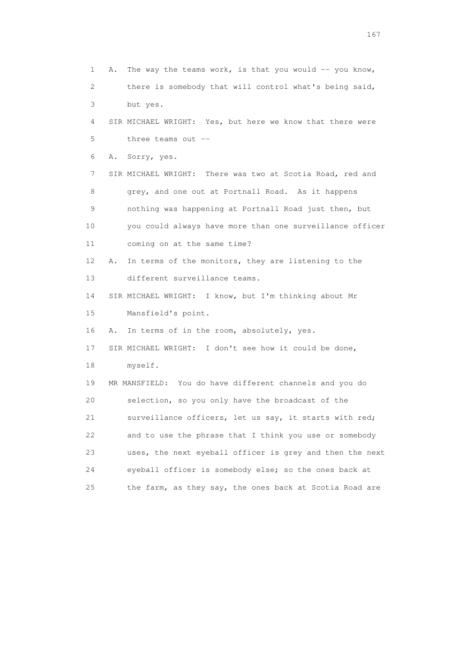1 A. The way the teams work, is that you would -- you know, 2 there is somebody that will control what's being said, 3 but yes. 4 SIR MICHAEL WRIGHT: Yes, but here we know that there were 5 three teams out -- 6 A. Sorry, yes. 7 SIR MICHAEL WRIGHT: There was two at Scotia Road, red and 8 grey, and one out at Portnall Road. As it happens 9 nothing was happening at Portnall Road just then, but 10 you could always have more than one surveillance officer 11 coming on at the same time? 12 A. In terms of the monitors, they are listening to the 13 different surveillance teams. 14 SIR MICHAEL WRIGHT: I know, but I'm thinking about Mr 15 Mansfield's point. 16 A. In terms of in the room, absolutely, yes. 17 SIR MICHAEL WRIGHT: I don't see how it could be done, 18 myself. 19 MR MANSFIELD: You do have different channels and you do 20 selection, so you only have the broadcast of the 21 surveillance officers, let us say, it starts with red; 22 and to use the phrase that I think you use or somebody 23 uses, the next eyeball officer is grey and then the next 24 eyeball officer is somebody else; so the ones back at 25 the farm, as they say, the ones back at Scotia Road are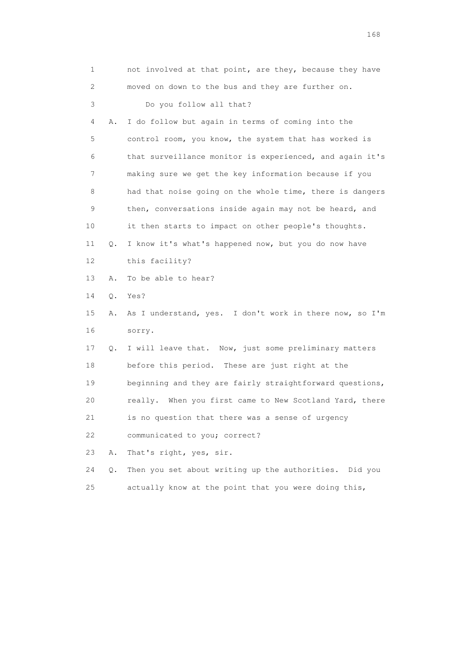| 1  |    | not involved at that point, are they, because they have  |
|----|----|----------------------------------------------------------|
| 2  |    | moved on down to the bus and they are further on.        |
| 3  |    | Do you follow all that?                                  |
| 4  | Α. | I do follow but again in terms of coming into the        |
| 5  |    | control room, you know, the system that has worked is    |
| 6  |    | that surveillance monitor is experienced, and again it's |
| 7  |    | making sure we get the key information because if you    |
| 8  |    | had that noise going on the whole time, there is dangers |
| 9  |    | then, conversations inside again may not be heard, and   |
| 10 |    | it then starts to impact on other people's thoughts.     |
| 11 | Q. | I know it's what's happened now, but you do now have     |
| 12 |    | this facility?                                           |
| 13 | Α. | To be able to hear?                                      |
| 14 | Q. | Yes?                                                     |
| 15 | Α. | As I understand, yes. I don't work in there now, so I'm  |
| 16 |    | sorry.                                                   |
| 17 | Q. | I will leave that. Now, just some preliminary matters    |
| 18 |    | before this period. These are just right at the          |
| 19 |    | beginning and they are fairly straightforward questions, |
| 20 |    | really. When you first came to New Scotland Yard, there  |
| 21 |    | is no question that there was a sense of urgency         |
| 22 |    | communicated to you; correct?                            |
| 23 | Α. | That's right, yes, sir.                                  |
| 24 | Q. | Then you set about writing up the authorities. Did you   |
| 25 |    | actually know at the point that you were doing this,     |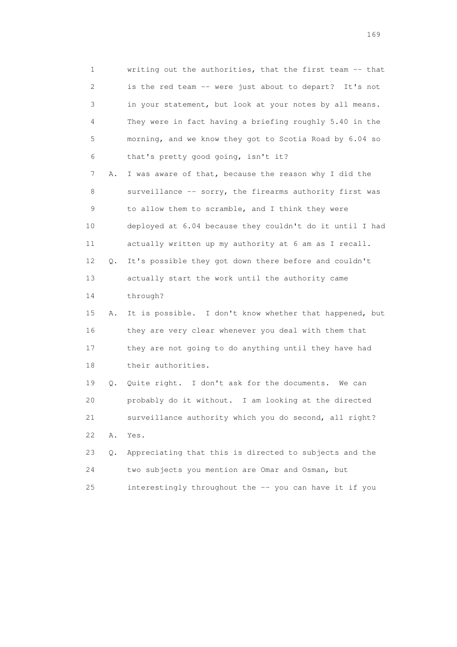1 writing out the authorities, that the first team -- that 2 is the red team -- were just about to depart? It's not 3 in your statement, but look at your notes by all means. 4 They were in fact having a briefing roughly 5.40 in the 5 morning, and we know they got to Scotia Road by 6.04 so 6 that's pretty good going, isn't it? 7 A. I was aware of that, because the reason why I did the 8 surveillance -- sorry, the firearms authority first was 9 to allow them to scramble, and I think they were 10 deployed at 6.04 because they couldn't do it until I had 11 actually written up my authority at 6 am as I recall. 12 Q. It's possible they got down there before and couldn't 13 actually start the work until the authority came 14 through? 15 A. It is possible. I don't know whether that happened, but 16 they are very clear whenever you deal with them that 17 they are not going to do anything until they have had 18 their authorities. 19 Q. Quite right. I don't ask for the documents. We can 20 probably do it without. I am looking at the directed 21 surveillance authority which you do second, all right?

 23 Q. Appreciating that this is directed to subjects and the 24 two subjects you mention are Omar and Osman, but 25 interestingly throughout the -- you can have it if you

22 A. Yes.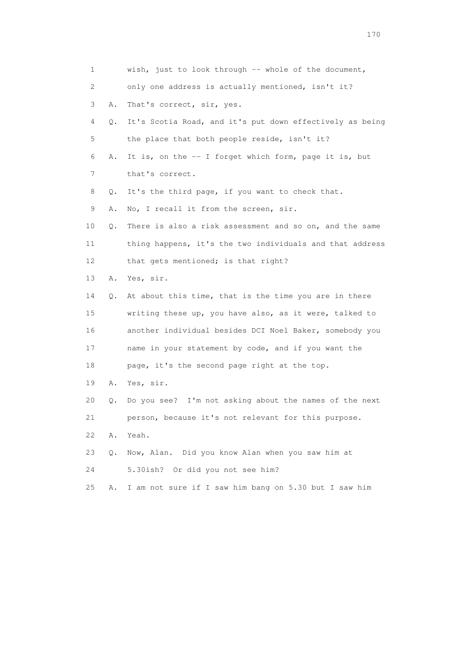| 1  |    | wish, just to look through $-$ whole of the document,    |
|----|----|----------------------------------------------------------|
| 2  |    | only one address is actually mentioned, isn't it?        |
| 3  | Α. | That's correct, sir, yes.                                |
| 4  | Q. | It's Scotia Road, and it's put down effectively as being |
| 5  |    | the place that both people reside, isn't it?             |
| 6  | Α. | It is, on the -- I forget which form, page it is, but    |
| 7  |    | that's correct.                                          |
| 8  | Q. | It's the third page, if you want to check that.          |
| 9  | Α. | No, I recall it from the screen, sir.                    |
| 10 | Q. | There is also a risk assessment and so on, and the same  |
| 11 |    | thing happens, it's the two individuals and that address |
| 12 |    | that gets mentioned; is that right?                      |
| 13 | Α. | Yes, sir.                                                |
| 14 | Q. | At about this time, that is the time you are in there    |
| 15 |    | writing these up, you have also, as it were, talked to   |
| 16 |    | another individual besides DCI Noel Baker, somebody you  |
| 17 |    | name in your statement by code, and if you want the      |
| 18 |    | page, it's the second page right at the top.             |
| 19 | Α. | Yes, sir.                                                |
| 20 | Q. | Do you see? I'm not asking about the names of the next   |
| 21 |    | person, because it's not relevant for this purpose.      |
| 22 | Α. | Yeah.                                                    |
| 23 | Q. | Now, Alan. Did you know Alan when you saw him at         |
| 24 |    | Or did you not see him?<br>5.30ish?                      |
| 25 | Α. | I am not sure if I saw him bang on 5.30 but I saw him    |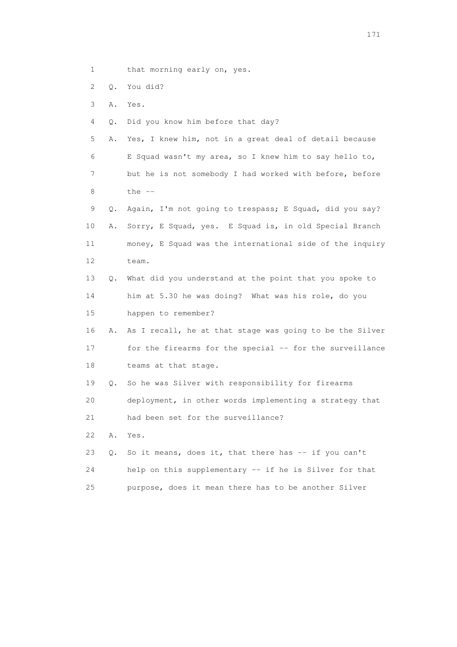- 1 that morning early on, yes.
- 2 Q. You did?
- 3 A. Yes.
- 4 Q. Did you know him before that day?
- 5 A. Yes, I knew him, not in a great deal of detail because 6 E Squad wasn't my area, so I knew him to say hello to, 7 but he is not somebody I had worked with before, before  $8$  the  $-$
- 9 Q. Again, I'm not going to trespass; E Squad, did you say? 10 A. Sorry, E Squad, yes. E Squad is, in old Special Branch 11 money, E Squad was the international side of the inquiry 12 team.
- 13 Q. What did you understand at the point that you spoke to 14 him at 5.30 he was doing? What was his role, do you 15 happen to remember?
- 16 A. As I recall, he at that stage was going to be the Silver 17 for the firearms for the special -- for the surveillance 18 teams at that stage.
- 19 Q. So he was Silver with responsibility for firearms
- 20 deployment, in other words implementing a strategy that
- 21 had been set for the surveillance?
- 22 A. Yes.
- 23 Q. So it means, does it, that there has -- if you can't 24 help on this supplementary -- if he is Silver for that 25 purpose, does it mean there has to be another Silver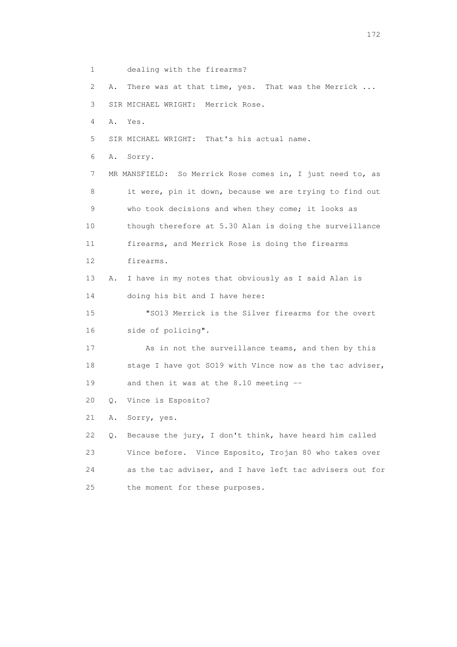1 dealing with the firearms?

2 A. There was at that time, yes. That was the Merrick ...

3 SIR MICHAEL WRIGHT: Merrick Rose.

4 A. Yes.

5 SIR MICHAEL WRIGHT: That's his actual name.

6 A. Sorry.

 7 MR MANSFIELD: So Merrick Rose comes in, I just need to, as 8 it were, pin it down, because we are trying to find out 9 who took decisions and when they come; it looks as 10 though therefore at 5.30 Alan is doing the surveillance 11 firearms, and Merrick Rose is doing the firearms 12 firearms. 13 A. I have in my notes that obviously as I said Alan is 14 doing his bit and I have here: 15 "SO13 Merrick is the Silver firearms for the overt 16 side of policing". 17 As in not the surveillance teams, and then by this 18 stage I have got SO19 with Vince now as the tac adviser, 19 and then it was at the 8.10 meeting --

20 Q. Vince is Esposito?

21 A. Sorry, yes.

 22 Q. Because the jury, I don't think, have heard him called 23 Vince before. Vince Esposito, Trojan 80 who takes over 24 as the tac adviser, and I have left tac advisers out for 25 the moment for these purposes.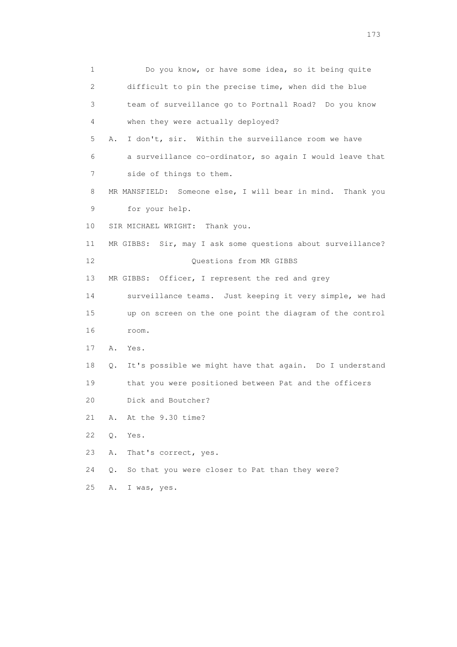1 Do you know, or have some idea, so it being quite 2 difficult to pin the precise time, when did the blue 3 team of surveillance go to Portnall Road? Do you know 4 when they were actually deployed? 5 A. I don't, sir. Within the surveillance room we have 6 a surveillance co-ordinator, so again I would leave that 7 side of things to them. 8 MR MANSFIELD: Someone else, I will bear in mind. Thank you 9 for your help. 10 SIR MICHAEL WRIGHT: Thank you. 11 MR GIBBS: Sir, may I ask some questions about surveillance? 12 Ouestions from MR GIBBS 13 MR GIBBS: Officer, I represent the red and grey 14 surveillance teams. Just keeping it very simple, we had 15 up on screen on the one point the diagram of the control 16 room. 17 A. Yes. 18 Q. It's possible we might have that again. Do I understand 19 that you were positioned between Pat and the officers 20 Dick and Boutcher? 21 A. At the 9.30 time? 22 Q. Yes. 23 A. That's correct, yes. 24 Q. So that you were closer to Pat than they were? 25 A. I was, yes.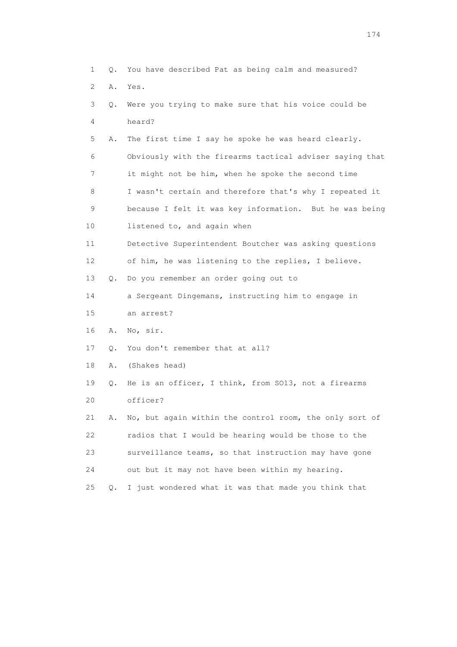| 1  | $\circ$ .     | You have described Pat as being calm and measured?       |
|----|---------------|----------------------------------------------------------|
| 2  | Α.            | Yes.                                                     |
| 3  | Q.            | Were you trying to make sure that his voice could be     |
| 4  |               | heard?                                                   |
| 5  | Α.            | The first time I say he spoke he was heard clearly.      |
| 6  |               | Obviously with the firearms tactical adviser saying that |
| 7  |               | it might not be him, when he spoke the second time       |
| 8  |               | I wasn't certain and therefore that's why I repeated it  |
| 9  |               | because I felt it was key information. But he was being  |
| 10 |               | listened to, and again when                              |
| 11 |               | Detective Superintendent Boutcher was asking questions   |
| 12 |               | of him, he was listening to the replies, I believe.      |
| 13 | 0.            | Do you remember an order going out to                    |
| 14 |               | a Sergeant Dingemans, instructing him to engage in       |
| 15 |               | an arrest?                                               |
| 16 | Α.            | No, sir.                                                 |
| 17 | Q.            | You don't remember that at all?                          |
| 18 | Α.            | (Shakes head)                                            |
| 19 | Q.            | He is an officer, I think, from SO13, not a firearms     |
| 20 |               | officer?                                                 |
| 21 | Α.            | No, but again within the control room, the only sort of  |
| 22 |               | radios that I would be hearing would be those to the     |
| 23 |               | surveillance teams, so that instruction may have gone    |
| 24 |               | out but it may not have been within my hearing.          |
| 25 | $Q_{\bullet}$ | I just wondered what it was that made you think that     |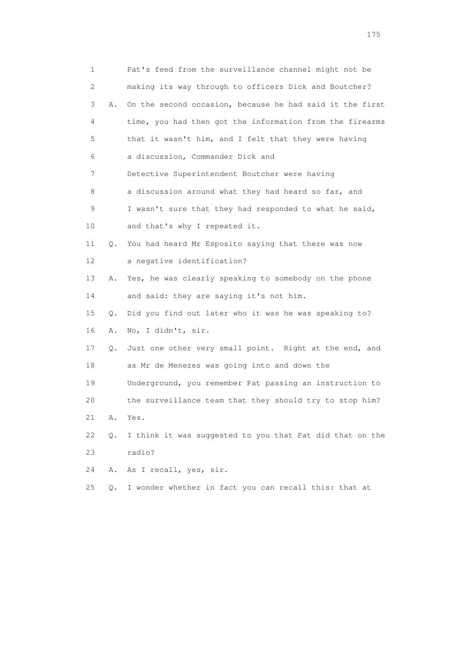| 1  |       | Pat's feed from the surveillance channel might not be    |
|----|-------|----------------------------------------------------------|
| 2  |       | making its way through to officers Dick and Boutcher?    |
| 3  | Α.    | On the second occasion, because he had said it the first |
| 4  |       | time, you had then got the information from the firearms |
| 5  |       | that it wasn't him, and I felt that they were having     |
| 6  |       | a discussion, Commander Dick and                         |
| 7  |       | Detective Superintendent Boutcher were having            |
| 8  |       | a discussion around what they had heard so far, and      |
| 9  |       | I wasn't sure that they had responded to what he said,   |
| 10 |       | and that's why I repeated it.                            |
| 11 | Q.    | You had heard Mr Esposito saying that there was now      |
| 12 |       | a negative identification?                               |
| 13 | Α.    | Yes, he was clearly speaking to somebody on the phone    |
| 14 |       | and said: they are saying it's not him.                  |
| 15 | Q.    | Did you find out later who it was he was speaking to?    |
| 16 | Α.    | No, I didn't, sir.                                       |
| 17 | Q.    | Just one other very small point. Right at the end, and   |
| 18 |       | as Mr de Menezes was going into and down the             |
| 19 |       | Underground, you remember Pat passing an instruction to  |
| 20 |       | the surveillance team that they should try to stop him?  |
| 21 | Α.    | Yes.                                                     |
| 22 | Q.    | I think it was suggested to you that Pat did that on the |
| 23 |       | radio?                                                   |
| 24 | Α.    | As I recall, yes, sir.                                   |
| 25 | $Q$ . | I wonder whether in fact you can recall this: that at    |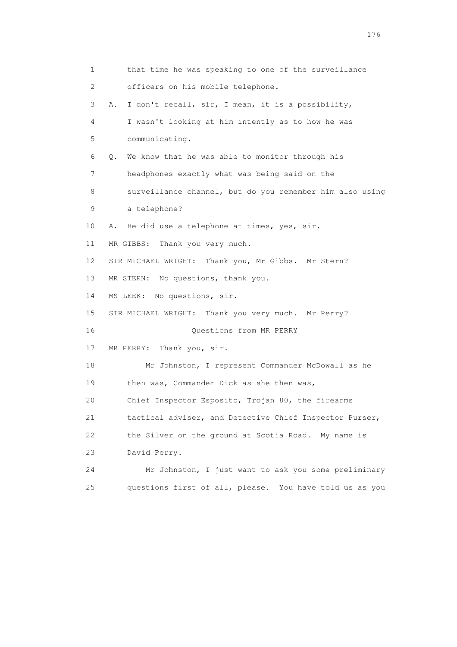1 that time he was speaking to one of the surveillance 2 officers on his mobile telephone. 3 A. I don't recall, sir, I mean, it is a possibility, 4 I wasn't looking at him intently as to how he was 5 communicating. 6 Q. We know that he was able to monitor through his 7 headphones exactly what was being said on the 8 surveillance channel, but do you remember him also using 9 a telephone? 10 A. He did use a telephone at times, yes, sir. 11 MR GIBBS: Thank you very much. 12 SIR MICHAEL WRIGHT: Thank you, Mr Gibbs. Mr Stern? 13 MR STERN: No questions, thank you. 14 MS LEEK: No questions, sir. 15 SIR MICHAEL WRIGHT: Thank you very much. Mr Perry? 16 Questions from MR PERRY 17 MR PERRY: Thank you, sir. 18 Mr Johnston, I represent Commander McDowall as he 19 then was, Commander Dick as she then was, 20 Chief Inspector Esposito, Trojan 80, the firearms 21 tactical adviser, and Detective Chief Inspector Purser, 22 the Silver on the ground at Scotia Road. My name is 23 David Perry. 24 Mr Johnston, I just want to ask you some preliminary 25 questions first of all, please. You have told us as you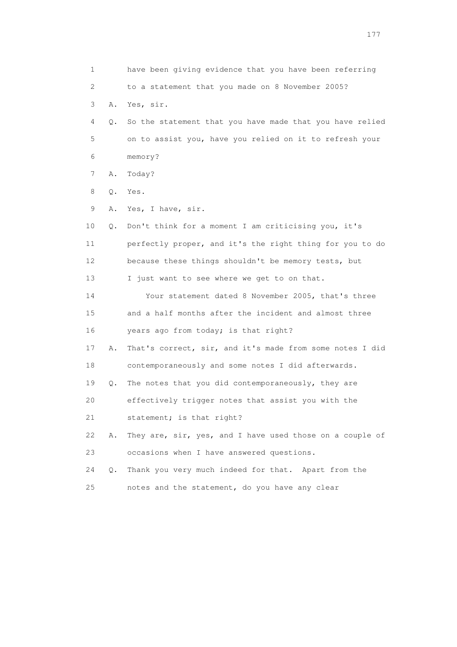1 have been giving evidence that you have been referring 2 to a statement that you made on 8 November 2005? 3 A. Yes, sir. 4 Q. So the statement that you have made that you have relied 5 on to assist you, have you relied on it to refresh your 6 memory? 7 A. Today? 8 Q. Yes. 9 A. Yes, I have, sir. 10 Q. Don't think for a moment I am criticising you, it's 11 perfectly proper, and it's the right thing for you to do 12 because these things shouldn't be memory tests, but 13 I just want to see where we get to on that. 14 Your statement dated 8 November 2005, that's three 15 and a half months after the incident and almost three 16 years ago from today; is that right? 17 A. That's correct, sir, and it's made from some notes I did 18 contemporaneously and some notes I did afterwards. 19 Q. The notes that you did contemporaneously, they are 20 effectively trigger notes that assist you with the 21 statement; is that right? 22 A. They are, sir, yes, and I have used those on a couple of 23 occasions when I have answered questions. 24 Q. Thank you very much indeed for that. Apart from the 25 notes and the statement, do you have any clear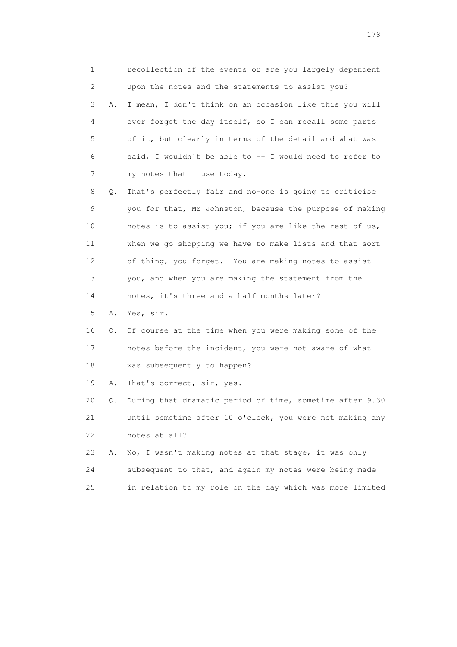1 recollection of the events or are you largely dependent 2 upon the notes and the statements to assist you? 3 A. I mean, I don't think on an occasion like this you will 4 ever forget the day itself, so I can recall some parts 5 of it, but clearly in terms of the detail and what was 6 said, I wouldn't be able to -- I would need to refer to 7 my notes that I use today. 8 Q. That's perfectly fair and no-one is going to criticise 9 you for that, Mr Johnston, because the purpose of making 10 notes is to assist you; if you are like the rest of us, 11 when we go shopping we have to make lists and that sort 12 of thing, you forget. You are making notes to assist 13 you, and when you are making the statement from the 14 notes, it's three and a half months later? 15 A. Yes, sir. 16 Q. Of course at the time when you were making some of the 17 notes before the incident, you were not aware of what 18 was subsequently to happen? 19 A. That's correct, sir, yes. 20 Q. During that dramatic period of time, sometime after 9.30 21 until sometime after 10 o'clock, you were not making any 22 notes at all? 23 A. No, I wasn't making notes at that stage, it was only 24 subsequent to that, and again my notes were being made 25 in relation to my role on the day which was more limited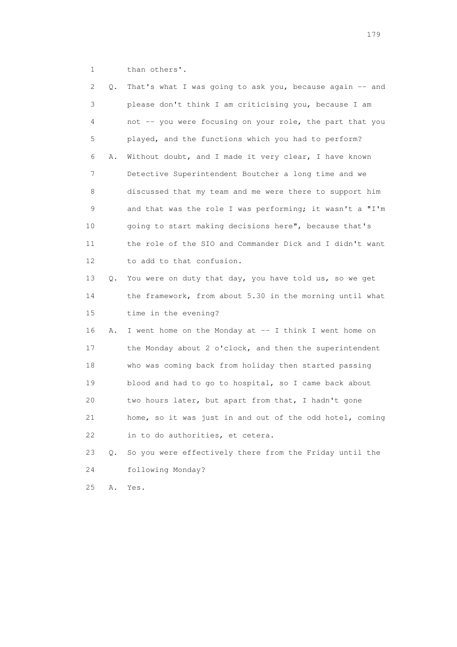1 than others'.

| 2  | Q.    | That's what I was going to ask you, because again -- and |
|----|-------|----------------------------------------------------------|
| 3  |       | please don't think I am criticising you, because I am    |
| 4  |       | not -- you were focusing on your role, the part that you |
| 5  |       | played, and the functions which you had to perform?      |
| 6  | Α.    | Without doubt, and I made it very clear, I have known    |
| 7  |       | Detective Superintendent Boutcher a long time and we     |
| 8  |       | discussed that my team and me were there to support him  |
| 9  |       | and that was the role I was performing; it wasn't a "I'm |
| 10 |       | going to start making decisions here", because that's    |
| 11 |       | the role of the SIO and Commander Dick and I didn't want |
| 12 |       | to add to that confusion.                                |
| 13 | Q.    | You were on duty that day, you have told us, so we get   |
| 14 |       | the framework, from about 5.30 in the morning until what |
| 15 |       | time in the evening?                                     |
| 16 | Α.    | I went home on the Monday at $-$ I think I went home on  |
| 17 |       | the Monday about 2 o'clock, and then the superintendent  |
| 18 |       | who was coming back from holiday then started passing    |
| 19 |       | blood and had to go to hospital, so I came back about    |
| 20 |       | two hours later, but apart from that, I hadn't gone      |
| 21 |       | home, so it was just in and out of the odd hotel, coming |
| 22 |       | in to do authorities, et cetera.                         |
| 23 | $Q$ . | So you were effectively there from the Friday until the  |
| 24 |       | following Monday?                                        |
| 25 | Α.    | Yes.                                                     |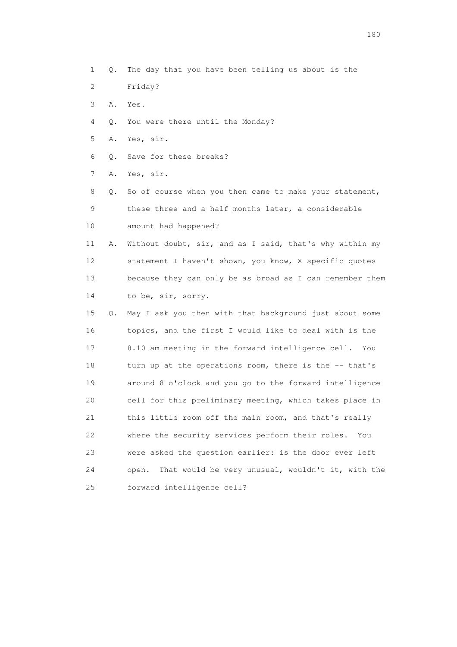- 1 Q. The day that you have been telling us about is the
- 2 Friday?
- 3 A. Yes.
- 4 Q. You were there until the Monday?
- 5 A. Yes, sir.
- 6 Q. Save for these breaks?

7 A. Yes, sir.

 8 Q. So of course when you then came to make your statement, 9 these three and a half months later, a considerable 10 amount had happened?

 11 A. Without doubt, sir, and as I said, that's why within my 12 statement I haven't shown, you know, X specific quotes 13 because they can only be as broad as I can remember them 14 to be, sir, sorry.

 15 Q. May I ask you then with that background just about some 16 topics, and the first I would like to deal with is the 17 8.10 am meeting in the forward intelligence cell. You 18 turn up at the operations room, there is the -- that's 19 around 8 o'clock and you go to the forward intelligence 20 cell for this preliminary meeting, which takes place in 21 this little room off the main room, and that's really 22 where the security services perform their roles. You 23 were asked the question earlier: is the door ever left 24 open. That would be very unusual, wouldn't it, with the 25 forward intelligence cell?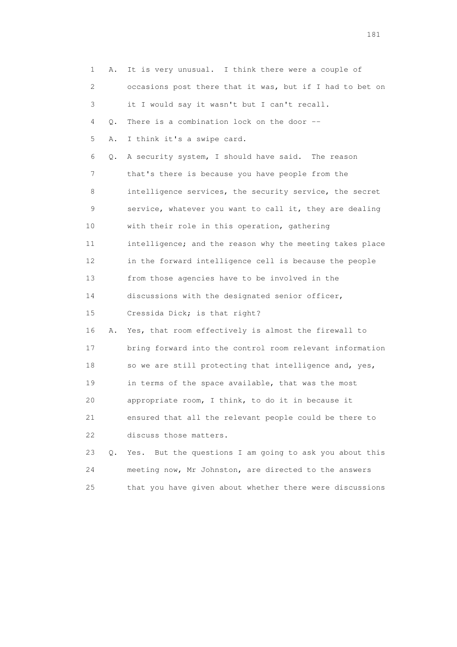|    | 1<br>Α.   | It is very unusual. I think there were a couple of         |
|----|-----------|------------------------------------------------------------|
| 2  |           | occasions post there that it was, but if I had to bet on   |
| 3  |           | it I would say it wasn't but I can't recall.               |
| 4  | Q.        | There is a combination lock on the door --                 |
| 5  | Α.        | I think it's a swipe card.                                 |
| 6  | Q.        | A security system, I should have said. The reason          |
| 7  |           | that's there is because you have people from the           |
| 8  |           | intelligence services, the security service, the secret    |
| 9  |           | service, whatever you want to call it, they are dealing    |
| 10 |           | with their role in this operation, gathering               |
| 11 |           | intelligence; and the reason why the meeting takes place   |
| 12 |           | in the forward intelligence cell is because the people     |
| 13 |           | from those agencies have to be involved in the             |
| 14 |           | discussions with the designated senior officer,            |
| 15 |           | Cressida Dick; is that right?                              |
| 16 | Α.        | Yes, that room effectively is almost the firewall to       |
| 17 |           | bring forward into the control room relevant information   |
| 18 |           | so we are still protecting that intelligence and, yes,     |
| 19 |           | in terms of the space available, that was the most         |
| 20 |           | appropriate room, I think, to do it in because it          |
| 21 |           | ensured that all the relevant people could be there to     |
| 22 |           | discuss those matters.                                     |
| 23 | $\circ$ . | But the questions I am going to ask you about this<br>Yes. |
| 24 |           | meeting now, Mr Johnston, are directed to the answers      |
| 25 |           | that you have given about whether there were discussions   |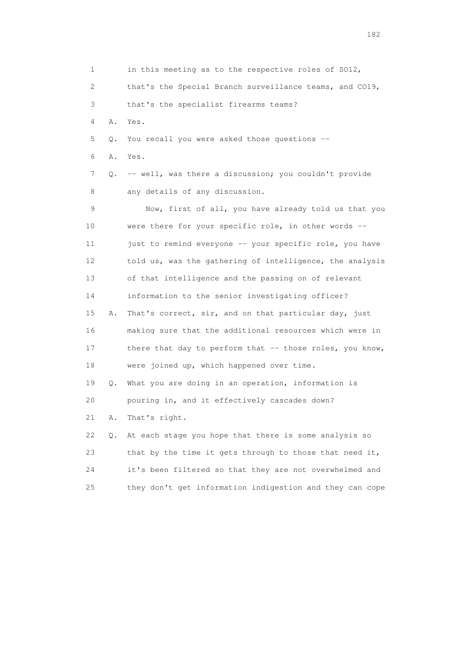| $\mathbf 1$    |    | in this meeting as to the respective roles of SO12,      |
|----------------|----|----------------------------------------------------------|
| $\overline{c}$ |    | that's the Special Branch surveillance teams, and CO19,  |
| 3              |    | that's the specialist firearms teams?                    |
| 4              | Α. | Yes.                                                     |
| 5              | Q. | You recall you were asked those questions --             |
| 6              | Α. | Yes.                                                     |
| 7              | Q. | -- well, was there a discussion; you couldn't provide    |
| 8              |    | any details of any discussion.                           |
| 9              |    | Now, first of all, you have already told us that you     |
| 10             |    | were there for your specific role, in other words --     |
| 11             |    | just to remind everyone -- your specific role, you have  |
| 12             |    | told us, was the gathering of intelligence, the analysis |
| 13             |    | of that intelligence and the passing on of relevant      |
| 14             |    | information to the senior investigating officer?         |
| 15             | Α. | That's correct, sir, and on that particular day, just    |
| 16             |    | making sure that the additional resources which were in  |
| 17             |    | there that day to perform that -- those roles, you know, |
| 18             |    | were joined up, which happened over time.                |
| 19             | Q. | What you are doing in an operation, information is       |
| 20             |    | pouring in, and it effectively cascades down?            |
| 21             | Α. | That's right.                                            |
| 22             | Q. | At each stage you hope that there is some analysis so    |
| 23             |    | that by the time it gets through to those that need it,  |
| 24             |    | it's been filtered so that they are not overwhelmed and  |
| 25             |    | they don't get information indigestion and they can cope |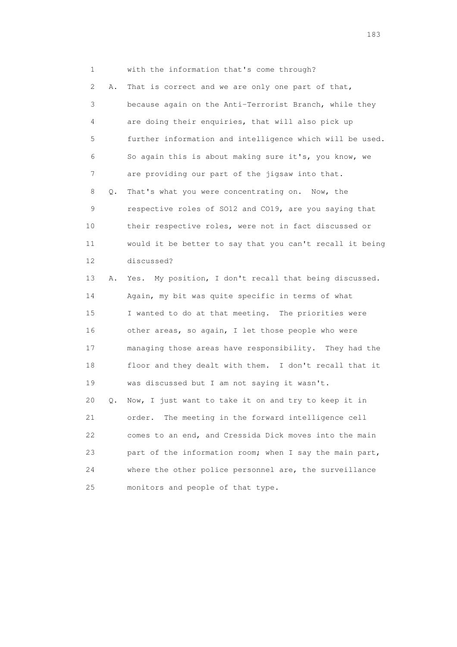1 with the information that's come through?

 2 A. That is correct and we are only one part of that, 3 because again on the Anti-Terrorist Branch, while they 4 are doing their enquiries, that will also pick up 5 further information and intelligence which will be used. 6 So again this is about making sure it's, you know, we 7 are providing our part of the jigsaw into that. 8 Q. That's what you were concentrating on. Now, the 9 respective roles of SO12 and CO19, are you saying that 10 their respective roles, were not in fact discussed or 11 would it be better to say that you can't recall it being 12 discussed? 13 A. Yes. My position, I don't recall that being discussed. 14 Again, my bit was quite specific in terms of what

 15 I wanted to do at that meeting. The priorities were 16 other areas, so again, I let those people who were 17 managing those areas have responsibility. They had the 18 floor and they dealt with them. I don't recall that it 19 was discussed but I am not saying it wasn't. 20 Q. Now, I just want to take it on and try to keep it in

 21 order. The meeting in the forward intelligence cell 22 comes to an end, and Cressida Dick moves into the main 23 part of the information room; when I say the main part, 24 where the other police personnel are, the surveillance 25 monitors and people of that type.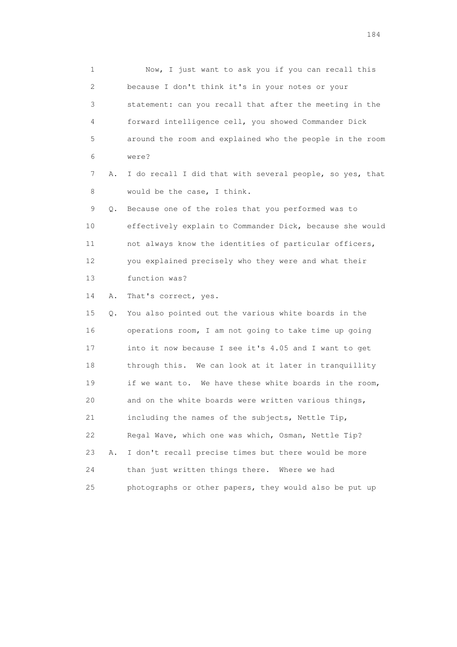1 Now, I just want to ask you if you can recall this 2 because I don't think it's in your notes or your 3 statement: can you recall that after the meeting in the 4 forward intelligence cell, you showed Commander Dick 5 around the room and explained who the people in the room 6 were? 7 A. I do recall I did that with several people, so yes, that

8 would be the case, I think.

 9 Q. Because one of the roles that you performed was to 10 effectively explain to Commander Dick, because she would 11 not always know the identities of particular officers, 12 you explained precisely who they were and what their 13 function was?

14 A. That's correct, yes.

 15 Q. You also pointed out the various white boards in the 16 operations room, I am not going to take time up going 17 into it now because I see it's 4.05 and I want to get 18 through this. We can look at it later in tranquillity 19 if we want to. We have these white boards in the room, 20 and on the white boards were written various things, 21 including the names of the subjects, Nettle Tip, 22 Regal Wave, which one was which, Osman, Nettle Tip? 23 A. I don't recall precise times but there would be more 24 than just written things there. Where we had 25 photographs or other papers, they would also be put up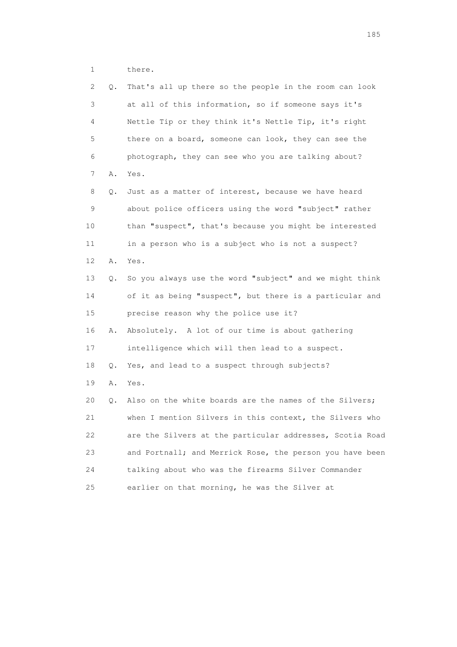1 there.

| 2  | Q. | That's all up there so the people in the room can look   |
|----|----|----------------------------------------------------------|
| 3  |    | at all of this information, so if someone says it's      |
| 4  |    | Nettle Tip or they think it's Nettle Tip, it's right     |
| 5  |    | there on a board, someone can look, they can see the     |
| 6  |    | photograph, they can see who you are talking about?      |
| 7  | Α. | Yes.                                                     |
| 8  | Q. | Just as a matter of interest, because we have heard      |
| 9  |    | about police officers using the word "subject" rather    |
| 10 |    | than "suspect", that's because you might be interested   |
| 11 |    | in a person who is a subject who is not a suspect?       |
| 12 | Α. | Yes.                                                     |
| 13 | Q. | So you always use the word "subject" and we might think  |
| 14 |    | of it as being "suspect", but there is a particular and  |
| 15 |    | precise reason why the police use it?                    |
| 16 | Α. | Absolutely. A lot of our time is about gathering         |
| 17 |    | intelligence which will then lead to a suspect.          |
| 18 | Q. | Yes, and lead to a suspect through subjects?             |
| 19 | Α. | Yes.                                                     |
| 20 | Q. | Also on the white boards are the names of the Silvers;   |
| 21 |    | when I mention Silvers in this context, the Silvers who  |
| 22 |    | are the Silvers at the particular addresses, Scotia Road |
| 23 |    | and Portnall; and Merrick Rose, the person you have been |
| 24 |    | talking about who was the firearms Silver Commander      |
| 25 |    | earlier on that morning, he was the Silver at            |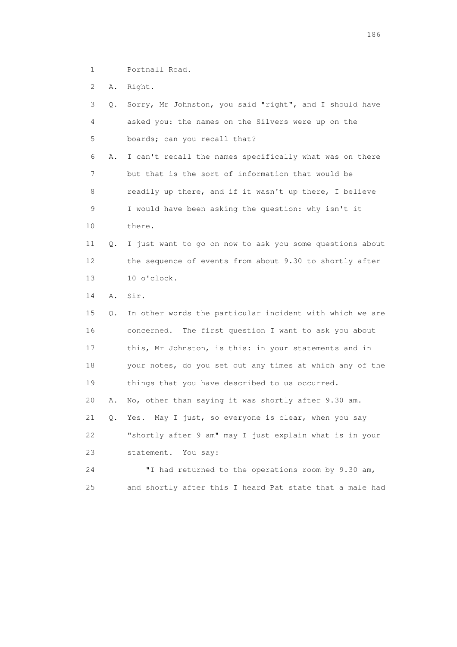1 Portnall Road.

2 A. Right.

| 3  | О. | Sorry, Mr Johnston, you said "right", and I should have  |
|----|----|----------------------------------------------------------|
| 4  |    | asked you: the names on the Silvers were up on the       |
| 5  |    | boards; can you recall that?                             |
| 6  | Α. | I can't recall the names specifically what was on there  |
| 7  |    | but that is the sort of information that would be        |
| 8  |    | readily up there, and if it wasn't up there, I believe   |
| 9  |    | I would have been asking the question: why isn't it      |
| 10 |    | there.                                                   |
| 11 | Q. | I just want to go on now to ask you some questions about |
| 12 |    | the sequence of events from about 9.30 to shortly after  |
| 13 |    | 10 o'clock.                                              |
| 14 | Α. | Sir.                                                     |
| 15 | Ο. | In other words the particular incident with which we are |
| 16 |    | concerned. The first question I want to ask you about    |
| 17 |    | this, Mr Johnston, is this: in your statements and in    |
| 18 |    | your notes, do you set out any times at which any of the |
| 19 |    | things that you have described to us occurred.           |
| 20 | Α. | No, other than saying it was shortly after 9.30 am.      |
| 21 | Q. | Yes. May I just, so everyone is clear, when you say      |
| 22 |    | "shortly after 9 am" may I just explain what is in your  |
| 23 |    | statement. You say:                                      |
| 24 |    | "I had returned to the operations room by 9.30 am,       |
| 25 |    | and shortly after this I heard Pat state that a male had |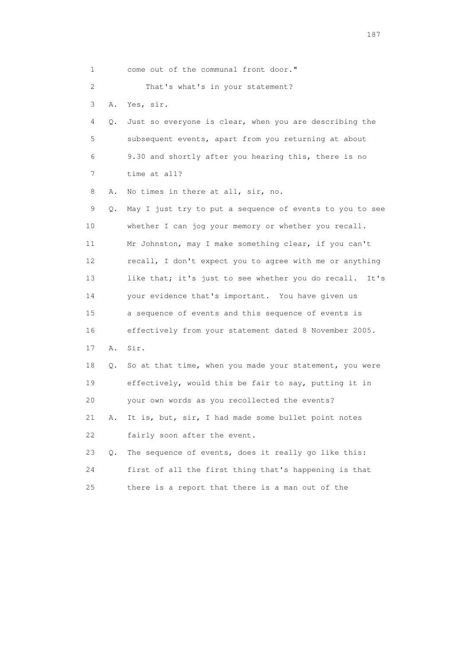| 1  |    | come out of the communal front door."                      |
|----|----|------------------------------------------------------------|
| 2  |    | That's what's in your statement?                           |
| 3  | Α. | Yes, sir.                                                  |
| 4  | Q. | Just so everyone is clear, when you are describing the     |
| 5  |    | subsequent events, apart from you returning at about       |
| 6  |    | 9.30 and shortly after you hearing this, there is no       |
| 7  |    | time at all?                                               |
| 8  | Α. | No times in there at all, sir, no.                         |
| 9  | Q. | May I just try to put a sequence of events to you to see   |
| 10 |    | whether I can jog your memory or whether you recall.       |
| 11 |    | Mr Johnston, may I make something clear, if you can't      |
| 12 |    | recall, I don't expect you to agree with me or anything    |
| 13 |    | like that; it's just to see whether you do recall.<br>It's |
| 14 |    | your evidence that's important. You have given us          |
| 15 |    | a sequence of events and this sequence of events is        |
| 16 |    | effectively from your statement dated 8 November 2005.     |
| 17 | Α. | Sir.                                                       |
| 18 | Q. | So at that time, when you made your statement, you were    |
| 19 |    | effectively, would this be fair to say, putting it in      |
| 20 |    | your own words as you recollected the events?              |
| 21 | Α. | It is, but, sir, I had made some bullet point notes        |
| 22 |    | fairly soon after the event.                               |
| 23 | Q. | The sequence of events, does it really go like this:       |
| 24 |    | first of all the first thing that's happening is that      |
| 25 |    | there is a report that there is a man out of the           |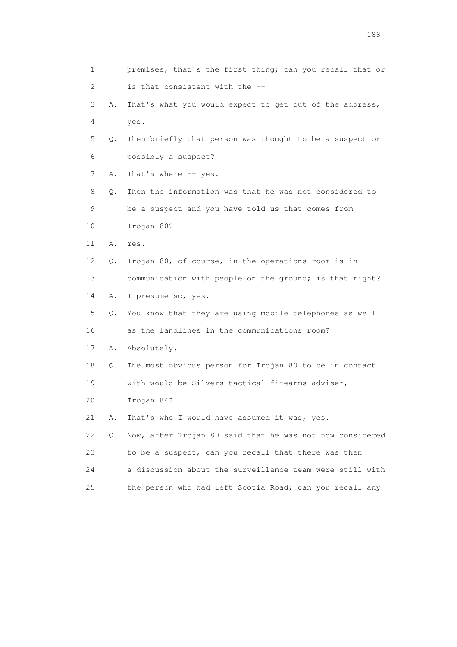| 1                         |    | premises, that's the first thing; can you recall that or |
|---------------------------|----|----------------------------------------------------------|
| $\mathbf{2}^{\mathsf{I}}$ |    | is that consistent with the --                           |
| 3                         | Α. | That's what you would expect to get out of the address,  |
| 4                         |    | yes.                                                     |
| 5                         | Q. | Then briefly that person was thought to be a suspect or  |
| 6                         |    | possibly a suspect?                                      |
| 7                         | Α. | That's where -- yes.                                     |
| 8                         | Q. | Then the information was that he was not considered to   |
| 9                         |    | be a suspect and you have told us that comes from        |
| 10                        |    | Trojan 80?                                               |
| 11                        | Α. | Yes.                                                     |
| 12                        | Q. | Trojan 80, of course, in the operations room is in       |
| 13                        |    | communication with people on the ground; is that right?  |
| 14                        | Α. | I presume so, yes.                                       |
| 15                        | Q. | You know that they are using mobile telephones as well   |
| 16                        |    | as the landlines in the communications room?             |
| 17                        | Α. | Absolutely.                                              |
| 18                        | Q. | The most obvious person for Trojan 80 to be in contact   |
| 19                        |    | with would be Silvers tactical firearms adviser,         |
| 20                        |    | Trojan 84?                                               |
| 21                        | Α. | That's who I would have assumed it was, yes.             |
| 22                        | Q. | Now, after Trojan 80 said that he was not now considered |
| 23                        |    | to be a suspect, can you recall that there was then      |
| 24                        |    | a discussion about the surveillance team were still with |
| 25                        |    | the person who had left Scotia Road; can you recall any  |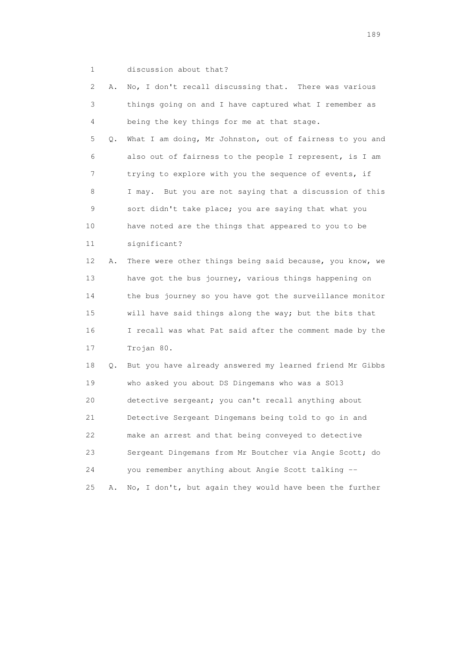1 discussion about that?

|    | 2<br>Α. | No, I don't recall discussing that. There was various    |
|----|---------|----------------------------------------------------------|
|    | 3       | things going on and I have captured what I remember as   |
|    | 4       | being the key things for me at that stage.               |
|    | 5<br>Q. | What I am doing, Mr Johnston, out of fairness to you and |
|    | 6       | also out of fairness to the people I represent, is I am  |
|    | 7       | trying to explore with you the sequence of events, if    |
|    | 8       | I may. But you are not saying that a discussion of this  |
|    | 9       | sort didn't take place; you are saying that what you     |
| 10 |         | have noted are the things that appeared to you to be     |
| 11 |         | significant?                                             |
| 12 | Α.      | There were other things being said because, you know, we |
| 13 |         | have got the bus journey, various things happening on    |
| 14 |         | the bus journey so you have got the surveillance monitor |
| 15 |         | will have said things along the way; but the bits that   |
| 16 |         | I recall was what Pat said after the comment made by the |
| 17 |         | Trojan 80.                                               |
| 18 | 0.      | But you have already answered my learned friend Mr Gibbs |
| 19 |         | who asked you about DS Dingemans who was a SO13          |
| 20 |         | detective sergeant; you can't recall anything about      |
| 21 |         | Detective Sergeant Dingemans being told to go in and     |
| 22 |         | make an arrest and that being conveyed to detective      |
| 23 |         | Sergeant Dingemans from Mr Boutcher via Angie Scott; do  |
| 24 |         | you remember anything about Angie Scott talking --       |
| 25 | Α.      | No, I don't, but again they would have been the further  |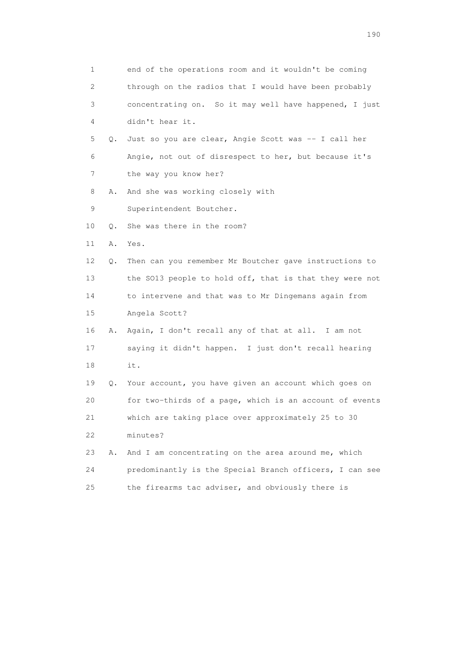| 1  |           | end of the operations room and it wouldn't be coming    |  |
|----|-----------|---------------------------------------------------------|--|
| 2  |           | through on the radios that I would have been probably   |  |
| 3  |           | concentrating on. So it may well have happened, I just  |  |
| 4  |           | didn't hear it.                                         |  |
| 5  |           | Q. Just so you are clear, Angie Scott was -- I call her |  |
| 6  |           | Angie, not out of disrespect to her, but because it's   |  |
| 7  |           | the way you know her?                                   |  |
| 8  | Α.        | And she was working closely with                        |  |
| 9  |           | Superintendent Boutcher.                                |  |
| 10 | $\circ$ . | She was there in the room?                              |  |
| 11 | Α.        | Yes.                                                    |  |
| 12 | Q.        | Then can you remember Mr Boutcher gave instructions to  |  |
| 13 |           | the SO13 people to hold off, that is that they were not |  |
| 14 |           | to intervene and that was to Mr Dingemans again from    |  |
| 15 |           | Angela Scott?                                           |  |
| 16 | Α.        | Again, I don't recall any of that at all. I am not      |  |
| 17 |           | saying it didn't happen. I just don't recall hearing    |  |
| 18 |           | it.                                                     |  |
| 19 | Q.        | Your account, you have given an account which goes on   |  |
| 20 |           | for two-thirds of a page, which is an account of events |  |
| 21 |           | which are taking place over approximately 25 to 30      |  |
| 22 |           | minutes?                                                |  |
| 23 | Α.        | And I am concentrating on the area around me, which     |  |
| 24 |           | predominantly is the Special Branch officers, I can see |  |
| 25 |           | the firearms tac adviser, and obviously there is        |  |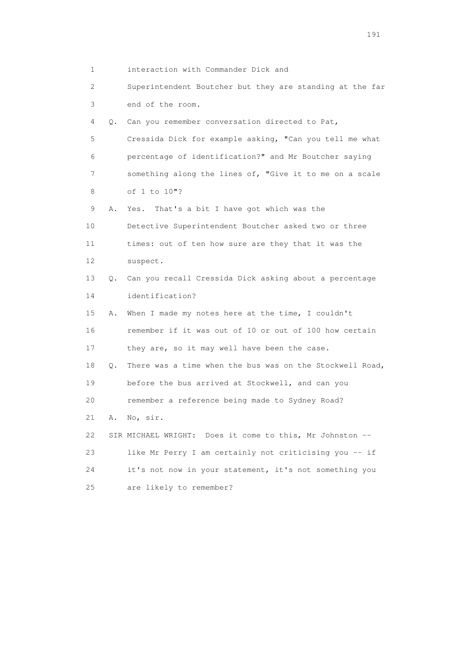1 interaction with Commander Dick and

 2 Superintendent Boutcher but they are standing at the far 3 end of the room.

 4 Q. Can you remember conversation directed to Pat, 5 Cressida Dick for example asking, "Can you tell me what 6 percentage of identification?" and Mr Boutcher saying 7 something along the lines of, "Give it to me on a scale

8 of 1 to 10"?

9 A. Yes. That's a bit I have got which was the

 10 Detective Superintendent Boutcher asked two or three 11 times: out of ten how sure are they that it was the 12 suspect.

 13 Q. Can you recall Cressida Dick asking about a percentage 14 identification?

 15 A. When I made my notes here at the time, I couldn't 16 remember if it was out of 10 or out of 100 how certain 17 they are, so it may well have been the case.

 18 Q. There was a time when the bus was on the Stockwell Road, 19 before the bus arrived at Stockwell, and can you

20 remember a reference being made to Sydney Road?

21 A. No, sir.

 22 SIR MICHAEL WRIGHT: Does it come to this, Mr Johnston -- 23 like Mr Perry I am certainly not criticising you -- if 24 it's not now in your statement, it's not something you 25 are likely to remember?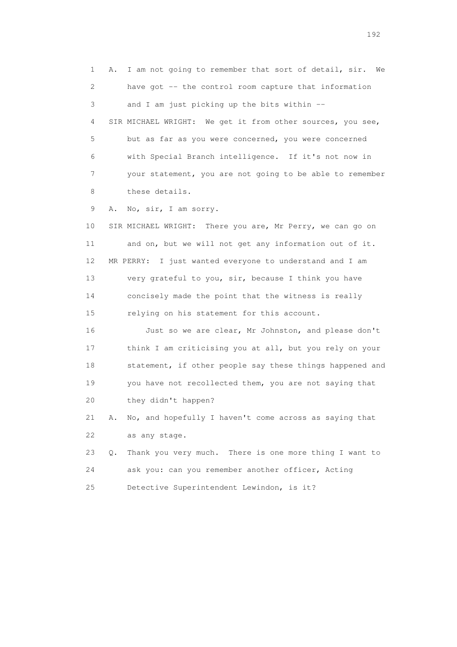1 A. I am not going to remember that sort of detail, sir. We 2 have got -- the control room capture that information 3 and I am just picking up the bits within -- 4 SIR MICHAEL WRIGHT: We get it from other sources, you see, 5 but as far as you were concerned, you were concerned 6 with Special Branch intelligence. If it's not now in 7 your statement, you are not going to be able to remember 8 these details. 9 A. No, sir, I am sorry. 10 SIR MICHAEL WRIGHT: There you are, Mr Perry, we can go on 11 and on, but we will not get any information out of it. 12 MR PERRY: I just wanted everyone to understand and I am 13 very grateful to you, sir, because I think you have 14 concisely made the point that the witness is really 15 relying on his statement for this account. 16 Just so we are clear, Mr Johnston, and please don't 17 think I am criticising you at all, but you rely on your 18 statement, if other people say these things happened and 19 you have not recollected them, you are not saying that 20 they didn't happen? 21 A. No, and hopefully I haven't come across as saying that 22 as any stage. 23 Q. Thank you very much. There is one more thing I want to 24 ask you: can you remember another officer, Acting 25 Detective Superintendent Lewindon, is it?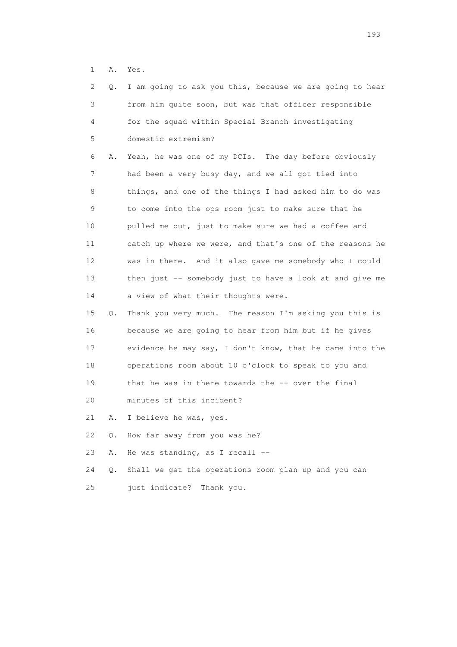1 A. Yes.

| 2  | 0.    | I am going to ask you this, because we are going to hear |
|----|-------|----------------------------------------------------------|
| 3  |       | from him quite soon, but was that officer responsible    |
| 4  |       | for the squad within Special Branch investigating        |
| 5  |       | domestic extremism?                                      |
| 6  | Α.    | Yeah, he was one of my DCIs. The day before obviously    |
| 7  |       | had been a very busy day, and we all got tied into       |
| 8  |       | things, and one of the things I had asked him to do was  |
| 9  |       | to come into the ops room just to make sure that he      |
| 10 |       | pulled me out, just to make sure we had a coffee and     |
| 11 |       | catch up where we were, and that's one of the reasons he |
| 12 |       | was in there. And it also gave me somebody who I could   |
| 13 |       | then just -- somebody just to have a look at and give me |
| 14 |       | a view of what their thoughts were.                      |
| 15 | Q.    | Thank you very much. The reason I'm asking you this is   |
| 16 |       | because we are going to hear from him but if he gives    |
| 17 |       | evidence he may say, I don't know, that he came into the |
| 18 |       | operations room about 10 o'clock to speak to you and     |
| 19 |       | that he was in there towards the -- over the final       |
| 20 |       | minutes of this incident?                                |
| 21 | Α.    | I believe he was, yes.                                   |
| 22 | Q.    | How far away from you was he?                            |
| 23 | Α.    | He was standing, as I recall --                          |
| 24 | $Q$ . | Shall we get the operations room plan up and you can     |
| 25 |       | just indicate?<br>Thank you.                             |
|    |       |                                                          |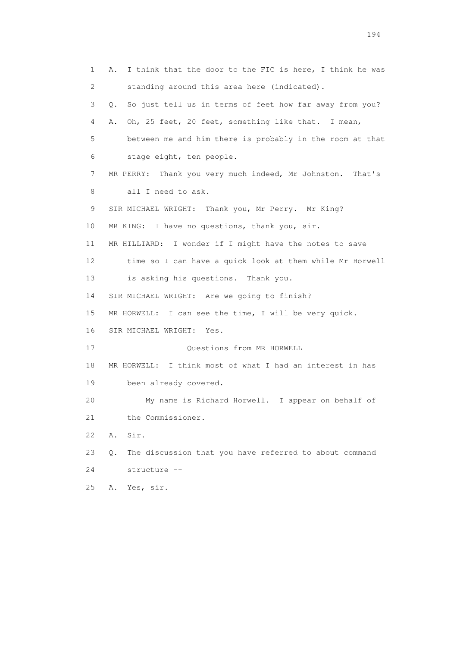1 A. I think that the door to the FIC is here, I think he was 2 standing around this area here (indicated). 3 Q. So just tell us in terms of feet how far away from you? 4 A. Oh, 25 feet, 20 feet, something like that. I mean, 5 between me and him there is probably in the room at that 6 stage eight, ten people. 7 MR PERRY: Thank you very much indeed, Mr Johnston. That's 8 all I need to ask. 9 SIR MICHAEL WRIGHT: Thank you, Mr Perry. Mr King? 10 MR KING: I have no questions, thank you, sir. 11 MR HILLIARD: I wonder if I might have the notes to save 12 time so I can have a quick look at them while Mr Horwell 13 is asking his questions. Thank you. 14 SIR MICHAEL WRIGHT: Are we going to finish? 15 MR HORWELL: I can see the time, I will be very quick. 16 SIR MICHAEL WRIGHT: Yes. 17 Questions from MR HORWELL 18 MR HORWELL: I think most of what I had an interest in has 19 been already covered. 20 My name is Richard Horwell. I appear on behalf of 21 the Commissioner. 22 A. Sir. 23 Q. The discussion that you have referred to about command 24 structure -- 25 A. Yes, sir.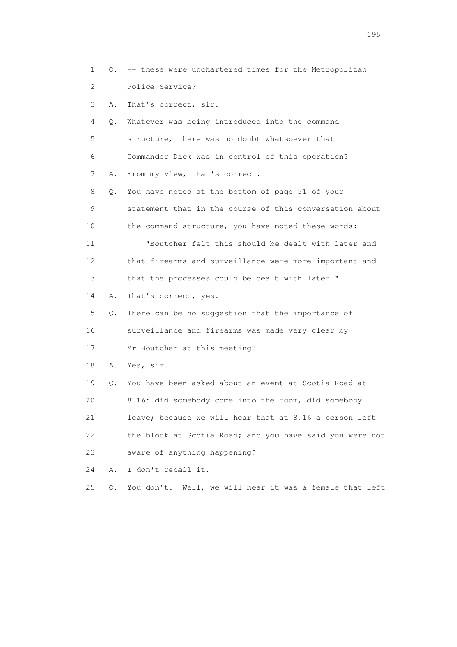1 Q. -- these were unchartered times for the Metropolitan 2 Police Service? 3 A. That's correct, sir. 4 Q. Whatever was being introduced into the command 5 structure, there was no doubt whatsoever that 6 Commander Dick was in control of this operation? 7 A. From my view, that's correct. 8 Q. You have noted at the bottom of page 51 of your 9 statement that in the course of this conversation about 10 the command structure, you have noted these words: 11 "Boutcher felt this should be dealt with later and 12 that firearms and surveillance were more important and 13 that the processes could be dealt with later." 14 A. That's correct, yes. 15 Q. There can be no suggestion that the importance of 16 surveillance and firearms was made very clear by 17 Mr Boutcher at this meeting? 18 A. Yes, sir. 19 Q. You have been asked about an event at Scotia Road at 20 8.16: did somebody come into the room, did somebody 21 leave; because we will hear that at 8.16 a person left 22 the block at Scotia Road; and you have said you were not 23 aware of anything happening? 24 A. I don't recall it. 25 Q. You don't. Well, we will hear it was a female that left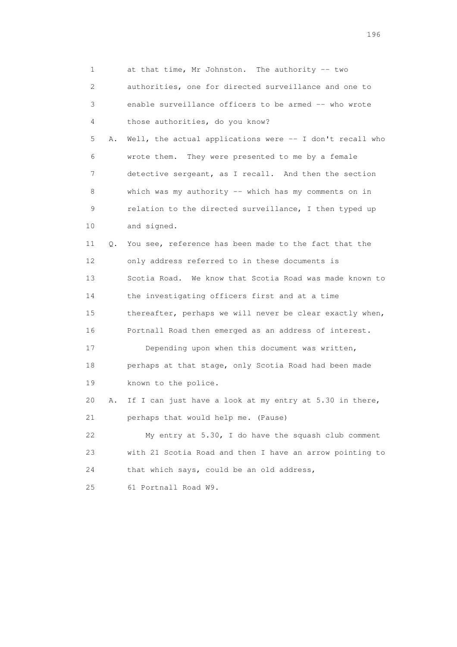| 1                         |    | at that time, Mr Johnston. The authority -- two          |
|---------------------------|----|----------------------------------------------------------|
| $\mathbf{2}^{\mathsf{I}}$ |    | authorities, one for directed surveillance and one to    |
| 3                         |    | enable surveillance officers to be armed -- who wrote    |
| 4                         |    | those authorities, do you know?                          |
| 5                         | Α. | Well, the actual applications were -- I don't recall who |
| 6                         |    | They were presented to me by a female<br>wrote them.     |
| 7                         |    | detective sergeant, as I recall. And then the section    |
| 8                         |    | which was my authority $--$ which has my comments on in  |
| 9                         |    | relation to the directed surveillance, I then typed up   |
| 10                        |    | and signed.                                              |
| 11                        | Q. | You see, reference has been made to the fact that the    |
| 12                        |    | only address referred to in these documents is           |
| 13                        |    | Scotia Road. We know that Scotia Road was made known to  |
| 14                        |    | the investigating officers first and at a time           |
| 15                        |    | thereafter, perhaps we will never be clear exactly when, |
| 16                        |    | Portnall Road then emerged as an address of interest.    |
| 17                        |    | Depending upon when this document was written,           |
| 18                        |    | perhaps at that stage, only Scotia Road had been made    |
| 19                        |    | known to the police.                                     |
| 20                        | Α. | If I can just have a look at my entry at 5.30 in there,  |
| 21                        |    | perhaps that would help me. (Pause)                      |
| 22                        |    | My entry at 5.30, I do have the squash club comment      |
| 23                        |    | with 21 Scotia Road and then I have an arrow pointing to |
| 24                        |    | that which says, could be an old address,                |
| 25                        |    | 61 Portnall Road W9.                                     |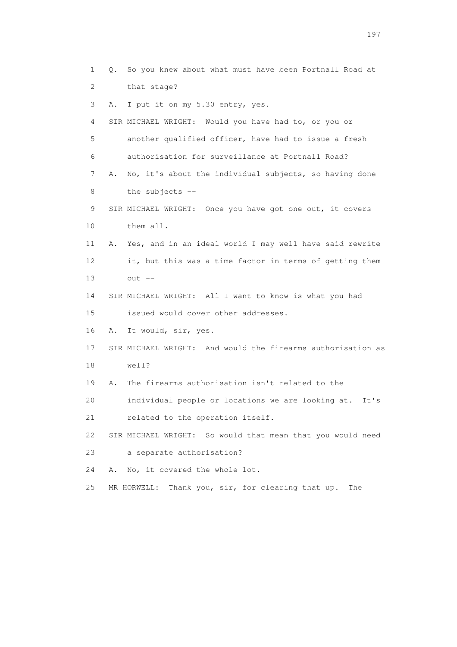1 Q. So you knew about what must have been Portnall Road at 2 that stage? 3 A. I put it on my 5.30 entry, yes. 4 SIR MICHAEL WRIGHT: Would you have had to, or you or 5 another qualified officer, have had to issue a fresh 6 authorisation for surveillance at Portnall Road? 7 A. No, it's about the individual subjects, so having done 8 the subjects -- 9 SIR MICHAEL WRIGHT: Once you have got one out, it covers 10 them all. 11 A. Yes, and in an ideal world I may well have said rewrite 12 it, but this was a time factor in terms of getting them 13 out -- 14 SIR MICHAEL WRIGHT: All I want to know is what you had 15 issued would cover other addresses. 16 A. It would, sir, yes. 17 SIR MICHAEL WRIGHT: And would the firearms authorisation as 18 well? 19 A. The firearms authorisation isn't related to the 20 individual people or locations we are looking at. It's 21 related to the operation itself. 22 SIR MICHAEL WRIGHT: So would that mean that you would need 23 a separate authorisation? 24 A. No, it covered the whole lot. 25 MR HORWELL: Thank you, sir, for clearing that up. The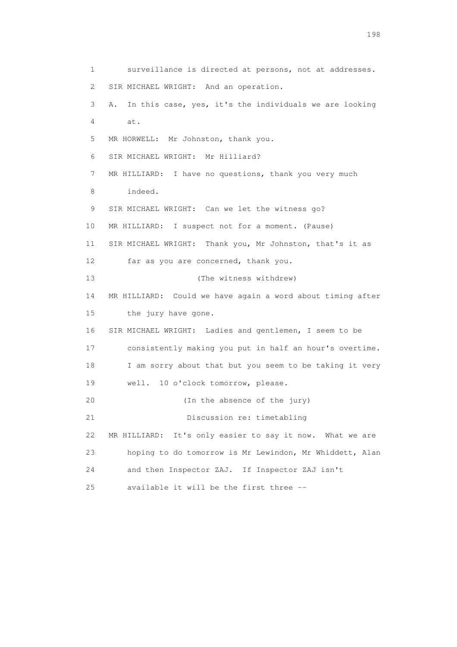1 surveillance is directed at persons, not at addresses. 2 SIR MICHAEL WRIGHT: And an operation. 3 A. In this case, yes, it's the individuals we are looking 4 at. 5 MR HORWELL: Mr Johnston, thank you. 6 SIR MICHAEL WRIGHT: Mr Hilliard? 7 MR HILLIARD: I have no questions, thank you very much 8 indeed. 9 SIR MICHAEL WRIGHT: Can we let the witness go? 10 MR HILLIARD: I suspect not for a moment. (Pause) 11 SIR MICHAEL WRIGHT: Thank you, Mr Johnston, that's it as 12 far as you are concerned, thank you. 13 (The witness withdrew) 14 MR HILLIARD: Could we have again a word about timing after 15 the jury have gone. 16 SIR MICHAEL WRIGHT: Ladies and gentlemen, I seem to be 17 consistently making you put in half an hour's overtime. 18 I am sorry about that but you seem to be taking it very 19 well. 10 o'clock tomorrow, please. 20 (In the absence of the jury) 21 Discussion re: timetabling 22 MR HILLIARD: It's only easier to say it now. What we are 23 hoping to do tomorrow is Mr Lewindon, Mr Whiddett, Alan 24 and then Inspector ZAJ. If Inspector ZAJ isn't 25 available it will be the first three --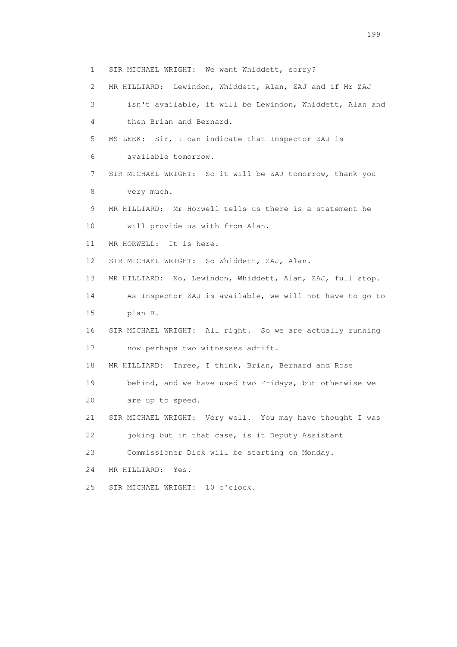1 SIR MICHAEL WRIGHT: We want Whiddett, sorry? 2 MR HILLIARD: Lewindon, Whiddett, Alan, ZAJ and if Mr ZAJ 3 isn't available, it will be Lewindon, Whiddett, Alan and 4 then Brian and Bernard. 5 MS LEEK: Sir, I can indicate that Inspector ZAJ is 6 available tomorrow. 7 SIR MICHAEL WRIGHT: So it will be ZAJ tomorrow, thank you 8 very much. 9 MR HILLIARD: Mr Horwell tells us there is a statement he 10 will provide us with from Alan. 11 MR HORWELL: It is here. 12 SIR MICHAEL WRIGHT: So Whiddett, ZAJ, Alan. 13 MR HILLIARD: No, Lewindon, Whiddett, Alan, ZAJ, full stop. 14 As Inspector ZAJ is available, we will not have to go to 15 plan B. 16 SIR MICHAEL WRIGHT: All right. So we are actually running 17 now perhaps two witnesses adrift. 18 MR HILLIARD: Three, I think, Brian, Bernard and Rose 19 behind, and we have used two Fridays, but otherwise we 20 are up to speed. 21 SIR MICHAEL WRIGHT: Very well. You may have thought I was 22 joking but in that case, is it Deputy Assistant 23 Commissioner Dick will be starting on Monday. 24 MR HILLIARD: Yes. 25 SIR MICHAEL WRIGHT: 10 o'clock.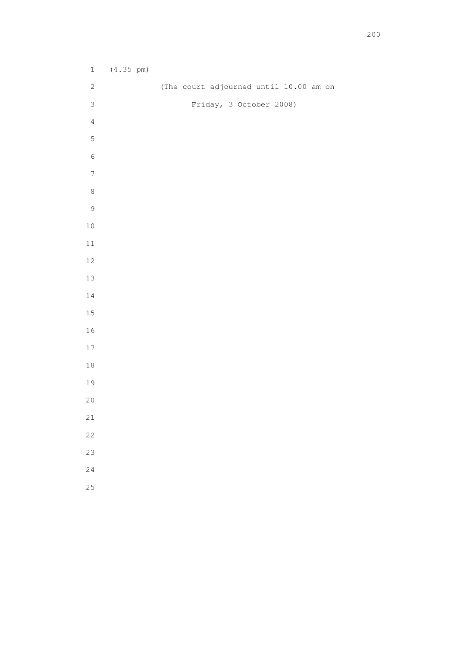| $\,1$            | $(4.35 \text{ pm})$ |                                        |
|------------------|---------------------|----------------------------------------|
| $\sqrt{2}$       |                     | (The court adjourned until 10.00 am on |
| $\mathsf 3$      |                     | Friday, 3 October 2008)                |
| $\sqrt{4}$       |                     |                                        |
| $\mathsf S$      |                     |                                        |
| $\,$ 6 $\,$      |                     |                                        |
| $\boldsymbol{7}$ |                     |                                        |
| $\,8\,$          |                     |                                        |
| $\mathcal{G}$    |                     |                                        |
| $10\,$           |                     |                                        |
| $11\,$           |                     |                                        |
| $12\,$           |                     |                                        |
| 13               |                     |                                        |
| $1\,4$           |                     |                                        |
| $15\,$           |                     |                                        |
| 16               |                     |                                        |
| 17               |                     |                                        |
| $1\,8$           |                     |                                        |
| 19               |                     |                                        |
| $20$             |                     |                                        |
| $2\sqrt{1}$      |                     |                                        |
|                  |                     |                                        |

- 
- 
- 
-